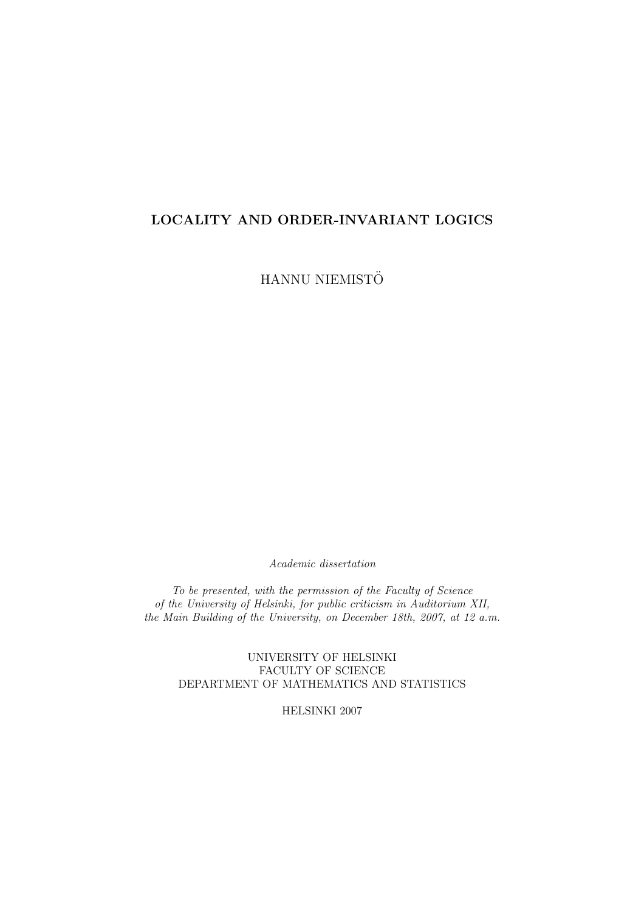# **LOCALITY AND ORDER-INVARIANT LOGICS**

HANNU NIEMISTO¨

Academic dissertation

To be presented, with the permission of the Faculty of Science of the University of Helsinki, for public criticism in Auditorium XII, the Main Building of the University, on December 18th, 2007, at 12 a.m.

UNIVERSITY OF HELSINKI FACULTY OF SCIENCE DEPARTMENT OF MATHEMATICS AND STATISTICS

HELSINKI 2007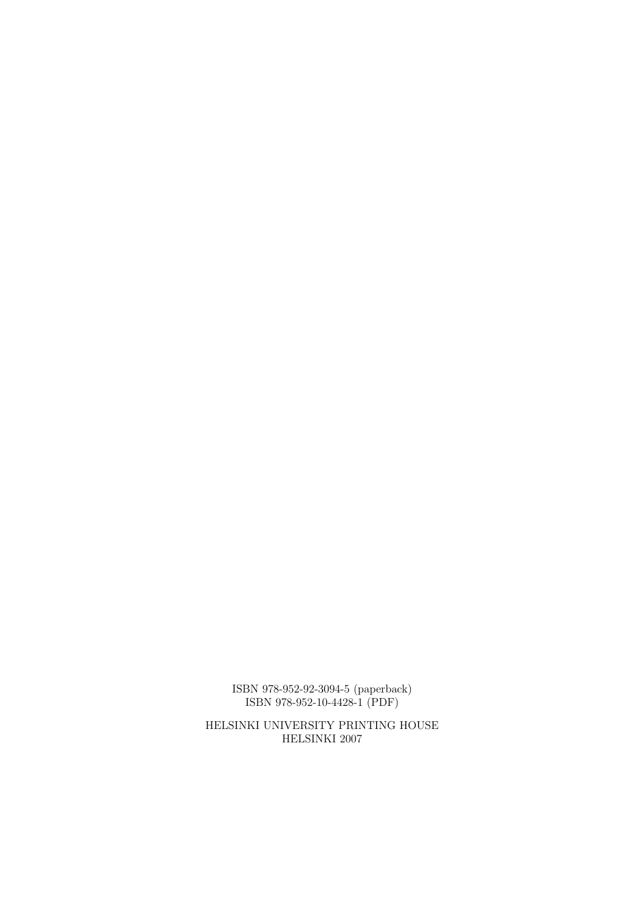ISBN 978-952-92-3094-5 (paperback) ISBN 978-952-10-4428-1 (PDF)

HELSINKI UNIVERSITY PRINTING HOUSE HELSINKI 2007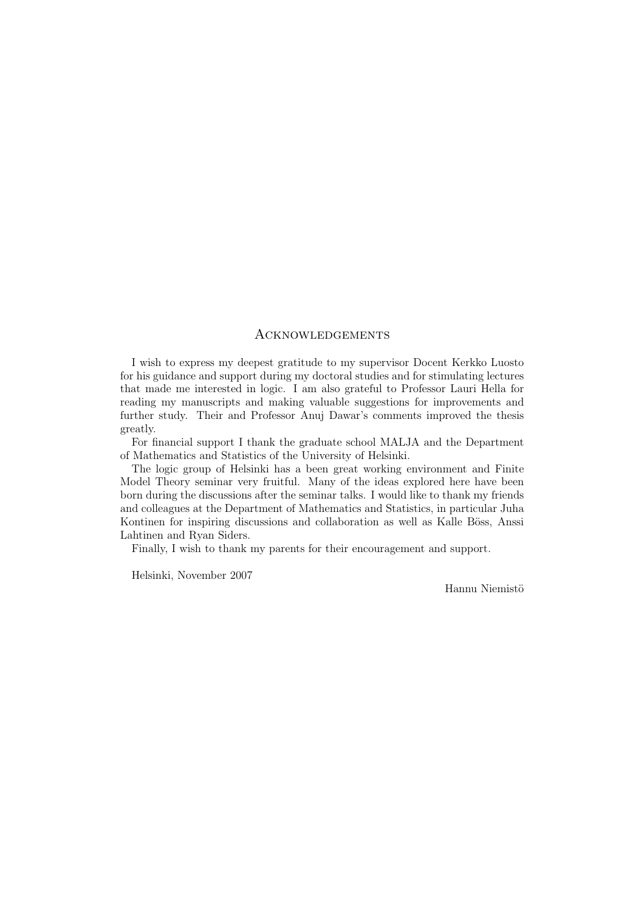#### **ACKNOWLEDGEMENTS**

I wish to express my deepest gratitude to my supervisor Docent Kerkko Luosto for his guidance and support during my doctoral studies and for stimulating lectures that made me interested in logic. I am also grateful to Professor Lauri Hella for reading my manuscripts and making valuable suggestions for improvements and further study. Their and Professor Anuj Dawar's comments improved the thesis greatly.

For financial support I thank the graduate school MALJA and the Department of Mathematics and Statistics of the University of Helsinki.

The logic group of Helsinki has a been great working environment and Finite Model Theory seminar very fruitful. Many of the ideas explored here have been born during the discussions after the seminar talks. I would like to thank my friends and colleagues at the Department of Mathematics and Statistics, in particular Juha Kontinen for inspiring discussions and collaboration as well as Kalle Böss, Anssi Lahtinen and Ryan Siders.

Finally, I wish to thank my parents for their encouragement and support.

Helsinki, November 2007

Hannu Niemistö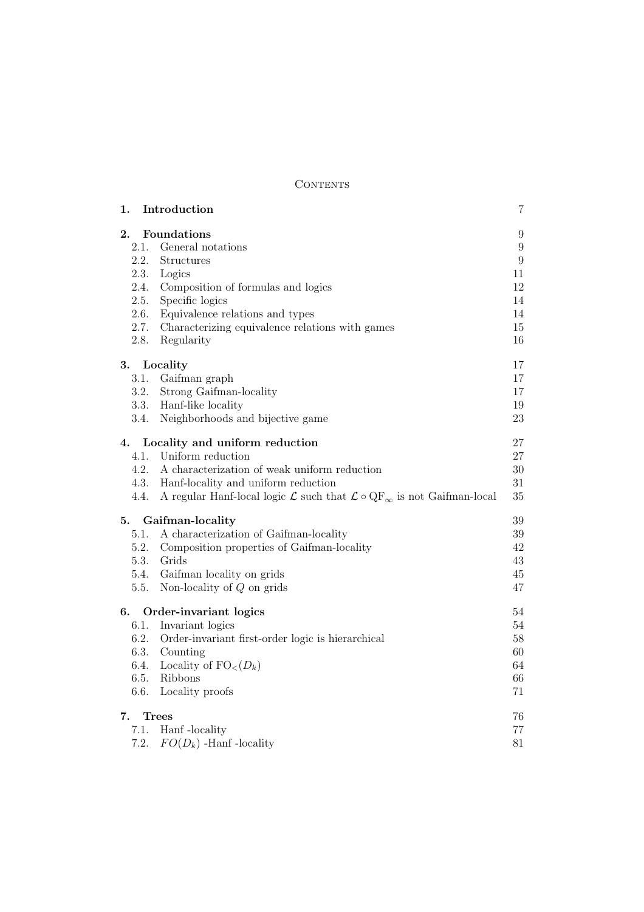## **CONTENTS**

| 1.                                   | Introduction                                                                                                   | $\overline{7}$ |  |
|--------------------------------------|----------------------------------------------------------------------------------------------------------------|----------------|--|
| 2.                                   | Foundations                                                                                                    | 9              |  |
| 2.1.                                 | General notations                                                                                              | 9              |  |
| 2.2.                                 | <b>Structures</b>                                                                                              | $\overline{9}$ |  |
| 2.3.                                 | Logics                                                                                                         | 11             |  |
| 2.4.                                 | Composition of formulas and logics                                                                             | 12             |  |
| 2.5.                                 | Specific logics                                                                                                | 14             |  |
| 2.6.                                 | Equivalence relations and types                                                                                | 14             |  |
| 2.7.                                 | Characterizing equivalence relations with games                                                                | 15             |  |
| 2.8.                                 | Regularity                                                                                                     | 16             |  |
| 3.                                   | Locality                                                                                                       | 17             |  |
|                                      | 3.1.<br>Gaifman graph                                                                                          | 17             |  |
|                                      | 3.2. Strong Gaifman-locality                                                                                   | 17             |  |
|                                      | 3.3. Hanf-like locality                                                                                        | 19             |  |
| 3.4.                                 | Neighborhoods and bijective game                                                                               | 23             |  |
| Locality and uniform reduction<br>4. |                                                                                                                |                |  |
|                                      | 4.1.<br>Uniform reduction                                                                                      | 27             |  |
|                                      | 4.2.<br>A characterization of weak uniform reduction                                                           | 30             |  |
|                                      | 4.3.<br>Hanf-locality and uniform reduction                                                                    | 31             |  |
| 4.4.                                 | A regular Hanf-local logic $\mathcal L$ such that $\mathcal L \circ \mathrm{QF}_{\infty}$ is not Gaifman-local | 35             |  |
| 5.                                   | Gaifman-locality                                                                                               | 39             |  |
| 5.1.                                 | A characterization of Gaifman-locality                                                                         | 39             |  |
| 5.2.                                 | Composition properties of Gaifman-locality                                                                     | 42             |  |
| 5.3.                                 | Grids                                                                                                          | 43             |  |
| 5.4.                                 | Gaifman locality on grids                                                                                      | 45             |  |
| 5.5.                                 | Non-locality of $Q$ on grids                                                                                   | 47             |  |
| 6.                                   | Order-invariant logics                                                                                         | 54             |  |
|                                      | 6.1.<br>Invariant logics                                                                                       | 54             |  |
|                                      | 6.2.<br>Order-invariant first-order logic is hierarchical                                                      | 58             |  |
| 6.3.                                 | Counting                                                                                                       | 60             |  |
| 6.4.                                 | Locality of $\mathrm{FO}_\leq(D_k)$                                                                            | 64             |  |
| 6.5.                                 | Ribbons                                                                                                        | 66             |  |
| 6.6.                                 | Locality proofs                                                                                                | 71             |  |
| 7.<br><b>Trees</b>                   |                                                                                                                | 76             |  |
| 7.1.                                 | Hanf-locality                                                                                                  | 77             |  |
| 7.2.                                 | $FO(D_k)$ -Hanf -locality                                                                                      | 81             |  |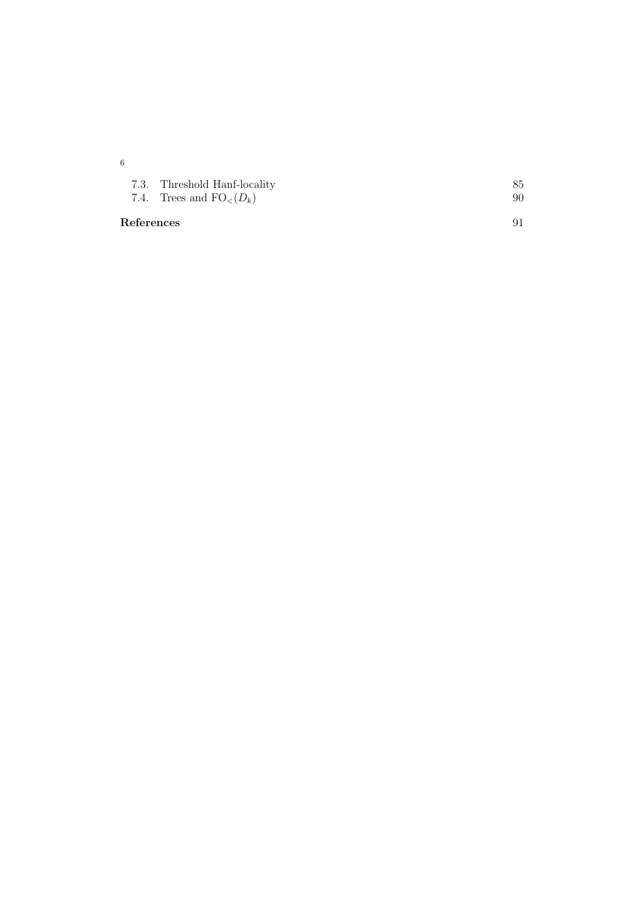|            | 7.3. Threshold Hanf-locality<br>7.4. Trees and $\mathrm{FO}_\leq(D_k)$ | 85.<br>90. |
|------------|------------------------------------------------------------------------|------------|
| References |                                                                        |            |

6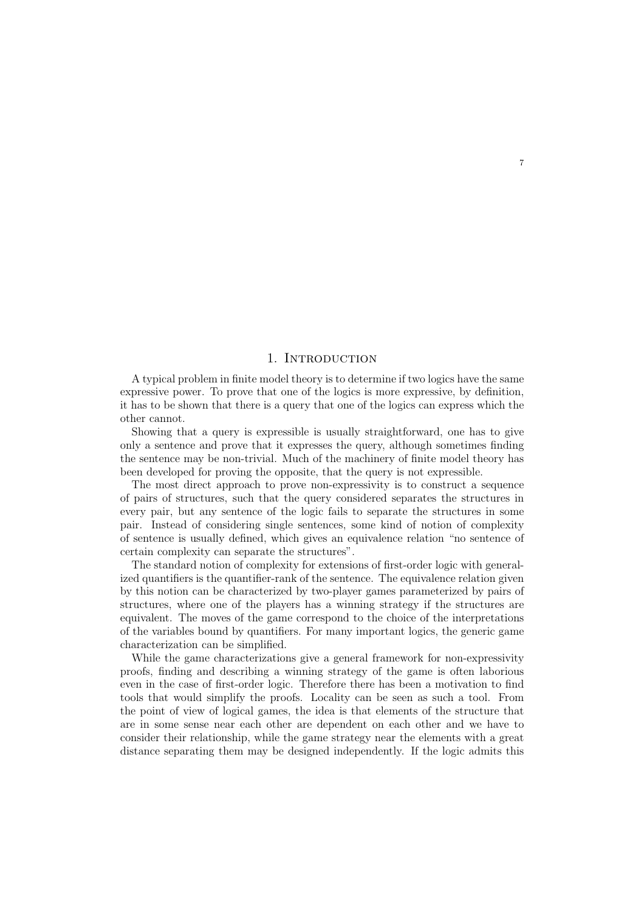## 1. INTRODUCTION

A typical problem in finite model theory is to determine if two logics have the same expressive power. To prove that one of the logics is more expressive, by definition, it has to be shown that there is a query that one of the logics can express which the other cannot.

Showing that a query is expressible is usually straightforward, one has to give only a sentence and prove that it expresses the query, although sometimes finding the sentence may be non-trivial. Much of the machinery of finite model theory has been developed for proving the opposite, that the query is not expressible.

The most direct approach to prove non-expressivity is to construct a sequence of pairs of structures, such that the query considered separates the structures in every pair, but any sentence of the logic fails to separate the structures in some pair. Instead of considering single sentences, some kind of notion of complexity of sentence is usually defined, which gives an equivalence relation "no sentence of certain complexity can separate the structures".

The standard notion of complexity for extensions of first-order logic with generalized quantifiers is the quantifier-rank of the sentence. The equivalence relation given by this notion can be characterized by two-player games parameterized by pairs of structures, where one of the players has a winning strategy if the structures are equivalent. The moves of the game correspond to the choice of the interpretations of the variables bound by quantifiers. For many important logics, the generic game characterization can be simplified.

While the game characterizations give a general framework for non-expressivity proofs, finding and describing a winning strategy of the game is often laborious even in the case of first-order logic. Therefore there has been a motivation to find tools that would simplify the proofs. Locality can be seen as such a tool. From the point of view of logical games, the idea is that elements of the structure that are in some sense near each other are dependent on each other and we have to consider their relationship, while the game strategy near the elements with a great distance separating them may be designed independently. If the logic admits this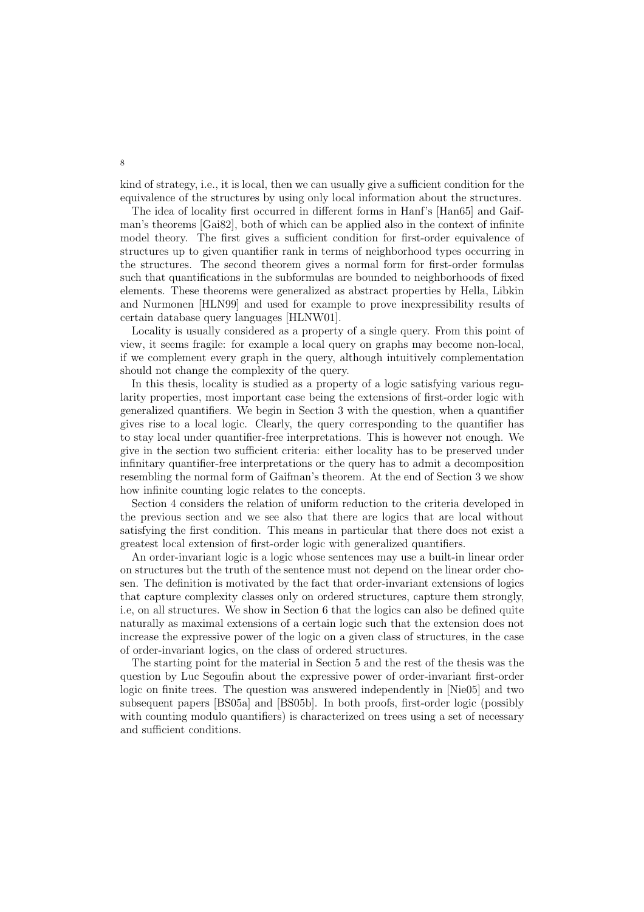kind of strategy, i.e., it is local, then we can usually give a sufficient condition for the equivalence of the structures by using only local information about the structures.

The idea of locality first occurred in different forms in Hanf's [Han65] and Gaifman's theorems [Gai82], both of which can be applied also in the context of infinite model theory. The first gives a sufficient condition for first-order equivalence of structures up to given quantifier rank in terms of neighborhood types occurring in the structures. The second theorem gives a normal form for first-order formulas such that quantifications in the subformulas are bounded to neighborhoods of fixed elements. These theorems were generalized as abstract properties by Hella, Libkin and Nurmonen [HLN99] and used for example to prove inexpressibility results of certain database query languages [HLNW01].

Locality is usually considered as a property of a single query. From this point of view, it seems fragile: for example a local query on graphs may become non-local, if we complement every graph in the query, although intuitively complementation should not change the complexity of the query.

In this thesis, locality is studied as a property of a logic satisfying various regularity properties, most important case being the extensions of first-order logic with generalized quantifiers. We begin in Section 3 with the question, when a quantifier gives rise to a local logic. Clearly, the query corresponding to the quantifier has to stay local under quantifier-free interpretations. This is however not enough. We give in the section two sufficient criteria: either locality has to be preserved under infinitary quantifier-free interpretations or the query has to admit a decomposition resembling the normal form of Gaifman's theorem. At the end of Section 3 we show how infinite counting logic relates to the concepts.

Section 4 considers the relation of uniform reduction to the criteria developed in the previous section and we see also that there are logics that are local without satisfying the first condition. This means in particular that there does not exist a greatest local extension of first-order logic with generalized quantifiers.

An order-invariant logic is a logic whose sentences may use a built-in linear order on structures but the truth of the sentence must not depend on the linear order chosen. The definition is motivated by the fact that order-invariant extensions of logics that capture complexity classes only on ordered structures, capture them strongly, i.e, on all structures. We show in Section 6 that the logics can also be defined quite naturally as maximal extensions of a certain logic such that the extension does not increase the expressive power of the logic on a given class of structures, in the case of order-invariant logics, on the class of ordered structures.

The starting point for the material in Section 5 and the rest of the thesis was the question by Luc Segoufin about the expressive power of order-invariant first-order logic on finite trees. The question was answered independently in [Nie05] and two subsequent papers [BS05a] and [BS05b]. In both proofs, first-order logic (possibly with counting modulo quantifiers) is characterized on trees using a set of necessary and sufficient conditions.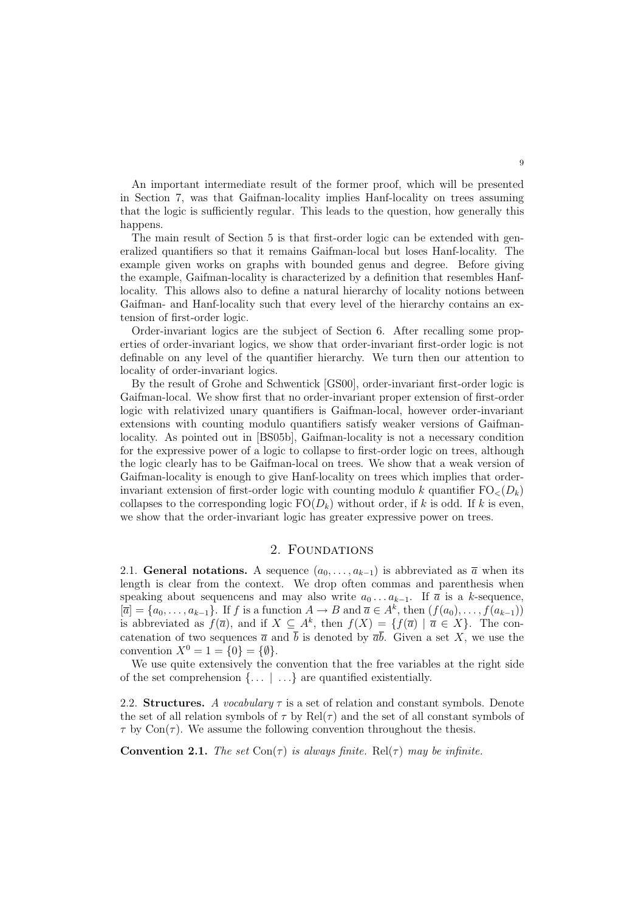An important intermediate result of the former proof, which will be presented in Section 7, was that Gaifman-locality implies Hanf-locality on trees assuming that the logic is sufficiently regular. This leads to the question, how generally this happens.

The main result of Section 5 is that first-order logic can be extended with generalized quantifiers so that it remains Gaifman-local but loses Hanf-locality. The example given works on graphs with bounded genus and degree. Before giving the example, Gaifman-locality is characterized by a definition that resembles Hanflocality. This allows also to define a natural hierarchy of locality notions between Gaifman- and Hanf-locality such that every level of the hierarchy contains an extension of first-order logic.

Order-invariant logics are the subject of Section 6. After recalling some properties of order-invariant logics, we show that order-invariant first-order logic is not definable on any level of the quantifier hierarchy. We turn then our attention to locality of order-invariant logics.

By the result of Grohe and Schwentick [GS00], order-invariant first-order logic is Gaifman-local. We show first that no order-invariant proper extension of first-order logic with relativized unary quantifiers is Gaifman-local, however order-invariant extensions with counting modulo quantifiers satisfy weaker versions of Gaifmanlocality. As pointed out in [BS05b], Gaifman-locality is not a necessary condition for the expressive power of a logic to collapse to first-order logic on trees, although the logic clearly has to be Gaifman-local on trees. We show that a weak version of Gaifman-locality is enough to give Hanf-locality on trees which implies that orderinvariant extension of first-order logic with counting modulo k quantifier  $\mathrm{FO}_{\leq}(D_k)$ collapses to the corresponding logic  $FO(D_k)$  without order, if k is odd. If k is even, we show that the order-invariant logic has greater expressive power on trees.

#### 2. FOUNDATIONS

2.1. **General notations.** A sequence  $(a_0, \ldots, a_{k-1})$  is abbreviated as  $\overline{a}$  when its length is clear from the context. We drop often commas and parenthesis when speaking about sequencens and may also write  $a_0 \ldots a_{k-1}$ . If  $\bar{a}$  is a k-sequence,  $[\overline{a}] = \{a_0, \ldots, a_{k-1}\}.$  If f is a function  $A \to B$  and  $\overline{a} \in A^k$ , then  $(f(a_0), \ldots, f(a_{k-1}))$ is abbreviated as  $f(\overline{a})$ , and if  $X \subseteq A^k$ , then  $f(X) = \{f(\overline{a}) \mid \overline{a} \in X\}$ . The concatenation of two sequences  $\bar{a}$  and  $\bar{b}$  is denoted by  $\bar{a}\bar{b}$ . Given a set X, we use the convention  $X^0 = 1 = \{0\} = \{\emptyset\}.$ 

We use quite extensively the convention that the free variables at the right side of the set comprehension  $\{\ldots | \ldots \}$  are quantified existentially.

2.2. **Structures.** A vocabulary  $\tau$  is a set of relation and constant symbols. Denote the set of all relation symbols of  $\tau$  by Rel( $\tau$ ) and the set of all constant symbols of  $\tau$  by Con( $\tau$ ). We assume the following convention throughout the thesis.

**Convention 2.1.** The set Con( $\tau$ ) is always finite. Rel( $\tau$ ) may be infinite.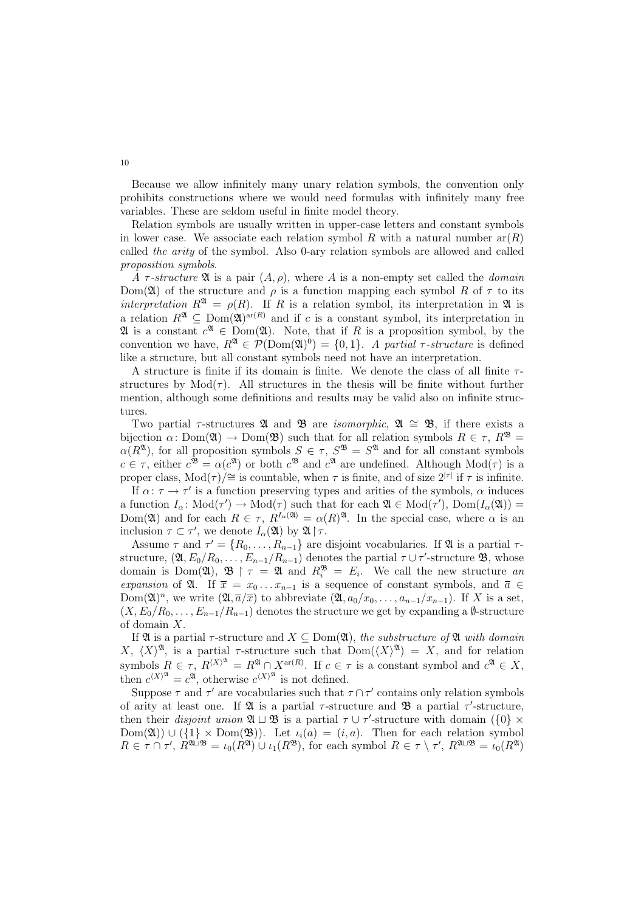Because we allow infinitely many unary relation symbols, the convention only prohibits constructions where we would need formulas with infinitely many free variables. These are seldom useful in finite model theory.

Relation symbols are usually written in upper-case letters and constant symbols in lower case. We associate each relation symbol R with a natural number  $ar(R)$ called the arity of the symbol. Also 0-ary relation symbols are allowed and called proposition symbols.

A  $\tau$ -structure  $\mathfrak A$  is a pair  $(A, \rho)$ , where A is a non-empty set called the *domain* Dom( $\mathfrak{A}$ ) of the structure and  $\rho$  is a function mapping each symbol R of  $\tau$  to its interpretation  $R^{\mathfrak{A}} = \rho(R)$ . If R is a relation symbol, its interpretation in  $\mathfrak{A}$  is a relation  $R^{\mathfrak{A}} \subseteq \text{Dom}(\mathfrak{A})^{\text{ar}(R)}$  and if c is a constant symbol, its interpretation in  $\mathfrak A$  is a constant  $c^{\mathfrak A} \in \text{Dom}(\mathfrak A)$ . Note, that if R is a proposition symbol, by the convention we have,  $R^{\mathfrak{A}} \in \mathcal{P}(\text{Dom}(\mathfrak{A})^0) = \{0, 1\}$ . A partial  $\tau$ -structure is defined like a structure, but all constant symbols need not have an interpretation.

A structure is finite if its domain is finite. We denote the class of all finite  $\tau$ structures by  $Mod(τ)$ . All structures in the thesis will be finite without further mention, although some definitions and results may be valid also on infinite structures.

Two partial  $\tau$ -structures 24 and 28 are *isomorphic*, 24  $\cong$  28, if there exists a bijection  $\alpha: Dom(\mathfrak{A}) \to Dom(\mathfrak{B})$  such that for all relation symbols  $R \in \tau$ ,  $R^{\mathfrak{B}} =$  $\alpha(R^{\mathfrak{A}})$ , for all proposition symbols  $S \in \tau$ ,  $S^{\mathfrak{B}} = S^{\mathfrak{A}}$  and for all constant symbols  $c \in \tau$ , either  $c^{\mathfrak{B}} = \alpha(c^{\mathfrak{A}})$  or both  $c^{\mathfrak{B}}$  and  $c^{\mathfrak{A}}$  are undefined. Although  $Mod(\tau)$  is a proper class, Mod( $\tau$ )/≅ is countable, when  $\tau$  is finite, and of size  $2^{|\tau|}$  if  $\tau$  is infinite.

If  $\alpha$ :  $\tau \rightarrow \tau'$  is a function preserving types and arities of the symbols,  $\alpha$  induces a function  $I_\alpha$ :  $Mod(\tau') \to Mod(\tau)$  such that for each  $\mathfrak{A} \in Mod(\tau')$ ,  $Dom(I_\alpha(\mathfrak{A})) =$ Dom(20) and for each  $R \in \tau$ ,  $R^{I_{\alpha}(20)} = \alpha(R)^{20}$ . In the special case, where  $\alpha$  is an inclusion  $\tau \subset \tau'$ , we denote  $I_{\alpha}(\mathfrak{A})$  by  $\mathfrak{A} \upharpoonright \tau$ .

Assume  $\tau$  and  $\tau' = \{R_0, \ldots, R_{n-1}\}\$  are disjoint vocabularies. If  $\mathfrak A$  is a partial  $\tau$ structure,  $(\mathfrak{A}, E_0/R_0, \ldots, E_{n-1}/R_{n-1})$  denotes the partial  $\tau \cup \tau'$ -structure  $\mathfrak{B}$ , whose domain is Dom( $\mathfrak{A}$ ),  $\mathfrak{B} \restriction \tau = \mathfrak{A}$  and  $R_i^{\mathfrak{B}} = E_i$ . We call the new structure an expansion of  $\mathfrak{A}$ . If  $\overline{x} = x_0 \dots x_{n-1}$  is a sequence of constant symbols, and  $\overline{a} \in$ Dom( $\mathfrak{A})^n$ , we write  $(\mathfrak{A}, \overline{a}/\overline{x})$  to abbreviate  $(\mathfrak{A}, a_0/x_0, \ldots, a_{n-1}/x_{n-1})$ . If X is a set,  $(X, E_0/R_0, \ldots, E_{n-1}/R_{n-1})$  denotes the structure we get by expanding a  $\emptyset$ -structure of domain X.

If  $\mathfrak A$  is a partial  $\tau$ -structure and  $X \subseteq \text{Dom}(\mathfrak A)$ , the substructure of  $\mathfrak A$  with domain X,  $\langle X \rangle^{\mathfrak{A}}$ , is a partial  $\tau$ -structure such that  $Dom(\langle X \rangle^{\mathfrak{A}}) = X$ , and for relation symbols  $R \in \tau$ ,  $R^{\langle X \rangle^{\mathfrak{A}}} = R^{\mathfrak{A}} \cap X^{\text{ar}(R)}$ . If  $c \in \tau$  is a constant symbol and  $c^{\mathfrak{A}} \in X$ , then  $c^{(X)^{\mathfrak{A}}}=c^{\mathfrak{A}},$  otherwise  $c^{(X)^{\mathfrak{A}}}$  is not defined.

Suppose  $\tau$  and  $\tau'$  are vocabularies such that  $\tau \cap \tau'$  contains only relation symbols of arity at least one. If  $\mathfrak A$  is a partial  $\tau$ -structure and  $\mathfrak B$  a partial  $\tau$ '-structure, then their *disjoint union*  $\mathfrak{A} \sqcup \mathfrak{B}$  is a partial  $\tau \cup \tau'$ -structure with domain ( $\{0\} \times$  $Dom(\mathfrak{A}) \cup (\{1\} \times Dom(\mathfrak{B})$ . Let  $\iota_i(a)=(i, a)$ . Then for each relation symbol  $R \in \tau \cap \tau'$ ,  $R^{2\mathbb{L} \mathfrak{B}} = \iota_0(R^{2\mathfrak{A}}) \cup \iota_1(R^{2\mathfrak{B}})$ , for each symbol  $R \in \tau \setminus \tau'$ ,  $R^{2\mathbb{L} \mathfrak{B}} = \iota_0(R^{2\mathfrak{A}})$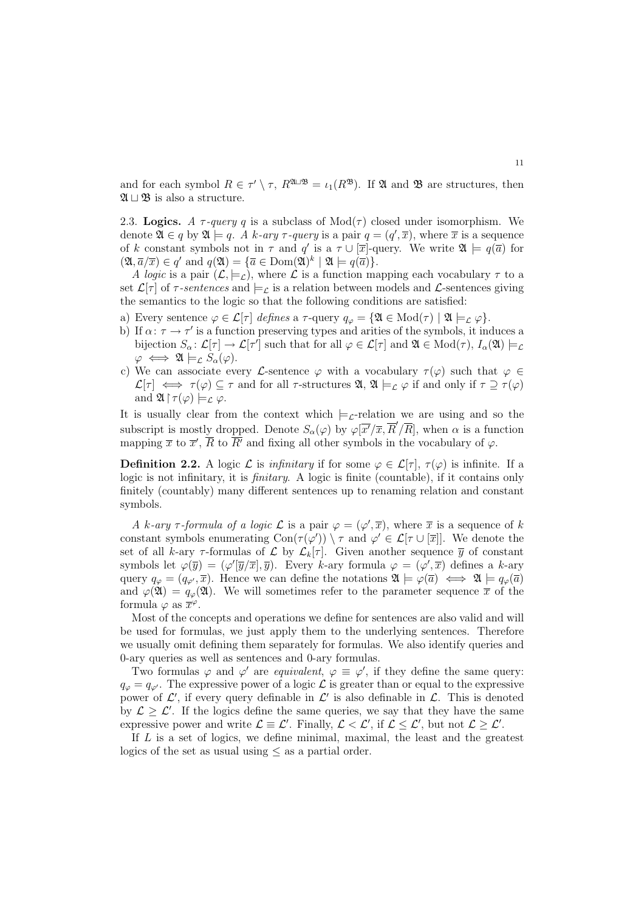and for each symbol  $R \in \tau' \setminus \tau$ ,  $R^{2 \sqcup 2} = \iota_1(R^{2})$ . If  $\mathfrak A$  and  $\mathfrak B$  are structures, then  $\mathfrak{A} \sqcup \mathfrak{B}$  is also a structure.

2.3. **Logics.** A  $\tau$ -query q is a subclass of  $Mod(\tau)$  closed under isomorphism. We denote  $\mathfrak{A} \in q$  by  $\mathfrak{A} \models q$ . A k-ary  $\tau$ -query is a pair  $q = (q', \overline{x})$ , where  $\overline{x}$  is a sequence of k constant symbols not in  $\tau$  and  $q'$  is a  $\tau \cup [\overline{x}]$ -query. We write  $\mathfrak{A} \models q(\overline{a})$  for  $(\mathfrak{A}, \overline{a}/\overline{x}) \in q'$  and  $q(\mathfrak{A}) = {\overline{a} \in \text{Dom}(\mathfrak{A})^k \mid \mathfrak{A} \models q(\overline{a})}.$ 

A logic is a pair  $(\mathcal{L}, \models_{\mathcal{L}})$ , where  $\mathcal L$  is a function mapping each vocabulary  $\tau$  to a set  $\mathcal{L}[\tau]$  of  $\tau$ -sentences and  $\models$ <sub>C</sub> is a relation between models and  $\mathcal{L}$ -sentences giving the semantics to the logic so that the following conditions are satisfied:

- a) Every sentence  $\varphi \in \mathcal{L}[\tau]$  defines a  $\tau$ -query  $q_{\varphi} = {\mathfrak{A}} \in Mod(\tau) | {\mathfrak{A}} \models_{\mathcal{L}} \varphi$ .
- b) If  $\alpha: \tau \to \tau'$  is a function preserving types and arities of the symbols, it induces a bijection  $S_\alpha: \mathcal{L}[\tau] \to \mathcal{L}[\tau']$  such that for all  $\varphi \in \mathcal{L}[\tau]$  and  $\mathfrak{A} \in Mod(\tau)$ ,  $I_\alpha(\mathfrak{A}) \models_{\mathcal{L}}$  $\varphi \iff \mathfrak{A} \models_{\mathcal{L}} S_{\alpha}(\varphi).$
- c) We can associate every *L*-sentence  $\varphi$  with a vocabulary  $\tau(\varphi)$  such that  $\varphi \in$  $\mathcal{L}[\tau] \iff \tau(\varphi) \subseteq \tau$  and for all  $\tau$ -structures  $\mathfrak{A}, \mathfrak{A} \models_{\mathcal{L}} \varphi$  if and only if  $\tau \supseteq \tau(\varphi)$ and  $\mathfrak{A}\!\restriction\!\tau(\varphi)\models_{\mathcal{L}}\varphi.$

It is usually clear from the context which  $\models_{\mathcal{L}}$ -relation we are using and so the subscript is mostly dropped. Denote  $S_{\alpha}(\varphi)$  by  $\varphi[\overline{x'}/\overline{x}, \overline{R'}/\overline{R}]$ , when  $\alpha$  is a function mapping  $\bar{x}$  to  $\bar{x}'$ ,  $\bar{R}$  to  $\bar{R}'$  and fixing all other symbols in the vocabulary of  $\varphi$ .

**Definition 2.2.** A logic  $\mathcal{L}$  is *infinitary* if for some  $\varphi \in \mathcal{L}[\tau]$ ,  $\tau(\varphi)$  is infinite. If a logic is not infinitary, it is *finitary*. A logic is finite (countable), if it contains only finitely (countably) many different sentences up to renaming relation and constant symbols.

A k-ary  $\tau$ -formula of a logic  $\mathcal L$  is a pair  $\varphi = (\varphi', \overline{x})$ , where  $\overline{x}$  is a sequence of k constant symbols enumerating  $Con(\tau(\varphi')) \setminus \tau$  and  $\varphi' \in \mathcal{L}[\tau \cup [\overline{x}]]$ . We denote the set of all k-ary  $\tau$ -formulas of  $\mathcal L$  by  $\mathcal L_k[\tau]$ . Given another sequence  $\overline{y}$  of constant symbols let  $\varphi(\overline{y}) = (\varphi'[\overline{y}/\overline{x}], \overline{y})$ . Every k-ary formula  $\varphi = (\varphi', \overline{x})$  defines a k-ary query  $q_{\varphi} = (q_{\varphi'}, \overline{x})$ . Hence we can define the notations  $\mathfrak{A} \models \varphi(\overline{a}) \iff \mathfrak{A} \models q_{\varphi}(\overline{a})$ and  $\varphi(\mathfrak{A}) = q_{\varphi}(\mathfrak{A})$ . We will sometimes refer to the parameter sequence  $\bar{x}$  of the formula  $\varphi$  as  $\bar{x}^{\varphi}$ .

Most of the concepts and operations we define for sentences are also valid and will be used for formulas, we just apply them to the underlying sentences. Therefore we usually omit defining them separately for formulas. We also identify queries and 0-ary queries as well as sentences and 0-ary formulas.

Two formulas  $\varphi$  and  $\varphi'$  are *equivalent*,  $\varphi \equiv \varphi'$ , if they define the same query:  $q_{\varphi} = q_{\varphi'}$ . The expressive power of a logic  $\mathcal L$  is greater than or equal to the expressive power of  $\mathcal{L}'$ , if every query definable in  $\mathcal{L}'$  is also definable in  $\mathcal{L}$ . This is denoted by  $\mathcal{L} \geq \mathcal{L}'$ . If the logics define the same queries, we say that they have the same expressive power and write  $\mathcal{L} \equiv \mathcal{L}'$ . Finally,  $\mathcal{L} < \mathcal{L}'$ , if  $\mathcal{L} \leq \mathcal{L}'$ , but not  $\mathcal{L} \geq \mathcal{L}'$ .

If L is a set of logics, we define minimal, maximal, the least and the greatest logics of the set as usual using  $\leq$  as a partial order.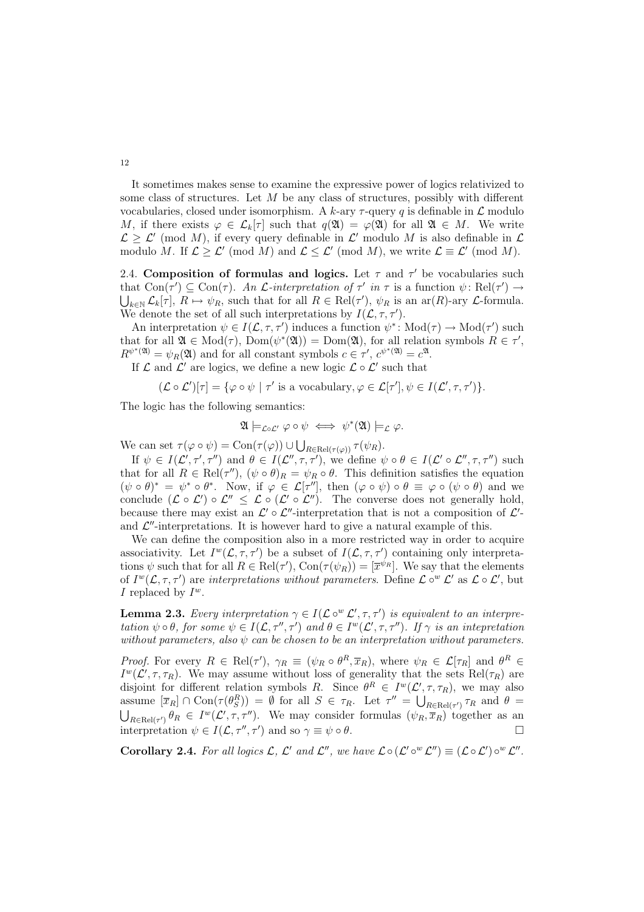12

It sometimes makes sense to examine the expressive power of logics relativized to some class of structures. Let  $M$  be any class of structures, possibly with different vocabularies, closed under isomorphism. A k-ary  $\tau$ -query q is definable in  $\mathcal L$  modulo M, if there exists  $\varphi \in \mathcal{L}_k[\tau]$  such that  $q(\mathfrak{A}) = \varphi(\mathfrak{A})$  for all  $\mathfrak{A} \in M$ . We write  $\mathcal{L} \geq \mathcal{L}'$  (mod M), if every query definable in  $\mathcal{L}'$  modulo M is also definable in  $\mathcal{L}$ modulo M. If  $\mathcal{L} \geq \mathcal{L}'$  (mod M) and  $\mathcal{L} \leq \mathcal{L}'$  (mod M), we write  $\mathcal{L} \equiv \mathcal{L}'$  (mod M).

2.4. **Composition of formulas and logics.** Let  $\tau$  and  $\tau'$  be vocabularies such that  $Con(\tau') \subseteq Con(\tau)$ . An *L*-interpretation of  $\tau'$  in  $\tau$  is a function  $\psi: Rel(\tau') \to$  $\bigcup_{k\in\mathbb{N}}\mathcal{L}_k[\tau], R\mapsto \psi_R$ , such that for all  $R\in \text{Rel}(\tau'), \psi_R$  is an ar $(R)$ -ary  $\mathcal{L}$ -formula. We denote the set of all such interpretations by  $I(\mathcal{L}, \tau, \tau')$ .

An interpretation  $\psi \in I(\mathcal{L}, \tau, \tau')$  induces a function  $\psi^* \colon \text{Mod}(\tau) \to \text{Mod}(\tau')$  such that for all  $\mathfrak{A} \in Mod(\tau)$ ,  $Dom(\psi^*(\mathfrak{A})) = Dom(\mathfrak{A})$ , for all relation symbols  $R \in \tau'$ ,  $R^{\psi^*(\mathfrak{A})} = \psi_R(\mathfrak{A})$  and for all constant symbols  $c \in \tau'$ ,  $c^{\psi^*(\mathfrak{A})} = c^{\mathfrak{A}}$ .

If  $\mathcal L$  and  $\mathcal L'$  are logics, we define a new logic  $\mathcal L \circ \mathcal L'$  such that

$$
(\mathcal{L} \circ \mathcal{L}')[\tau] = \{ \varphi \circ \psi \mid \tau' \text{ is a vocabulary}, \varphi \in \mathcal{L}[\tau'], \psi \in I(\mathcal{L}', \tau, \tau') \}.
$$

The logic has the following semantics:

$$
\mathfrak{A}\models_{\mathcal{L}\circ\mathcal{L}'}\varphi\circ\psi\iff\psi^*(\mathfrak{A})\models_{\mathcal{L}}\varphi.
$$

We can set  $\tau(\varphi \circ \psi) = \text{Con}(\tau(\varphi)) \cup \bigcup_{R \in \text{Rel}(\tau(\varphi))} \tau(\psi_R).$ 

If  $\psi \in I(\mathcal{L}', \tau', \tau'')$  and  $\theta \in I(\mathcal{L}'', \tau, \tau')$ , we define  $\psi \circ \theta \in I(\mathcal{L}' \circ \mathcal{L}'', \tau, \tau'')$  such that for all  $R \in Rel(\tau'')$ ,  $(\psi \circ \theta)_R = \psi_R \circ \theta$ . This definition satisfies the equation  $(\psi \circ \theta)^* = \psi^* \circ \theta^*$ . Now, if  $\varphi \in \mathcal{L}[\tau'']$ , then  $(\varphi \circ \psi) \circ \theta \equiv \varphi \circ (\psi \circ \theta)$  and we conclude  $(\mathcal{L} \circ \mathcal{L}') \circ \mathcal{L}'' \leq \mathcal{L} \circ (\mathcal{L}' \circ \mathcal{L}'')$ . The converse does not generally hold, because there may exist an  $\mathcal{L}' \circ \mathcal{L}''$ -interpretation that is not a composition of  $\mathcal{L}'$ and  $\mathcal{L}''$ -interpretations. It is however hard to give a natural example of this.

We can define the composition also in a more restricted way in order to acquire associativity. Let  $I^w(\mathcal{L}, \tau, \tau')$  be a subset of  $I(\mathcal{L}, \tau, \tau')$  containing only interpretations  $\psi$  such that for all  $R \in Rel(\tau')$ ,  $Con(\tau(\psi_R)) = [\overline{x}^{\psi_R}]$ . We say that the elements of  $I^w(\mathcal{L}, \tau, \tau')$  are interpretations without parameters. Define  $\mathcal{L} \circ^w \mathcal{L}'$  as  $\mathcal{L} \circ \mathcal{L}'$ , but I replaced by  $I^w$ .

**Lemma 2.3.** Every interpretation  $\gamma \in I(\mathcal{L} \circ^w \mathcal{L}', \tau, \tau')$  is equivalent to an interpretation  $\psi \circ \theta$ , for some  $\psi \in I(\mathcal{L}, \tau'', \tau')$  and  $\theta \in I^w(\mathcal{L}', \tau, \tau'')$ . If  $\gamma$  is an intepretation without parameters, also  $\psi$  can be chosen to be an interpretation without parameters.

*Proof.* For every  $R \in Rel(\tau')$ ,  $\gamma_R \equiv (\psi_R \circ \theta^R, \overline{x}_R)$ , where  $\psi_R \in \mathcal{L}[\tau_R]$  and  $\theta^R \in$  $I^w(\mathcal{L}', \tau, \tau_R)$ . We may assume without loss of generality that the sets Rel( $\tau_R$ ) are disjoint for different relation symbols R. Since  $\theta^R \in I^w(\mathcal{L}', \tau, \tau_R)$ , we may also assume  $[\bar{x}_R] \cap \text{Con}(\tau(\theta_S^R)) = \emptyset$  for all  $S \in \tau_R$ . Let  $\tau'' = \bigcup_{R \in \text{Rel}(\tau')} \tau_R$  and  $\theta =$  $\bigcup_{R\in Rel(\tau')}\theta_R \in I^w(\mathcal{L}',\tau,\tau'')$ . We may consider formulas  $(\psi_R,\overline{x}_R)$  together as an interpretation  $\psi \in I(\mathcal{L}, \tau'', \tau')$  and so  $\gamma \equiv \psi \circ \theta$ .

**Corollary 2.4.** For all logics  $\mathcal{L}, \mathcal{L}'$  and  $\mathcal{L}''$ , we have  $\mathcal{L} \circ (\mathcal{L}' \circ {}^{w} \mathcal{L}'') \equiv (\mathcal{L} \circ \mathcal{L}') \circ {}^{w} \mathcal{L}''$ .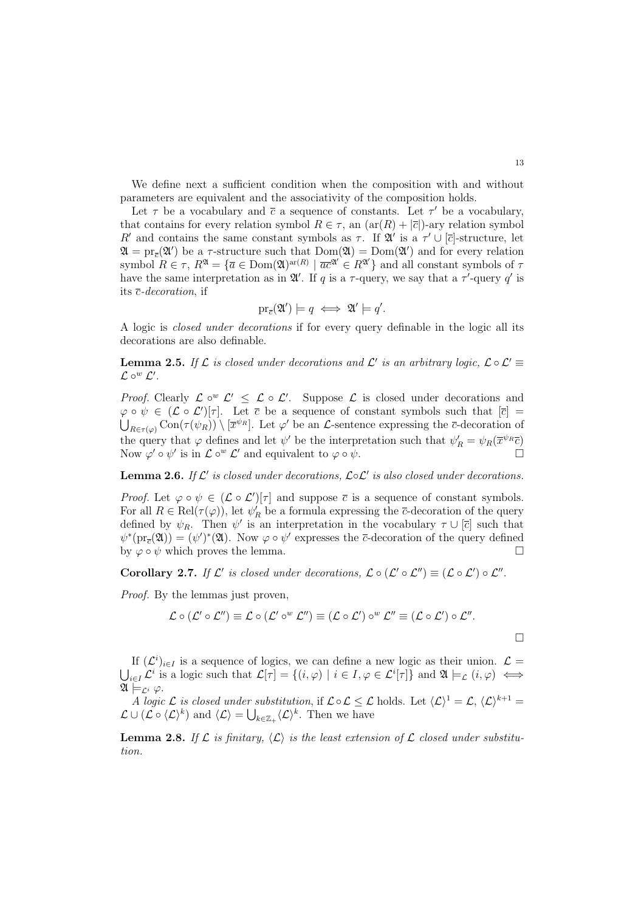We define next a sufficient condition when the composition with and without parameters are equivalent and the associativity of the composition holds.

Let  $\tau$  be a vocabulary and  $\bar{c}$  a sequence of constants. Let  $\tau'$  be a vocabulary, that contains for every relation symbol  $R \in \tau$ , an  $(\text{ar}(R) + |\overline{c}|)$ -ary relation symbol R' and contains the same constant symbols as  $\tau$ . If  $\mathfrak{A}'$  is a  $\tau' \cup [\bar{c}]$ -structure, let  $\mathfrak{A} = \text{pr}_{\overline{c}}(\mathfrak{A}')$  be a  $\tau$ -structure such that  $\text{Dom}(\mathfrak{A}) = \text{Dom}(\mathfrak{A}')$  and for every relation symbol  $R \in \tau$ ,  $R^{\mathfrak{A}} = {\overline{a} \in \text{Dom}(\mathfrak{A})^{\text{ar}(R)} \mid \overline{ac}^{\mathfrak{A}'} \in R^{\mathfrak{A}'} }$  and all constant symbols of  $\tau$ have the same interpretation as in  $\mathfrak{A}'$ . If q is a  $\tau$ -query, we say that a  $\tau'$ -query q' is its  $\bar{c}$ -decoration, if

$$
\mathrm{pr}_{\overline{c}}(\mathfrak{A}') \models q \iff \mathfrak{A}' \models q'.
$$

A logic is closed under decorations if for every query definable in the logic all its decorations are also definable.

**Lemma 2.5.** If  $\mathcal L$  is closed under decorations and  $\mathcal L'$  is an arbitrary logic,  $\mathcal L \circ \mathcal L' \equiv$  $\mathcal{L} \circ^w \mathcal{L}'$ .

*Proof.* Clearly  $\mathcal{L} \circ^w \mathcal{L}' \leq \mathcal{L} \circ \mathcal{L}'$ . Suppose  $\mathcal{L}$  is closed under decorations and  $\varphi \circ \psi \in (\mathcal{L} \circ \mathcal{L}')[\tau]$ . Let  $\bar{c}$  be a sequence of constant symbols such that  $[\bar{c}] =$  $\bigcup_{R\in\tau(\varphi)}\text{Con}(\tau(\psi_R))\setminus[\overline{x}^{\psi_R}].$  Let  $\varphi'$  be an  $\mathcal{L}$ -sentence expressing the  $\overline{c}$ -decoration of the query that  $\varphi$  defines and let  $\psi'$  be the interpretation such that  $\psi'_R = \psi_R(\overline{x}^{\psi_R} \overline{c})$ Now  $\varphi' \circ \psi'$  is in  $\mathcal{L} \circ^w \mathcal{L}'$  and equivalent to  $\varphi \circ \psi$ .

**Lemma 2.6.** If  $\mathcal{L}'$  is closed under decorations,  $\mathcal{L} \circ \mathcal{L}'$  is also closed under decorations.

*Proof.* Let  $\varphi \circ \psi \in (\mathcal{L} \circ \mathcal{L}')[\tau]$  and suppose  $\overline{c}$  is a sequence of constant symbols. For all  $R \in Rel(\tau(\varphi))$ , let  $\psi_R'$  be a formula expressing the  $\bar{c}$ -decoration of the query defined by  $\psi_R$ . Then  $\psi'$  is an interpretation in the vocabulary  $\tau \cup [\bar{c}]$  such that  $\psi^*(pr_{\overline{c}}(\mathfrak{A})) = (\psi')^*(\mathfrak{A})$ . Now  $\varphi \circ \psi'$  expresses the  $\overline{c}\text{-decoration}$  of the query defined by  $\varphi \circ \psi$  which proves the lemma.

**Corollary 2.7.** If  $\mathcal{L}'$  is closed under decorations,  $\mathcal{L} \circ (\mathcal{L}' \circ \mathcal{L}'') \equiv (\mathcal{L} \circ \mathcal{L}') \circ \mathcal{L}''$ .

Proof. By the lemmas just proven,

$$
\mathcal{L} \circ (\mathcal{L}' \circ \mathcal{L}'') \equiv \mathcal{L} \circ (\mathcal{L}' \circ^w \mathcal{L}'') \equiv (\mathcal{L} \circ \mathcal{L}') \circ^w \mathcal{L}'' \equiv (\mathcal{L} \circ \mathcal{L}') \circ \mathcal{L}''.
$$

If  $(\mathcal{L}^i)_{i\in I}$  is a sequence of logics, we can define a new logic as their union.  $\mathcal{L} =$  $\bigcup_{i\in I} \mathcal{L}^i$  is a logic such that  $\mathcal{L}[\tau] = \{(i,\varphi) \mid i \in I, \varphi \in \mathcal{L}^i[\tau]\}$  and  $\mathfrak{A} \models_{\mathcal{L}} (i,\varphi) \iff$  $\mathfrak{A} \models_{\mathcal{L}^i} \varphi.$ 

A logic L is closed under substitution, if  $\mathcal{L} \circ \mathcal{L} \leq \mathcal{L}$  holds. Let  $\langle \mathcal{L} \rangle^1 = \mathcal{L}, \langle \mathcal{L} \rangle^{k+1} =$  $\mathcal{L} \cup (\mathcal{L} \circ \langle \mathcal{L} \rangle^k)$  and  $\langle \mathcal{L} \rangle = \bigcup_{k \in \mathbb{Z}_+} \langle \mathcal{L} \rangle^k$ . Then we have

**Lemma 2.8.** If  $\mathcal L$  is finitary,  $\langle \mathcal L \rangle$  is the least extension of  $\mathcal L$  closed under substitution.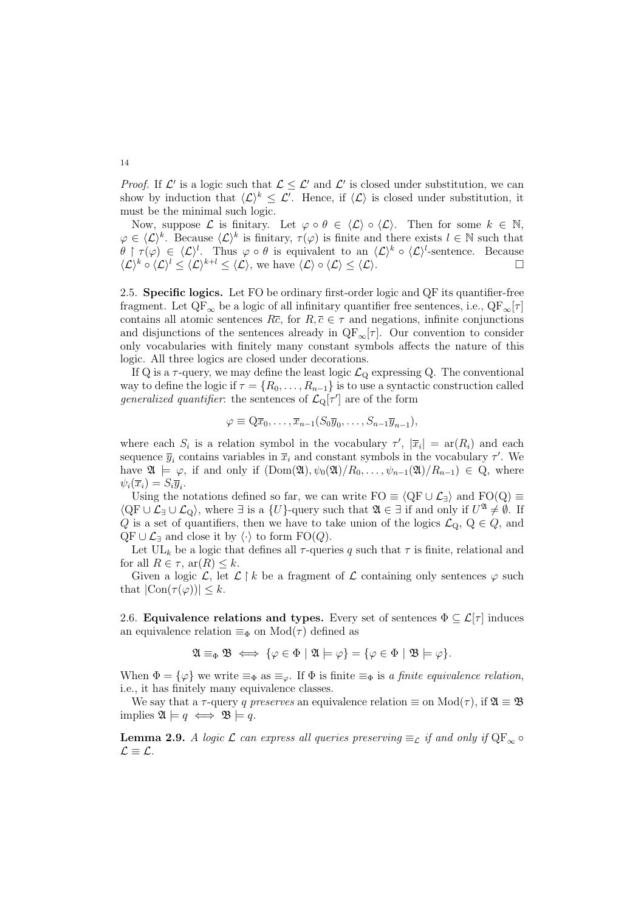*Proof.* If  $\mathcal{L}'$  is a logic such that  $\mathcal{L} \leq \mathcal{L}'$  and  $\mathcal{L}'$  is closed under substitution, we can show by induction that  $\langle \mathcal{L} \rangle^k \leq \mathcal{L}'$ . Hence, if  $\langle \mathcal{L} \rangle$  is closed under substitution, it must be the minimal such logic.

Now, suppose  $\mathcal L$  is finitary. Let  $\varphi \circ \theta \in \langle \mathcal L \rangle \circ \langle \mathcal L \rangle$ . Then for some  $k \in \mathbb N$ ,  $\varphi \in \langle L \rangle^k$ . Because  $\langle L \rangle^k$  is finitary,  $\tau(\varphi)$  is finite and there exists  $l \in \mathbb{N}$  such that  $\theta \restriction \tau(\varphi) \in \langle \mathcal{L} \rangle^l$ . Thus  $\varphi \circ \theta$  is equivalent to an  $\langle \mathcal{L} \rangle^k \circ \langle \mathcal{L} \rangle^l$ -sentence. Because  $\langle \mathcal{L} \rangle^k \circ \langle \mathcal{L} \rangle^l \leq \langle \mathcal{L} \rangle^{k+l} \leq \langle \mathcal{L} \rangle$ , we have  $\langle \mathcal{L} \rangle \circ \langle \mathcal{L} \rangle \leq \langle \mathcal{L} \rangle$  $\mathcal{L}$ ).

2.5. **Specific logics.** Let FO be ordinary first-order logic and QF its quantifier-free fragment. Let  $\text{QF}_{\infty}$  be a logic of all infinitary quantifier free sentences, i.e.,  $\text{QF}_{\infty}[\tau]$ contains all atomic sentences  $R\bar{c}$ , for  $R, \bar{c} \in \tau$  and negations, infinite conjunctions and disjunctions of the sentences already in  $\mathbb{Q}F_{\infty}[\tau]$ . Our convention to consider only vocabularies with finitely many constant symbols affects the nature of this logic. All three logics are closed under decorations.

If Q is a  $\tau$ -query, we may define the least logic  $\mathcal{L}_{Q}$  expressing Q. The conventional way to define the logic if  $\tau = \{R_0, \ldots, R_{n-1}\}\$ is to use a syntactic construction called *generalized quantifier*: the sentences of  $\mathcal{L}_{Q}[\tau']$  are of the form

$$
\varphi \equiv Q\overline{x}_0, \ldots, \overline{x}_{n-1}(S_0\overline{y}_0, \ldots, S_{n-1}\overline{y}_{n-1}),
$$

where each  $S_i$  is a relation symbol in the vocabulary  $\tau'$ ,  $|\overline{x}_i| = \text{ar}(R_i)$  and each sequence  $\bar{y}_i$  contains variables in  $\bar{x}_i$  and constant symbols in the vocabulary  $\tau'$ . We have  $\mathfrak{A} \models \varphi$ , if and only if  $(Dom(\mathfrak{A}), \psi_0(\mathfrak{A})/R_0, \ldots, \psi_{n-1}(\mathfrak{A})/R_{n-1}) \in Q$ , where  $\psi_i(\overline{x}_i) = S_i \overline{y}_i.$ 

Using the notations defined so far, we can write  $FO \equiv \langle QF \cup \mathcal{L}_{\exists} \rangle$  and  $FO(Q) \equiv$  $\langle QF \cup \mathcal{L}_{\exists} \cup \mathcal{L}_{Q} \rangle$ , where  $\exists$  is a  $\{U\}$ -query such that  $\mathfrak{A} \in \exists$  if and only if  $U^{\mathfrak{A}} \neq \emptyset$ . If Q is a set of quantifiers, then we have to take union of the logics  $\mathcal{L}_{Q}$ ,  $Q \in Q$ , and  $\mathrm{QF}\cup\mathcal{L}_\exists$  and close it by  $\langle\cdot\rangle$  to form  $\mathrm{FO}(Q)$ .

Let  $UL_k$  be a logic that defines all  $\tau$ -queries q such that  $\tau$  is finite, relational and for all  $R \in \tau$ ,  $ar(R) \leq k$ .

Given a logic  $\mathcal{L}$ , let  $\mathcal{L} \restriction k$  be a fragment of  $\mathcal L$  containing only sentences  $\varphi$  such that  $|\text{Con}(\tau(\varphi))| \leq k$ .

2.6. **Equivalence relations and types.** Every set of sentences  $\Phi \subseteq \mathcal{L}[\tau]$  induces an equivalence relation  $\equiv_{\Phi}$  on  $Mod( \tau )$  defined as

$$
\mathfrak{A} \equiv_{\Phi} \mathfrak{B} \iff \{ \varphi \in \Phi \mid \mathfrak{A} \models \varphi \} = \{ \varphi \in \Phi \mid \mathfrak{B} \models \varphi \}.
$$

When  $\Phi = {\varphi}$  we write  $\equiv_{\Phi}$  as  $\equiv_{\varphi}$ . If  $\Phi$  is finite  $\equiv_{\Phi}$  is a finite equivalence relation, i.e., it has finitely many equivalence classes.

We say that a  $\tau$ -query q preserves an equivalence relation  $\equiv$  on  $Mod(\tau)$ , if  $\mathfrak{A} \equiv \mathfrak{B}$ implies  $\mathfrak{A} \models q \iff \mathfrak{B} \models q$ .

**Lemma 2.9.** A logic  $\mathcal{L}$  can express all queries preserving  $\equiv_{\mathcal{L}}$  if and only if  $\mathbb{Q}F_{\infty} \circ$  $\mathcal{L}\equiv\mathcal{L}.$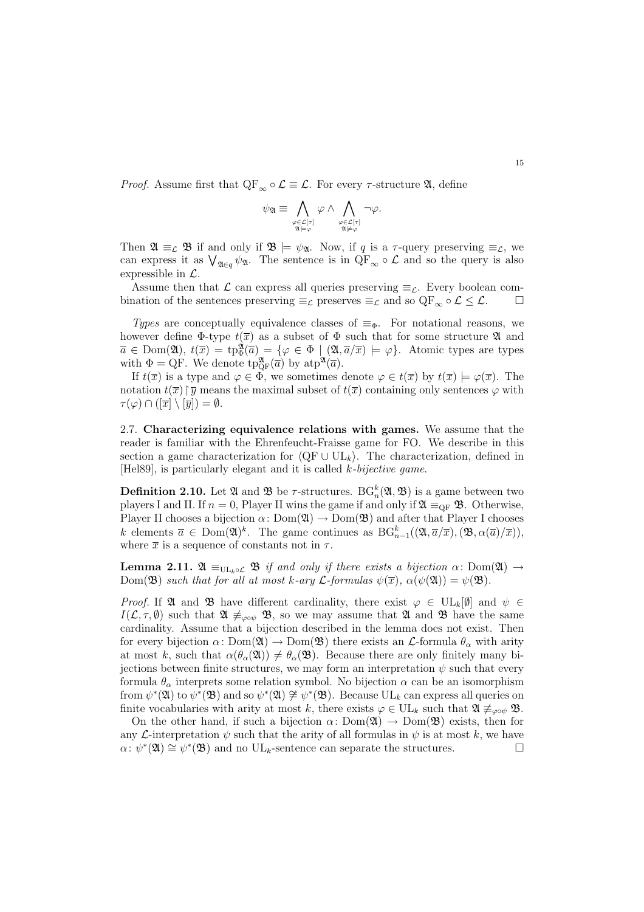*Proof.* Assume first that  $QF_{\infty} \circ \mathcal{L} \equiv \mathcal{L}$ . For every  $\tau$ -structure  $\mathfrak{A}$ , define

$$
\psi_{\mathfrak{A}}\equiv\bigwedge_{\varphi\in\mathcal{L}[\tau]\atop\mathfrak{A}\models\varphi}\varphi\wedge\bigwedge_{\varphi\in\mathcal{L}[\tau]\atop\mathfrak{A}\not\models\varphi}\neg\varphi.
$$

Then  $\mathfrak{A} \equiv_{\mathcal{L}} \mathfrak{B}$  if and only if  $\mathfrak{B} \models \psi_{\mathfrak{A}}$ . Now, if q is a  $\tau$ -query preserving  $\equiv_{\mathcal{L}}$ , we can express it as  $\bigvee_{\mathfrak{A}\in q}\psi_{\mathfrak{A}}$ . The sentence is in  $\mathrm{QF}_\infty\circ\mathcal{L}$  and so the query is also expressible in  $\mathcal{L}$ .

Assume then that  $\mathcal L$  can express all queries preserving  $\equiv_C$ . Every boolean combination of the sentences preserving  $\equiv_{\mathcal{L}}$  preserves  $\equiv_{\mathcal{L}}$  and so  $\text{QF}_{\infty} \circ \mathcal{L} \leq \mathcal{L}$ .

Types are conceptually equivalence classes of  $\equiv_{\Phi}$ . For notational reasons, we however define  $\Phi$ -type  $t(\bar{x})$  as a subset of  $\Phi$  such that for some structure  $\mathfrak A$  and  $\overline{a} \in \text{Dom}(\mathfrak{A}), t(\overline{x}) = \text{tp}_{\Phi}^{\mathfrak{A}}(\overline{a}) = \{ \varphi \in \Phi \mid (\mathfrak{A}, \overline{a}/\overline{x}) \models \varphi \}.$  Atomic types are types with  $\Phi = \text{QF}$ . We denote  $tp_{\text{OF}}^{\mathfrak{A}}(\overline{a})$  by  $\text{atp}^{\mathfrak{A}}(\overline{a})$ .

If  $t(\overline{x})$  is a type and  $\varphi \in \Phi$ , we sometimes denote  $\varphi \in t(\overline{x})$  by  $t(\overline{x}) \models \varphi(\overline{x})$ . The notation  $t(\overline{x})$  |  $\overline{y}$  means the maximal subset of  $t(\overline{x})$  containing only sentences  $\varphi$  with  $\tau(\varphi) \cap ([\overline{x}] \setminus [\overline{y}]) = \emptyset.$ 

2.7. **Characterizing equivalence relations with games.** We assume that the reader is familiar with the Ehrenfeucht-Fraisse game for FO. We describe in this section a game characterization for  $\langle QF \cup UL_k \rangle$ . The characterization, defined in [Hel89], is particularly elegant and it is called k-bijective game.

**Definition 2.10.** Let  $\mathfrak{A}$  and  $\mathfrak{B}$  be  $\tau$ -structures.  $\text{BG}_n^k(\mathfrak{A}, \mathfrak{B})$  is a game between two players I and II. If  $n = 0$ , Player II wins the game if and only if  $\mathfrak{A} \equiv_{\text{OF}} \mathfrak{B}$ . Otherwise, Player II chooses a bijection  $\alpha: Dom(\mathfrak{A}) \to Dom(\mathfrak{B})$  and after that Player I chooses k elements  $\bar{a} \in \text{Dom}(\mathfrak{A})^k$ . The game continues as  $BG_{n-1}^k((\mathfrak{A}, \bar{a}/\bar{x}),(\mathfrak{B}, \alpha(\bar{a})/\bar{x})),$ where  $\bar{x}$  is a sequence of constants not in  $\tau$ .

**Lemma 2.11.**  $\mathfrak{A} \equiv_{\text{UL}_k \circ \mathcal{L}} \mathfrak{B}$  if and only if there exists a bijection  $\alpha$ : Dom $(\mathfrak{A}) \to$  $Dom(\mathfrak{B})$  such that for all at most k-ary  $\mathcal{L}$ -formulas  $\psi(\overline{x})$ ,  $\alpha(\psi(\mathfrak{A})) = \psi(\mathfrak{B})$ .

*Proof.* If **2** and **3** have different cardinality, there exist  $\varphi \in \mathrm{UL}_k[\emptyset]$  and  $\psi \in$  $I(\mathcal{L}, \tau, \emptyset)$  such that  $\mathfrak{A} \not\equiv_{\varphi \circ \psi} \mathfrak{B}$ , so we may assume that  $\mathfrak{A}$  and  $\mathfrak{B}$  have the same cardinality. Assume that a bijection described in the lemma does not exist. Then for every bijection  $\alpha: Dom(\mathfrak{A}) \to Dom(\mathfrak{B})$  there exists an  $\mathcal{L}$ -formula  $\theta_{\alpha}$  with arity at most k, such that  $\alpha(\theta_\alpha(\mathfrak{A})) \neq \theta_\alpha(\mathfrak{B})$ . Because there are only finitely many bijections between finite structures, we may form an interpretation  $\psi$  such that every formula  $\theta_{\alpha}$  interprets some relation symbol. No bijection  $\alpha$  can be an isomorphism from  $\psi^*(\mathfrak{A})$  to  $\psi^*(\mathfrak{B})$  and so  $\psi^*(\mathfrak{A}) \ncong \psi^*(\mathfrak{B})$ . Because  $UL_k$  can express all queries on finite vocabularies with arity at most k, there exists  $\varphi \in \mathrm{UL}_k$  such that  $\mathfrak{A} \not\equiv_{\varphi \circ \psi} \mathfrak{B}$ .

On the other hand, if such a bijection  $\alpha: Dom(\mathfrak{A}) \to Dom(\mathfrak{B})$  exists, then for any  $\mathcal L$ -interpretation  $\psi$  such that the arity of all formulas in  $\psi$  is at most k, we have  $\alpha: \psi^*(\mathfrak{A}) \cong \psi^*(\mathfrak{B})$  and no UL<sub>k</sub>-sentence can separate the structures.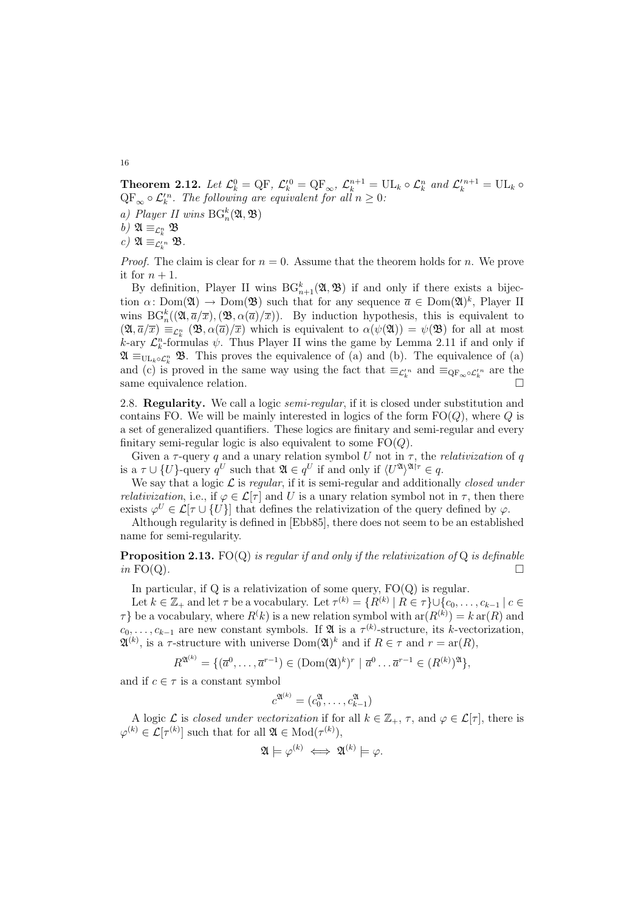**Theorem 2.12.** Let  $\mathcal{L}_k^0 = \mathbb{Q}F$ ,  $\mathcal{L}_k'^0 = \mathbb{Q}F_{\infty}$ ,  $\mathcal{L}_k^{n+1} = \mathbb{U}L_k \circ \mathcal{L}_k^n$  and  $\mathcal{L}_k'^{n+1} = \mathbb{U}L_k \circ L_k^n$  $\mathrm{QF}_{\infty} \circ \mathcal{L}'^n$ . The following are equivalent for all  $n \geq 0$ : a) Player II wins  $\text{BG}_n^k(\mathfrak{A}, \mathfrak{B})$ 

b)  $\mathfrak{A} \equiv_{\mathcal{L}_k^n} \mathfrak{B}$ 

c)  $\mathfrak{A} \equiv_{\mathcal{L}'_k} \mathfrak{B}$ .

*Proof.* The claim is clear for  $n = 0$ . Assume that the theorem holds for n. We prove it for  $n+1$ .

By definition, Player II wins  $BG_{n+1}^k(\mathfrak{A}, \mathfrak{B})$  if and only if there exists a bijection  $\alpha: Dom(\mathfrak{A}) \to Dom(\mathfrak{B})$  such that for any sequence  $\overline{a} \in Dom(\mathfrak{A})^k$ , Player II wins  $BG_n^k((\mathfrak{A}, \overline{a}/\overline{x}),(\mathfrak{B}, \alpha(\overline{a})/\overline{x}))$ . By induction hypothesis, this is equivalent to  $(\mathfrak{A}, \overline{a}/\overline{x}) \equiv_{\mathcal{L}^n_k} (\mathfrak{B}, \alpha(\overline{a})/\overline{x})$  which is equivalent to  $\alpha(\psi(\mathfrak{A})) = \psi(\mathfrak{B})$  for all at most k-ary  $\mathcal{L}_k^n$ -formulas  $\psi$ . Thus Player II wins the game by Lemma 2.11 if and only if  $\mathfrak{A} \equiv_{\text{UL}_k \circ \mathcal{L}_k^n} \mathfrak{B}$ . This proves the equivalence of (a) and (b). The equivalence of (a) and (c) is proved in the same way using the fact that  $\equiv_{\mathcal{L}'_k^n}$  and  $\equiv_{\mathbb{Q}F_\infty \circ \mathcal{L}'_k^n}$  are the same equivalence relation.

2.8. **Regularity.** We call a logic *semi-regular*, if it is closed under substitution and contains FO. We will be mainly interested in logics of the form  $FO(Q)$ , where Q is a set of generalized quantifiers. These logics are finitary and semi-regular and every finitary semi-regular logic is also equivalent to some  $FO(Q)$ .

Given a  $\tau$ -query q and a unary relation symbol U not in  $\tau$ , the *relativization* of q is a  $\tau \cup \{U\}$ -query  $q^U$  such that  $\mathfrak{A} \in q^U$  if and only if  $\langle U^{\mathfrak{A}} \rangle^{\mathfrak{A} \dagger \tau} \in q$ .

We say that a logic  $\mathcal L$  is regular, if it is semi-regular and additionally closed under *relativization*, i.e., if  $\varphi \in \mathcal{L}[\tau]$  and U is a unary relation symbol not in  $\tau$ , then there exists  $\varphi^U \in \mathcal{L}[\tau \cup \{U\}]$  that defines the relativization of the query defined by  $\varphi$ .

Although regularity is defined in [Ebb85], there does not seem to be an established name for semi-regularity.

**Proposition 2.13.** FO(Q) is regular if and only if the relativization of Q is definable in FO(Q).

In particular, if  $Q$  is a relativization of some query,  $FO(Q)$  is regular.

Let  $k \in \mathbb{Z}_+$  and let  $\tau$  be a vocabulary. Let  $\tau^{(k)} = \{R^{(k)} | R \in \tau\} \cup \{c_0, \ldots, c_{k-1} | c \in$  $\tau$ } be a vocabulary, where  $R(k)$  is a new relation symbol with  $ar(R^{(k)}) = k ar(R)$  and  $c_0, \ldots, c_{k-1}$  are new constant symbols. If  $\mathfrak A$  is a  $\tau^{(k)}$ -structure, its k-vectorization,  $\mathfrak{A}^{(k)}$ , is a  $\tau$ -structure with universe Dom $(\mathfrak{A})^k$  and if  $R \in \tau$  and  $r = \text{ar}(R)$ ,

$$
R^{\mathfrak{A}^{(k)}} = \{ (\overline{a}^{0}, \ldots, \overline{a}^{r-1}) \in (\text{Dom}(\mathfrak{A})^{k})^{r} \mid \overline{a}^{0} \ldots \overline{a}^{r-1} \in (R^{(k)})^{\mathfrak{A}} \},
$$

and if  $c \in \tau$  is a constant symbol

$$
c^{\mathfrak{A}^{(k)}}=(c_0^{\mathfrak{A}},\ldots,c_{k-1}^{\mathfrak{A}})
$$

A logic  $\mathcal L$  is closed under vectorization if for all  $k \in \mathbb{Z}_+$ ,  $\tau$ , and  $\varphi \in \mathcal L[\tau]$ , there is  $\varphi^{(k)} \in \mathcal{L}[\tau^{(k)}]$  such that for all  $\mathfrak{A} \in \text{Mod}(\tau^{(k)}),$ 

$$
\mathfrak{A}\models\varphi^{(k)}\iff\mathfrak{A}^{(k)}\models\varphi.
$$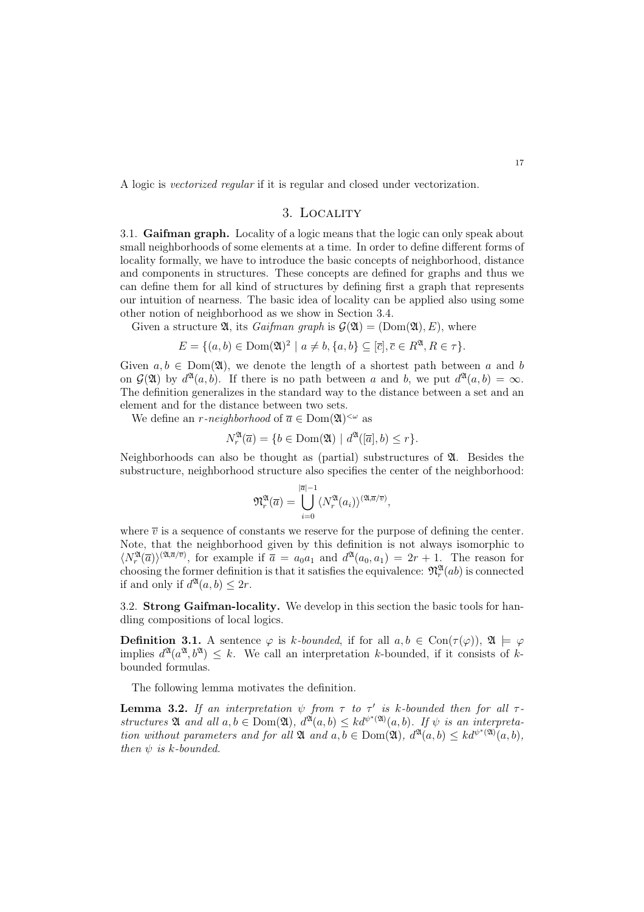A logic is vectorized regular if it is regular and closed under vectorization.

### 3. Locality

3.1. **Gaifman graph.** Locality of a logic means that the logic can only speak about small neighborhoods of some elements at a time. In order to define different forms of locality formally, we have to introduce the basic concepts of neighborhood, distance and components in structures. These concepts are defined for graphs and thus we can define them for all kind of structures by defining first a graph that represents our intuition of nearness. The basic idea of locality can be applied also using some other notion of neighborhood as we show in Section 3.4.

Given a structure  $\mathfrak{A}$ , its *Gaifman graph* is  $\mathcal{G}(\mathfrak{A}) = (Dom(\mathfrak{A}), E)$ , where

$$
E = \{(a, b) \in \text{Dom}(\mathfrak{A})^2 \mid a \neq b, \{a, b\} \subseteq [\overline{c}], \overline{c} \in R^{\mathfrak{A}}, R \in \tau\}.
$$

Given  $a, b \in Dom(\mathfrak{A})$ , we denote the length of a shortest path between a and b on  $\mathcal{G}(\mathfrak{A})$  by  $d^{\mathfrak{A}}(a, b)$ . If there is no path between a and b, we put  $d^{\mathfrak{A}}(a, b) = \infty$ . The definition generalizes in the standard way to the distance between a set and an element and for the distance between two sets.

We define an r-neighborhood of  $\overline{a} \in \text{Dom}(\mathfrak{A})^{\lt \omega}$  as

$$
N_r^{\mathfrak{A}}(\overline{a}) = \{ b \in \text{Dom}(\mathfrak{A}) \mid d^{\mathfrak{A}}([\overline{a}], b) \le r \}.
$$

Neighborhoods can also be thought as (partial) substructures of  $\mathfrak{A}$ . Besides the substructure, neighborhood structure also specifies the center of the neighborhood:

$$
\mathfrak{N}_r^{\mathfrak{A}}(\overline{a})=\bigcup_{i=0}^{|\overline{a}|-1}\langle N_r^{\mathfrak{A}}(a_i)\rangle^{(\mathfrak{A},\overline{a}/\overline{v})},
$$

where  $\bar{v}$  is a sequence of constants we reserve for the purpose of defining the center. Note, that the neighborhood given by this definition is not always isomorphic to  $\langle N_r^{\mathfrak{A}}(\overline{a})\rangle^{(\mathfrak{A},\overline{a}/\overline{v})}$ , for example if  $\overline{a} = a_0a_1$  and  $d^{\mathfrak{A}}(a_0,a_1)=2r+1$ . The reason for choosing the former definition is that it satisfies the equivalence:  $\mathfrak{N}_r^{\mathfrak{A}}(ab)$  is connected if and only if  $d^{\mathfrak{A}}(a, b) \leq 2r$ .

3.2. **Strong Gaifman-locality.** We develop in this section the basic tools for handling compositions of local logics.

**Definition 3.1.** A sentence  $\varphi$  is k-bounded, if for all  $a, b \in \text{Con}(\tau(\varphi))$ ,  $\mathfrak{A} \models \varphi$ implies  $d^{\mathfrak{A}}(a^{\mathfrak{A}}, b^{\mathfrak{A}}) \leq k$ . We call an interpretation k-bounded, if it consists of kbounded formulas.

The following lemma motivates the definition.

**Lemma 3.2.** If an interpretation  $\psi$  from  $\tau$  to  $\tau'$  is k-bounded then for all  $\tau$ structures  $\mathfrak A$  and all  $a, b \in \text{Dom}(\mathfrak A), d^{\mathfrak A}(a,b) \leq kd^{\psi^*(\mathfrak A)}(a,b)$ . If  $\psi$  is an interpretation without parameters and for all  $\mathfrak{A}$  and  $a, b \in \text{Dom}(\mathfrak{A}), d^{\mathfrak{A}}(a, b) \leq kd^{\psi^*(\mathfrak{A})}(a, b),$ then  $\psi$  is k-bounded.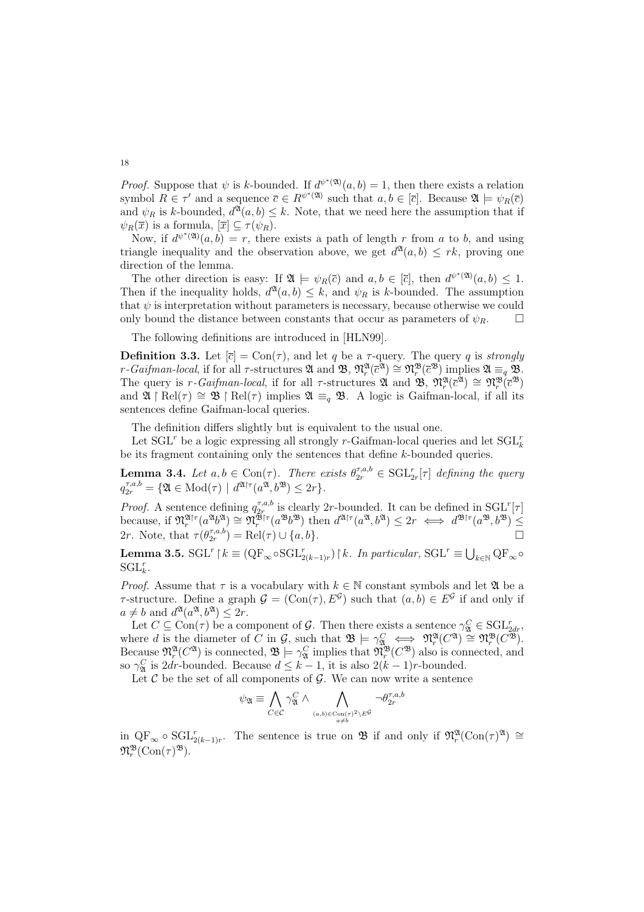*Proof.* Suppose that  $\psi$  is k-bounded. If  $d^{\psi^*(\mathfrak{A})}(a, b) = 1$ , then there exists a relation symbol  $R \in \tau'$  and a sequence  $\bar{c} \in R^{\psi^*(\mathfrak{A})}$  such that  $a, b \in [\bar{c}]$ . Because  $\mathfrak{A} \models \psi_B(\bar{c})$ and  $\psi_R$  is k-bounded,  $d^{\mathfrak{A}}(a, b) \leq k$ . Note, that we need here the assumption that if  $\psi_R(\overline{x})$  is a formula,  $[\overline{x}] \subseteq \tau(\psi_R)$ .

Now, if  $d^{\psi^*(\mathfrak{A})}(a, b) = r$ , there exists a path of length r from a to b, and using triangle inequality and the observation above, we get  $d^{\mathfrak{A}}(a, b) \leq rk$ , proving one direction of the lemma.

The other direction is easy: If  $\mathfrak{A} \models \psi_R(\bar{c})$  and  $a, b \in [\bar{c}]$ , then  $d^{\psi^*(\mathfrak{A})}(a, b) \leq 1$ . Then if the inequality holds,  $d^{\mathfrak{A}}(a, b) \leq k$ , and  $\psi_R$  is k-bounded. The assumption that  $\psi$  is interpretation without parameters is necessary, because otherwise we could only bound the distance between constants that occur as parameters of  $\psi_R$ .  $\Box$ 

The following definitions are introduced in [HLN99].

**Definition 3.3.** Let  $[\bar{c}] = \text{Con}(\tau)$ , and let q be a  $\tau$ -query. The query q is *strongly* r-Gaifman-local, if for all  $\tau$ -structures  $\mathfrak{A}$  and  $\mathfrak{B}, \mathfrak{N}_r^{\mathfrak{A}}(\bar{c}^{\mathfrak{A}}) \cong \mathfrak{N}_r^{\mathfrak{B}}(\bar{c}^{\mathfrak{B}})$  implies  $\mathfrak{A} \equiv_q \mathfrak{B}$ . The query is *r*-Gaifman-local, if for all  $\tau$ -structures  $\mathfrak{A}$  and  $\mathfrak{B}, \mathfrak{N}_r^{\mathfrak{A}}(\bar{c}^{\mathfrak{A}}) \cong \mathfrak{N}_r^{\mathfrak{B}}(\bar{c}^{\mathfrak{B}})$ and  $\mathfrak{A} \upharpoonright \text{Rel}(\tau) \cong \mathfrak{B} \upharpoonright \text{Rel}(\tau)$  implies  $\mathfrak{A} \equiv_q \mathfrak{B}$ . A logic is Gaifman-local, if all its sentences define Gaifman-local queries.

The definition differs slightly but is equivalent to the usual one.

Let  $\operatorname{SGL}^r$  be a logic expressing all strongly r-Gaifman-local queries and let  $\operatorname{SGL}^r_k$ be its fragment containing only the sentences that define k-bounded queries.

**Lemma 3.4.** Let  $a, b \in \text{Con}(\tau)$ . There exists  $\theta_{2r}^{\tau, a, b} \in \text{SGL}_{2r}^r[\tau]$  defining the query  $q_{2r}^{\tau,a,b} = {\mathfrak{A} \in \text{Mod}(\tau) \mid d^{\mathfrak{A}\uparrow\tau}(a^{\mathfrak{A}},b^{\mathfrak{B}}) \leq 2r}.$ 

*Proof.* A sentence defining  $q_{2r}^{\tau,a,b}$  is clearly 2r-bounded. It can be defined in  $SGL^{r}[\tau]$ because, if  $\mathfrak{N}_r^{\mathfrak{A}\dagger r}(a^{\mathfrak{A}}b^{\mathfrak{A}}) \cong \mathfrak{N}_r^{\mathfrak{B}\dagger r}(a^{\mathfrak{B}}b^{\mathfrak{B}})$  then  $d^{\mathfrak{A}\dagger r}(a^{\mathfrak{A}},b^{\mathfrak{A}}) \leq 2r \iff d^{\mathfrak{B}\dagger r}(a^{\mathfrak{B}},b^{\mathfrak{B}}) \leq$ 2r. Note, that  $\tau(\theta_{2r}^{\tau,a,b}) = \text{Rel}(\tau) \cup \{a,b\}.$ 

**Lemma 3.5.**  $SGL^r \upharpoonright k \equiv (\mathrm{QF}_{\infty} \circ SGL_{2(k-1)r}^r) \upharpoonright k$ . In particular,  $SGL^r \equiv \bigcup_{k \in \mathbb{N}} \mathrm{QF}_{\infty} \circ$  $\mathrm{SGL}_{k}^{r}$ .

*Proof.* Assume that  $\tau$  is a vocabulary with  $k \in \mathbb{N}$  constant symbols and let  $\mathfrak{A}$  be a  $τ$ -structure. Define a graph  $G = (Con(τ), E<sup>G</sup>)$  such that  $(a, b) ∈ E<sup>G</sup>$  if and only if  $a \neq b$  and  $d^{\mathfrak{A}}(a^{\mathfrak{A}}, b^{\mathfrak{A}}) \leq 2r$ .

Let  $C \subseteq \text{Con}(\tau)$  be a component of  $\mathcal{G}$ . Then there exists a sentence  $\gamma_{\mathfrak{A}}^C \in \text{SGL}_{2dr}^r$ , where d is the diameter of C in G, such that  $\mathfrak{B} \models \gamma^C_{\mathfrak{A}} \iff \mathfrak{N}_r^{\mathfrak{A}}(C^{\mathfrak{A}}) \cong \mathfrak{N}_r^{\mathfrak{B}}(C^{\mathfrak{B}})$ . Because  $\mathfrak{N}_r^{\mathfrak{A}}(C^{\mathfrak{A}})$  is connected,  $\mathfrak{B} \models \gamma_{\mathfrak{A}}^C$  implies that  $\mathfrak{N}_r^{\mathfrak{B}}(C^{\mathfrak{B}})$  also is connected, and so  $\gamma_{\mathfrak{A}}^C$  is 2dr-bounded. Because  $d \leq k - 1$ , it is also 2( $k - 1$ )r-bounded.

Let  $C$  be the set of all components of  $G$ . We can now write a sentence

$$
\psi_{\mathfrak{A}} \equiv \bigwedge_{C \in \mathcal{C}} \gamma_{\mathfrak{A}}^C \wedge \bigwedge_{(a,b) \in \text{Con}(\tau)^2 \setminus E^{\mathcal{G}}} \neg \theta_{2r}^{\tau, a, b}
$$

in  $\mathbb{Q}F_{\infty} \circ \text{SGL}_{2(k-1)r}^r$ . The sentence is true on  $\mathfrak{B}$  if and only if  $\mathfrak{N}_r^{\mathfrak{A}}(\text{Con}(\tau)^{\mathfrak{A}}) \cong$  $\mathfrak{N}_r^{\mathfrak{B}}(\text{Con}(\tau)^{\mathfrak{B}}).$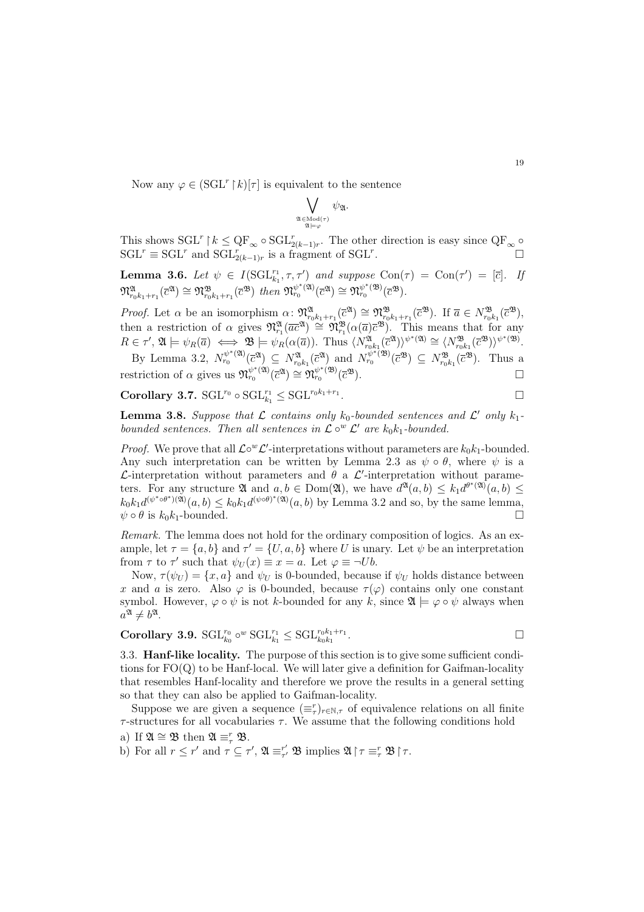Now any  $\varphi \in (\mathrm{SGL}^r \restriction k)[\tau]$  is equivalent to the sentence

$$
\bigvee_{\substack{\mathfrak{A}\in\mathrm{Mod}(\tau)\\ \mathfrak{A}\models\varphi}}\psi_\mathfrak{A}.
$$

This shows  $SGL^r \upharpoonright k \leq QF_{\infty} \circ SGL_{2(k-1)r}^r$ . The other direction is easy since  $QF_{\infty} \circ$  $SGL^{r} \equiv SGL^{r}$  and  $SGL_{2(k-1)r}^{r}$  is a fragment of  $SGL^{r}$ . — Первый процесс в получине в составительность в составите в составите в составите на составите на составите<br>В составите на составите на составите на составите на составите на составите на составите на составите на сост

**Lemma 3.6.** Let  $\psi \in I(\text{SGL}_{k_1}^{r_1}, \tau, \tau')$  and suppose  $\text{Con}(\tau) = \text{Con}(\tau') = [\overline{c}]$ . If  $\mathfrak{N}_{r_0k_1+r_1}^{\mathfrak{A}}(\bar{c}^{\mathfrak{A}}) \cong \mathfrak{N}_{r_0k_1+r_1}^{\mathfrak{B}}(\bar{c}^{\mathfrak{B}})$  then  $\mathfrak{N}_{r_0}^{\psi^*(\mathfrak{A})}(\bar{c}^{\mathfrak{A}}) \cong \mathfrak{N}_{r_0}^{\psi^*(\mathfrak{B})}(\bar{c}^{\mathfrak{B}})$ .

*Proof.* Let  $\alpha$  be an isomorphism  $\alpha \colon \mathfrak{N}_{r_0k_1+r_1}^{\mathfrak{A}}(\overline{c}^{\mathfrak{A}}) \cong \mathfrak{N}_{r_0k_1+r_1}^{\mathfrak{B}}(\overline{c}^{\mathfrak{B}})$ . If  $\overline{a} \in N_{r_0k_1}^{\mathfrak{B}}(\overline{c}^{\mathfrak{B}})$ , then a restriction of  $\alpha$  gives  $\mathfrak{N}_{r_1}^{\mathfrak{A}}(\overline{ac}^{\mathfrak{A}}) \cong \mathfrak{N}_{r_1}^{\mathfrak{B}}(\alpha(\overline{a})\overline{c}^{\mathfrak{B}})$ . This means that for any  $R \in \tau'$ ,  $\mathfrak{A} \models \psi_R(\overline{a}) \iff \mathfrak{B} \models \psi_R(\alpha(\overline{a}))$ . Thus  $\langle N_{r_0k_1}^{\mathfrak{A}}(\overline{c}^{\mathfrak{A}}) \rangle^{\psi^*(\mathfrak{A})} \cong \langle N_{r_0k_1}^{\mathfrak{B}}(\overline{c}^{\mathfrak{B}}) \rangle^{\psi^*(\mathfrak{B})}$ .

By Lemma 3.2,  $N_{r_0}^{\psi^*(\mathfrak{A})}(\overline{c}^{\mathfrak{A}}) \subseteq N_{r_0k_1}^{\mathfrak{A}}(\overline{c}^{\mathfrak{A}})$  and  $N_{r_0}^{\psi^*(\mathfrak{B})}(\overline{c}^{\mathfrak{B}}) \subseteq N_{r_0k_1}^{\mathfrak{B}}(\overline{c}^{\mathfrak{B}})$ . Thus a restriction of  $\alpha$  gives us  $\mathfrak{N}_{r_0}^{\psi^*(\mathfrak{A})}(\bar{c}^{\mathfrak{A}}) \cong \mathfrak{N}_{r_0}^{\psi^*(\mathfrak{B})}(\bar{c}^{\mathfrak{B}})$ .

Corollary 3.7. SGL<sup>r<sub>0</sub></sup> ◦ SGL<sup>r<sub>1</sub></sup> ≤ SGL<sup>r<sub>0</sub>k<sub>1</sub>+r<sub>1</sub></sup>.

**Lemma 3.8.** Suppose that  $\mathcal L$  contains only  $k_0$ -bounded sentences and  $\mathcal L'$  only  $k_1$ bounded sentences. Then all sentences in  $\mathcal{L} \circ^w \mathcal{L}'$  are  $k_0k_1$ -bounded.

*Proof.* We prove that all  $\mathcal{L} \circ \mathcal{L}'$ -interpretations without parameters are  $k_0 k_1$ -bounded. Any such interpretation can be written by Lemma 2.3 as  $\psi \circ \theta$ , where  $\psi$  is a  $\mathcal{L}$ -interpretation without parameters and  $\theta$  a  $\mathcal{L}'$ -interpretation without parameters. For any structure  $\mathfrak{A}$  and  $a, b \in Dom(\mathfrak{A})$ , we have  $d^{\mathfrak{A}}(a, b) \leq k_1 d^{\theta^*(\mathfrak{A})}(a, b) \leq$  $k_0 k_1 d^{(\psi^*\circ\theta^*)(\mathfrak{A})}(a, b) \leq k_0 k_1 d^{(\psi\circ\theta)^*(\mathfrak{A})}(a, b)$  by Lemma 3.2 and so, by the same lemma,  $\psi \circ \theta$  is  $k_0 k_1$ -bounded.

Remark. The lemma does not hold for the ordinary composition of logics. As an example, let  $\tau = \{a, b\}$  and  $\tau' = \{U, a, b\}$  where U is unary. Let  $\psi$  be an interpretation from  $\tau$  to  $\tau'$  such that  $\psi_U(x) \equiv x = a$ . Let  $\varphi \equiv \neg Ub$ .

Now,  $\tau(\psi_U) = \{x, a\}$  and  $\psi_U$  is 0-bounded, because if  $\psi_U$  holds distance between x and a is zero. Also  $\varphi$  is 0-bounded, because  $\tau(\varphi)$  contains only one constant symbol. However,  $\varphi \circ \psi$  is not k-bounded for any k, since  $\mathfrak{A} \models \varphi \circ \psi$  always when  $a^{\mathfrak{A}} \neq b^{\mathfrak{A}}.$ 

**Corollary 3.9.** SGL<sup>r<sub>0</sub></sup>  $\circ^w$  SGL<sup>r<sub>1</sub></sup> ≤ SGL<sup>r<sub>0</sub> $k_1$ +r<sub>1</sub>. □</sup>

3.3. **Hanf-like locality.** The purpose of this section is to give some sufficient conditions for FO(Q) to be Hanf-local. We will later give a definition for Gaifman-locality that resembles Hanf-locality and therefore we prove the results in a general setting so that they can also be applied to Gaifman-locality.

Suppose we are given a sequence  $(\equiv_{\tau}^r)_{r \in \mathbb{N}, \tau}$  of equivalence relations on all finite  $\tau$ -structures for all vocabularies  $\tau$ . We assume that the following conditions hold a) If  $\mathfrak{A} \cong \mathfrak{B}$  then  $\mathfrak{A} \equiv^r_{\tau} \mathfrak{B}$ .

b) For all  $r \leq r'$  and  $\tau \subseteq \tau'$ ,  $\mathfrak{A} \equiv_{\tau'}^{r'} \mathfrak{B}$  implies  $\mathfrak{A} \upharpoonright \tau \equiv_{\tau}^{r} \mathfrak{B} \upharpoonright \tau$ .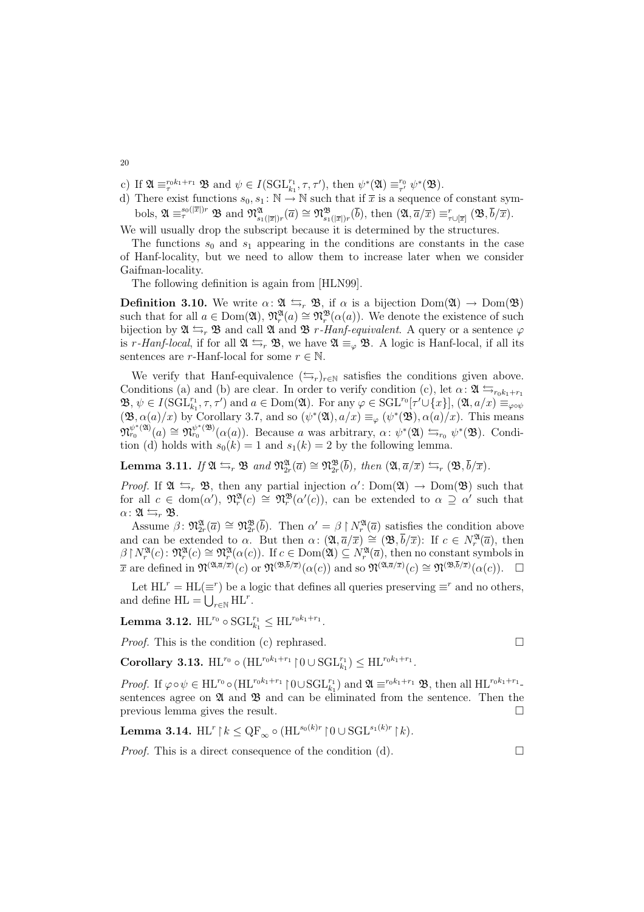- c) If  $\mathfrak{A} \equiv_{\tau}^{r_0 k_1 + r_1} \mathfrak{B}$  and  $\psi \in I(\mathrm{SGL}_{k_1}^{r_1}, \tau, \tau')$ , then  $\psi^*(\mathfrak{A}) \equiv_{\tau'}^{r_0} \psi^*(\mathfrak{B})$ .
- d) There exist functions  $s_0, s_1 : \mathbb{N} \to \mathbb{N}$  such that if  $\overline{x}$  is a sequence of constant symbols,  $\mathfrak{A} \equiv_{\tau}^{s_0(|\overline{x}|)r} \mathfrak{B}$  and  $\mathfrak{N}_{s_1(|\overline{x}|)r}^{\mathfrak{A}}(\overline{a}) \cong \mathfrak{N}_{s_1(|\overline{x}|)r}^{\mathfrak{B}}(\overline{b}),$  then  $(\mathfrak{A}, \overline{a}/\overline{x}) \equiv_{\tau \cup [\overline{x}]}^r (\mathfrak{B}, \overline{b}/\overline{x}).$

We will usually drop the subscript because it is determined by the structures.

The functions  $s_0$  and  $s_1$  appearing in the conditions are constants in the case of Hanf-locality, but we need to allow them to increase later when we consider Gaifman-locality.

The following definition is again from [HLN99].

**Definition 3.10.** We write  $\alpha: \mathfrak{A} \leftrightarrows_{\mathfrak{B}} \mathfrak{B}$ , if  $\alpha$  is a bijection  $Dom(\mathfrak{A}) \rightarrow Dom(\mathfrak{B})$ such that for all  $a \in Dom(\mathfrak{A}), \mathfrak{N}_r^{\mathfrak{A}}(a) \cong \mathfrak{N}_r^{\mathfrak{B}}(\alpha(a)).$  We denote the existence of such bijection by  $\mathfrak{A} \leftrightarrows_r \mathfrak{B}$  and call  $\mathfrak{A}$  and  $\mathfrak{B}$  r-Hanf-equivalent. A query or a sentence  $\varphi$ is r-Hanf-local, if for all  $\mathfrak{A} \leftrightarrows_r \mathfrak{B}$ , we have  $\mathfrak{A} \equiv_{\varphi} \mathfrak{B}$ . A logic is Hanf-local, if all its sentences are r-Hanf-local for some  $r \in \mathbb{N}$ .

We verify that Hanf-equivalence  $(\leftrightarrows_r)_{r\in\mathbb{N}}$  satisfies the conditions given above. Conditions (a) and (b) are clear. In order to verify condition (c), let  $\alpha: \mathfrak{A} \leftrightarrows_{r_0k_1+r_1}$  $\mathfrak{B}, \psi \in I(\mathrm{SGL}_{k_1}^{r_1}, \tau, \tau')$  and  $a \in \mathrm{Dom}(\mathfrak{A}).$  For any  $\varphi \in \mathrm{SGL}^{r_0}[\tau' \cup \{x\}],$   $(\mathfrak{A}, a/x) \equiv_{\varphi \circ \psi} a(x)$  $(\mathfrak{B}, \alpha(a)/x)$  by Corollary 3.7, and so  $(\psi^*(\mathfrak{A}), a/x) \equiv_{\varphi} (\psi^*(\mathfrak{B}), \alpha(a)/x)$ . This means  $\mathfrak{N}_{r_0}^{\psi^*(\mathfrak{A})}(a) \cong \mathfrak{N}_{r_0}^{\psi^*(\mathfrak{B})}(\alpha(a))$ . Because a was arbitrary,  $\alpha: \psi^*(\mathfrak{A}) \hookrightarrow_{r_0} \psi^*(\mathfrak{B})$ . Condition (d) holds with  $s_0(k) = 1$  and  $s_1(k) = 2$  by the following lemma.

**Lemma 3.11.** If  $\mathfrak{A} \leftrightarrows_r \mathfrak{B}$  and  $\mathfrak{N}_{2r}^{\mathfrak{A}}(\overline{a}) \cong \mathfrak{N}_{2r}^{\mathfrak{B}}(\overline{b})$ , then  $(\mathfrak{A}, \overline{a}/\overline{x}) \leftrightarrows_r (\mathfrak{B}, \overline{b}/\overline{x})$ .

*Proof.* If  $\mathfrak{A} \leftrightarrows_r \mathfrak{B}$ , then any partial injection  $\alpha' \colon Dom(\mathfrak{A}) \to Dom(\mathfrak{B})$  such that for all  $c \in \text{dom}(\alpha')$ ,  $\mathfrak{N}_r^{\mathfrak{A}}(c) \cong \mathfrak{N}_r^{\mathfrak{B}}(\alpha'(c))$ , can be extended to  $\alpha \supseteq \alpha'$  such that  $\alpha \colon \mathfrak{A} \leftrightarrows_r \mathfrak{B}.$ 

Assume  $\beta$ :  $\mathfrak{N}_{2r}^{\mathfrak{A}}(\overline{a}) \cong \mathfrak{N}_{2r}^{\mathfrak{B}}(\overline{b})$ . Then  $\alpha' = \beta \upharpoonright N_r^{\mathfrak{A}}(\overline{a})$  satisfies the condition above and can be extended to  $\alpha$ . But then  $\alpha$ :  $(\mathfrak{A}, \overline{\alpha}/\overline{x}) \cong (\mathfrak{B}, \overline{b}/\overline{x})$ : If  $c \in N_r^{\mathfrak{A}}(\overline{a})$ , then  $\beta \upharpoonright N_r^{\mathfrak{A}}(c)$ :  $\mathfrak{N}_r^{\mathfrak{A}}(c) \cong \mathfrak{N}_r^{\mathfrak{A}}(\alpha(c))$ . If  $c \in \text{Dom}(\mathfrak{A}) \subseteq N_r^{\mathfrak{A}}(\overline{a})$ , then no constant symbols in  $\overline{x}$  are defined in  $\mathfrak{N}^{(\mathfrak{A},\overline{a}/\overline{x})}(c)$  or  $\mathfrak{N}^{(\mathfrak{B},\overline{b}/\overline{x})}(\alpha(c))$  and so  $\mathfrak{N}^{(\mathfrak{A},\overline{a}/\overline{x})}(c) \cong \mathfrak{N}^{(\mathfrak{B},\overline{b}/\overline{x})}(\alpha(c))$ .  $\Box$ 

Let  $HL^r = HL(\equiv^r)$  be a logic that defines all queries preserving  $\equiv^r$  and no others, and define  $\text{HL} = \bigcup_{r \in \mathbb{N}} \text{HL}^r$ .

 ${\rm \bf Lemma \ 3.12.} \ \ {\rm HL}^{r_0}\circ {\rm SGL}_{k_1}^{r_1} \le {\rm HL}^{r_0k_1+r_1}.$ 

*Proof.* This is the condition (c) rephrased.  $\square$ 

**Corollary 3.13.**  $HL^{r_0} \circ (HL^{r_0 k_1 + r_1} \upharpoonright 0 \cup \text{SGL}_{k_1}^{r_1}) \leq HL^{r_0 k_1 + r_1}.$ 

*Proof.* If  $\varphi \circ \psi \in \text{HL}^{r_0} \circ (\text{HL}^{r_0 k_1 + r_1} \upharpoonright 0 \cup \text{SGL}_{k_1}^{r_1})$  and  $\mathfrak{A} \equiv^{r_0 k_1 + r_1} \mathfrak{B}$ , then all  $\text{HL}^{r_0 k_1 + r_1}$ . sentences agree on  $\mathfrak A$  and  $\mathfrak B$  and can be eliminated from the sentence. Then the previous lemma gives the result.

Lemma 3.14.  $\mathrm{HL}^r\!\restriction\! k\leq \mathrm{QF}_\infty\circ (\mathrm{HL}^{s_0(k)r}\!\restriction\!0\cup \mathrm{SGL}^{s_1(k)r}\!\restriction\! k).$ 

*Proof.* This is a direct consequence of the condition (d).  $\Box$ 

20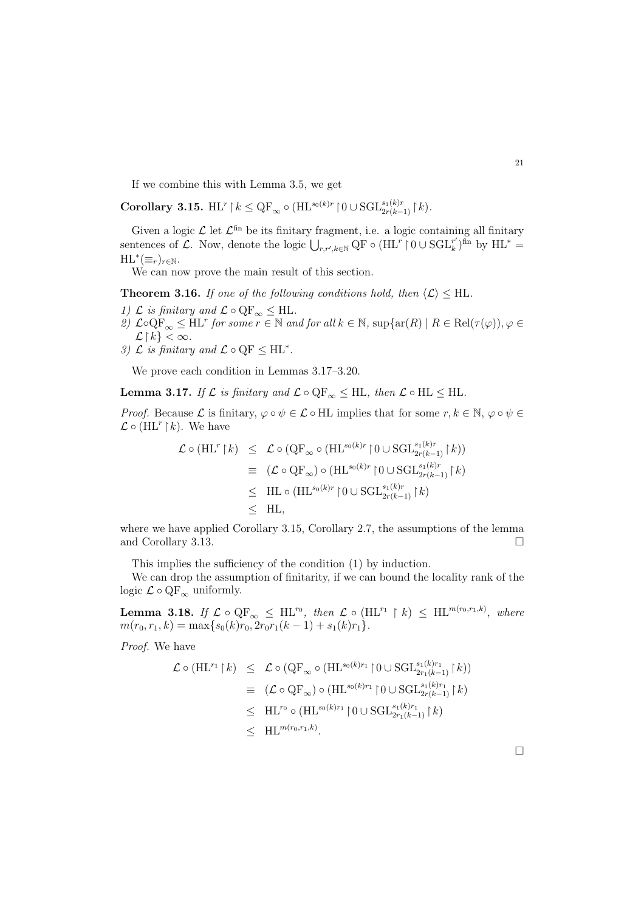If we combine this with Lemma 3.5, we get

 $\textbf{Corollary 3.15. } \operatorname{HL}^r{\restriction} k \leq \operatorname{QF}_\infty\circ(\operatorname{HL}^{s_0(k)r}{\restriction}0\cup\operatorname{SGL}_{2r(k-1)}^{s_1(k)r}{\restriction} k).$ 

Given a logic  $\mathcal L$  let  $\mathcal L^{\text{fin}}$  be its finitary fragment, i.e. a logic containing all finitary sentences of  $\mathcal{L}$ . Now, denote the logic  $\bigcup_{r,r',k\in\mathbb{N}} QF \circ (H L^r \upharpoonright 0 \cup \text{SGL}_k^{r'})^{\text{fin}}$  by  $H L^* =$  $HL^*(\equiv_r)_{r \in \mathbb{N}}$ .

We can now prove the main result of this section.

**Theorem 3.16.** If one of the following conditions hold, then  $\langle \mathcal{L} \rangle \leq H L$ .

- 1)  $\mathcal L$  is finitary and  $\mathcal L \circ \mathrm{QF}_{\infty} \leq \mathrm{HL}$ .
- 2)  $\mathcal{L} \circ \mathrm{QF}_{\infty} \leq \mathrm{HL}^r$  for some  $r \in \mathbb{N}$  and for all  $k \in \mathbb{N}$ ,  $\sup \{ \mathrm{ar}(R) \mid R \in \mathrm{Rel}(\tau(\varphi)), \varphi \in \mathbb{N} \}$  $\mathcal{L}\!\restriction\!k\}<\infty$ .
- 3)  $\mathcal L$  is finitary and  $\mathcal L \circ \mathrm{QF} \leq \mathrm{HL}^*$ .

We prove each condition in Lemmas 3.17–3.20.

**Lemma 3.17.** If  $\mathcal L$  is finitary and  $\mathcal L \circ \mathrm{QF}_{\infty} \leq \mathrm{HL}$ , then  $\mathcal L \circ \mathrm{HL} \leq \mathrm{HL}$ .

*Proof.* Because  $\mathcal L$  is finitary,  $\varphi \circ \psi \in \mathcal L \circ \text{HL}$  implies that for some  $r, k \in \mathbb N$ ,  $\varphi \circ \psi \in$  $\mathcal{L} \circ (\mathrm{H}\mathrm{L}^r \restriction k)$ . We have

$$
\mathcal{L} \circ (\mathrm{H} \mathcal{L}^r \upharpoonright k) \leq \mathcal{L} \circ (\mathrm{Q} \mathcal{F}_{\infty} \circ (\mathrm{H} \mathcal{L}^{s_0(k)r} \upharpoonright 0 \cup \mathrm{SGL}_{2r(k-1)}^{s_1(k)r} \upharpoonright k))
$$
  
\n
$$
\equiv (\mathcal{L} \circ \mathrm{Q} \mathcal{F}_{\infty}) \circ (\mathrm{H} \mathcal{L}^{s_0(k)r} \upharpoonright 0 \cup \mathrm{SGL}_{2r(k-1)}^{s_1(k)r} \upharpoonright k)
$$
  
\n
$$
\leq \mathrm{HL} \circ (\mathrm{H} \mathcal{L}^{s_0(k)r} \upharpoonright 0 \cup \mathrm{SGL}_{2r(k-1)}^{s_1(k)r} \upharpoonright k)
$$
  
\n
$$
\leq \mathrm{HL},
$$

where we have applied Corollary 3.15, Corollary 2.7, the assumptions of the lemma and Corollary 3.13.

This implies the sufficiency of the condition (1) by induction.

We can drop the assumption of finitarity, if we can bound the locality rank of the logic  $\mathcal{L} \circ \mathrm{QF}_{\infty}$  uniformly.

**Lemma 3.18.** If  $\mathcal{L} \circ \mathrm{QF}_{\infty} \leq \mathrm{HL}^{r_0}$ , then  $\mathcal{L} \circ (\mathrm{HL}^{r_1} \restriction k) \leq \mathrm{HL}^{m(r_0, r_1, k)}$ , where  $m(r_0, r_1, k) = \max\{s_0(k)r_0, 2r_0r_1(k-1) + s_1(k)r_1\}.$ 

Proof. We have

$$
\mathcal{L} \circ (\mathrm{HL}^{r_1} \upharpoonright k) \leq \mathcal{L} \circ (\mathrm{QF}_{\infty} \circ (\mathrm{HL}^{s_0(k)r_1} \upharpoonright 0 \cup \mathrm{SGL}_{2r_1(k-1)}^{s_1(k)r_1} \upharpoonright k))
$$
  
\n
$$
\equiv (\mathcal{L} \circ \mathrm{QF}_{\infty}) \circ (\mathrm{HL}^{s_0(k)r_1} \upharpoonright 0 \cup \mathrm{SGL}_{2r(k-1)}^{s_1(k)r_1} \upharpoonright k)
$$
  
\n
$$
\leq \mathrm{HL}^{r_0} \circ (\mathrm{HL}^{s_0(k)r_1} \upharpoonright 0 \cup \mathrm{SGL}_{2r_1(k-1)}^{s_1(k)r_1} \upharpoonright k)
$$
  
\n
$$
\leq \mathrm{HL}^{m(r_0,r_1,k)}.
$$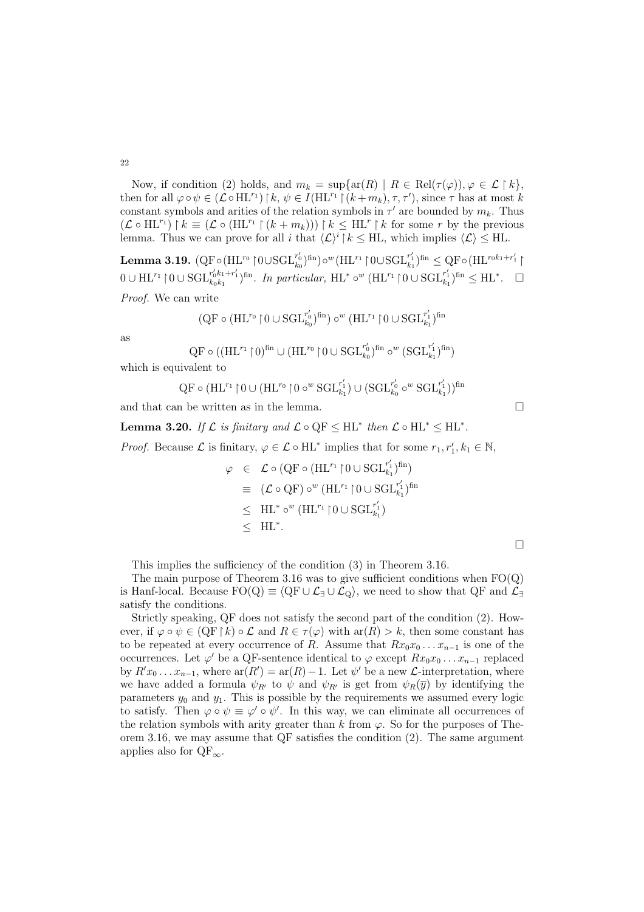22

Now, if condition (2) holds, and  $m_k = \sup\{\text{ar}(R) \mid R \in \text{Rel}(\tau(\varphi)), \varphi \in \mathcal{L} \mid k\},\$ then for all  $\varphi \circ \psi \in (\mathcal{L} \circ HL^{r_1}) \upharpoonright k, \psi \in I(HL^{r_1} \upharpoonright (k+m_k), \tau, \tau')$ , since  $\tau$  has at most k constant symbols and arities of the relation symbols in  $\tau'$  are bounded by  $m_k$ . Thus  $(\mathcal{L} \circ \mathrm{HL}^{r_1}) \upharpoonright k \equiv (\mathcal{L} \circ (\mathrm{HL}^{r_1} \upharpoonright (k + m_k))) \upharpoonright k \leq \mathrm{HL}^r \upharpoonright k$  for some r by the previous lemma. Thus we can prove for all i that  $\langle \mathcal{L} \rangle^i \restriction k \leq \text{HL}$ , which implies  $\langle \mathcal{L} \rangle \leq \text{HL}$ .

**Lemma 3.19.** (QF◦(HL<sup>r∩</sup> | 0∪SGL<sup>r'</sup>o<sup>nn</sup>)∘<sup>w</sup> (HL<sup>r1</sup> | 0∪SGL<sup>r'</sup><sup>1</sup><sub>1</sub>)<sup>fin</sup> ≤ QF◦(HL<sup>r<sub>0k1+r'</sub><sup>'</sup><sub>1</sub>)<sup>f</sup>in 0∪ SGL<sup>r'on</sup><sup>1</sup><sup>2</sup><sup>1</sup><sup>5</sup><sup>1</sup> (0∪ SGL<sup>r'</sup><sub>1</sub><sup>2</sup>)<sup>fin</sup> ≤ HL<sup>\*</sup>. □</sup> Proof. We can write

$$
(\mathrm{QF} \circ (\mathrm{HL}^{r_0} \restriction 0 \cup \mathrm{SGL}_{k_0}^{r'_0})^{\mathrm{fin}}) \circ^w (\mathrm{HL}^{r_1} \restriction 0 \cup \mathrm{SGL}_{k_1}^{r'_1})^{\mathrm{fin}}
$$

as

$$
QF \circ ((HL^{r_1} \upharpoonright 0)^{\text{fin}} \cup (HL^{r_0} \upharpoonright 0 \cup \text{SGL}_{k_0}^{r'_0})^{\text{fin}} \circ^w (\text{SGL}_{k_1}^{r'_1})^{\text{fin}})
$$

which is equivalent to

$$
\mathrm{QF} \circ (\mathrm{HL}^{r_1} \upharpoonright 0 \cup (\mathrm{HL}^{r_0} \upharpoonright 0 \circ^w \mathrm{SGL}_{k_1}^{r'_1}) \cup (\mathrm{SGL}_{k_0}^{r'_0} \circ^w \mathrm{SGL}_{k_1}^{r'_1}))^{\mathrm{fin}}
$$

and that can be written as in the lemma.  $\Box$ 

**Lemma 3.20.** If  $\mathcal{L}$  is finitary and  $\mathcal{L} \circ \mathrm{QF} \leq \mathrm{HL}^*$  then  $\mathcal{L} \circ \mathrm{HL}^* \leq \mathrm{HL}^*$ .

*Proof.* Because  $\mathcal L$  is finitary,  $\varphi \in \mathcal L \circ \text{HL}^*$  implies that for some  $r_1, r'_1, k_1 \in \mathbb N$ ,

$$
\varphi \in \mathcal{L} \circ (\mathrm{QF} \circ (\mathrm{HL}^{r_1} \upharpoonright 0 \cup \mathrm{SGL}_{k_1}^{r'_1})^{\mathrm{fin}})
$$
  
\n
$$
\equiv (\mathcal{L} \circ \mathrm{QF}) \circ^w (\mathrm{HL}^{r_1} \upharpoonright 0 \cup \mathrm{SGL}_{k_1}^{r'_1})^{\mathrm{fin}}
$$
  
\n
$$
\leq \mathrm{HL}^* \circ^w (\mathrm{HL}^{r_1} \upharpoonright 0 \cup \mathrm{SGL}_{k_1}^{r'_1})
$$
  
\n
$$
\leq \mathrm{HL}^*.
$$

This implies the sufficiency of the condition (3) in Theorem 3.16.

The main purpose of Theorem 3.16 was to give sufficient conditions when  $FO(Q)$ is Hanf-local. Because  $FO(Q) \equiv \langle QF \cup \mathcal{L}_{\exists} \cup \mathcal{L}_{Q} \rangle$ , we need to show that  $QF$  and  $\mathcal{L}_{\exists}$ satisfy the conditions.

Strictly speaking, QF does not satisfy the second part of the condition (2). However, if  $\varphi \circ \psi \in (\mathrm{QF} \restriction k) \circ \mathcal{L}$  and  $R \in \tau(\varphi)$  with  $\mathrm{ar}(R) > k$ , then some constant has to be repeated at every occurrence of R. Assume that  $Rx_0x_0 \ldots x_{n-1}$  is one of the occurrences. Let  $\varphi'$  be a QF-sentence identical to  $\varphi$  except  $Rx_0x_0 \ldots x_{n-1}$  replaced by  $R'x_0 \ldots x_{n-1}$ , where  $ar(R') = ar(R) - 1$ . Let  $\psi'$  be a new *L*-interpretation, where we have added a formula  $\psi_{R'}$  to  $\psi$  and  $\psi_{R'}$  is get from  $\psi_R(\overline{y})$  by identifying the parameters  $y_0$  and  $y_1$ . This is possible by the requirements we assumed every logic to satisfy. Then  $\varphi \circ \psi \equiv \varphi' \circ \psi'$ . In this way, we can eliminate all occurrences of the relation symbols with arity greater than k from  $\varphi$ . So for the purposes of Theorem 3.16, we may assume that QF satisfies the condition (2). The same argument applies also for  $\mathrm{QF}_{\infty}$ .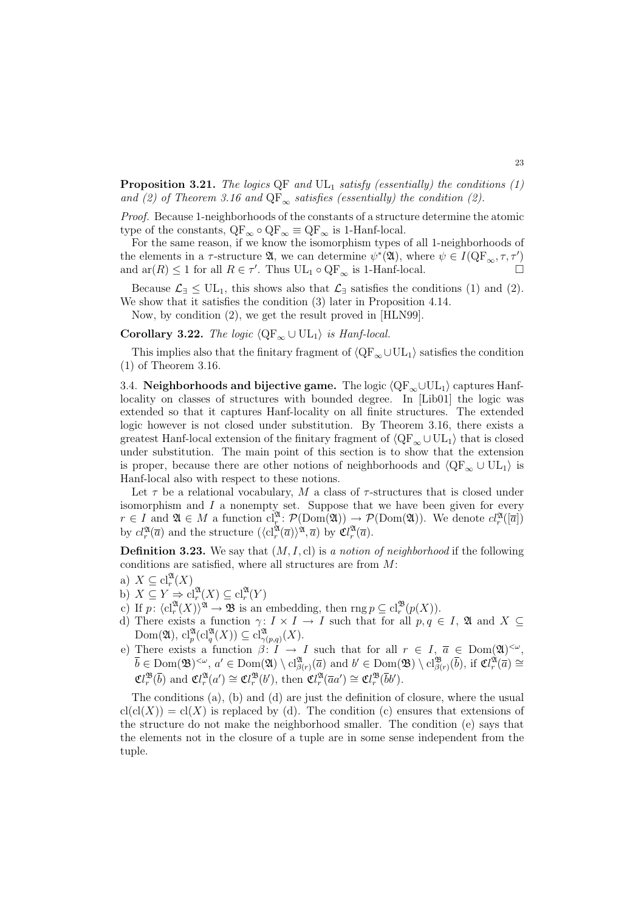**Proposition 3.21.** The logics QF and  $UL_1$  satisfy (essentially) the conditions (1) and (2) of Theorem 3.16 and  $\text{QF}_{\infty}$  satisfies (essentially) the condition (2).

Proof. Because 1-neighborhoods of the constants of a structure determine the atomic type of the constants,  $\text{QF}_{\infty} \circ \text{QF}_{\infty} \equiv \text{QF}_{\infty}$  is 1-Hanf-local.

For the same reason, if we know the isomorphism types of all 1-neighborhoods of the elements in a  $\tau$ -structure  $\mathfrak{A}$ , we can determine  $\psi^*(\mathfrak{A})$ , where  $\psi \in I(\mathrm{QF}_{\infty}, \tau, \tau')$ and  $ar(R) \leq 1$  for all  $R \in \tau'$ . Thus  $UL_1 \circ QF_{\infty}$  is 1-Hanf-local.

Because  $\mathcal{L}_\exists \leq \mathrm{UL}_1$ , this shows also that  $\mathcal{L}_\exists$  satisfies the conditions (1) and (2). We show that it satisfies the condition (3) later in Proposition 4.14.

Now, by condition (2), we get the result proved in [HLN99].

**Corollary 3.22.** The logic  $\langle QF_{\infty} \cup UL_1 \rangle$  is Hanf-local.

This implies also that the finitary fragment of  $\langle QF_{\infty} \cup UL_1 \rangle$  satisfies the condition (1) of Theorem 3.16.

3.4. **Neighborhoods and bijective game.** The logic  $\langle QF_{\infty}\cup UL_1\rangle$  captures Hanflocality on classes of structures with bounded degree. In [Lib01] the logic was extended so that it captures Hanf-locality on all finite structures. The extended logic however is not closed under substitution. By Theorem 3.16, there exists a greatest Hanf-local extension of the finitary fragment of  $\langle QF_{\infty} \cup UL_1 \rangle$  that is closed under substitution. The main point of this section is to show that the extension is proper, because there are other notions of neighborhoods and  $\langle QF_{\infty} \cup UL_1 \rangle$  is Hanf-local also with respect to these notions.

Let  $\tau$  be a relational vocabulary, M a class of  $\tau$ -structures that is closed under isomorphism and  $I$  a nonempty set. Suppose that we have been given for every  $r \in I$  and  $\mathfrak{A} \in M$  a function  $\text{cl}^{\mathfrak{A}}_r : \mathcal{P}(\text{Dom}(\mathfrak{A})) \to \mathcal{P}(\text{Dom}(\mathfrak{A}))$ . We denote  $\text{cl}^{\mathfrak{A}}_r([\overline{a}])$ by  $cl_r^{\mathfrak{A}}(\overline{a})$  and the structure  $(\langle cl_r^{\mathfrak{A}}(\overline{a}) \rangle^{\mathfrak{A}}, \overline{a})$  by  $\mathfrak{Cl}_r^{\mathfrak{A}}(\overline{a})$ .

**Definition 3.23.** We say that  $(M, I, cl)$  is a notion of neighborhood if the following conditions are satisfied, where all structures are from M:

a) 
$$
X \subseteq \mathrm{cl}_r^{\mathfrak{A}}(X)
$$

- b)  $X \subseteq Y \Rightarrow \mathrm{cl}_r^{\mathfrak{A}}(X) \subseteq \mathrm{cl}_r^{\mathfrak{A}}(Y)$
- c) If  $p: \langle cl_r^{\mathfrak{A}}(X) \rangle^{\mathfrak{A}} \to \mathfrak{B}$  is an embedding, then  $\text{rng } p \subseteq cl_r^{\mathfrak{B}}(p(X)).$
- d) There exists a function  $\gamma: I \times I \to I$  such that for all  $p, q \in I$ ,  $\mathfrak{A}$  and  $X \subseteq$  $\text{Dom}(\mathfrak{A}), \, \text{cl}_p^{\mathfrak{A}}(\text{cl}_q^{\mathfrak{A}}(X)) \subseteq \text{cl}_{\gamma(p,q)}^{\mathfrak{A}}(X).$
- e) There exists a function  $\beta: I \to I$  such that for all  $r \in I$ ,  $\overline{a} \in Dom(\mathfrak{A})^{\leq \omega}$ ,  $\overline{b} \in \text{Dom}(\mathfrak{B})^{\leq \omega}, a' \in \text{Dom}(\mathfrak{A}) \setminus \text{cl}_{\beta(r)}^{\mathfrak{A}}(\overline{a}) \text{ and } b' \in \text{Dom}(\mathfrak{B}) \setminus \text{cl}_{\beta(r)}^{\mathfrak{B}}(\overline{b}), \text{ if } \mathfrak{C}l_r^{\mathfrak{A}}(\overline{a}) \cong$  $\mathfrak{Cl}_r^{\mathfrak{B}}(\overline{b})$  and  $\mathfrak{Cl}_r^{\mathfrak{A}}(a') \cong \mathfrak{Cl}_r^{\mathfrak{B}}(b')$ , then  $\mathfrak{Cl}_r^{\mathfrak{A}}(\overline{a}a') \cong \mathfrak{Cl}_r^{\mathfrak{B}}(\overline{b}b')$ .

The conditions (a), (b) and (d) are just the definition of closure, where the usual  $cl(cl(X)) = cl(X)$  is replaced by (d). The condition (c) ensures that extensions of the structure do not make the neighborhood smaller. The condition (e) says that the elements not in the closure of a tuple are in some sense independent from the tuple.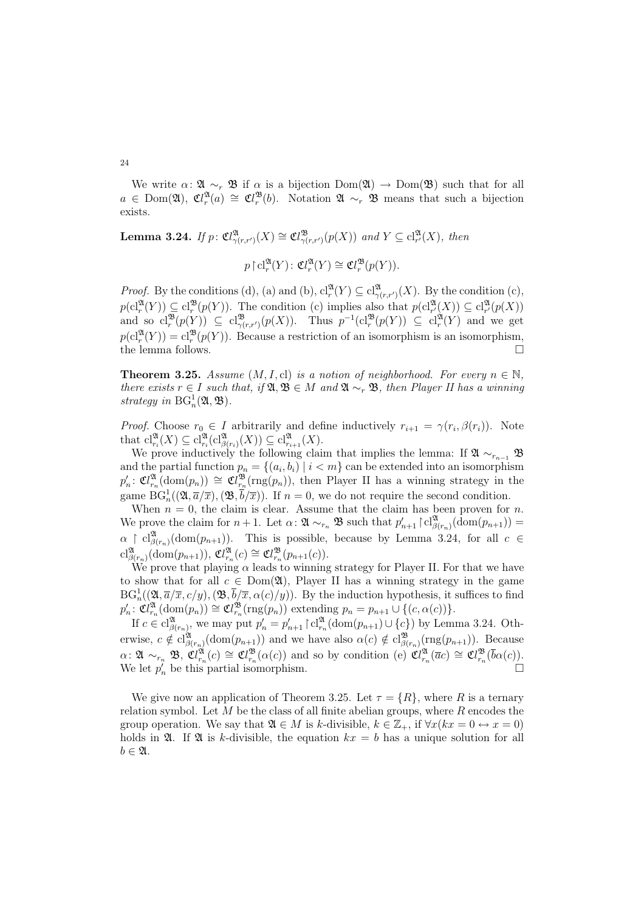We write  $\alpha: \mathfrak{A} \sim_r \mathfrak{B}$  if  $\alpha$  is a bijection  $Dom(\mathfrak{A}) \to Dom(\mathfrak{B})$  such that for all  $a \in \text{Dom}(\mathfrak{A}), \mathfrak{C}_r^{\mathfrak{A}}(a) \cong \mathfrak{C}_r^{\mathfrak{B}}(b)$ . Notation  $\mathfrak{A} \sim_r \mathfrak{B}$  means that such a bijection exists.

**Lemma 3.24.** If  $p: \mathfrak{Cl}^{\mathfrak{A}}_{\gamma(r,r')}(X) \cong \mathfrak{Cl}^{\mathfrak{B}}_{\gamma(r,r')}(p(X))$  and  $Y \subseteq \text{cl}^{\mathfrak{A}}_{r'}(X)$ , then

$$
p \n\upharpoonright cl_r^{\mathfrak{A}}(Y) \colon \mathfrak{Cl}_r^{\mathfrak{A}}(Y) \cong \mathfrak{Cl}_r^{\mathfrak{B}}(p(Y)).
$$

*Proof.* By the conditions (d), (a) and (b),  $cl_r^{\mathfrak{A}}(Y) \subseteq cl_{\gamma(r,r')}^{\mathfrak{A}}(X)$ . By the condition (c),  $p(\mathrm{cl}_r^{\mathfrak{A}}(Y)) \subseteq \mathrm{cl}_r^{\mathfrak{B}}(p(Y)).$  The condition (c) implies also that  $p(\mathrm{cl}_{r'}^{\mathfrak{A}}(X)) \subseteq \mathrm{cl}_{r'}^{\mathfrak{A}}(p(X))$ and so  $\mathrm{cl}_r^{\mathfrak{B}}(p(Y)) \subseteq \mathrm{cl}_{\gamma(r,r')}^{\mathfrak{B}}(p(X)).$  Thus  $p^{-1}(\mathrm{cl}_r^{\mathfrak{B}}(p(Y)) \subseteq \mathrm{cl}_r^{\mathfrak{A}}(Y)$  and we get  $p(\mathrm{cl}_r^{\mathfrak{A}}(Y)) = \mathrm{cl}_r^{\mathfrak{B}}(p(Y)).$  Because a restriction of an isomorphism is an isomorphism, the lemma follows.

**Theorem 3.25.** Assume  $(M, I, cl)$  is a notion of neighborhood. For every  $n \in \mathbb{N}$ , there exists  $r \in I$  such that, if  $\mathfrak{A}, \mathfrak{B} \in M$  and  $\mathfrak{A} \sim_r \mathfrak{B}$ , then Player II has a winning strategy in  $\text{BG}_n^1(\mathfrak{A}, \mathfrak{B})$ .

*Proof.* Choose  $r_0 \in I$  arbitrarily and define inductively  $r_{i+1} = \gamma(r_i, \beta(r_i))$ . Note that  $\mathrm{cl}_{r_i}^{\mathfrak{A}}(X) \subseteq \mathrm{cl}_{r_i}^{\mathfrak{A}}(\mathrm{cl}_{\beta(r_i)}^{\mathfrak{A}}(X)) \subseteq \mathrm{cl}_{r_{i+1}}^{\mathfrak{A}}(X).$ 

We prove inductively the following claim that implies the lemma: If  $\mathfrak{A} \sim_{r_{n-1}} \mathfrak{B}$ and the partial function  $p_n = \{(a_i, b_i) | i < m\}$  can be extended into an isomorphism  $p'_n: {\cal C}\ell^{\mathfrak{A}}_{r_n}(\text{dom}(p_n)) \cong {\cal C}\ell^{\mathfrak{B}}_{r_n}(\text{rng}(p_n)),$  then Player II has a winning strategy in the game  $\operatorname{BG}_n^1((\mathfrak{A}, \overline{a}/\overline{x}),(\mathfrak{B}, \overline{b}/\overline{x}))$ . If  $n = 0$ , we do not require the second condition.

When  $n = 0$ , the claim is clear. Assume that the claim has been proven for n. We prove the claim for  $n+1$ . Let  $\alpha: \mathfrak{A} \sim_{r_n} \mathfrak{B}$  such that  $p'_{n+1} \restriction cl^{\mathfrak{A}}_{\beta(r_n)}(\text{dom}(p_{n+1})) =$  $\alpha \restriction cl_{\beta(r_n)}^{\mathfrak{A}}(\text{dom}(p_{n+1}))$ . This is possible, because by Lemma 3.24, for all  $c \in$  $\text{cl}_{\beta(r_n)}^{\mathfrak{A}}(\text{dom}(p_{n+1})), \mathfrak{C}l_{r_n}^{\mathfrak{A}}(c) \cong \mathfrak{C}l_{r_n}^{\mathfrak{B}}(p_{n+1}(c)).$ 

We prove that playing  $\alpha$  leads to winning strategy for Player II. For that we have to show that for all  $c \in Dom(\mathfrak{A})$ , Player II has a winning strategy in the game  $BG_n^1((\mathfrak{A}, \overline{a}/\overline{x}, c/y), (\mathfrak{B}, \overline{b}/\overline{x}, \alpha(c)/y))$ . By the induction hypothesis, it suffices to find  $p'_n: \mathfrak{Cl}_{r_n}^{\mathfrak{A}}(\text{dom}(p_n)) \cong \mathfrak{Cl}_{r_n}^{\mathfrak{B}}(\text{rng}(p_n))$  extending  $p_n = p_{n+1} \cup \{(c, \alpha(c))\}.$ 

If  $c \in \mathrm{cl}_{\beta(r_n)}^{\mathfrak{A}},$  we may put  $p'_n = p'_{n+1} \restriction \mathrm{cl}_{r_n}^{\mathfrak{A}}(\mathrm{dom}(p_{n+1}) \cup \{c\})$  by Lemma 3.24. Otherwise,  $c \notin \mathrm{cl}_{\beta(r_n)}^{\mathfrak{A}}(\mathrm{dom}(p_{n+1}))$  and we have also  $\alpha(c) \notin \mathrm{cl}_{\beta(r_n)}^{\mathfrak{B}}(\mathrm{rng}(p_{n+1}))$ . Because  $\alpha: \mathfrak{A} \sim_{r_n} \mathfrak{B}, \ \mathfrak{C}l_{r_n}^{\mathfrak{A}}(c) \cong \mathfrak{C}l_{r_n}^{\mathfrak{B}}(\alpha(c))$  and so by condition (e)  $\mathfrak{C}l_{r_n}^{\mathfrak{A}}(\overline{a}c) \cong \mathfrak{C}l_{r_n}^{\mathfrak{B}}(\overline{b}\alpha(c)).$ We let  $p'_n$  be this partial isomorphism.

We give now an application of Theorem 3.25. Let  $\tau = \{R\}$ , where R is a ternary relation symbol. Let M be the class of all finite abelian groups, where  $R$  encodes the group operation. We say that  $\mathfrak{A} \in M$  is k-divisible,  $k \in \mathbb{Z}_+$ , if  $\forall x (kx = 0 \leftrightarrow x = 0)$ holds in  $\mathfrak{A}$ . If  $\mathfrak{A}$  is k-divisible, the equation  $kx = b$  has a unique solution for all  $b \in \mathfrak{A}$ .

24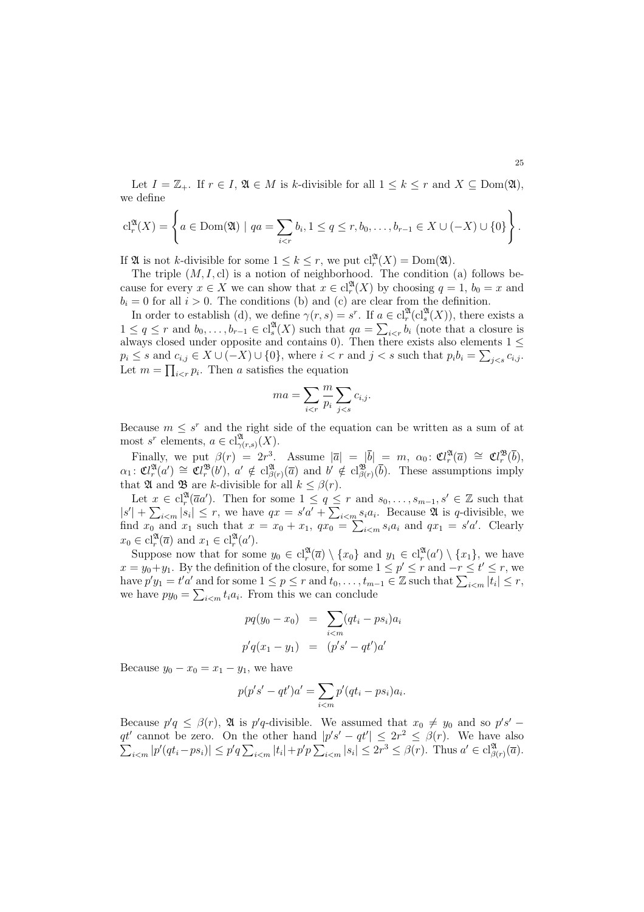Let  $I = \mathbb{Z}_+$ . If  $r \in I$ ,  $\mathfrak{A} \in M$  is k-divisible for all  $1 \leq k \leq r$  and  $X \subseteq \text{Dom}(\mathfrak{A})$ , we define

$$
\mathrm{cl}_r^{\mathfrak{A}}(X) = \left\{ a \in \mathrm{Dom}(\mathfrak{A}) \mid qa = \sum_{i < r} b_i, 1 \le q \le r, b_0, \ldots, b_{r-1} \in X \cup (-X) \cup \{0\} \right\}.
$$

If  $\mathfrak A$  is not k-divisible for some  $1 \leq k \leq r$ , we put  $\text{cl}_r^{\mathfrak A}(X) = \text{Dom}(\mathfrak A)$ .

The triple  $(M, I, c)$  is a notion of neighborhood. The condition (a) follows because for every  $x \in X$  we can show that  $x \in cl_r^{\mathfrak{A}}(X)$  by choosing  $q = 1, b_0 = x$  and  $b_i = 0$  for all  $i > 0$ . The conditions (b) and (c) are clear from the definition.

In order to establish (d), we define  $\gamma(r,s) = s^r$ . If  $a \in \text{cl}_r^{\mathfrak{A}}(\text{cl}_s^{\mathfrak{A}}(X))$ , there exists a  $1 \le q \le r$  and  $b_0, \ldots, b_{r-1} \in \text{cl}_s^{\mathfrak{A}}(X)$  such that  $qa = \sum_{i \le r} b_i$  (note that a closure is always closed under opposite and contains 0). Then there exists also elements  $1 \leq$  $p_i \leq s$  and  $c_{i,j} \in X \cup (-X) \cup \{0\}$ , where  $i < r$  and  $j < s$  such that  $p_i b_i = \sum_{j < s} c_{i,j}$ . Let  $m = \prod_{i \leq r} p_i$ . Then a satisfies the equation

$$
ma = \sum_{i < r} \frac{m}{p_i} \sum_{j < s} c_{i,j}.
$$

Because  $m \leq s^r$  and the right side of the equation can be written as a sum of at most  $s^r$  elements,  $a \in \text{cl}_{\gamma(r,s)}^{\mathfrak{A}}(X)$ .

Finally, we put  $\beta(r) = 2r^3$ . Assume  $|\bar{a}| = |\bar{b}| = m$ ,  $\alpha_0 \colon \mathfrak{Cl}_r^{\mathfrak{A}}(\bar{a}) \cong \mathfrak{Cl}_r^{\mathfrak{B}}(\bar{b}),$  $\alpha_1: \mathfrak{Cl}_r^{\mathfrak{A}}(a') \cong \mathfrak{Cl}_r^{\mathfrak{B}}(b'), a' \notin \mathrm{cl}_{\beta(r)}^{\mathfrak{A}}(\overline{a})$  and  $b' \notin \mathrm{cl}_{\beta(r)}^{\mathfrak{B}}(\overline{b}).$  These assumptions imply that  $\mathfrak A$  and  $\mathfrak B$  are k-divisible for all  $k \leq \beta(r)$ .

Let  $x \in cl_r^{\mathfrak{A}}(\overline{a}a')$ . Then for some  $1 \leq q \leq r$  and  $s_0, \ldots, s_{m-1}, s' \in \mathbb{Z}$  such that  $|s'| + \sum_{i \leq m} |s_i| \leq r$ , we have  $qx = s'a' + \sum_{i \leq m} s_i a_i$ . Because  $\mathfrak{A}$  is q-divisible, we find  $x_0$  and  $x_1$  such that  $x = x_0 + x_1$ ,  $qx_0 = \sum_{i \le m} s_i a_i$  and  $qx_1 = s'a'$ . Clearly  $x_0 \in \mathrm{cl}_r^{\mathfrak{A}}(\overline{a})$  and  $x_1 \in \mathrm{cl}_r^{\mathfrak{A}}(a')$ .

Suppose now that for some  $y_0 \in cl_r^{\mathfrak{A}}(\overline{a}) \setminus \{x_0\}$  and  $y_1 \in cl_r^{\mathfrak{A}}(a') \setminus \{x_1\}$ , we have  $x = y_0 + y_1$ . By the definition of the closure, for some  $1 \le p' \le r$  and  $-r \le t' \le r$ , we have  $p'y_1 = t'a'$  and for some  $1 \le p \le r$  and  $t_0, \ldots, t_{m-1} \in \mathbb{Z}$  such that  $\sum_{i \le m} |t_i| \le r$ , we have  $py_0 = \sum_{i \leq m} t_i a_i$ . From this we can conclude

$$
pq(y_0 - x_0) = \sum_{i < m} (qt_i - ps_i)a_i
$$
  

$$
p'q(x_1 - y_1) = (p's' - qt')a'
$$

Because  $y_0 - x_0 = x_1 - y_1$ , we have

$$
p(p's'-qt')a' = \sum_{i
$$

Because  $p'q \leq \beta(r)$ ,  $\mathfrak A$  is  $p'q$ -divisible. We assumed that  $x_0 \neq y_0$  and so  $p's'$  qt' cannot be zero. On the other hand  $|p's' - qt'| \leq 2r^2 \leq \beta(r)$ . We have also  $\sum_{i \le m} |p'(qt_i - ps_i)| \le p'q \sum_{i \le m} |t_i| + p'p \sum_{i \le m} |s_i| \le 2r^3 \le \beta(r)$ . Thus  $a' \in \text{cl}_{\beta(r)}^{\mathfrak{A}}(\overline{a})$ .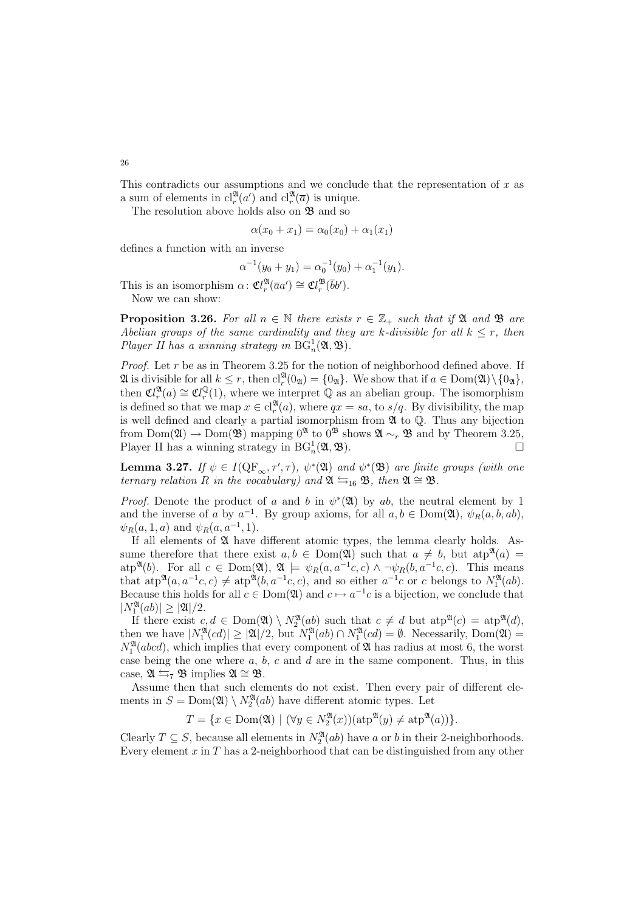This contradicts our assumptions and we conclude that the representation of  $x$  as a sum of elements in  $\mathrm{cl}^{\mathfrak{A}}_r(a')$  and  $\mathrm{cl}^{\mathfrak{A}}_r(\overline{a})$  is unique.

The resolution above holds also on  $\mathfrak{B}$  and so

$$
\alpha(x_0+x_1)=\alpha_0(x_0)+\alpha_1(x_1)
$$

defines a function with an inverse

$$
\alpha^{-1}(y_0 + y_1) = \alpha_0^{-1}(y_0) + \alpha_1^{-1}(y_1).
$$

This is an isomorphism  $\alpha \colon \mathfrak{Cl}_r^{\mathfrak{A}}(\overline{a}a') \cong \mathfrak{Cl}_r^{\mathfrak{B}}(\overline{b}b').$ 

Now we can show:

**Proposition 3.26.** For all  $n \in \mathbb{N}$  there exists  $r \in \mathbb{Z}_+$  such that if  $\mathfrak{A}$  and  $\mathfrak{B}$  are Abelian groups of the same cardinality and they are k-divisible for all  $k \leq r$ , then Player II has a winning strategy in  $\widetilde{\mathrm{BG}}_n^1(\mathfrak{A}, \mathfrak{B})$ .

*Proof.* Let r be as in Theorem 3.25 for the notion of neighborhood defined above. If  $\mathfrak A$  is divisible for all  $k \leq r$ , then  $cl_r^{\mathfrak A}(0_{\mathfrak A}) = \{0_{\mathfrak A}\}\)$ . We show that if  $a \in \text{Dom}(\mathfrak A) \setminus \{0_{\mathfrak A}\}\$ , then  $\mathfrak{Cl}_r^{\mathfrak{A}}(a) \cong \mathfrak{Cl}_r^{\mathbb{Q}}(1)$ , where we interpret  $\mathbb Q$  as an abelian group. The isomorphism is defined so that we map  $x \in cl_r^{\mathfrak{A}}(a)$ , where  $qx = sa$ , to  $s/q$ . By divisibility, the map is well defined and clearly a partial isomorphism from  $\mathfrak A$  to  $\mathbb Q$ . Thus any bijection from Dom( $\mathfrak{A}$ ) → Dom( $\mathfrak{B}$ ) mapping  $0^{\mathfrak{A}}$  to  $0^{\mathfrak{B}}$  shows  $\mathfrak{A} \sim_r \mathfrak{B}$  and by Theorem 3.25, Player II has a winning strategy in  $\text{BG}_n^1(\mathfrak{A}, \mathfrak{B})$ .

**Lemma 3.27.** If  $\psi \in I(\mathrm{QF}_{\infty}, \tau', \tau)$ ,  $\psi^*(\mathfrak{A})$  and  $\psi^*(\mathfrak{B})$  are finite groups (with one ternary relation R in the vocabulary) and  $\mathfrak{A} \leftrightarrows_{16} \mathfrak{B}$ , then  $\mathfrak{A} \cong \mathfrak{B}$ .

*Proof.* Denote the product of a and b in  $\psi^*(\mathfrak{A})$  by ab, the neutral element by 1 and the inverse of a by  $a^{-1}$ . By group axioms, for all  $a, b \in Dom(\mathfrak{A}), \psi_R(a, b, ab)$ ,  $\psi_R(a, 1, a)$  and  $\psi_R(a, a^{-1}, 1)$ .

If all elements of  $\mathfrak A$  have different atomic types, the lemma clearly holds. Assume therefore that there exist  $a, b \in Dom(\mathfrak{A})$  such that  $a \neq b$ , but  $atp^{\mathfrak{A}}(a) =$ atp<sup>2(*b*)</sup>. For all  $c \in Dom(\mathfrak{A})$ ,  $\mathfrak{A} \models \psi_R(a, a^{-1}c, c) \land \neg \psi_R(b, a^{-1}c, c)$ . This means that  $\text{atp}^{\mathfrak{A}}(a, a^{-1}c, c) \neq \text{atp}^{\mathfrak{A}}(b, a^{-1}c, c)$ , and so either  $a^{-1}c$  or c belongs to  $N_1^{\mathfrak{A}}(ab)$ . Because this holds for all  $c \in Dom(\mathfrak{A})$  and  $c \mapsto a^{-1}c$  is a bijection, we conclude that  $|N_1^{\mathfrak{A}}(ab)| \geq |\mathfrak{A}|/2.$ 

If there exist  $c, d \in Dom(\mathfrak{A}) \setminus N_2^{\mathfrak{A}}(ab)$  such that  $c \neq d$  but  $atp^{\mathfrak{A}}(c) = atp^{\mathfrak{A}}(d)$ , then we have  $|N_1^{\mathfrak{A}}(cd)| \geq |\mathfrak{A}|/2$ , but  $N_1^{\mathfrak{A}}(ab) \cap N_1^{\mathfrak{A}}(cd) = \emptyset$ . Necessarily,  $Dom(\mathfrak{A}) =$  $N_1^{\mathfrak{A}}(abcd)$ , which implies that every component of  $\mathfrak A$  has radius at most 6, the worst case being the one where  $a, b, c$  and  $d$  are in the same component. Thus, in this case,  $\mathfrak{A} \leftrightarrows_{7} \mathfrak{B}$  implies  $\mathfrak{A} \cong \mathfrak{B}$ .

Assume then that such elements do not exist. Then every pair of different elements in  $S = \text{Dom}(\mathfrak{A}) \setminus N_2^{\mathfrak{A}}(ab)$  have different atomic types. Let

 $T = \{x \in \text{Dom}(\mathfrak{A}) \mid (\forall y \in N_2^{\mathfrak{A}}(x))(\text{atp}^{\mathfrak{A}}(y) \neq \text{atp}^{\mathfrak{A}}(a))\}.$ 

Clearly  $T \subseteq S$ , because all elements in  $N_2^{\mathfrak{A}}(ab)$  have a or b in their 2-neighborhoods. Every element  $x$  in  $T$  has a 2-neighborhood that can be distinguished from any other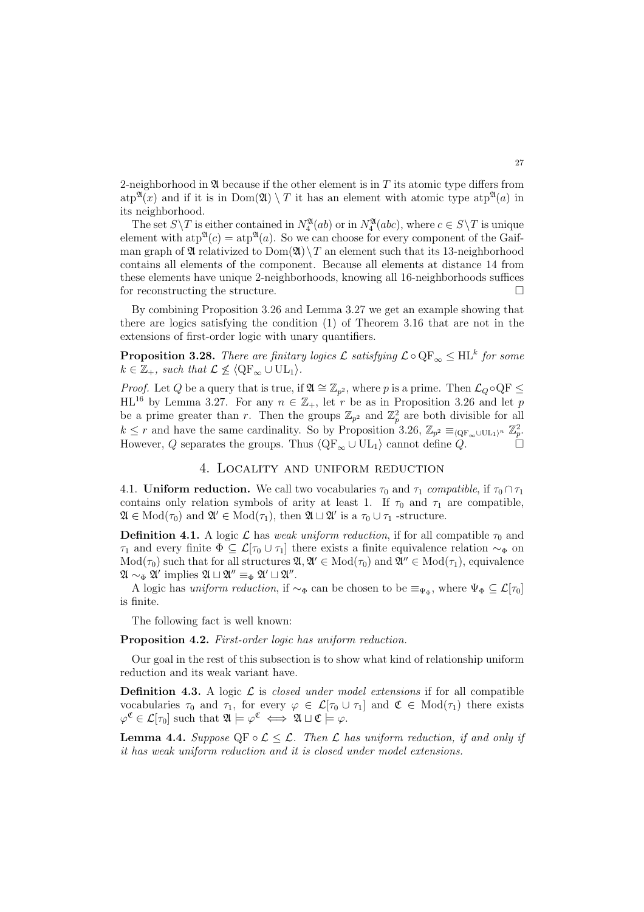2-neighborhood in  $\mathfrak A$  because if the other element is in T its atomic type differs from  $atp^{\mathfrak{A}}(x)$  and if it is in  $Dom(\mathfrak{A}) \setminus T$  it has an element with atomic type  $atp^{\mathfrak{A}}(a)$  in its neighborhood.

The set  $S \backslash T$  is either contained in  $N_4^{\mathfrak{A}}(ab)$  or in  $N_4^{\mathfrak{A}}(abc)$ , where  $c \in S \backslash T$  is unique element with  $atp^{\mathfrak{A}}(c) = atp^{\mathfrak{A}}(a)$ . So we can choose for every component of the Gaifman graph of  $\mathfrak A$  relativized to  $\text{Dom}(\mathfrak A)\setminus T$  an element such that its 13-neighborhood contains all elements of the component. Because all elements at distance 14 from these elements have unique 2-neighborhoods, knowing all 16-neighborhoods suffices for reconstructing the structure.

By combining Proposition 3.26 and Lemma 3.27 we get an example showing that there are logics satisfying the condition (1) of Theorem 3.16 that are not in the extensions of first-order logic with unary quantifiers.

**Proposition 3.28.** There are finitary logics  $\mathcal{L}$  satisfying  $\mathcal{L} \circ QF_{\infty} \leq \text{HL}^k$  for some  $k \in \mathbb{Z}_+$ , such that  $\mathcal{L} \not\leq \langle \text{QF}_{\infty} \cup \text{UL}_1 \rangle$ .

*Proof.* Let Q be a query that is true, if  $\mathfrak{A} \cong \mathbb{Z}_{p^2}$ , where p is a prime. Then  $\mathcal{L}_Q \circ \mathrm{QF} \leq$  $HL^{16}$  by Lemma 3.27. For any  $n \in \mathbb{Z}_+$ , let r be as in Proposition 3.26 and let p be a prime greater than r. Then the groups  $\mathbb{Z}_{p^2}$  and  $\mathbb{Z}_p^2$  are both divisible for all  $k \leq r$  and have the same cardinality. So by Proposition 3.26,  $\mathbb{Z}_{p^2} \equiv_{(\text{QF}_{\infty} \cup \text{UL}_1)^n} \mathbb{Z}_p^2$ . However, Q separates the groups. Thus  $\langle QF_{\infty} \cup UL_1 \rangle$  cannot define Q.  $\mathrm{QF}_{\infty} \cup \mathrm{UL}_1$  cannot define  $Q$ .  $\Box$ 

#### 4. Locality and uniform reduction

4.1. **Uniform reduction.** We call two vocabularies  $\tau_0$  and  $\tau_1$  compatible, if  $\tau_0 \cap \tau_1$ contains only relation symbols of arity at least 1. If  $\tau_0$  and  $\tau_1$  are compatible,  $\mathfrak{A} \in \text{Mod}(\tau_0)$  and  $\mathfrak{A}' \in \text{Mod}(\tau_1)$ , then  $\mathfrak{A} \sqcup \mathfrak{A}'$  is a  $\tau_0 \cup \tau_1$ -structure.

**Definition 4.1.** A logic  $\mathcal{L}$  has weak uniform reduction, if for all compatible  $\tau_0$  and  $\tau_1$  and every finite  $\Phi \subseteq \mathcal{L}[\tau_0 \cup \tau_1]$  there exists a finite equivalence relation  $\sim_{\Phi}$  on  $\text{Mod}(\tau_0)$  such that for all structures  $\mathfrak{A}, \mathfrak{A}' \in \text{Mod}(\tau_0)$  and  $\mathfrak{A}'' \in \text{Mod}(\tau_1)$ , equivalence  $\mathfrak{A} \sim_{\Phi} \mathfrak{A}'$  implies  $\mathfrak{A} \sqcup \mathfrak{A}'' \equiv_{\Phi} \mathfrak{A}' \sqcup \mathfrak{A}''$ .

A logic has uniform reduction, if  $\sim_{\Phi}$  can be chosen to be  $\equiv_{\Psi_{\Phi}}$ , where  $\Psi_{\Phi} \subseteq \mathcal{L}[\tau_0]$ is finite.

The following fact is well known:

**Proposition 4.2.** First-order logic has uniform reduction.

Our goal in the rest of this subsection is to show what kind of relationship uniform reduction and its weak variant have.

**Definition 4.3.** A logic  $\mathcal{L}$  is *closed under model extensions* if for all compatible vocabularies  $\tau_0$  and  $\tau_1$ , for every  $\varphi \in \mathcal{L}[\tau_0 \cup \tau_1]$  and  $\mathfrak{C} \in Mod(\tau_1)$  there exists  $\varphi^{\mathfrak{C}} \in \mathcal{L}[\tau_0]$  such that  $\mathfrak{A} \models \varphi^{\mathfrak{C}} \iff \mathfrak{A} \sqcup \mathfrak{C} \models \varphi$ .

**Lemma 4.4.** Suppose  $\text{QF} \circ \mathcal{L} \leq \mathcal{L}$ . Then  $\mathcal{L}$  has uniform reduction, if and only if it has weak uniform reduction and it is closed under model extensions.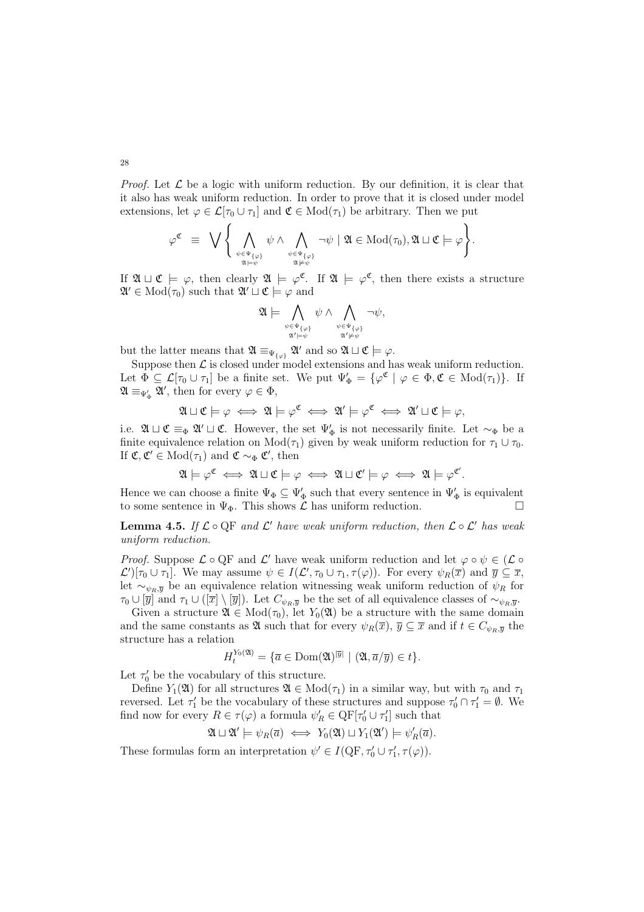*Proof.* Let  $\mathcal L$  be a logic with uniform reduction. By our definition, it is clear that it also has weak uniform reduction. In order to prove that it is closed under model extensions, let  $\varphi \in \mathcal{L}[\tau_0 \cup \tau_1]$  and  $\mathfrak{C} \in Mod(\tau_1)$  be arbitrary. Then we put

$$
\varphi^{\mathfrak{C}}\;\;\equiv\;\; \bigvee \Bigg\{\bigwedge_{\psi\in\Psi_{\{\varphi\}}\atop \mathfrak{A}\models\psi}\psi \land \bigwedge_{\psi\in\Psi_{\{\varphi\}}\atop \mathfrak{A}\not\models\psi}\neg\psi\mid \mathfrak{A}\in\mathrm{Mod}(\tau_0),\mathfrak{A}\sqcup\mathfrak{C}\models\varphi\Bigg\}.
$$

If  $\mathfrak{A} \sqcup \mathfrak{C} \models \varphi$ , then clearly  $\mathfrak{A} \models \varphi^{\mathfrak{C}}$ . If  $\mathfrak{A} \models \varphi^{\mathfrak{C}}$ , then there exists a structure  $\mathfrak{A}' \in \text{Mod}(\tau_0)$  such that  $\mathfrak{A}' \sqcup \mathfrak{C} \models \varphi$  and

$$
\mathfrak{A} \models \bigwedge_{\substack{\psi \in \Psi_{\{\varphi\}} \\ \mathfrak{A}' \models \psi}} \psi \land \bigwedge_{\substack{\psi \in \Psi_{\{\varphi\}} \\ \mathfrak{A}' \not\models \psi}} \neg \psi,
$$

but the latter means that  $\mathfrak{A} \equiv_{\Psi_{\{\varphi\}}} \mathfrak{A}'$  and so  $\mathfrak{A} \sqcup \mathfrak{C} \models \varphi$ .

Suppose then  $\mathcal L$  is closed under model extensions and has weak uniform reduction. Let  $\Phi \subseteq \mathcal{L}[\tau_0 \cup \tau_1]$  be a finite set. We put  $\Psi_{\Phi}' = {\varphi^{\mathfrak{C}}} \mid \varphi \in \Phi, {\mathfrak{C}} \in Mod(\tau_1)$ . If  $\mathfrak{A} \equiv_{\Psi'_{\Phi}} \mathfrak{A}',$  then for every  $\varphi \in \Phi$ ,

$$
\mathfrak{A} \sqcup \mathfrak{C} \models \varphi \iff \mathfrak{A} \models \varphi^{\mathfrak{C}} \iff \mathfrak{A}' \models \varphi^{\mathfrak{C}} \iff \mathfrak{A}' \sqcup \mathfrak{C} \models \varphi,
$$

i.e.  $\mathfrak{A} \sqcup \mathfrak{C} \equiv_{\Phi} \mathfrak{A}' \sqcup \mathfrak{C}$ . However, the set  $\Psi_{\Phi}'$  is not necessarily finite. Let  $\sim_{\Phi}$  be a finite equivalence relation on  $Mod(\tau_1)$  given by weak uniform reduction for  $\tau_1 \cup \tau_0$ . If  $\mathfrak{C}, \mathfrak{C}' \in Mod(\tau_1)$  and  $\mathfrak{C} \sim_{\Phi} \mathfrak{C}'$ , then

$$
\mathfrak{A}\models \varphi^{\mathfrak{C}} \iff \mathfrak{A}\sqcup \mathfrak{C}\models \varphi \iff \mathfrak{A}\sqcup \mathfrak{C}'\models \varphi \iff \mathfrak{A}\models \varphi^{\mathfrak{C}}.
$$

Hence we can choose a finite  $\Psi_{\Phi} \subseteq \Psi_{\Phi}'$  such that every sentence in  $\Psi_{\Phi}'$  is equivalent to some sentence in  $\Psi_{\Phi}$ . This shows  $\mathcal L$  has uniform reduction.

**Lemma 4.5.** If  $\mathcal{L} \circ \mathrm{QF}$  and  $\mathcal{L}'$  have weak uniform reduction, then  $\mathcal{L} \circ \mathcal{L}'$  has weak uniform reduction.

*Proof.* Suppose  $\mathcal{L} \circ \mathrm{QF}$  and  $\mathcal{L}'$  have weak uniform reduction and let  $\varphi \circ \psi \in (\mathcal{L} \circ \mathcal{L})$  $\mathcal{L}'$ )[ $\tau_0 \cup \tau_1$ ]. We may assume  $\psi \in I(\mathcal{L}', \tau_0 \cup \tau_1, \tau(\varphi))$ . For every  $\psi_R(\overline{x})$  and  $\overline{y} \subseteq \overline{x}$ , let  $\sim_{\psi_R,\bar{y}}$  be an equivalence relation witnessing weak uniform reduction of  $\psi_R$  for  $\tau_0 \cup [\overline{y}]$  and  $\tau_1 \cup ([\overline{x}] \setminus [\overline{y}])$ . Let  $C_{\psi_R,\overline{y}}$  be the set of all equivalence classes of  $\sim_{\psi_R,\overline{y}}$ .

Given a structure  $\mathfrak{A} \in Mod(\tau_0)$ , let  $Y_0(\mathfrak{A})$  be a structure with the same domain and the same constants as  $\mathfrak A$  such that for every  $\psi_R(\overline x), \overline y \subseteq \overline x$  and if  $t \in C_{\psi_R,\overline y}$  the structure has a relation

$$
H_t^{Y_0(\mathfrak{A})} = \{ \overline{a} \in \text{Dom}(\mathfrak{A})^{|\overline{y}|} \mid (\mathfrak{A}, \overline{a}/\overline{y}) \in t \}.
$$

Let  $\tau_0'$  be the vocabulary of this structure.

Define  $Y_1(\mathfrak{A})$  for all structures  $\mathfrak{A} \in Mod(\tau_1)$  in a similar way, but with  $\tau_0$  and  $\tau_1$ reversed. Let  $\tau_1'$  be the vocabulary of these structures and suppose  $\tau_0' \cap \tau_1' = \emptyset$ . We find now for every  $R \in \tau(\varphi)$  a formula  $\psi'_R \in \mathrm{QF}[\tau'_0 \cup \tau'_1]$  such that

$$
\mathfrak{A} \sqcup \mathfrak{A}' \models \psi_R(\overline{a}) \iff Y_0(\mathfrak{A}) \sqcup Y_1(\mathfrak{A}') \models \psi'_R(\overline{a}).
$$

These formulas form an interpretation  $\psi' \in I(\mathrm{QF}, \tau_0' \cup \tau_1', \tau(\varphi)).$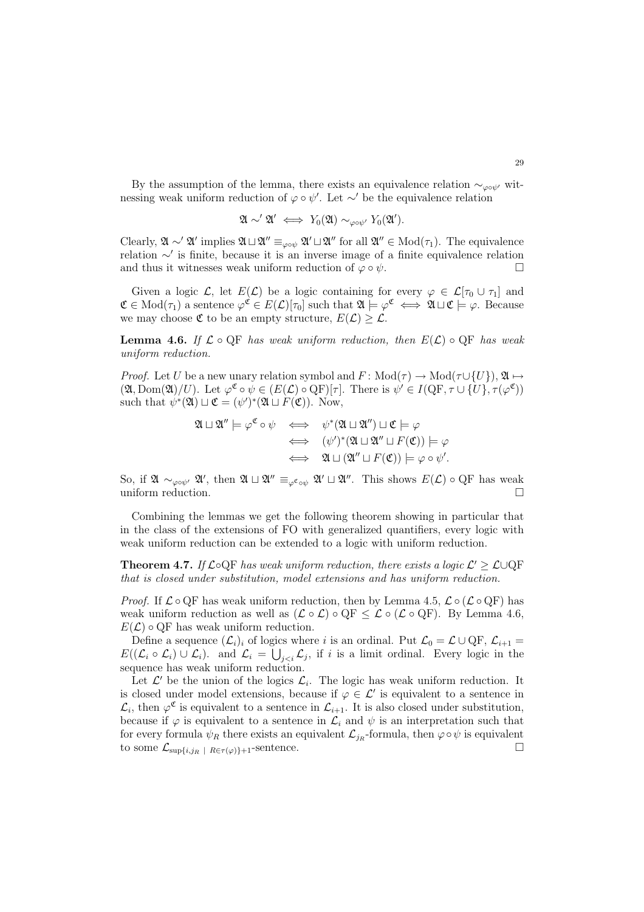By the assumption of the lemma, there exists an equivalence relation  $\sim_{\varphi \circ \psi'}$  witnessing weak uniform reduction of  $\varphi \circ \psi'$ . Let ∼' be the equivalence relation

$$
\mathfrak{A} \sim' \mathfrak{A}' \iff Y_0(\mathfrak{A}) \sim_{\varphi \circ \psi'} Y_0(\mathfrak{A}').
$$

Clearly,  $\mathfrak{A} \sim' \mathfrak{A}'$  implies  $\mathfrak{A} \sqcup \mathfrak{A}'' \equiv_{\varphi \circ \psi} \mathfrak{A}' \sqcup \mathfrak{A}''$  for all  $\mathfrak{A}'' \in Mod(\tau_1)$ . The equivalence relation  $\sim'$  is finite, because it is an inverse image of a finite equivalence relation and thus it witnesses weak uniform reduction of  $\varphi \circ \psi$ .

Given a logic  $\mathcal{L}$ , let  $E(\mathcal{L})$  be a logic containing for every  $\varphi \in \mathcal{L}[\tau_0 \cup \tau_1]$  and  $\mathfrak{C} \in \text{Mod}(\tau_1)$  a sentence  $\varphi^{\mathfrak{C}} \in E(\mathcal{L})[\tau_0]$  such that  $\mathfrak{A} \models \varphi^{\mathfrak{C}} \iff \mathfrak{A} \sqcup \mathfrak{C} \models \varphi$ . Because we may choose  $\mathfrak C$  to be an empty structure,  $E(\mathcal L) \geq \mathcal L$ .

**Lemma 4.6.** If  $\mathcal{L} \circ \mathrm{QF}$  has weak uniform reduction, then  $E(\mathcal{L}) \circ \mathrm{QF}$  has weak uniform reduction.

*Proof.* Let U be a new unary relation symbol and  $F: Mod(\tau) \to Mod(\tau \cup \{U\})$ ,  $\mathfrak{A} \mapsto$  $(\mathfrak{A}, \text{Dom}(\mathfrak{A})/U)$ . Let  $\varphi^{\mathfrak{C}} \circ \psi \in (E(\mathcal{L}) \circ \text{QF})[\tau]$ . There is  $\psi' \in I(\text{QF}, \tau \cup \{U\}, \tau(\varphi^{\mathfrak{C}}))$ such that  $\psi^*(\mathfrak{A}) \sqcup \mathfrak{C} = (\psi')^*(\mathfrak{A} \sqcup F(\mathfrak{C}))$ . Now,

$$
\mathfrak{A} \sqcup \mathfrak{A}'' \models \varphi^{\mathfrak{C}} \circ \psi \iff \psi^*(\mathfrak{A} \sqcup \mathfrak{A}'') \sqcup \mathfrak{C} \models \varphi
$$
  

$$
\iff (\psi')^*(\mathfrak{A} \sqcup \mathfrak{A}'' \sqcup F(\mathfrak{C})) \models \varphi
$$
  

$$
\iff \mathfrak{A} \sqcup (\mathfrak{A}'' \sqcup F(\mathfrak{C})) \models \varphi \circ \psi'.
$$

So, if  $\mathfrak{A} \sim_{\varphi \circ \psi'} \mathfrak{A}'$ , then  $\mathfrak{A} \sqcup \mathfrak{A}'' \equiv_{\varphi^{\mathfrak{C}} \circ \psi} \mathfrak{A}' \sqcup \mathfrak{A}''$ . This shows  $E(\mathcal{L}) \circ \mathrm{QF}$  has weak uniform reduction.  $\Box$ 

Combining the lemmas we get the following theorem showing in particular that in the class of the extensions of FO with generalized quantifiers, every logic with weak uniform reduction can be extended to a logic with uniform reduction.

**Theorem 4.7.** If  $\mathcal{L} \circ \mathbb{Q}F$  has weak uniform reduction, there exists a logic  $\mathcal{L}' \geq \mathcal{L} \cup \mathbb{Q}F$ that is closed under substitution, model extensions and has uniform reduction.

*Proof.* If  $\mathcal{L} \circ QF$  has weak uniform reduction, then by Lemma 4.5,  $\mathcal{L} \circ (\mathcal{L} \circ QF)$  has weak uniform reduction as well as  $(\mathcal{L} \circ \mathcal{L}) \circ \mathbb{Q} F \leq \mathcal{L} \circ (\mathcal{L} \circ \mathbb{Q} F)$ . By Lemma 4.6,  $E(\mathcal{L}) \circ \mathbb{Q}$  has weak uniform reduction.

Define a sequence  $(\mathcal{L}_i)_i$  of logics where i is an ordinal. Put  $\mathcal{L}_0 = \mathcal{L} \cup \mathbb{Q}$ F,  $\mathcal{L}_{i+1} =$  $E((\mathcal{L}_i \circ \mathcal{L}_i) \cup \mathcal{L}_i)$  and  $\mathcal{L}_i = \bigcup_{j < i} \mathcal{L}_j$ , if i is a limit ordinal. Every logic in the sequence has weak uniform reduction.

Let  $\mathcal{L}'$  be the union of the logics  $\mathcal{L}_i$ . The logic has weak uniform reduction. It is closed under model extensions, because if  $\varphi \in \mathcal{L}'$  is equivalent to a sentence in  $\mathcal{L}_i$ , then  $\varphi^{\mathfrak{C}}$  is equivalent to a sentence in  $\mathcal{L}_{i+1}$ . It is also closed under substitution, because if  $\varphi$  is equivalent to a sentence in  $\mathcal{L}_i$  and  $\psi$  is an interpretation such that for every formula  $\psi_R$  there exists an equivalent  $\mathcal{L}_{ip}$ -formula, then  $\varphi \circ \psi$  is equivalent to some  $\mathcal{L}_{\sup\{i,j_R\;\mid\;R\in\tau(\varphi)\}+1}$ -sentence.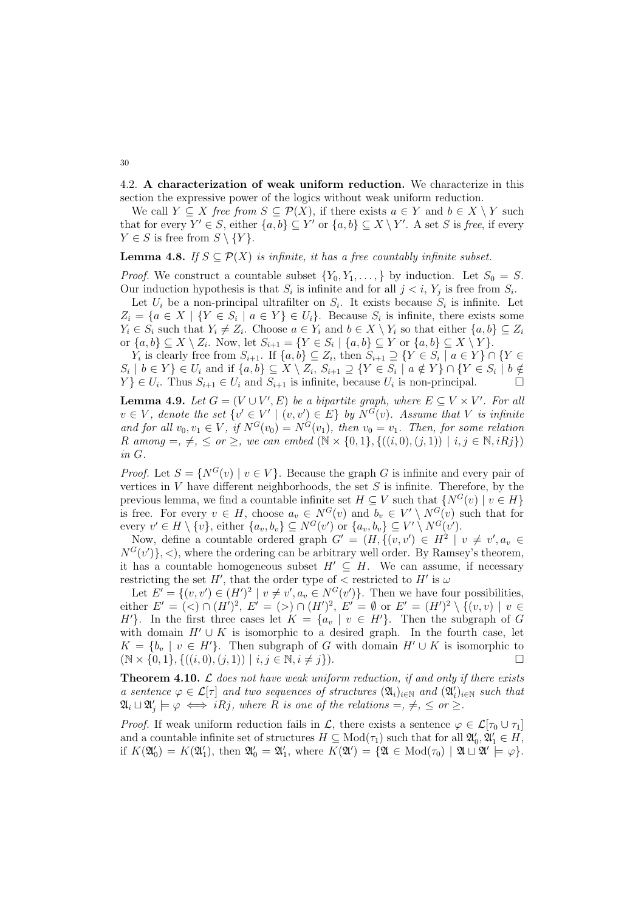4.2. **A characterization of weak uniform reduction.** We characterize in this section the expressive power of the logics without weak uniform reduction.

We call  $Y \subseteq X$  free from  $S \subseteq \mathcal{P}(X)$ , if there exists  $a \in Y$  and  $b \in X \setminus Y$  such that for every  $Y' \in S$ , either  $\{a, b\} \subseteq Y'$  or  $\{a, b\} \subseteq X \setminus Y'$ . A set S is free, if every  $Y \in S$  is free from  $S \setminus \{Y\}.$ 

#### **Lemma 4.8.** If  $S \subseteq \mathcal{P}(X)$  is infinite, it has a free countably infinite subset.

*Proof.* We construct a countable subset  $\{Y_0, Y_1, \ldots, \}$  by induction. Let  $S_0 = S$ . Our induction hypothesis is that  $S_i$  is infinite and for all  $j < i$ ,  $Y_j$  is free from  $S_i$ .

Let  $U_i$  be a non-principal ultrafilter on  $S_i$ . It exists because  $S_i$  is infinite. Let  $Z_i = \{a \in X \mid \{Y \in S_i \mid a \in Y\} \in U_i\}.$  Because  $S_i$  is infinite, there exists some  $Y_i \in S_i$  such that  $Y_i \neq Z_i$ . Choose  $a \in Y_i$  and  $b \in X \setminus Y_i$  so that either  $\{a, b\} \subseteq Z_i$ or  $\{a, b\} \subseteq X \setminus Z_i$ . Now, let  $S_{i+1} = \{Y \in S_i \mid \{a, b\} \subseteq Y \text{ or } \{a, b\} \subseteq X \setminus Y\}.$ 

 $Y_i$  is clearly free from  $S_{i+1}$ . If  $\{a, b\} \subseteq Z_i$ , then  $S_{i+1} \supseteq \{Y \in S_i \mid a \in Y\} \cap \{Y \in S_i\}$  $S_i \mid b \in Y$   $\in U_i$  and if  $\{a, b\} \subseteq X \setminus Z_i$ ,  $S_{i+1} \supseteq \{Y \in S_i \mid a \notin Y\} \cap \{Y \in S_i \mid b \notin Y_i\}$  $Y$ }  $\in U_i$ . Thus  $S_{i+1} \in U_i$  and  $S_{i+1}$  is infinite, because  $U_i$  is non-principal.  $\Box$ 

**Lemma 4.9.** Let  $G = (V \cup V', E)$  be a bipartite graph, where  $E \subseteq V \times V'$ . For all  $v \in V$ , denote the set  $\{v' \in V' \mid (v, v') \in E\}$  by  $N^G(v)$ . Assume that V is infinite and for all  $v_0, v_1 \in V$ , if  $N^G(v_0) = N^G(v_1)$ , then  $v_0 = v_1$ . Then, for some relation R among =,  $\neq$ ,  $\leq$  or  $\geq$ , we can embed  $(\mathbb{N} \times \{0,1\}, \{((i,0),(j,1)) | i,j \in \mathbb{N}, iRj\})$ in G.

*Proof.* Let  $S = \{N^G(v) \mid v \in V\}$ . Because the graph G is infinite and every pair of vertices in  $V$  have different neighborhoods, the set  $S$  is infinite. Therefore, by the previous lemma, we find a countable infinite set  $H \subseteq V$  such that  $\{N^G(v) \mid v \in H\}$ is free. For every  $v \in H$ , choose  $a_v \in N^G(v)$  and  $b_v \in V' \setminus N^G(v)$  such that for every  $v' \in H \setminus \{v\}$ , either  $\{a_v, b_v\} \subseteq N^G(v')$  or  $\{a_v, b_v\} \subseteq V' \setminus N^G(v')$ .

Now, define a countable ordered graph  $G' = (H, \{(v, v') \in H^2 \mid v \neq v', a_v \in$  $N^G(v')\},\langle\rangle$ , where the ordering can be arbitrary well order. By Ramsey's theorem, it has a countable homogeneous subset  $H' \subseteq H$ . We can assume, if necessary restricting the set H', that the order type of  $\lt$  restricted to H' is  $\omega$ 

Let  $E' = \{(v, v') \in (H')^2 \mid v \neq v', a_v \in N^G(v')\}$ . Then we have four possibilities, either  $E' = (\le) \cap (H')^2, E' = (\ge) \cap (H')^2, E' = \emptyset$  or  $E' = (H')^2 \setminus \{(v, v) \mid v \in$ H'}. In the first three cases let  $K = \{a_v \mid v \in H'\}$ . Then the subgraph of G with domain  $H' \cup K$  is isomorphic to a desired graph. In the fourth case, let  $K = \{b_v \mid v \in H'\}.$  Then subgraph of G with domain  $H' \cup K$  is isomorphic to  $(\mathbb{N} \times \{0, 1\}, \{((i, 0), (j, 1)) | i, j \in \mathbb{N}, i \neq j\}).$ 

**Theorem 4.10.**  $\mathcal L$  does not have weak uniform reduction, if and only if there exists a sentence  $\varphi \in \mathcal{L}[\tau]$  and two sequences of structures  $(\mathfrak{A}_i)_{i\in\mathbb{N}}$  and  $(\mathfrak{A}'_i)_{i\in\mathbb{N}}$  such that  $\mathfrak{A}_i \sqcup \mathfrak{A}'_j \models \varphi \iff iRj$ , where R is one of the relations  $=, \neq, \leq$  or  $\geq$ .

*Proof.* If weak uniform reduction fails in  $\mathcal{L}$ , there exists a sentence  $\varphi \in \mathcal{L}[\tau_0 \cup \tau_1]$ and a countable infinite set of structures  $H \subseteq Mod(\tau_1)$  such that for all  $\mathfrak{A}'_0, \mathfrak{A}'_1 \in H$ , if  $K(\mathfrak{A}'_0) = K(\mathfrak{A}'_1)$ , then  $\mathfrak{A}'_0 = \mathfrak{A}'_1$ , where  $K(\mathfrak{A}') = {\mathfrak{A} \in Mod}(\tau_0) \setminus \mathfrak{A} \sqcup \mathfrak{A}' \models \varphi$ .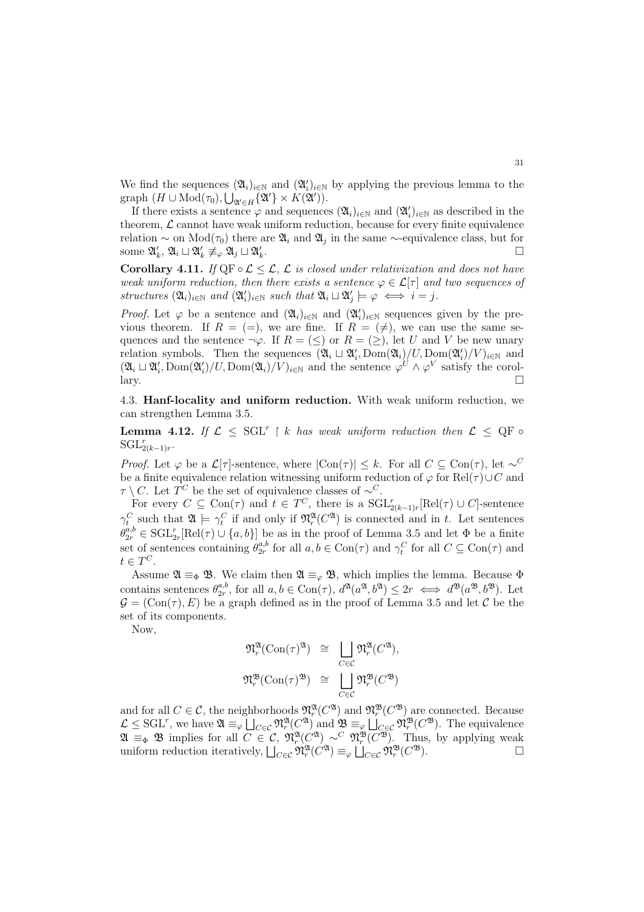We find the sequences  $(\mathfrak{A}_i)_{i\in\mathbb{N}}$  and  $(\mathfrak{A}'_i)_{i\in\mathbb{N}}$  by applying the previous lemma to the graph  $(H \cup Mod(\tau_0), \bigcup_{\mathfrak{A}' \in H} \{\mathfrak{A}'\} \times K(\mathfrak{A}')).$ 

If there exists a sentence  $\varphi$  and sequences  $(\mathfrak{A}_i)_{i\in\mathbb{N}}$  and  $(\mathfrak{A}'_i)_{i\in\mathbb{N}}$  as described in the theorem,  $\mathcal L$  cannot have weak uniform reduction, because for every finite equivalence relation  $\sim$  on Mod( $\tau_0$ ) there are  $\mathfrak{A}_i$  and  $\mathfrak{A}_j$  in the same  $\sim$ -equivalence class, but for some  $\mathfrak{A}_k',\, \mathfrak{A}_i\sqcup\mathfrak{A}_k'\not\equiv_\varphi \mathfrak{A}_j\sqcup\mathfrak{A}_k'$  $\mathbb{R}$ .

**Corollary 4.11.** If  $QF \circ \mathcal{L} \leq \mathcal{L}$ ,  $\mathcal{L}$  is closed under relativization and does not have weak uniform reduction, then there exists a sentence  $\varphi \in \mathcal{L}[\tau]$  and two sequences of structures  $(\mathfrak{A}_i)_{i\in\mathbb{N}}$  and  $(\mathfrak{A}'_i)_{i\in\mathbb{N}}$  such that  $\mathfrak{A}_i\sqcup\mathfrak{A}'_j\models\varphi\iff i=j$ .

*Proof.* Let  $\varphi$  be a sentence and  $(\mathfrak{A}_i)_{i\in\mathbb{N}}$  and  $(\mathfrak{A}_i')_{i\in\mathbb{N}}$  sequences given by the previous theorem. If  $R = (=)$ , we are fine. If  $R = (\neq)$ , we can use the same sequences and the sentence  $\neg \varphi$ . If  $R = (\le)$  or  $R = (\ge)$ , let U and V be new unary relation symbols. Then the sequences  $(\mathfrak{A}_i \sqcup \mathfrak{A}'_i, \text{Dom}(\mathfrak{A}_i)/U, \text{Dom}(\mathfrak{A}'_i)/V)_{i \in \mathbb{N}}$  and  $(\mathfrak{A}_i \sqcup \mathfrak{A}'_i, \text{Dom}(\mathfrak{A}'_i)/U, \text{Dom}(\mathfrak{A}_i)/V)_{i \in \mathbb{N}}$  and the sentence  $\varphi^U \wedge \varphi^V$  satisfy the corollary.

4.3. **Hanf-locality and uniform reduction.** With weak uniform reduction, we can strengthen Lemma 3.5.

**Lemma 4.12.** If  $\mathcal{L} \leq \text{SGL}^r \upharpoonright k$  has weak uniform reduction then  $\mathcal{L} \leq \text{QF} \circ$  $\mathrm{SGL}_{2(k-1)r}^r$ .

*Proof.* Let  $\varphi$  be a  $\mathcal{L}[\tau]$ -sentence, where  $|\text{Con}(\tau)| \leq k$ . For all  $C \subseteq \text{Con}(\tau)$ , let  $\sim^C$ be a finite equivalence relation witnessing uniform reduction of  $\varphi$  for Rel( $\tau$ )∪C and  $\tau \setminus C$ . Let  $T^C$  be the set of equivalence classes of ∼<sup>C</sup>.

For every  $C \subseteq \text{Con}(\tau)$  and  $t \in T^C$ , there is a  $\text{SGL}_{2(k-1)r}^r[\text{Rel}(\tau) \cup C]$ -sentence  $\gamma_t^C$  such that  $\mathfrak{A} \models \gamma_t^C$  if and only if  $\mathfrak{N}_r^{\mathfrak{A}}(C^{\mathfrak{A}})$  is connected and in t. Let sentences  $\theta_{2r}^{a,b} \in \text{SGL}_{2r}^{r}[\text{Rel}(\tau) \cup \{a,b\}]$  be as in the proof of Lemma 3.5 and let  $\Phi$  be a finite set of sentences containing  $\theta_{2r}^{a,b}$  for all  $a, b \in \text{Con}(\tau)$  and  $\gamma_t^C$  for all  $C \subseteq \text{Con}(\tau)$  and  $t \in T^C$ .

Assume  $\mathfrak{A} \equiv_{\Phi} \mathfrak{B}$ . We claim then  $\mathfrak{A} \equiv_{\varphi} \mathfrak{B}$ , which implies the lemma. Because  $\Phi$ contains sentences  $\theta_{2r}^{a,b}$ , for all  $a, b \in \text{Con}(\tau), d^{\mathfrak{A}}(a^{\mathfrak{A}}, b^{\mathfrak{A}}) \leq 2r \iff d^{\mathfrak{B}}(a^{\mathfrak{B}}, b^{\mathfrak{B}})$ . Let  $\mathcal{G} = (\text{Con}(\tau), E)$  be a graph defined as in the proof of Lemma 3.5 and let C be the set of its components.

Now,

$$
\mathfrak{N}_r^{\mathfrak{A}}(\text{Con}(\tau)^{\mathfrak{A}}) \cong \bigsqcup_{C \in \mathcal{C}} \mathfrak{N}_r^{\mathfrak{A}}(C^{\mathfrak{A}}),
$$
  

$$
\mathfrak{N}_r^{\mathfrak{B}}(\text{Con}(\tau)^{\mathfrak{B}}) \cong \bigsqcup_{C \in \mathcal{C}} \mathfrak{N}_r^{\mathfrak{B}}(C^{\mathfrak{B}})
$$

and for all  $C \in \mathcal{C}$ , the neighborhoods  $\mathfrak{N}_r^{\mathfrak{A}}(C^{\mathfrak{A}})$  and  $\mathfrak{N}_r^{\mathfrak{B}}(C^{\mathfrak{B}})$  are connected. Because  $\mathcal{L} \leq \text{SGL}^r$ , we have  $\mathfrak{A} \equiv_{\varphi} \bigsqcup_{C \in \mathcal{C}} \mathfrak{N}_r^{\mathfrak{A}}(C^{\mathfrak{A}})$  and  $\mathfrak{B} \equiv_{\varphi} \bigsqcup_{C \in \mathcal{C}} \mathfrak{N}_r^{\mathfrak{B}}(C^{\mathfrak{B}})$ . The equivalence  $\mathfrak{A} \equiv_{\Phi} \mathfrak{B}$  implies for all  $C \in \mathcal{C}$ ,  $\mathfrak{N}_r^{\mathfrak{A}}(C^{\mathfrak{A}}) \sim^C \mathfrak{N}_r^{\mathfrak{B}}(C^{\mathfrak{B}})$ . Thus, by applying weak uniform reduction iteratively,  $\bigsqcup_{C \in \mathcal{C}} \mathfrak{N}_r^{\mathfrak{A}}(C^{\mathfrak{A}}) \equiv_{\varphi} \bigsqcup_{C \in \mathcal{C}} \mathfrak{N}_r^{\mathfrak{B}}(C^{\mathfrak{B}})$ .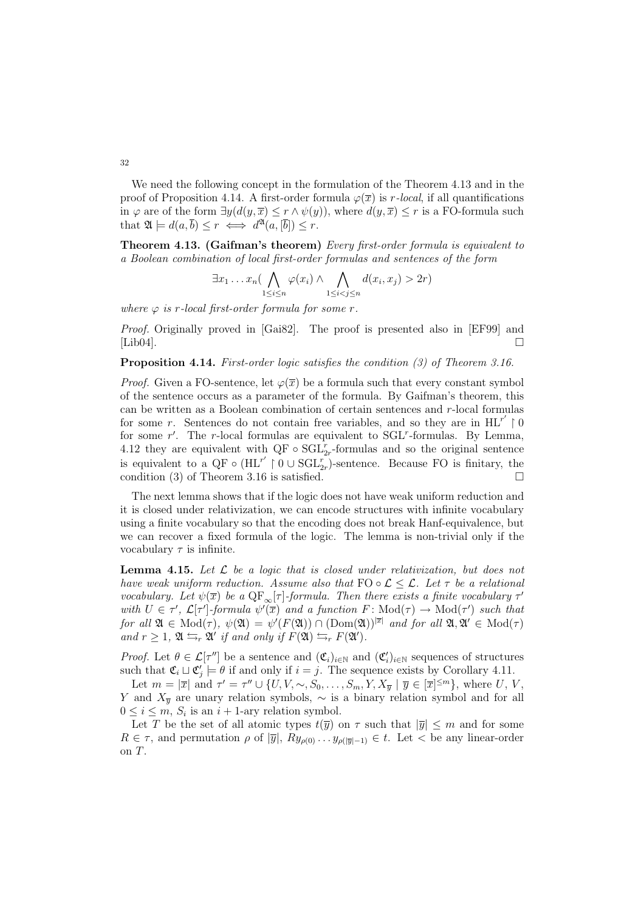We need the following concept in the formulation of the Theorem 4.13 and in the proof of Proposition 4.14. A first-order formula  $\varphi(\overline{x})$  is r-local, if all quantifications in  $\varphi$  are of the form  $\exists y(d(y,\overline{x}) \leq r \wedge \psi(y))$ , where  $d(y,\overline{x}) \leq r$  is a FO-formula such that  $\mathfrak{A} \models d(a, \overline{b}) \leq r \iff d^{\mathfrak{A}}(a, \overline{b}) \leq r.$ 

**Theorem 4.13. (Gaifman's theorem)** Every first-order formula is equivalent to a Boolean combination of local first-order formulas and sentences of the form

$$
\exists x_1 \ldots x_n \big( \bigwedge_{1 \leq i \leq n} \varphi(x_i) \land \bigwedge_{1 \leq i < j \leq n} d(x_i, x_j) > 2r \big)
$$

where  $\varphi$  is r-local first-order formula for some r.

Proof. Originally proved in [Gai82]. The proof is presented also in [EF99] and [Lib $04$ ].

**Proposition 4.14.** First-order logic satisfies the condition (3) of Theorem 3.16.

*Proof.* Given a FO-sentence, let  $\varphi(\overline{x})$  be a formula such that every constant symbol of the sentence occurs as a parameter of the formula. By Gaifman's theorem, this can be written as a Boolean combination of certain sentences and r-local formulas for some r. Sentences do not contain free variables, and so they are in  $H L^{r'} \upharpoonright 0$ for some  $r'$ . The r-local formulas are equivalent to  $SGL<sup>r</sup>$ -formulas. By Lemma, 4.12 they are equivalent with  $\mathbf{Q} \mathbf{F} \circ \mathbf{S} \mathbf{G} \mathbf{L}_{2r}^{r}$ -formulas and so the original sentence is equivalent to a QF  $\circ$  (HL<sup>r'</sup> | 0  $\cup$  SGL<sub>2r</sub><sup>-</sup>)-sentence. Because FO is finitary, the condition (3) of Theorem 3.16 is satisfied.  $\square$ 

The next lemma shows that if the logic does not have weak uniform reduction and it is closed under relativization, we can encode structures with infinite vocabulary using a finite vocabulary so that the encoding does not break Hanf-equivalence, but we can recover a fixed formula of the logic. The lemma is non-trivial only if the vocabulary  $\tau$  is infinite.

**Lemma 4.15.** Let  $\mathcal{L}$  be a logic that is closed under relativization, but does not have weak uniform reduction. Assume also that  $FO \circ \mathcal{L} \leq \mathcal{L}$ . Let  $\tau$  be a relational vocabulary. Let  $\psi(\overline{x})$  be a  $\mathbb{Q}F_{\infty}[\tau]$ -formula. Then there exists a finite vocabulary  $\tau'$ with  $U \in \tau'$ ,  $\mathcal{L}[\tau']$ -formula  $\psi'(\overline{x})$  and a function  $F \colon \text{Mod}(\tau) \to \text{Mod}(\tau')$  such that for all  $\mathfrak{A} \in \text{Mod}(\tau)$ ,  $\psi(\mathfrak{A}) = \psi'(F(\mathfrak{A})) \cap (\text{Dom}(\mathfrak{A}))^{|\overline{x}|}$  and for all  $\mathfrak{A}, \mathfrak{A}' \in \text{Mod}(\tau)$ and  $r \geq 1$ ,  $\mathfrak{A} \leftrightarrows_r \mathfrak{A}'$  if and only if  $F(\mathfrak{A}) \leftrightarrows_r F(\mathfrak{A}')$ .

*Proof.* Let  $\theta \in \mathcal{L}[\tau'']$  be a sentence and  $(\mathfrak{C}_i)_{i\in\mathbb{N}}$  and  $(\mathfrak{C}'_i)_{i\in\mathbb{N}}$  sequences of structures such that  $\mathfrak{C}_i \sqcup \mathfrak{C}'_j \models \theta$  if and only if  $i = j$ . The sequence exists by Corollary 4.11.

Let  $m = |\overline{x}|$  and  $\tau' = \tau'' \cup \{U, V, \sim, S_0, \ldots, S_m, Y, X_{\overline{y}} \mid \overline{y} \in [\overline{x}]^{\leq m} \}$ , where U, V, Y and  $X_{\overline{y}}$  are unary relation symbols,  $\sim$  is a binary relation symbol and for all  $0 \leq i \leq m$ ,  $S_i$  is an  $i + 1$ -ary relation symbol.

Let T be the set of all atomic types  $t(\bar{y})$  on  $\tau$  such that  $|\bar{y}| \leq m$  and for some  $R \in \tau$ , and permutation  $\rho$  of  $|\overline{y}|$ ,  $R y_{\rho(0)} \dots y_{\rho(|\overline{y}|-1)} \in t$ . Let  $\langle$  be any linear-order on T.

32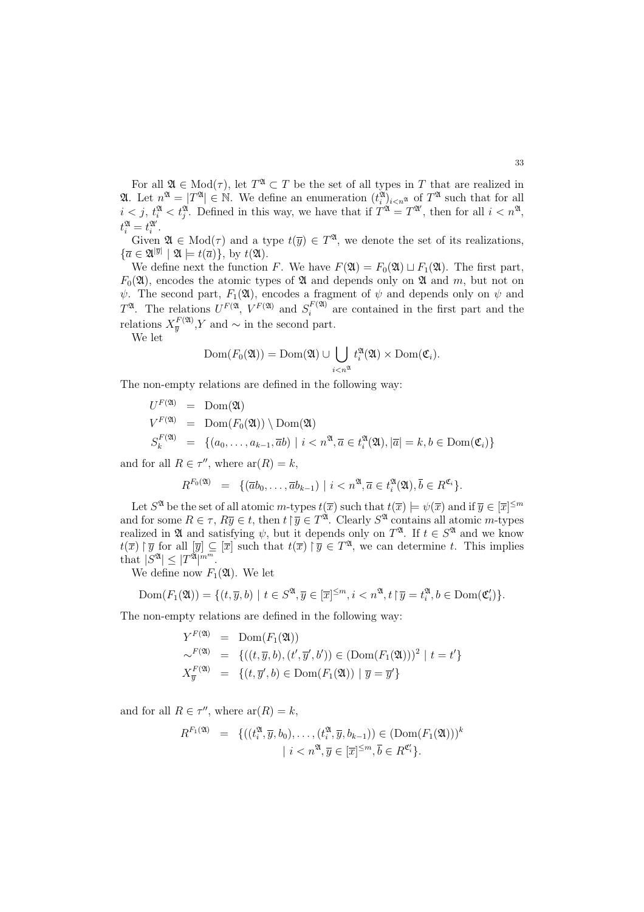For all  $\mathfrak{A} \in Mod(\tau)$ , let  $T^{\mathfrak{A}} \subset T$  be the set of all types in T that are realized in **21.** Let  $n^{\mathfrak{A}} = |T^{\mathfrak{A}}| \in \mathbb{N}$ . We define an enumeration  $(t_i^{\mathfrak{A}})_{i \le n^{\mathfrak{A}}}$  of  $T^{\mathfrak{A}}$  such that for all  $i < j$ ,  $t_i^{\mathfrak{A}} < t_j^{\mathfrak{A}}$ . Defined in this way, we have that if  $T^{\mathfrak{A}} = T^{\mathfrak{A}'}$ , then for all  $i < n^{\mathfrak{A}}$ ,  $t_i^{\mathfrak{A}}=t_i^{\mathfrak{A}'}$ .

Given  $\mathfrak{A} \in \text{Mod}(\tau)$  and a type  $t(\overline{y}) \in T^{\mathfrak{A}}$ , we denote the set of its realizations,  $\{\overline{a} \in \mathfrak{A}^{|\overline{y}|} \mid \mathfrak{A} \models t(\overline{a})\},$  by  $t(\mathfrak{A})$ .

We define next the function F. We have  $F(\mathfrak{A}) = F_0(\mathfrak{A}) \sqcup F_1(\mathfrak{A})$ . The first part,  $F_0(\mathfrak{A})$ , encodes the atomic types of  $\mathfrak A$  and depends only on  $\mathfrak A$  and m, but not on  $\psi$ . The second part,  $F_1(\mathfrak{A})$ , encodes a fragment of  $\psi$  and depends only on  $\psi$  and  $T^{\mathfrak{A}}$ . The relations  $U^{F(\mathfrak{A})}$ ,  $V^{F(\mathfrak{A})}$  and  $S_i^{F(\mathfrak{A})}$  are contained in the first part and the relations  $X_{\overline{y}}^{F(\mathfrak{A})}$ , Y and  $\sim$  in the second part.

We let

$$
\text{Dom}(F_0(\mathfrak{A})) = \text{Dom}(\mathfrak{A}) \cup \bigcup_{i < n^{\mathfrak{A}}} t_i^{\mathfrak{A}}(\mathfrak{A}) \times \text{Dom}(\mathfrak{C}_i).
$$

The non-empty relations are defined in the following way:

$$
U^{F(\mathfrak{A})} = \text{Dom}(\mathfrak{A})
$$
  
\n
$$
V^{F(\mathfrak{A})} = \text{Dom}(F_0(\mathfrak{A})) \setminus \text{Dom}(\mathfrak{A})
$$
  
\n
$$
S_k^{F(\mathfrak{A})} = \{(a_0, \dots, a_{k-1}, \overline{a}b) \mid i < n^{\mathfrak{A}}, \overline{a} \in t_i^{\mathfrak{A}}(\mathfrak{A}), |\overline{a}| = k, b \in \text{Dom}(\mathfrak{C}_i)\}
$$

and for all  $R \in \tau''$ , where  $ar(R) = k$ ,

$$
R^{F_0(\mathfrak{A})} = \{ (\overline{a}b_0, \ldots, \overline{a}b_{k-1}) \mid i < n^{\mathfrak{A}}, \overline{a} \in t^{\mathfrak{A}}_i(\mathfrak{A}), \overline{b} \in R^{\mathfrak{C}_i} \}.
$$

Let  $S^{\mathfrak{A}}$  be the set of all atomic m-types  $t(\overline{x})$  such that  $t(\overline{x}) \models \psi(\overline{x})$  and if  $\overline{y} \in [\overline{x}]^{\leq m}$ and for some  $R \in \tau$ ,  $R\overline{y} \in t$ , then  $t \upharpoonright \overline{y} \in T^{\mathfrak{A}}$ . Clearly  $S^{\mathfrak{A}}$  contains all atomic m-types realized in  $\mathfrak A$  and satisfying  $\psi$ , but it depends only on  $T^{\mathfrak A}$ . If  $t \in S^{\mathfrak A}$  and we know  $t(\overline{x}) \upharpoonright \overline{y}$  for all  $[\overline{y}] \subseteq [\overline{x}]$  such that  $t(\overline{x}) \upharpoonright \overline{y} \in T^{\mathfrak{A}}$ , we can determine t. This implies that  $|S^{\mathfrak{A}}| \leq |T^{\mathfrak{A}}|^{m^m}.$ 

We define now  $F_1(\mathfrak{A})$ . We let

$$
\text{Dom}(F_1(\mathfrak{A})) = \{ (t, \overline{y}, b) \mid t \in S^{\mathfrak{A}}, \overline{y} \in [\overline{x}]^{\leq m}, i < n^{\mathfrak{A}}, t \mid \overline{y} = t_i^{\mathfrak{A}}, b \in \text{Dom}(\mathfrak{C}_i') \}.
$$

The non-empty relations are defined in the following way:

$$
\begin{array}{rcl} Y^{F({\mathfrak{A}})} & = & \mathrm{Dom}(F_1({\mathfrak{A}})) \\ \sim^{F({\mathfrak{A}})} & = & \{ ((t,\overline{y},b),(t',\overline{y}',b')) \in (\mathrm{Dom}(F_1({\mathfrak{A}})))^2 \ | \ t = t' \} \\ X^{F({\mathfrak{A}})}_{\overline{y}} & = & \{ (t,\overline{y}',b) \in \mathrm{Dom}(F_1({\mathfrak{A}})) \ | \ \overline{y} = \overline{y}' \} \end{array}
$$

and for all  $R \in \tau''$ , where  $ar(R) = k$ ,

$$
R^{F_1(\mathfrak{A})} = \{((t_i^{\mathfrak{A}}, \overline{y}, b_0), \dots, (t_i^{\mathfrak{A}}, \overline{y}, b_{k-1})) \in (\text{Dom}(F_1(\mathfrak{A})))^k \mid i < n^{\mathfrak{A}}, \overline{y} \in [\overline{x}]^{\leq m}, \overline{b} \in R^{\mathfrak{C}'_i}\}.
$$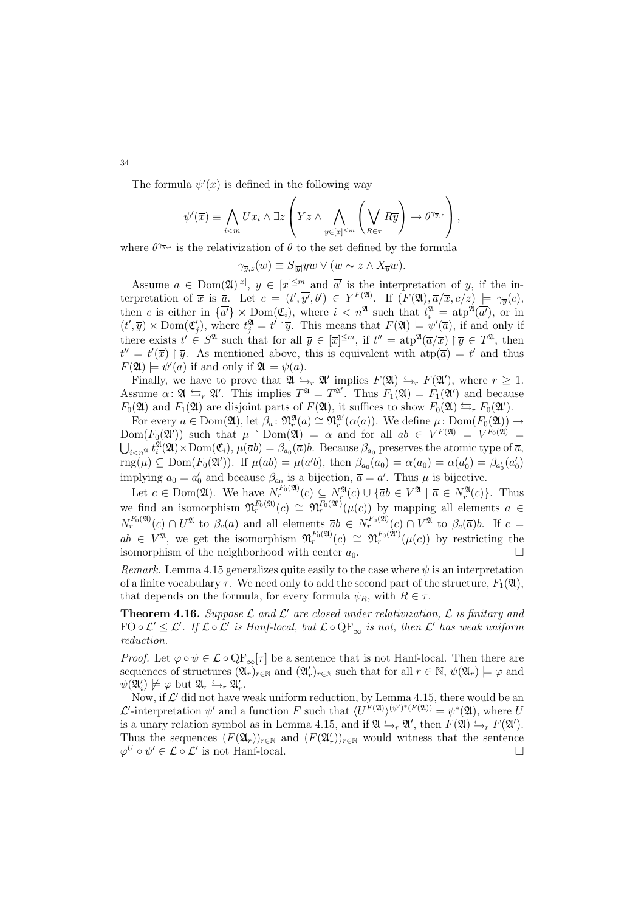The formula  $\psi'(\overline{x})$  is defined in the following way

$$
\psi'(\overline{x}) \equiv \bigwedge_{i < m} U x_i \wedge \exists z \left( Y z \wedge \bigwedge_{\overline{y} \in [\overline{x}]^{\leq m}} \left( \bigvee_{R \in \tau} R \overline{y} \right) \to \theta^{\gamma_{\overline{y}, z}} \right),
$$

where  $\theta^{\gamma_{\overline{y},z}}$  is the relativization of  $\theta$  to the set defined by the formula

$$
\gamma_{\overline{y},z}(w) \equiv S_{|\overline{y}|} \overline{y}w \vee (w \sim z \wedge X_{\overline{y}}w).
$$

Assume  $\overline{a} \in \text{Dom}(\mathfrak{A})^{|\overline{x}|}, \overline{y} \in [\overline{x}]^{\leq m}$  and  $\overline{a'}$  is the interpretation of  $\overline{y}$ , if the interpretation of  $\bar{x}$  is  $\bar{a}$ . Let  $c = (t', \bar{y'}, b') \in Y^{F(\mathfrak{A})}$ . If  $(F(\mathfrak{A}), \bar{a}/\bar{x}, c/z) \models \gamma_{\bar{y}}(c)$ , then c is either in  $\{\overline{a'}\}\times \text{Dom}(\mathfrak{C}_i)$ , where  $i < n^{\mathfrak{A}}$  such that  $t_i^{\mathfrak{A}} = \text{atp}^{\mathfrak{A}}(\overline{a'})$ , or in  $(t', \overline{y}) \times \text{Dom}(\mathfrak{C}'_j)$ , where  $t_j^{\mathfrak{A}} = t' \upharpoonright \overline{y}$ . This means that  $F(\mathfrak{A}) \models \psi'(\overline{a})$ , if and only if there exists  $t' \in S^{\mathfrak{A}}$  such that for all  $\overline{y} \in [\overline{x}]^{\leq m}$ , if  $t'' = \text{atp}^{\mathfrak{A}}(\overline{a}/\overline{x}) \restriction \overline{y} \in T^{\mathfrak{A}}$ , then  $t'' = t'(\overline{x}) \upharpoonright \overline{y}$ . As mentioned above, this is equivalent with  $atp(\overline{a}) = t'$  and thus  $F(\mathfrak{A}) \models \psi'(\overline{a})$  if and only if  $\mathfrak{A} \models \psi(\overline{a})$ .

Finally, we have to prove that  $\mathfrak{A} \leftrightarrows_r \mathfrak{A}'$  implies  $F(\mathfrak{A}) \leftrightarrows_r F(\mathfrak{A}')$ , where  $r \geq 1$ . Assume  $\alpha: \mathfrak{A} \leftrightarrows_r \mathfrak{A}'$ . This implies  $T^{\mathfrak{A}} = T^{\mathfrak{A}'}$ . Thus  $F_1(\mathfrak{A}) = F_1(\mathfrak{A}')$  and because  $F_0(\mathfrak{A})$  and  $F_1(\mathfrak{A})$  are disjoint parts of  $F(\mathfrak{A})$ , it suffices to show  $F_0(\mathfrak{A}) \leftrightarrows_r F_0(\mathfrak{A}')$ .

For every  $a \in \text{Dom}(\mathfrak{A})$ , let  $\beta_a: \mathfrak{N}_r^{\mathfrak{A}}(a) \cong \mathfrak{N}_r^{\mathfrak{A}'}(\alpha(a))$ . We define  $\mu: \text{Dom}(F_0(\mathfrak{A})) \to$  $Dom(F_0(\mathfrak{A}'))$  such that  $\mu \restriction Dom(\mathfrak{A}) = \alpha$  and for all  $\overline{a}b \in V^{F(\mathfrak{A})} = V^{F_0(\mathfrak{A})} =$  $\bigcup_{i\leq n} \mathcal{t}_i^{\mathfrak{A}}(\mathfrak{A})\times \text{Dom}(\mathfrak{C}_i), \mu(\overline{a}b)=\beta_{a_0}(\overline{a})b.$  Because  $\beta_{a_0}$  preserves the atomic type of  $\overline{a}$ ,  $\text{rng}(\mu) \subseteq \text{Dom}(F_0(\mathfrak{A}'))$ . If  $\mu(\overline{a}b) = \mu(\overline{a'}b)$ , then  $\beta_{a_0}(a_0) = \alpha(a_0) = \alpha(a'_0) = \beta_{a'_0}(a'_0)$ implying  $a_0 = a'_0$  and because  $\beta_{a_0}$  is a bijection,  $\overline{a} = \overline{a'}$ . Thus  $\mu$  is bijective.

Let  $c \in \text{Dom}(\mathfrak{A})$ . We have  $N_r^{\mathcal{F}_0(\mathfrak{A})}(c) \subseteq N_r^{\mathfrak{A}}(c) \cup \{ \overline{a}b \in V^{\mathfrak{A}} \mid \overline{a} \in N_r^{\mathfrak{A}}(c) \}$ . Thus we find an isomorphism  $\mathfrak{N}_r^{F_0(\mathfrak{A})}(c) \cong \mathfrak{N}_r^{F_0(\mathfrak{A}')}(\mu(c))$  by mapping all elements  $a \in$  $N_r^{F_0(\mathfrak{A})}(c) \cap U^{\mathfrak{A}}$  to  $\beta_c(a)$  and all elements  $\overline{a}b \in N_r^{F_0(\mathfrak{A})}(c) \cap V^{\mathfrak{A}}$  to  $\beta_c(\overline{a})b$ . If  $c =$  $\overline{a}b \in V^{\mathfrak{A}},$  we get the isomorphism  $\mathfrak{N}_r^{F_0(\mathfrak{A})}(c) \cong \mathfrak{N}_r^{F_0(\mathfrak{A}')}(\mu(c))$  by restricting the isomorphism of the neighborhood with center  $a_0$ .

Remark. Lemma 4.15 generalizes quite easily to the case where  $\psi$  is an interpretation of a finite vocabulary  $\tau$ . We need only to add the second part of the structure,  $F_1(\mathfrak{A})$ , that depends on the formula, for every formula  $\psi_R$ , with  $R \in \tau$ .

**Theorem 4.16.** Suppose  $\mathcal{L}$  and  $\mathcal{L}'$  are closed under relativization,  $\mathcal{L}$  is finitary and  $FO \circ \mathcal{L}' \leq \mathcal{L}'$ . If  $\mathcal{L} \circ \mathcal{L}'$  is Hanf-local, but  $\mathcal{L} \circ QF_{\infty}$  is not, then  $\mathcal{L}'$  has weak uniform reduction.

*Proof.* Let  $\varphi \circ \psi \in \mathcal{L} \circ \mathrm{QF}_{\infty}[\tau]$  be a sentence that is not Hanf-local. Then there are sequences of structures  $(\mathfrak{A}_r)_{r \in \mathbb{N}}$  and  $(\mathfrak{A}'_r)_{r \in \mathbb{N}}$  such that for all  $r \in \mathbb{N}$ ,  $\psi(\mathfrak{A}_r) \models \varphi$  and  $\psi(\mathfrak{A}'_i) \not\models \varphi$  but  $\mathfrak{A}_r \leftrightarrows_r \mathfrak{A}'_r$ .

Now, if  $\mathcal{L}'$  did not have weak uniform reduction, by Lemma 4.15, there would be an L'-interpretation  $\psi'$  and a function F such that  $\langle U^{\tilde{F}(\mathfrak{A})} \rangle^{(\psi')^*(F(\mathfrak{A}))} = \psi^*(\mathfrak{A}),$  where U is a unary relation symbol as in Lemma 4.15, and if  $\mathfrak{A} \leftrightarrows_r \mathfrak{A}'$ , then  $F(\mathfrak{A}) \leftrightarrows_r F(\mathfrak{A}')$ . Thus the sequences  $(F(\mathfrak{A}_r))_{r \in \mathbb{N}}$  and  $(F(\mathfrak{A}'_r))_{r \in \mathbb{N}}$  would witness that the sentence  $\varphi^U \circ \psi' \in \mathcal{L} \circ \mathcal{L}'$  is not Hanf-local.

34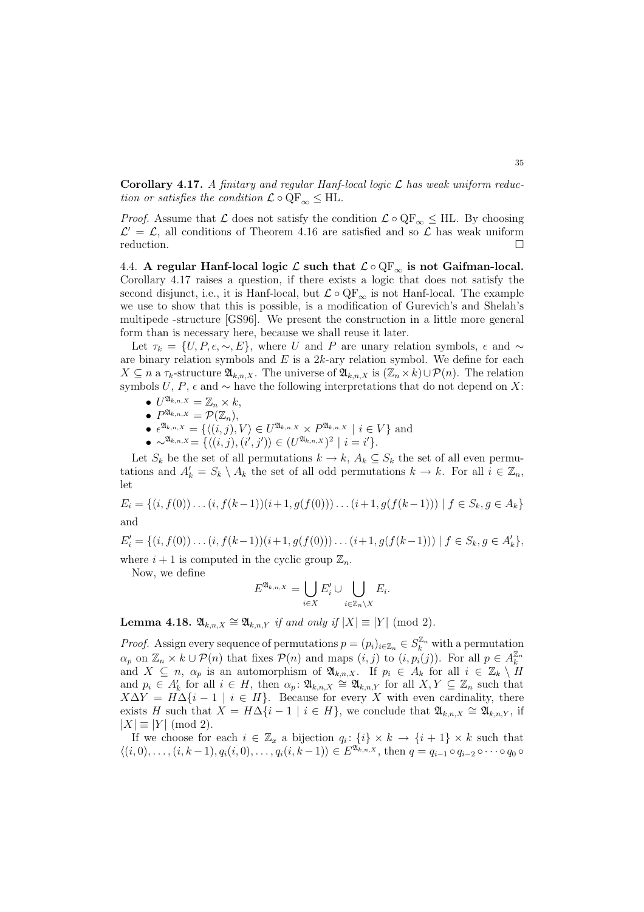**Corollary 4.17.** A finitary and regular Hanf-local logic  $\mathcal{L}$  has weak uniform reduction or satisfies the condition  $\mathcal{L} \circ \mathrm{QF}_{\infty} \leq \mathrm{HL}$ .

*Proof.* Assume that  $\mathcal L$  does not satisfy the condition  $\mathcal L \circ \mathrm{QF}_{\infty} \leq \mathrm{HL}$ . By choosing  $\mathcal{L}' = \mathcal{L}$ , all conditions of Theorem 4.16 are satisfied and so  $\mathcal{L}$  has weak uniform reduction.

4.4. A regular Hanf-local logic  $\mathcal{L}$  such that  $\mathcal{L} \circ QF_{\infty}$  is not Gaifman-local. Corollary 4.17 raises a question, if there exists a logic that does not satisfy the second disjunct, i.e., it is Hanf-local, but  $\mathcal{L} \circ \mathbb{Q} F_{\infty}$  is not Hanf-local. The example we use to show that this is possible, is a modification of Gurevich's and Shelah's multipede -structure [GS96]. We present the construction in a little more general form than is necessary here, because we shall reuse it later.

Let  $\tau_k = \{U, P, \epsilon, \sim, E\}$ , where U and P are unary relation symbols,  $\epsilon$  and  $\sim$ are binary relation symbols and  $E$  is a 2k-ary relation symbol. We define for each  $X \subseteq n$  a  $\tau_k$ -structure  $\mathfrak{A}_{k,n,X}$ . The universe of  $\mathfrak{A}_{k,n,X}$  is  $(\mathbb{Z}_n \times k) \cup \mathcal{P}(n)$ . The relation symbols  $U, P, \epsilon$  and  $\sim$  have the following interpretations that do not depend on X:

- $U^{\mathfrak{A}_{k,n,X}} = \mathbb{Z}_n \times k$ ,
- $P^{\mathfrak{A}_{k,n,X}} = \mathcal{P}(\mathbb{Z}_n),$
- $\epsilon^{\mathfrak{A}_{k,n,X}} = \{ \langle (i,j), V \rangle \in U^{\mathfrak{A}_{k,n,X}} \times P^{\mathfrak{A}_{k,n,X}} \mid i \in V \}$  and
- $\bullet \sim^{\mathfrak{A}_{k,n,X}} = \{ \langle (i,j), (i',j') \rangle \in (U^{\mathfrak{A}_{k,n,X}})^2 \mid i = i' \}.$

Let  $S_k$  be the set of all permutations  $k \to k$ ,  $A_k \subseteq S_k$  the set of all even permutations and  $A'_k = S_k \setminus A_k$  the set of all odd permutations  $k \to k$ . For all  $i \in \mathbb{Z}_n$ , let

$$
E_i = \{(i, f(0)) \dots (i, f(k-1))(i+1, g(f(0))) \dots (i+1, g(f(k-1))) \mid f \in S_k, g \in A_k\}
$$
  
and

 $E'_{i} = \{(i, f(0)) \dots (i, f(k-1))(i+1, g(f(0))) \dots (i+1, g(f(k-1))) \mid f \in S_k, g \in A'_{k}\},\$ where  $i + 1$  is computed in the cyclic group  $\mathbb{Z}_n$ .

Now, we define

$$
E^{\mathfrak{A}_{k,n,X}} = \bigcup_{i \in X} E'_i \cup \bigcup_{i \in \mathbb{Z}_n \setminus X} E_i.
$$

**Lemma 4.18.**  $\mathfrak{A}_{k,n,X} \cong \mathfrak{A}_{k,n,Y}$  if and only if  $|X| \equiv |Y| \pmod{2}$ .

*Proof.* Assign every sequence of permutations  $p = (p_i)_{i \in \mathbb{Z}_n} \in S_k^{\mathbb{Z}_n}$  with a permutation  $\alpha_p$  on  $\mathbb{Z}_n \times k \cup \mathcal{P}(n)$  that fixes  $\mathcal{P}(n)$  and maps  $(i, j)$  to  $(i, p_i(j))$ . For all  $p \in A_k^{\mathbb{Z}_n}$ and  $X \subseteq n$ ,  $\alpha_p$  is an automorphism of  $\mathfrak{A}_{k,n,X}$ . If  $p_i \in A_k$  for all  $i \in \mathbb{Z}_k \setminus H$ and  $p_i \in A'_k$  for all  $i \in H$ , then  $\alpha_p: \mathfrak{A}_{k,n,X} \cong \mathfrak{A}_{k,n,Y}$  for all  $X, Y \subseteq \mathbb{Z}_n$  such that  $X\Delta Y = H\Delta\{i-1 \mid i \in H\}$ . Because for every X with even cardinality, there exists H such that  $X = H\Delta\{i-1 \mid i \in H\}$ , we conclude that  $\mathfrak{A}_{k,n,X} \cong \mathfrak{A}_{k,n,Y}$ , if  $|X| \equiv |Y| \pmod{2}$ .

If we choose for each  $i \in \mathbb{Z}_x$  a bijection  $q_i: \{i\} \times k \to \{i+1\} \times k$  such that  $\langle (i, 0), \ldots, (i, k-1), q_i(i, 0), \ldots, q_i(i, k-1) \rangle \in E^{2\mathbf{Q}_{k,n,X}},$  then  $q = q_{i-1} \circ q_{i-2} \circ \cdots \circ q_0 \circ$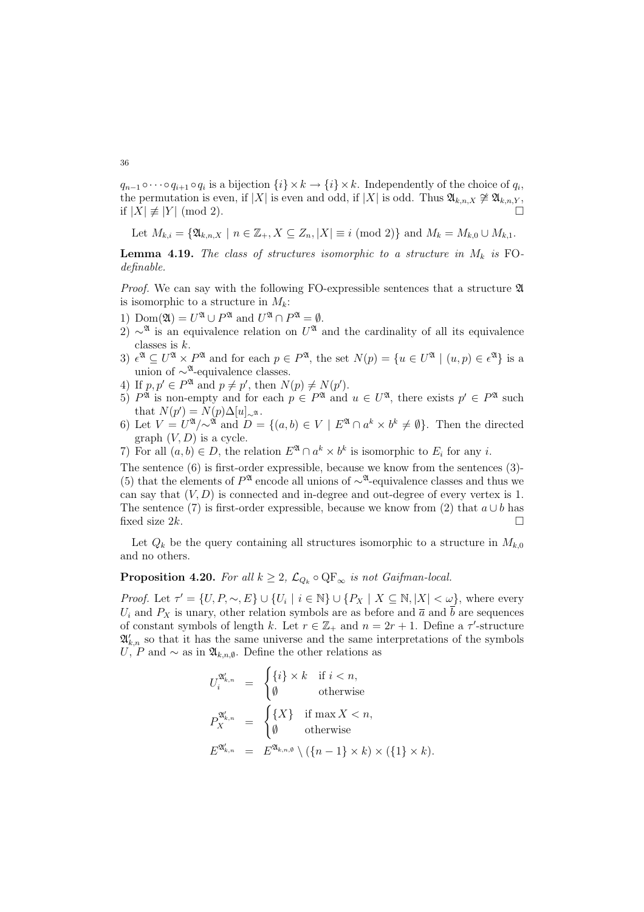$q_{n-1} \circ \cdots \circ q_{i+1} \circ q_i$  is a bijection  $\{i\} \times k \to \{i\} \times k$ . Independently of the choice of  $q_i$ , the permutation is even, if |X| is even and odd, if |X| is odd. Thus  $\mathfrak{A}_{k,n,X} \not\cong \mathfrak{A}_{k,n,Y}$ , if  $|X| \not\equiv |Y| \pmod{2}$ .

Let  $M_{k,i} = \{ \mathfrak{A}_{k,n,X} \mid n \in \mathbb{Z}_+, X \subseteq Z_n, |X| \equiv i \pmod{2} \}$  and  $M_k = M_{k,0} \cup M_{k,1}$ .

**Lemma 4.19.** The class of structures isomorphic to a structure in  $M_k$  is FOdefinable.

*Proof.* We can say with the following FO-expressible sentences that a structure  $\mathfrak{A}$ is isomorphic to a structure in  $M_k$ :

- 1) Dom( $\mathfrak{A}$ ) =  $U^{\mathfrak{A}} \cup P^{\mathfrak{A}}$  and  $U^{\mathfrak{A}} \cap P^{\mathfrak{A}} = \emptyset$ .
- 2)  $\sim^{\mathfrak{A}}$  is an equivalence relation on  $U^{\mathfrak{A}}$  and the cardinality of all its equivalence classes is k.
- 3)  $\epsilon^{2l} \subset U^{2l} \times P^{2l}$  and for each  $p \in P^{2l}$ , the set  $N(p) = \{u \in U^{2l} \mid (u, p) \in \epsilon^{2l}\}\$ is a union of  $\sim^{\mathfrak{A}}$ -equivalence classes.
- 4) If  $p, p' \in P^{\mathfrak{A}}$  and  $p \neq p'$ , then  $N(p) \neq N(p')$ .
- 5)  $P^{\mathfrak{A}}$  is non-empty and for each  $p \in P^{\mathfrak{A}}$  and  $u \in U^{\mathfrak{A}}$ , there exists  $p' \in P^{\mathfrak{A}}$  such that  $N(p') = N(p)\Delta[u]_{\sim}$ <sup>a</sup>.
- 6) Let  $V = U^{\mathfrak{A}}/\sim^{\mathfrak{A}}$  and  $D = \{(a, b) \in V \mid E^{\mathfrak{A}} \cap a^k \times b^k \neq \emptyset\}$ . Then the directed graph  $(V, D)$  is a cycle.
- 7) For all  $(a, b) \in D$ , the relation  $E^{\mathfrak{A}} \cap a^k \times b^k$  is isomorphic to  $E_i$  for any i.

The sentence (6) is first-order expressible, because we know from the sentences (3)- (5) that the elements of  $P^{\mathfrak{A}}$  encode all unions of ∼<sup> $\mathfrak{A}$ </sup>-equivalence classes and thus we can say that  $(V, D)$  is connected and in-degree and out-degree of every vertex is 1. The sentence (7) is first-order expressible, because we know from (2) that  $a \cup b$  has fixed size  $2k$ .

Let  $Q_k$  be the query containing all structures isomorphic to a structure in  $M_{k,0}$ and no others.

## **Proposition 4.20.** For all  $k \geq 2$ ,  $\mathcal{L}_{Q_k} \circ \mathbb{Q}F_{\infty}$  is not Gaifman-local.

*Proof.* Let  $\tau' = \{U, P, \sim, E\} \cup \{U_i | i \in \mathbb{N}\} \cup \{P_X | X \subseteq \mathbb{N}, |X| < \omega\}$ , where every  $U_i$  and  $P_X$  is unary, other relation symbols are as before and  $\overline{a}$  and  $\overline{b}$  are sequences of constant symbols of length k. Let  $r \in \mathbb{Z}_+$  and  $n = 2r + 1$ . Define a  $\tau'$ -structure  $\mathfrak{A}'_{k,n}$  so that it has the same universe and the same interpretations of the symbols  $U, P$  and  $\sim$  as in  $\mathfrak{A}_{k,n,\emptyset}$ . Define the other relations as

$$
U_i^{\mathfrak{A}'_{k,n}} = \begin{cases} \{i\} \times k & \text{if } i < n, \\ \emptyset & \text{otherwise} \end{cases}
$$
  

$$
P_X^{\mathfrak{A}'_{k,n}} = \begin{cases} \{X\} & \text{if } \max X < n, \\ \emptyset & \text{otherwise} \end{cases}
$$
  

$$
E^{\mathfrak{A}'_{k,n}} = E^{\mathfrak{A}_{k,n,\emptyset}} \setminus (\{n-1\} \times k) \times (\{1\} \times k).
$$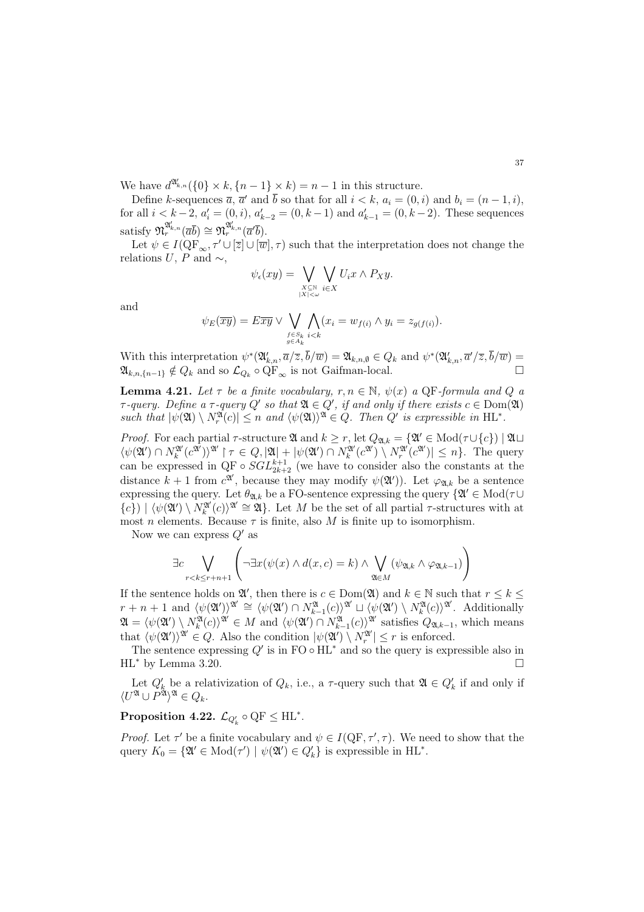We have  $d^{\mathfrak{A}'_{k,n}}(\{0\} \times k, \{n-1\} \times k) = n-1$  in this structure.

Define k-sequences  $\overline{a}$ ,  $\overline{a}'$  and  $\overline{b}$  so that for all  $i < k$ ,  $a_i = (0, i)$  and  $b_i = (n - 1, i)$ , for all  $i < k-2$ ,  $a'_i = (0, i)$ ,  $a'_{k-2} = (0, k-1)$  and  $a'_{k-1} = (0, k-2)$ . These sequences satisfy  $\mathfrak{N}_r^{\mathfrak{A}'_{k,n}}(\overline{ab}) \cong \mathfrak{N}_r^{\mathfrak{A}'_{k,n}}(\overline{a}'\overline{b}).$ 

Let  $\psi \in I(\mathrm{QF}_{\infty}, \tau' \cup [\overline{z}] \cup [\overline{w}], \tau)$  such that the interpretation does not change the relations  $U, P$  and  $\sim$ ,

$$
\psi_{\epsilon}(xy) = \bigvee_{\substack{X \subseteq \mathbb{N} \\ |X| < \omega}} \bigvee_{i \in X} U_i x \wedge P_X y.
$$

and

$$
\psi_E(\overline{xy}) = E\overline{xy} \vee \bigvee_{\substack{f \in S_k \\ g \in A_k}} \bigwedge_{i < k} (x_i = w_{f(i)} \wedge y_i = z_{g(f(i))}).
$$

With this interpretation  $\psi^*(\mathfrak{A}'_{k,n}, \overline{a}/\overline{z}, \overline{b}/\overline{w}) = \mathfrak{A}_{k,n,\emptyset} \in Q_k$  and  $\psi^*(\mathfrak{A}'_{k,n}, \overline{a}'/\overline{z}, \overline{b}/\overline{w}) =$  $\mathfrak{A}_{k,n,\{n-1\}} \notin Q_k$  and so  $\mathcal{L}_{Q_k} \circ \mathbb{Q}^{\mathbb{F}}_{\infty}$  is not Gaifman-local.

**Lemma 4.21.** Let  $\tau$  be a finite vocabulary,  $r, n \in \mathbb{N}$ ,  $\psi(x)$  a QF-formula and Q a  $\tau$ -query. Define a  $\tau$ -query  $Q'$  so that  $\mathfrak{A} \in Q'$ , if and only if there exists  $c \in \text{Dom}(\mathfrak{A})$ such that  $|\psi(\mathfrak{A}) \setminus N_r^{\mathfrak{A}}(c)| \leq n$  and  $\langle \psi(\mathfrak{A}) \rangle^{\mathfrak{A}} \in Q$ . Then  $Q'$  is expressible in HL<sup>\*</sup>.

*Proof.* For each partial  $\tau$ -structure  $\mathfrak{A}$  and  $k \geq r$ , let  $Q_{\mathfrak{A},k} = {\mathfrak{A}' \in Mod}(\tau \cup {\{c\}}) | \mathfrak{A} \sqcup$  $\langle \psi(\mathfrak{A}') \cap N_k^{\mathfrak{A}'}(c^{\mathfrak{A}'}) \rangle^{\mathfrak{A}'} \restriction \tau \in Q, |\mathfrak{A}| + |\psi(\mathfrak{A}') \cap N_k^{\mathfrak{A}'}(c^{\mathfrak{A}'}) \setminus N_r^{\mathfrak{A}'}(c^{\mathfrak{A}'})| \leq n$ . The query can be expressed in QF ∘  $SGL_{2k+2}^{k+1}$  (we have to consider also the constants at the distance  $k+1$  from  $c^{\mathfrak{A}'}$ , because they may modify  $\psi(\mathfrak{A}'))$ . Let  $\varphi_{\mathfrak{A},k}$  be a sentence expressing the query. Let  $\theta_{\mathfrak{A},k}$  be a FO-sentence expressing the query  $\{\mathfrak{A}' \in Mod(\tau\cup\tau)\}$  ${c}$ )  $\mid \langle \psi(\mathfrak{A}') \setminus N_k^{\mathfrak{A}'}(c) \rangle^{\mathfrak{A}'} \cong \mathfrak{A}$ . Let M be the set of all partial  $\tau$ -structures with at most *n* elements. Because  $\tau$  is finite, also *M* is finite up to isomorphism.

Now we can express  $Q'$  as

$$
\exists c \bigvee_{r < k \leq r+n+1} \left( \neg \exists x (\psi(x) \land d(x, c) = k) \land \bigvee_{\mathfrak{A} \in M} (\psi_{\mathfrak{A}, k} \land \varphi_{\mathfrak{A}, k-1}) \right)
$$

If the sentence holds on  $\mathfrak{A}'$ , then there is  $c \in \text{Dom}(\mathfrak{A})$  and  $k \in \mathbb{N}$  such that  $r \leq k \leq$  $r + n + 1$  and  $\langle \psi(\mathfrak{A}^{\prime}) \rangle^{\mathfrak{A}^{\prime}} \cong \langle \psi(\mathfrak{A}^{\prime}) \cap N_{k-1}^{\mathfrak{A}}(c) \rangle^{\mathfrak{A}^{\prime}} \sqcup \langle \psi(\mathfrak{A}^{\prime}) \setminus N_{k}^{\mathfrak{A}}(c) \rangle^{\mathfrak{A}^{\prime}}$ . Additionally  $\mathfrak{A} = \langle \psi(\mathfrak{A}') \setminus N_k^{\mathfrak{A}}(c) \rangle^{\mathfrak{A}'} \in M$  and  $\langle \psi(\mathfrak{A}') \cap N_{k-1}^{\mathfrak{A}}(c) \rangle^{\mathfrak{A}'}$  satisfies  $Q_{\mathfrak{A},k-1}$ , which means that  $\langle \psi(\mathfrak{A}') \rangle^{\mathfrak{A}'} \in Q$ . Also the condition  $|\psi(\mathfrak{A}') \setminus N_r^{\mathfrak{A}'}| \leq r$  is enforced.

The sentence expressing  $Q'$  is in FO  $\circ$  HL<sup>\*</sup> and so the query is expressible also in  $HL^*$  by Lemma 3.20.

Let  $Q'_k$  be a relativization of  $Q_k$ , i.e., a  $\tau$ -query such that  $\mathfrak{A} \in Q'_k$  if and only if  $\langle U^{\mathfrak{A}} \cup P^{\mathfrak{A}} \rangle^{\mathfrak{A}} \in Q_k.$ 

 $\textbf{Proposition 4.22.}$   $\mathcal{L}_{Q'_{k}} \circ \textbf{QF} \leq \textbf{HL}^{*}.$ 

*Proof.* Let  $\tau'$  be a finite vocabulary and  $\psi \in I(\mathrm{QF}, \tau', \tau)$ . We need to show that the query  $K_0 = \{ \mathfrak{A}' \in Mod(\tau') \mid \psi(\mathfrak{A}') \in Q'_k \}$  is expressible in HL<sup>\*</sup>.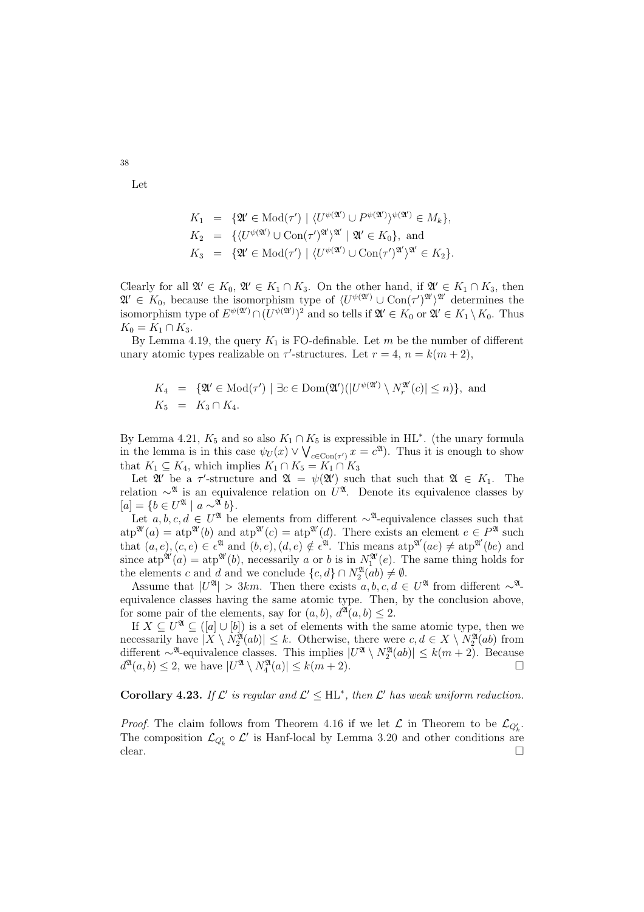Let

$$
K_1 = \{ \mathfrak{A}' \in \text{Mod}(\tau') \mid \langle U^{\psi(\mathfrak{A}')} \cup P^{\psi(\mathfrak{A}')} \rangle^{\psi(\mathfrak{A}')} \in M_k \},
$$
  
\n
$$
K_2 = \{ \langle U^{\psi(\mathfrak{A}')} \cup \text{Con}(\tau')^{\mathfrak{A}'} \rangle^{\mathfrak{A}'} \mid \mathfrak{A}' \in K_0 \}, \text{ and}
$$
  
\n
$$
K_3 = \{ \mathfrak{A}' \in \text{Mod}(\tau') \mid \langle U^{\psi(\mathfrak{A}')} \cup \text{Con}(\tau')^{\mathfrak{A}'} \rangle^{\mathfrak{A}'} \in K_2 \}.
$$

Clearly for all  $\mathfrak{A}' \in K_0$ ,  $\mathfrak{A}' \in K_1 \cap K_3$ . On the other hand, if  $\mathfrak{A}' \in K_1 \cap K_3$ , then  $\mathfrak{A}' \in K_0$ , because the isomorphism type of  $\langle U^{\psi(\mathfrak{A}')} \cup \text{Con}(\tau')^{\mathfrak{A}'} \rangle^{\mathfrak{A}'}$  determines the isomorphism type of  $E^{\psi(\mathfrak{A}')} \cap (U^{\psi(\mathfrak{A}')} )^2$  and so tells if  $\mathfrak{A}' \in K_0$  or  $\mathfrak{A}' \in K_1 \setminus K_0$ . Thus  $K_0 = K_1 \cap K_3$ .

By Lemma 4.19, the query  $K_1$  is FO-definable. Let m be the number of different unary atomic types realizable on  $\tau'$ -structures. Let  $r = 4$ ,  $n = k(m + 2)$ ,

$$
K_4 = \{ \mathfrak{A}' \in \text{Mod}(\tau') \mid \exists c \in \text{Dom}(\mathfrak{A}')(|U^{\psi(\mathfrak{A}')} \setminus N_r^{\mathfrak{A}'}(c)| \le n) \}, \text{ and}
$$
  

$$
K_5 = K_3 \cap K_4.
$$

By Lemma 4.21,  $K_5$  and so also  $K_1 \cap K_5$  is expressible in HL<sup>\*</sup>. (the unary formula in the lemma is in this case  $\psi_U(x) \vee \bigvee_{c \in \text{Con}(\tau')} x = c^{\mathfrak{A}}$ . Thus it is enough to show that  $K_1 \subseteq K_4$ , which implies  $K_1 \cap K_5 = K_1 \cap K_3$ 

Let  $\mathfrak{A}'$  be a  $\tau'$ -structure and  $\mathfrak{A} = \psi(\mathfrak{A}')$  such that such that  $\mathfrak{A} \in K_1$ . The relation  $\sim^{\mathfrak{A}}$  is an equivalence relation on  $U^{\mathfrak{A}}$ . Denote its equivalence classes by  $[a] = \{b \in U^{\mathfrak{A}} \mid a \sim^{\mathfrak{A}} b\}.$ 

Let  $a, b, c, d \in U^{\mathfrak{A}}$  be elements from different ∼<sup> $\mathfrak{A}$ </sup>-equivalence classes such that  $\text{atp}^{\mathfrak{A}'}(a) = \text{atp}^{\mathfrak{A}'}(b)$  and  $\text{atp}^{\mathfrak{A}'}(c) = \text{atp}^{\mathfrak{A}'}(d)$ . There exists an element  $e \in P^{\mathfrak{A}}$  such that  $(a, e), (c, e) \in \epsilon^{\mathfrak{A}}$  and  $(b, e), (d, e) \notin \epsilon^{\mathfrak{A}}$ . This means  $\text{atp}^{\mathfrak{A}'}(ae) \neq \text{atp}^{\mathfrak{A}'}(be)$  and since  $\text{atp}^{\mathfrak{A}'}(a) = \text{atp}^{\mathfrak{A}'}(b)$ , necessarily a or b is in  $N^{\mathfrak{A}'}_1(e)$ . The same thing holds for the elements c and d and we conclude  $\{c, d\} \cap N_2^{\mathfrak{A}}(ab) \neq \emptyset$ .

Assume that  $|U^{\mathfrak{A}}| > 3km$ . Then there exists  $a, b, c, d \in U^{\mathfrak{A}}$  from different ∼<sup>91</sup> equivalence classes having the same atomic type. Then, by the conclusion above, for some pair of the elements, say for  $(a, b)$ ,  $d^{\mathfrak{A}}(a, b) \leq 2$ .

If  $X \subseteq U^{\mathfrak{A}} \subseteq ([a] \cup [b])$  is a set of elements with the same atomic type, then we necessarily have  $|X \setminus N_2^{\mathfrak{A}}(ab)| \leq k$ . Otherwise, there were  $c, d \in X \setminus N_2^{\mathfrak{A}}(ab)$  from different  $\sim^{\mathfrak{A}}$ -equivalence classes. This implies  $|U^{\mathfrak{A}} \setminus N^{\mathfrak{A}}_2(ab)| \leq k(m+2)$ . Because  $d^{\mathfrak{A}}(a,b) \leq 2$ , we have  $|U^{\mathfrak{A}} \setminus N^{\mathfrak{A}}_4(a)| \leq k(m+2)$ .

# **Corollary 4.23.** If  $\mathcal{L}'$  is regular and  $\mathcal{L}' \leq HL^*$ , then  $\mathcal{L}'$  has weak uniform reduction.

*Proof.* The claim follows from Theorem 4.16 if we let  $\mathcal{L}$  in Theorem to be  $\mathcal{L}_{Q'_k}$ . The composition  $\mathcal{L}_{Q'_k} \circ \mathcal{L}'$  is Hanf-local by Lemma 3.20 and other conditions are  $\Box$ clear.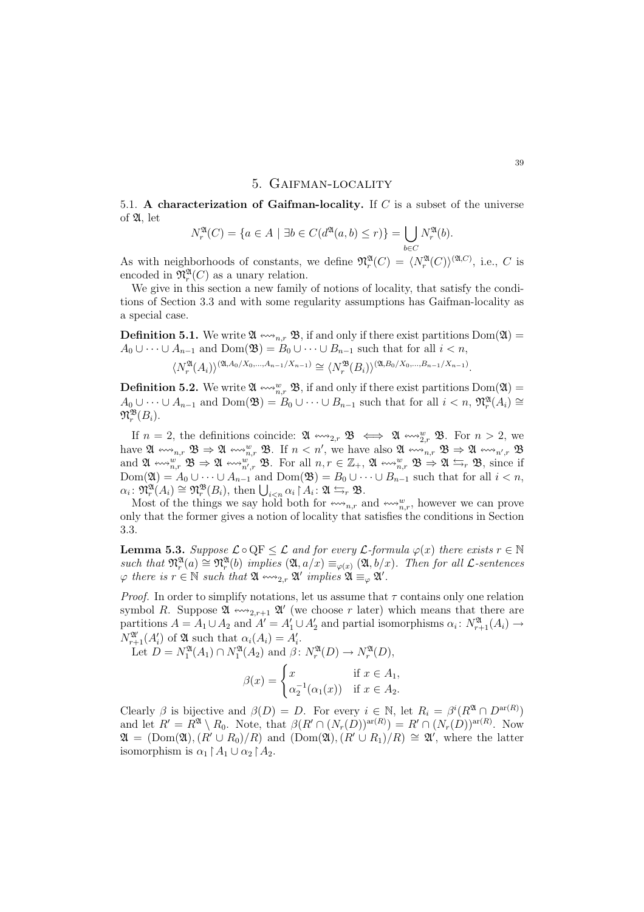#### 5. Gaifman-locality

5.1. **A characterization of Gaifman-locality.** If C is a subset of the universe of  $\mathfrak{A}$ , let

$$
N_r^{\mathfrak{A}}(C) = \{ a \in A \mid \exists b \in C(d^{\mathfrak{A}}(a,b) \le r) \} = \bigcup_{b \in C} N_r^{\mathfrak{A}}(b).
$$

As with neighborhoods of constants, we define  $\mathfrak{N}_r^{\mathfrak{A}}(C) = \langle N_r^{\mathfrak{A}}(C) \rangle^{(\mathfrak{A},C)}$ , i.e., C is encoded in  $\mathfrak{N}_r^{\mathfrak{A}}(C)$  as a unary relation.

We give in this section a new family of notions of locality, that satisfy the conditions of Section 3.3 and with some regularity assumptions has Gaifman-locality as a special case.

**Definition 5.1.** We write  $\mathfrak{A} \leftrightarrow_{n,r} \mathfrak{B}$ , if and only if there exist partitions  $Dom(\mathfrak{A}) =$  $A_0 \cup \cdots \cup A_{n-1}$  and  $Dom(\mathfrak{B}) = B_0 \cup \cdots \cup B_{n-1}$  such that for all  $i < n$ ,

$$
\langle N_r^{\mathfrak{A}}(A_i) \rangle^{(\mathfrak{A}, A_0/X_0, \dots, A_{n-1}/X_{n-1})} \cong \langle N_r^{\mathfrak{B}}(B_i) \rangle^{(\mathfrak{A}, B_0/X_0, \dots, B_{n-1}/X_{n-1})}.
$$

**Definition 5.2.** We write  $\mathfrak{A} \leftrightarrow_{n,r}^w \mathfrak{B}$ , if and only if there exist partitions  $Dom(\mathfrak{A}) =$  $A_0 \cup \cdots \cup A_{n-1}$  and  $Dom(\mathfrak{B}) = B_0 \cup \cdots \cup B_{n-1}$  such that for all  $i < n$ ,  $\mathfrak{N}_r^{\mathfrak{A}}(A_i) \cong$  $\mathfrak{N}_r^{\mathfrak{B}}(B_i).$ 

If  $n = 2$ , the definitions coincide:  $\mathfrak{A} \leftrightarrow_{2,r} \mathfrak{B} \iff \mathfrak{A} \leftrightarrow_{2,r} \mathfrak{B}$ . For  $n > 2$ , we have  $\mathfrak{A} \leftrightarrow_{n,r} \mathfrak{B} \Rightarrow \mathfrak{A} \leftrightarrow_{n,r}^w \mathfrak{B}$ . If  $n < n'$ , we have also  $\mathfrak{A} \leftrightarrow_{n,r} \mathfrak{B} \Rightarrow \mathfrak{A} \leftrightarrow_{n',r} \mathfrak{B}$ and  $\mathfrak{A} \leftrightarrow \mathfrak{A}_{n,r}^w \mathfrak{B} \Rightarrow \mathfrak{A} \leftrightarrow \mathfrak{A}_{n',r}^w \mathfrak{B}$ . For all  $n, r \in \mathbb{Z}_+$ ,  $\mathfrak{A} \leftrightarrow \mathfrak{A}_{n,r}^w \mathfrak{B} \Rightarrow \mathfrak{A} \leftrightarrows_r \mathfrak{B}$ , since if  $Dom(\mathfrak{A}) = A_0 \cup \cdots \cup A_{n-1}$  and  $Dom(\mathfrak{B}) = B_0 \cup \cdots \cup B_{n-1}$  such that for all  $i < n$ ,  $\alpha_i : \mathfrak{N}_r^{\mathfrak{A}}(A_i) \cong \mathfrak{N}_r^{\mathfrak{B}}(B_i)$ , then  $\bigcup_{i \leq n} \alpha_i \restriction A_i : \mathfrak{A} \leftrightarrows_r \mathfrak{B}$ .

Most of the things we say hold both for  $\leadsto_{n,r}$  and  $\leadsto_{n,r}^w$ , however we can prove only that the former gives a notion of locality that satisfies the conditions in Section 3.3.

**Lemma 5.3.** Suppose  $\mathcal{L} \circ \mathbb{Q}F \leq \mathcal{L}$  and for every  $\mathcal{L}$ -formula  $\varphi(x)$  there exists  $r \in \mathbb{N}$ such that  $\mathfrak{N}_r^{\mathfrak{A}}(a) \cong \mathfrak{N}_r^{\mathfrak{A}}(b)$  implies  $(\mathfrak{A}, a/x) \equiv_{\varphi(x)} (\mathfrak{A}, b/x)$ . Then for all *L*-sentences  $\varphi$  there is  $r \in \mathbb{N}$  such that  $\mathfrak{A} \leftrightsquigarrow_{2,r} \mathfrak{A}'$  implies  $\mathfrak{A} \equiv_{\varphi} \mathfrak{A}'.$ 

*Proof.* In order to simplify notations, let us assume that  $\tau$  contains only one relation symbol R. Suppose  $\mathfrak{A} \leftrightarrow_{2,r+1} \mathfrak{A}'$  (we choose r later) which means that there are partitions  $A = A_1 \cup A_2$  and  $A' = A'_1 \cup A'_2$  and partial isomorphisms  $\alpha_i \colon N^{\mathfrak{A}}_{r+1}(A_i) \to$  $N_{r+1}^{\mathfrak{A}'}(A_i')$  of  $\mathfrak{A}$  such that  $\alpha_i(A_i) = A_i'$ .

Let  $D = N_1^{\mathfrak{A}}(A_1) \cap N_1^{\mathfrak{A}}(A_2)$  and  $\beta \colon N_r^{\mathfrak{A}}(D) \to N_r^{\mathfrak{A}}(D)$ ,

$$
\beta(x) = \begin{cases} x & \text{if } x \in A_1, \\ \alpha_2^{-1}(\alpha_1(x)) & \text{if } x \in A_2. \end{cases}
$$

Clearly  $\beta$  is bijective and  $\beta(D) = D$ . For every  $i \in \mathbb{N}$ , let  $R_i = \beta^i(R^{\mathfrak{A}} \cap D^{\text{ar}(R)})$ and let  $R' = R^{\mathfrak{A}} \setminus R_0$ . Note, that  $\beta(R' \cap (N_r(D))^{\mathrm{ar}(R)}) = R' \cap (N_r(D))^{\mathrm{ar}(R)}$ . Now  $\mathfrak{A} = (\text{Dom}(\mathfrak{A}), (R' \cup R_0)/R)$  and  $(\text{Dom}(\mathfrak{A}), (R' \cup R_1)/R) \cong \mathfrak{A}$ , where the latter isomorphism is  $\alpha_1 \upharpoonright A_1 \cup \alpha_2 \upharpoonright A_2$ .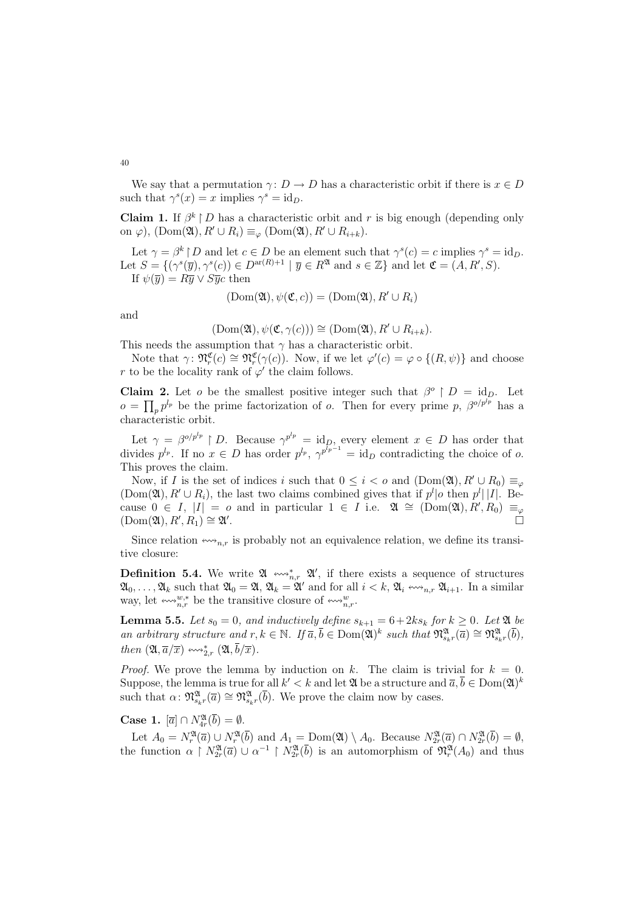We say that a permutation  $\gamma: D \to D$  has a characteristic orbit if there is  $x \in D$ such that  $\gamma^{s}(x) = x$  implies  $\gamma^{s} = id_{D}$ .

**Claim 1.** If  $\beta^k \upharpoonright D$  has a characteristic orbit and r is big enough (depending only on  $\varphi$ ),  $(Dom(\mathfrak{A}), R' \cup R_i) \equiv_{\varphi} (Dom(\mathfrak{A}), R' \cup R_{i+k}).$ 

Let  $\gamma = \beta^k \upharpoonright D$  and let  $c \in D$  be an element such that  $\gamma^s(c) = c$  implies  $\gamma^s = id_D$ . Let  $S = \{(\gamma^s(\overline{y}), \gamma^s(c)) \in D^{\text{ar}(R)+1} \mid \overline{y} \in R^{\mathfrak{A}} \text{ and } s \in \mathbb{Z}\}\$ and let  $\mathfrak{C} = (A, R', S)$ . If  $\psi(\overline{y}) = R\overline{y} \vee S\overline{y}c$  then

$$
(\text{Dom}(\mathfrak{A}), \psi(\mathfrak{C}, c)) = (\text{Dom}(\mathfrak{A}), R' \cup R_i)
$$

and

$$
(\text{Dom}(\mathfrak{A}), \psi(\mathfrak{C}, \gamma(c))) \cong (\text{Dom}(\mathfrak{A}), R' \cup R_{i+k}).
$$

This needs the assumption that  $\gamma$  has a characteristic orbit.

Note that  $\gamma \colon \mathfrak{N}_r^{\mathfrak{C}}(c) \cong \mathfrak{N}_r^{\mathfrak{C}}(\gamma(c))$ . Now, if we let  $\varphi'(c) = \varphi \circ \{(R, \psi)\}\)$  and choose r to be the locality rank of  $\varphi'$  the claim follows.

**Claim 2.** Let o be the smallest positive integer such that  $\beta^o \restriction D = \text{id}_D$ . Let  $o = \prod_p p^{l_p}$  be the prime factorization of o. Then for every prime p,  $\beta^{o/p^l_p}$  has a characteristic orbit.

Let  $\gamma = \beta^{o/p^{l_p}} \restriction D$ . Because  $\gamma^{p^{l_p}} = \text{id}_D$ , every element  $x \in D$  has order that divides  $p^{l_p}$ . If no  $x \in D$  has order  $p^{l_p}$ ,  $\gamma^{p \overline{l_p}-1} = id_D$  contradicting the choice of o. This proves the claim.

Now, if I is the set of indices i such that  $0 \leq i < \infty$  and  $(Dom(\mathfrak{A}), R' \cup R_0) \equiv_{\varphi}$  $(Dom(\mathfrak{A}), R' \cup R_i)$ , the last two claims combined gives that if  $p^l | o$  then  $p^l | I |$ . Because  $0 \in I$ ,  $|I| = o$  and in particular  $1 \in I$  i.e.  $\mathfrak{A} \cong (\text{Dom}(\mathfrak{A}), R', R_0) \equiv \varphi$  $(Dom(\mathfrak{A}), R', R_1) \cong \mathfrak{A}'$ .

Since relation  $\leftrightarrow_{n,r}$  is probably not an equivalence relation, we define its transitive closure:

**Definition 5.4.** We write  $\mathfrak{A} \leftrightarrow_{n,r}^* \mathfrak{A}'$ , if there exists a sequence of structures  $\mathfrak{A}_0,\ldots,\mathfrak{A}_k$  such that  $\mathfrak{A}_0=\mathfrak{A}, \mathfrak{A}_k=\mathfrak{A}'$  and for all  $i < k$ ,  $\mathfrak{A}_i \leftrightarrow_{n,r} \mathfrak{A}_{i+1}$ . In a similar way, let  $\longleftrightarrow_{n,r}^{w,*}$  be the transitive closure of  $\longleftrightarrow_{n,r}^w$ .

**Lemma 5.5.** Let  $s_0 = 0$ , and inductively define  $s_{k+1} = 6+2ks_k$  for  $k \geq 0$ . Let  $\mathfrak{A}$  be an arbitrary structure and  $r, k \in \mathbb{N}$ . If  $\overline{a}, \overline{b} \in \text{Dom}(\mathfrak{A})^k$  such that  $\mathfrak{N}_{s_k}^{\mathfrak{A}}(\overline{a}) \cong \mathfrak{N}_{s_k}^{\mathfrak{A}}(\overline{b})$ , then  $(\mathfrak{A}, \overline{a}/\overline{x}) \leftrightarrow_{2,r}^{\ast} (\mathfrak{A}, \overline{b}/\overline{x}).$ 

*Proof.* We prove the lemma by induction on k. The claim is trivial for  $k = 0$ . Suppose, the lemma is true for all  $k' < k$  and let  $\mathfrak{A}$  be a structure and  $\overline{a}, b \in \text{Dom}(\mathfrak{A})^k$ such that  $\alpha \colon \mathfrak{N}^{\mathfrak{A}}_{s_{k}r}(\overline{a}) \cong \mathfrak{N}^{\mathfrak{A}}_{s_{k}r}(\overline{b})$ . We prove the claim now by cases.

**Case 1.**  $[\overline{a}] \cap N_{4r}^{\mathfrak{A}}(\overline{b}) = \emptyset$ .

Let  $A_0 = N_r^{\mathfrak{A}}(\overline{a}) \cup N_r^{\mathfrak{A}}(\overline{b})$  and  $A_1 = \text{Dom}(\mathfrak{A}) \setminus A_0$ . Because  $N_{2r}^{\mathfrak{A}}(\overline{a}) \cap N_{2r}^{\mathfrak{A}}(\overline{b}) = \emptyset$ , the function  $\alpha \restriction N^{\mathfrak{A}}_{2r}(\overline{a}) \cup \alpha^{-1} \restriction N^{\mathfrak{A}}_{2r}(\overline{b})$  is an automorphism of  $\mathfrak{N}^{\mathfrak{A}}_r(A_0)$  and thus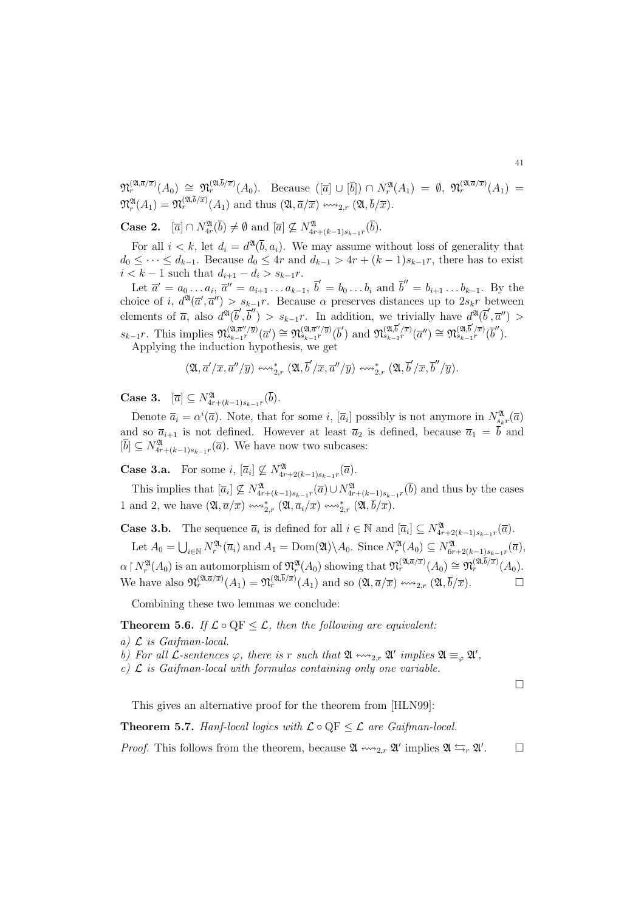$\mathfrak{N}_r^{(\mathfrak{A},\overline{\alpha}/\overline{x})}(A_0) \cong \mathfrak{N}_r^{(\mathfrak{A},\overline{b}/\overline{x})}(A_0)$ . Because  $([\overline{a}]\cup[\overline{b}]) \cap N_r^{\mathfrak{A}}(A_1) = \emptyset$ ,  $\mathfrak{N}_r^{(\mathfrak{A},\overline{\alpha}/\overline{x})}(A_1) =$  $\mathfrak{N}_r^{\mathfrak{A}}(A_1) = \mathfrak{N}_r^{(\mathfrak{A}, \bar{b}/\overline{x})}(A_1)$  and thus  $(\mathfrak{A}, \overline{a}/\overline{x}) \rightsquigarrow_{2,r} (\mathfrak{A}, \overline{b}/\overline{x}).$ 

**Case 2.**  $[\overline{a}] \cap N_{4r}^{\mathfrak{A}}(\overline{b}) \neq \emptyset$  and  $[\overline{a}] \nsubseteq N_{4r+(k-1)s_{k-1}r}^{\mathfrak{A}}(\overline{b})$ .

For all  $i < k$ , let  $d_i = d^{\mathfrak{A}}(\bar{b}, a_i)$ . We may assume without loss of generality that  $d_0 \leq \cdots \leq d_{k-1}$ . Because  $d_0 \leq 4r$  and  $d_{k-1} > 4r + (k-1)s_{k-1}r$ , there has to exist  $i < k - 1$  such that  $d_{i+1} - d_i > s_{k-1}r$ .

Let  $\bar{a}' = a_0 \dots a_i$ ,  $\bar{a}'' = a_{i+1} \dots a_{k-1}$ ,  $\bar{b}' = b_0 \dots b_i$  and  $\bar{b}'' = b_{i+1} \dots b_{k-1}$ . By the choice of i,  $d^{\mathfrak{A}}(\overline{\alpha}', \overline{\alpha}'') > s_{k-1}r$ . Because  $\alpha$  preserves distances up to  $2s_kr$  between elements of  $\bar{a}$ , also  $d^{\mathfrak{A}}(\bar{b}', \bar{b}'') > s_{k-1}r$ . In addition, we trivially have  $d^{\mathfrak{A}}(\bar{b}', \bar{a}'') >$  $s_{k-1}r$ . This implies  $\mathfrak{N}_{s_{k-1}r}^{(\mathfrak{A},\overline{a''}/\overline{y})}(\overline{a}') \cong \mathfrak{N}_{s_{k-1}r}^{(\mathfrak{A},\overline{a''}/\overline{y})}(\overline{b}')$  and  $\mathfrak{N}_{s_{k-1}r}^{(\mathfrak{A},\overline{b}'/\overline{x})}(\overline{a}'') \cong \mathfrak{N}_{s_{k-1}r}^{(\mathfrak{A},\overline{b}'/\overline{x})}(\overline{b}'').$ 

Applying the induction hypothesis, we get

$$
({\mathfrak{A}},\overline{a}'/\overline{x},\overline{a}''/\overline{y}) \leftrightsquigarrow^*_{2,r} ({\mathfrak{A}},\overline{b}'/\overline{x},\overline{a}''/\overline{y}) \leftrightsquigarrow^*_{2,r} ({\mathfrak{A}},\overline{b}'/\overline{x},\overline{b}''/\overline{y}).
$$

**Case 3.**  $[\overline{a}] \subseteq N^{\mathfrak{A}}_{4r+(k-1)s_{k-1}r}(\overline{b})$ .

Denote  $\overline{a}_i = \alpha^i(\overline{a})$ . Note, that for some i,  $[\overline{a}_i]$  possibly is not anymore in  $N_{s_k}^{\mathfrak{A}}(\overline{a})$ and so  $\bar{a}_{i+1}$  is not defined. However at least  $\bar{a}_2$  is defined, because  $\bar{a}_1 = \bar{b}$  and  $[\overline{b}] \subseteq N_{4r+(k-1)s_{k-1}r}^{2\ell}(\overline{a})$ . We have now two subcases:

**Case 3.a.** For some  $i$ ,  $[\overline{a}_i] \not\subseteq N^{\mathfrak{A}}_{4r+2(k-1)s_{k-1}r}(\overline{a})$ .

This implies that  $[\overline{a}_i] \nsubseteq N^{\mathfrak{A}}_{4r+(k-1)s_{k-1}r}(\overline{a}) \cup N^{\mathfrak{A}}_{4r+(k-1)s_{k-1}r}(\overline{b})$  and thus by the cases 1 and 2, we have  $(\mathfrak{A}, \overline{a}/\overline{x}) \leftrightarrow_{2,r}^* (\mathfrak{A}, \overline{a}_i/\overline{x}) \leftrightarrow_{2,r}^* (\mathfrak{A}, \overline{b}/\overline{x})$ .

**Case 3.b.** The sequence  $\overline{a}_i$  is defined for all  $i \in \mathbb{N}$  and  $[\overline{a}_i] \subseteq N^{\mathfrak{A}}_{4r+2(k-1)s_{k-1}r}(\overline{a})$ . Let  $A_0 = \bigcup_{i \in \mathbb{N}} N_r^{\mathfrak{A}_i}(\overline{a}_i)$  and  $A_1 = \text{Dom}(\mathfrak{A}) \setminus A_0$ . Since  $N_r^{\mathfrak{A}}(A_0) \subseteq N_{6r+2(k-1)s_{k-1}r}^{\mathfrak{A}}(\overline{a})$ ,  $\alpha \restriction N_r^{\mathfrak{A}}(A_0)$  is an automorphism of  $\mathfrak{N}_r^{\mathfrak{A}}(A_0)$  showing that  $\mathfrak{N}_r^{(\mathfrak{A},\overline{a}/\overline{x})}(A_0) \cong \mathfrak{N}_r^{(\mathfrak{A},\overline{b}/\overline{x})}(A_0)$ . We have also  $\mathfrak{N}_r^{(\mathfrak{A},\bar{\mathfrak{a}}/\bar{x})}(A_1) = \mathfrak{N}_r^{(\mathfrak{A},\bar{b}/\bar{x})}(A_1)$  and so  $(\mathfrak{A},\bar{\mathfrak{a}}/\bar{x}) \leftrightarrow_{2,r} (\mathfrak{A},\bar{b}/\bar{x})$ .

Combining these two lemmas we conclude:

**Theorem 5.6.** If  $\mathcal{L} \circ \mathrm{QF} \leq \mathcal{L}$ , then the following are equivalent:

- a)  $\mathcal L$  is Gaifman-local.
- b) For all  $\mathcal{L}$ -sentences  $\varphi$ , there is r such that  $\mathfrak{A} \leftrightarrow_{2,r} \mathfrak{A}'$  implies  $\mathfrak{A} \equiv_{\varphi} \mathfrak{A}'$ ,
- c)  $\mathcal L$  is Gaifman-local with formulas containing only one variable.

This gives an alternative proof for the theorem from [HLN99]:

**Theorem 5.7.** Hanf-local logics with  $\mathcal{L} \circ \mathrm{QF} \leq \mathcal{L}$  are Gaifman-local.

*Proof.* This follows from the theorem, because  $\mathfrak{A} \leftrightarrow_{2,r} \mathfrak{A}'$  implies  $\mathfrak{A} \leftrightarrows_r \mathfrak{A}'$ .  $\Box$ 

 $\Box$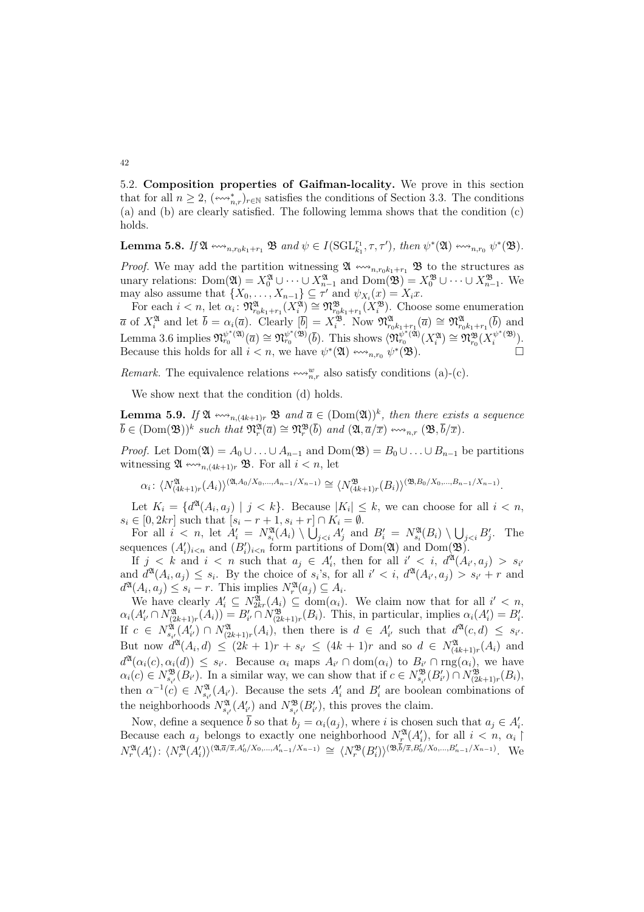5.2. **Composition properties of Gaifman-locality.** We prove in this section that for all  $n \geq 2$ ,  $(\llcorner \mathbf{w}_{n,r}^*)_{r \in \mathbb{N}}$  satisfies the conditions of Section 3.3. The conditions (a) and (b) are clearly satisfied. The following lemma shows that the condition (c) holds.

**Lemma 5.8.** If  $\mathfrak{A} \leftrightarrow_{n,r_0k_1+r_1} \mathfrak{B}$  and  $\psi \in I(\mathrm{SGL}_{k_1}^{r_1}, \tau, \tau')$ , then  $\psi^*(\mathfrak{A}) \leftrightarrow_{n,r_0} \psi^*(\mathfrak{B})$ .

*Proof.* We may add the partition witnessing  $\mathfrak{A} \leftrightarrow_{n,r_0k_1+r_1} \mathfrak{B}$  to the structures as unary relations:  $Dom(\mathfrak{A}) = X_0^{\mathfrak{A}} \cup \cdots \cup X_{n-1}^{\mathfrak{A}}$  and  $Dom(\mathfrak{B}) = X_0^{\mathfrak{B}} \cup \cdots \cup X_{n-1}^{\mathfrak{B}}$ . We may also assume that  $\{X_0, \ldots, X_{n-1}\} \subseteq \tau'$  and  $\psi_{X_i}(x) = X_i x$ .

For each  $i < n$ , let  $\alpha_i : \mathfrak{N}_{r_0k_1+r_1}^{\mathfrak{A}}(X_i^{\mathfrak{A}}) \cong \mathfrak{N}_{r_0k_1+r_1}^{\mathfrak{B}}(X_i^{\mathfrak{B}})$ . Choose some enumeration  $\overline{a}$  of  $X_i^{\mathfrak{A}}$  and let  $\overline{b} = \alpha_i(\overline{a})$ . Clearly  $[\overline{b}] = X_i^{\mathfrak{B}}$ . Now  $\mathfrak{N}_{r_0k_1+r_1}^{\mathfrak{A}}(\overline{a}) \cong \mathfrak{N}_{r_0k_1+r_1}^{\mathfrak{A}}(\overline{b})$  and Lemma 3.6 implies  $\mathfrak{N}_{r_0}^{\psi^*(\mathfrak{A})}(\overline{a}) \cong \mathfrak{N}_{r_0}^{\psi^*(\mathfrak{B})}(\overline{b})$ . This shows  $\langle \mathfrak{N}_{r_0}^{\psi^*(\mathfrak{A})}(X_i^{\mathfrak{A}}) \cong \mathfrak{N}_{r_0}^{\mathfrak{B}}(X_i^{\psi^*(\mathfrak{B})})$ . Because this holds for all  $i < n$ , we have  $\psi^*(\mathfrak{A}) \leftrightarrow_{n,r_0} \psi^*(\mathfrak{B})$ .

*Remark*. The equivalence relations  $\longleftrightarrow_{n,r}^w$  also satisfy conditions (a)-(c).

We show next that the condition (d) holds.

**Lemma 5.9.** If  $\mathfrak{A} \leftrightarrow_{n,(4k+1)r} \mathfrak{B}$  and  $\overline{a} \in (\text{Dom}(\mathfrak{A}))^k$ , then there exists a sequence  $\overline{b} \in (\text{Dom}(\mathfrak{B}))^k$  such that  $\mathfrak{N}_r^{\mathfrak{A}}(\overline{a}) \cong \mathfrak{N}_r^{\mathfrak{B}}(\overline{b})$  and  $(\mathfrak{A}, \overline{a}/\overline{x}) \leftrightarrow_{n,r} (\mathfrak{B}, \overline{b}/\overline{x})$ .

*Proof.* Let  $Dom(\mathfrak{A}) = A_0 \cup ... \cup A_{n-1}$  and  $Dom(\mathfrak{B}) = B_0 \cup ... \cup B_{n-1}$  be partitions witnessing  $\mathfrak{A} \leftrightarrow_{n,(4k+1)r} \mathfrak{B}$ . For all  $i < n$ , let

$$
\alpha_i \colon \langle N_{(4k+1)r}^{\mathfrak{A}}(A_i) \rangle^{(\mathfrak{A},A_0/X_0,\ldots,A_{n-1}/X_{n-1})} \cong \langle N_{(4k+1)r}^{\mathfrak{B}}(B_i) \rangle^{(\mathfrak{B},B_0/X_0,\ldots,B_{n-1}/X_{n-1})}.
$$

Let  $K_i = \{d^{\mathfrak{A}}(A_i, a_j) \mid j \leq k\}$ . Because  $|K_i| \leq k$ , we can choose for all  $i \leq n$ ,  $s_i \in [0, 2kr]$  such that  $[s_i - r + 1, s_i + r] \cap K_i = \emptyset$ .

For all  $i < n$ , let  $A_i' = N_{s_i}^{\mathfrak{A}}(A_i) \setminus \bigcup_{j < i} A_j'$  and  $B_i' = N_{s_i}^{\mathfrak{A}}(B_i) \setminus \bigcup_{j < i} B_j'.$  The sequences  $(A'_i)_{i \le n}$  and  $(B'_i)_{i \le n}$  form partitions of Dom $(\mathfrak{B})$  and Dom $(\mathfrak{B})$ .

If  $j \leq k$  and  $i \leq n$  such that  $a_j \in A'_i$ , then for all  $i' \leq i$ ,  $d^{\mathfrak{A}}(A_{i'}, a_j) > s_{i'}$ and  $d^{\mathfrak{A}}(A_i, a_j) \leq s_i$ . By the choice of  $s_i$ 's, for all  $i' < i$ ,  $d^{\mathfrak{A}}(A_{i'}, a_j) > s_{i'} + r$  and  $d^{\mathfrak{A}}(A_i, a_j) \leq s_i - r$ . This implies  $N_r^{\mathfrak{A}}(a_j) \subseteq A_i$ .

We have clearly  $A'_i \subseteq N^{\mathfrak{A}}_{2kr}(A_i) \subseteq \text{dom}(\alpha_i)$ . We claim now that for all  $i' < n$ ,  $\alpha_i(A'_{i'} \cap N^{\mathfrak{A}}_{(2k+1)r}(A_i)) = B'_{i'} \cap N^{\mathfrak{B}}_{(2k+1)r}(B_i)$ . This, in particular, implies  $\alpha_i(A'_i) = B'_{i}$ . If  $c \in N^{\mathfrak{A}}_{s_{i'}}(A'_{i'}) \cap N^{\mathfrak{A}}_{(2k+1)r}(A_i)$ , then there is  $d \in A'_{i'}$  such that  $d^{\mathfrak{A}}(c,d) \leq s_{i'}$ . But now  $d^{\mathfrak{A}}(A_i, d) \leq (2k+1)r + s_{i'} \leq (4k+1)r$  and so  $d \in N^{\mathfrak{A}}_{(4k+1)r}(A_i)$  and  $d^{\mathfrak{A}}(\alpha_i(c), \alpha_i(d)) \leq s_{i'}$ . Because  $\alpha_i$  maps  $A_{i'} \cap \text{dom}(\alpha_i)$  to  $B_{i'} \cap \text{rng}(\alpha_i)$ , we have  $\alpha_i(c) \in N^{\mathfrak{B}}_{s_{i'}}(B_{i'})$ . In a similar way, we can show that if  $c \in N^{\mathfrak{B}}_{s_{i'}}(B'_{i'}) \cap N^{\mathfrak{B}}_{(2k+1)r}(B_i)$ , then  $\alpha^{-1}(c) \in N^{\mathfrak{A}}_{s_{i'}}(A_{i'})$ . Because the sets  $A'_{i}$  and  $B'_{i}$  are boolean combinations of the neighborhoods  $N^{\mathfrak{A}}_{s_{i'}}(A'_{i'})$  and  $N^{\mathfrak{B}}_{s_{i'}}(B'_{i'})$ , this proves the claim.

Now, define a sequence  $\bar{b}$  so that  $b_j = \alpha_i(a_j)$ , where i is chosen such that  $a_j \in A'_i$ . Because each  $a_j$  belongs to exactly one neighborhood  $N_r^{\mathfrak{A}}(A'_i)$ , for all  $i < n$ ,  $\alpha_i \restriction$  $N_r^{\mathfrak{A}}(A_i')$ :  $\langle N_r^{\mathfrak{A}}(A_i') \rangle^{(\mathfrak{A},\overline{a}/\overline{x},A'_0/X_0,\ldots,A'_{n-1}/X_{n-1})} \cong \langle N_r^{\mathfrak{B}}(B_i') \rangle^{(\mathfrak{B},\overline{b}/\overline{x},B'_0/X_0,\ldots,B'_{n-1}/X_{n-1})}$ . We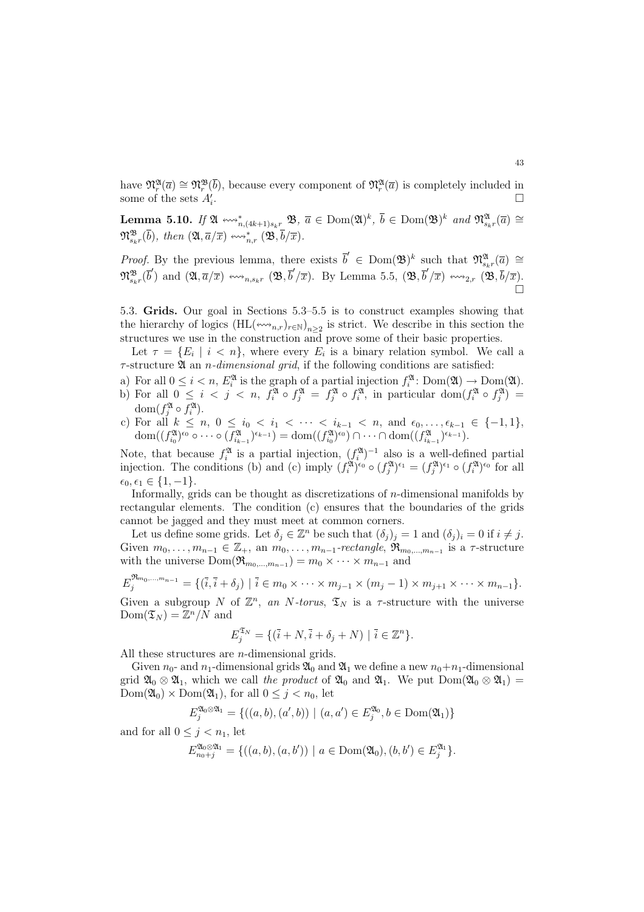have  $\mathfrak{N}_r^{\mathfrak{A}}(\overline{a}) \cong \mathfrak{N}_r^{\mathfrak{B}}(\overline{b})$ , because every component of  $\mathfrak{N}_r^{\mathfrak{A}}(\overline{a})$  is completely included in some of the sets  $A_i'$ .  $\sum_i$ 

**Lemma 5.10.** If  $\mathfrak{A} \leftrightsquigarrow_{n,(4k+1)s_kr}^* \mathfrak{B}, \overline{a} \in \text{Dom}(\mathfrak{A})^k, \overline{b} \in \text{Dom}(\mathfrak{B})^k$  and  $\mathfrak{N}_{s_kr}^{\mathfrak{A}}(\overline{a}) \cong$  $\mathfrak{N}_{s_kr}^{\mathfrak{B}}(\overline{b}),\$  then  $(\mathfrak{A},\overline{a}/\overline{x}) \rightsquigarrow_{n,r}^{\ast} (\mathfrak{B},\overline{b}/\overline{x}).$ 

*Proof.* By the previous lemma, there exists  $\overline{b}' \in \text{Dom}(\mathfrak{B})^k$  such that  $\mathfrak{N}_{s_k}^{\mathfrak{A}}(\overline{a}) \cong$  $\mathfrak{N}_{s_{k}r}^{\mathfrak{B}}(\vec{b}')$  and  $(\mathfrak{A}, \overline{a}/\overline{x}) \leftrightarrow_{n,s_{k}r} (\mathfrak{B}, \overline{b}'/\overline{x})$ . By Lemma 5.5,  $(\mathfrak{B}, \overline{b}'/\overline{x}) \leftrightarrow_{2,r} (\mathfrak{B}, \overline{b}/\overline{x})$ .  $\Box$ 

5.3. **Grids.** Our goal in Sections 5.3–5.5 is to construct examples showing that the hierarchy of logics  $(HL(\rightsquigarrow_{n,r})_{r\in\mathbb{N}})_{n\geq 2}$  is strict. We describe in this section the structures we use in the construction and prove some of their basic properties.

Let  $\tau = \{E_i \mid i \leq n\}$ , where every  $E_i$  is a binary relation symbol. We call a  $\tau$ -structure  $\mathfrak A$  an *n*-dimensional grid, if the following conditions are satisfied:

- a) For all  $0 \leq i < n$ ,  $E_i^{\mathfrak{A}}$  is the graph of a partial injection  $f_i^{\mathfrak{A}}$ : Dom $(\mathfrak{A}) \to \text{Dom}(\mathfrak{A})$ .
- b) For all  $0 \leq i < j < n$ ,  $f_i^{\mathfrak{A}} \circ f_j^{\mathfrak{A}} = f_j^{\mathfrak{A}} \circ f_i^{\mathfrak{A}}$ , in particular dom $(f_i^{\mathfrak{A}} \circ f_j^{\mathfrak{A}}) =$ dom $(f_j^{\mathfrak{A}} \circ f_i^{\mathfrak{A}}).$
- c) For all  $k \leq n, 0 \leq i_0 < i_1 < \cdots < i_{k-1} < n$ , and  $\epsilon_0, \ldots, \epsilon_{k-1} \in \{-1, 1\}$ ,  $\text{dom}((f_{i_0}^{\mathfrak{A}})^{\epsilon_0} \circ \cdots \circ (f_{i_{k-1}}^{\mathfrak{A}})^{\epsilon_{k-1}}) = \text{dom}((f_{i_0}^{\mathfrak{A}})^{\epsilon_0}) \cap \cdots \cap \text{dom}((f_{i_{k-1}}^{\mathfrak{A}})^{\epsilon_{k-1}}).$

Note, that because  $f_i^{\mathfrak{A}}$  is a partial injection,  $(f_i^{\mathfrak{A}})^{-1}$  also is a well-defined partial injection. The conditions (b) and (c) imply  $(f_i^{\mathfrak{A}})^{\epsilon_0} \circ (f_j^{\mathfrak{A}})^{\epsilon_1} = (f_j^{\mathfrak{A}})^{\epsilon_1} \circ (f_i^{\mathfrak{A}})^{\epsilon_0}$  for all  $\epsilon_0, \epsilon_1 \in \{1, -1\}.$ 

Informally, grids can be thought as discretizations of n-dimensional manifolds by rectangular elements. The condition (c) ensures that the boundaries of the grids cannot be jagged and they must meet at common corners.

Let us define some grids. Let  $\delta_j \in \mathbb{Z}^n$  be such that  $(\delta_j)_j = 1$  and  $(\delta_j)_i = 0$  if  $i \neq j$ . Given  $m_0,\ldots,m_{n-1}\in\mathbb{Z}_+$ , an  $m_0,\ldots,m_{n-1}$ -rectangle,  $\mathfrak{R}_{m_0,\ldots,m_{n-1}}$  is a  $\tau$ -structure with the universe  $Dom(\mathfrak{R}_{m_0,\dots,m_{n-1}}) = m_0 \times \cdots \times m_{n-1}$  and

$$
E_j^{\mathfrak{R}_{m_0,\dots,m_{n-1}}} = \{(\overline{i}, \overline{i} + \delta_j) \mid \overline{i} \in m_0 \times \dots \times m_{j-1} \times (m_j - 1) \times m_{j+1} \times \dots \times m_{n-1}\}.
$$

Given a subgroup N of  $\mathbb{Z}^n$ , an N-torus,  $\mathfrak{T}_N$  is a r-structure with the universe  $Dom(\mathfrak{T}_N) = \mathbb{Z}^n/N$  and

$$
E_j^{\mathfrak{T}_N} = \{ (\overline{i} + N, \overline{i} + \delta_j + N) \mid \overline{i} \in \mathbb{Z}^n \}.
$$

All these structures are *n*-dimensional grids.

Given  $n_0$ - and  $n_1$ -dimensional grids  $\mathfrak{A}_0$  and  $\mathfrak{A}_1$  we define a new  $n_0+n_1$ -dimensional grid  $\mathfrak{A}_0 \otimes \mathfrak{A}_1$ , which we call the product of  $\mathfrak{A}_0$  and  $\mathfrak{A}_1$ . We put  $Dom(\mathfrak{A}_0 \otimes \mathfrak{A}_1)$  =  $Dom(\mathfrak{A}_0) \times Dom(\mathfrak{A}_1)$ , for all  $0 \leq j < n_0$ , let

$$
E_j^{\mathfrak{A}_0 \otimes \mathfrak{A}_1} = \{ ((a, b), (a', b)) \mid (a, a') \in E_j^{\mathfrak{A}_0}, b \in \text{Dom}(\mathfrak{A}_1) \}
$$

and for all  $0 \leq j \leq n_1$ , let

$$
E_{n_0+j}^{\mathfrak{A}_0 \otimes \mathfrak{A}_1} = \{ ((a,b), (a,b')) \mid a \in \text{Dom}(\mathfrak{A}_0), (b,b') \in E_j^{\mathfrak{A}_1} \}.
$$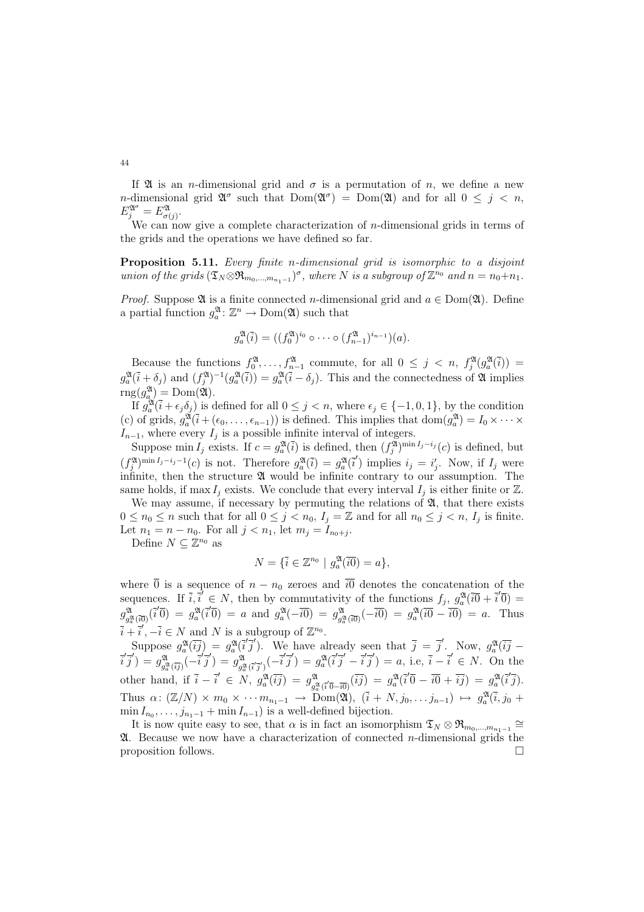If  $\mathfrak A$  is an *n*-dimensional grid and  $\sigma$  is a permutation of *n*, we define a new n-dimensional grid  $\mathfrak{A}^{\sigma}$  such that  $Dom(\mathfrak{A}^{\sigma}) = Dom(\mathfrak{A})$  and for all  $0 \leq j \leq n$ ,  $E_j^{\mathfrak{A}^{\sigma}} = E_{\sigma(j)}^{\mathfrak{A}}.$ 

We can now give a complete characterization of  $n$ -dimensional grids in terms of the grids and the operations we have defined so far.

**Proposition 5.11.** Every finite *n*-dimensional grid is isomorphic to a disjoint union of the grids  $(\mathfrak{T}_N \otimes \mathfrak{R}_{m_0,\dots,m_{n_1-1}})^\sigma$ , where N is a subgroup of  $\mathbb{Z}^{n_0}$  and  $n = n_0+n_1$ .

*Proof.* Suppose  $\mathfrak{A}$  is a finite connected *n*-dimensional grid and  $a \in Dom(\mathfrak{A})$ . Define a partial function  $g_a^{\mathfrak{A}} \colon \mathbb{Z}^n \to \text{Dom}(\mathfrak{A})$  such that

$$
g_a^{\mathfrak{A}}(\overline{i}) = ((f_0^{\mathfrak{A}})^{i_0} \circ \cdots \circ (f_{n-1}^{\mathfrak{A}})^{i_{n-1}})(a).
$$

Because the functions  $f_0^{\mathfrak{A}}, \ldots, f_{n-1}^{\mathfrak{A}}$  commute, for all  $0 \leq j \leq n$ ,  $f_j^{\mathfrak{A}}(g_a^{\mathfrak{A}}(\bar{i}))$  $g_a^{\mathfrak{A}}(\bar{i}+\delta_j)$  and  $(f_j^{\mathfrak{A}})^{-1}(g_a^{\mathfrak{A}}(\bar{i}))=g_a^{\mathfrak{A}}(\bar{i}-\delta_j)$ . This and the connectedness of  $\mathfrak A$  implies  $\text{rng}(g_a^{\mathfrak{A}})=\text{Dom}(\mathfrak{A}).$ 

If  $g_a^{\mathfrak{A}}(\bar{i} + \epsilon_j \delta_j)$  is defined for all  $0 \leq j < n$ , where  $\epsilon_j \in \{-1, 0, 1\}$ , by the condition (c) of grids,  $g_a^{\mathfrak{A}}(\overline{i} + (\epsilon_0, \ldots, \epsilon_{n-1}))$  is defined. This implies that  $\text{dom}(g_a^{\mathfrak{A}}) = I_0 \times \cdots \times$  $I_{n-1}$ , where every  $I_j$  is a possible infinite interval of integers.

Suppose min  $I_j$  exists. If  $c = g_a^{\mathfrak{A}}(\bar{i})$  is defined, then  $(f_j^{\mathfrak{A}})^{\min I_j - i_j}(c)$  is defined, but  $(f_j^{\mathfrak{A}})^{\min I_j - i_j - 1}(c)$  is not. Therefore  $g_a^{\mathfrak{A}}(\bar{i}) = g_a^{\mathfrak{A}}(\bar{i}')$  implies  $i_j = i'_j$ . Now, if  $I_j$  were infinite, then the structure  $\mathfrak A$  would be infinite contrary to our assumption. The same holds, if max  $I_i$  exists. We conclude that every interval  $I_i$  is either finite or  $\mathbb{Z}$ .

We may assume, if necessary by permuting the relations of  $\mathfrak{A}$ , that there exists  $0 \leq n_0 \leq n$  such that for all  $0 \leq j < n_0$ ,  $I_j = \mathbb{Z}$  and for all  $n_0 \leq j < n$ ,  $I_j$  is finite. Let  $n_1 = n - n_0$ . For all  $j < n_1$ , let  $m_j = I_{n_0+j}$ .

Define  $N \subseteq \mathbb{Z}^{n_0}$  as

$$
N = \{ \bar{i} \in \mathbb{Z}^{n_0} \mid g_a^{\mathfrak{A}}(\overline{i0}) = a \},
$$

where  $\overline{0}$  is a sequence of  $n - n_0$  zeroes and  $\overline{i0}$  denotes the concatenation of the sequences. If  $\bar{i}, \bar{i} \in N$ , then by commutativity of the functions  $f_j$ ,  $g_a^{\mathfrak{A}}(\bar{i}\bar{0} + \bar{i}'\bar{0}) =$  $g_{g_a^{\mathfrak{A}}(\overline{i0})}^{\mathfrak{A}}(\overline{i'0}) = g_a^{\mathfrak{A}}(\overline{i'0}) = a$  and  $g_a^{\mathfrak{A}}(-\overline{i0}) = g_a^{\mathfrak{A}}(\overline{i0}) = g_a^{\mathfrak{A}}(\overline{i0} - \overline{i0}) = a$ . Thus  $\overline{i} + \overline{i}', -\overline{i} \in N$  and N is a subgroup of  $\mathbb{Z}^{n_0}$ .

Suppose  $g_a^{\mathfrak{A}}(\overline{ij}) = g_a^{\mathfrak{A}}(\overline{i}\overline{j}')$ . We have already seen that  $\overline{j} = \overline{j}'$ . Now,  $g_a^{\mathfrak{A}}(\overline{ij} \overline{f}(\overline{j'}) = g_{\overline{g}^{\mathfrak{A}}_{\alpha}(\overline{ij})}^{\mathfrak{A}}(-\overline{i'}\overline{j'}) = g_{\overline{g}^{\mathfrak{A}}_{\alpha}(\overline{i'}\overline{j'})}^{\mathfrak{A}}(-\overline{i'}\overline{j'}) = g_{a}^{\mathfrak{A}}(\overline{i'}\overline{j'} - \overline{i'}\overline{j'}) = a$ , i.e,  $\overline{i} - \overline{i'} \in N$ . On the other hand, if  $\overline{i} - \overline{i}' \in N$ ,  $g_a^{\mathfrak{A}}(\overline{ij}) = g_{g_a^{\mathfrak{A}}(\overline{i}'\overline{0} - \overline{i}\overline{0})}^{\mathfrak{A}}(\overline{i}'\overline{0} - \overline{i}\overline{0} + \overline{ij}) = g_a^{\mathfrak{A}}(\overline{i}'\overline{j}).$ Thus  $\alpha: (\mathbb{Z}/N) \times m_0 \times \cdots m_{n_1-1} \rightarrow \text{Dom}(\mathfrak{A}), (\bar{i} + N, j_0, \ldots j_{n-1}) \mapsto g^{\mathfrak{A}}_a(\bar{i}, j_0 +$  $\min I_{n_0}, \ldots, j_{n_1-1} + \min I_{n-1}$  is a well-defined bijection.

It is now quite easy to see, that  $\alpha$  is in fact an isomorphism  $\mathfrak{T}_N \otimes \mathfrak{R}_{m_0,\dots,m_{n_1-1}} \cong$ **21.** Because we now have a characterization of connected *n*-dimensional grids the proposition follows.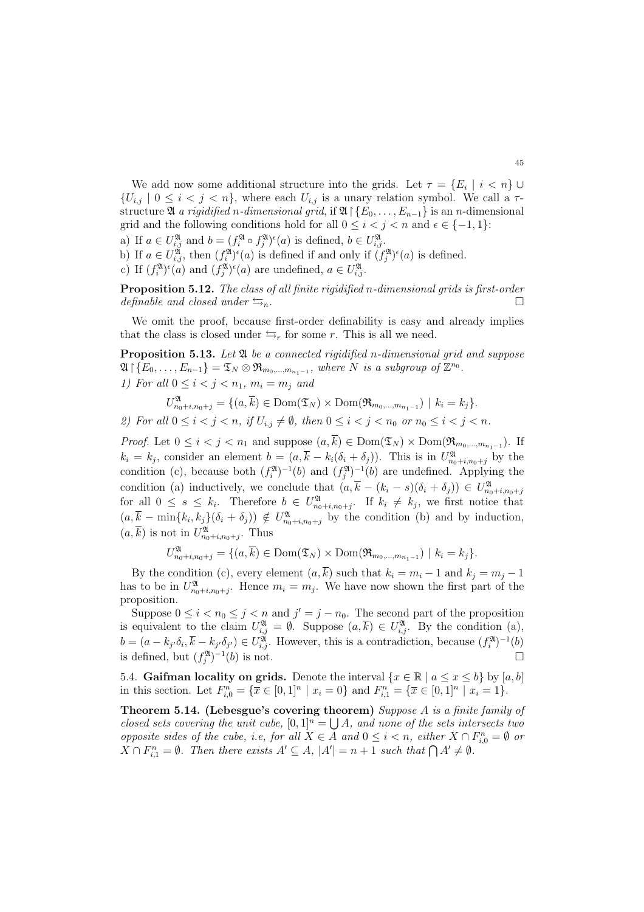We add now some additional structure into the grids. Let  $\tau = \{E_i \mid i < n\} \cup$  $\{U_{i,j} \mid 0 \leq i < j < n\}$ , where each  $U_{i,j}$  is a unary relation symbol. We call a  $\tau$ structure  $\mathfrak A$  a rigidified n-dimensional grid, if  $\mathfrak A\restriction \{E_0,\ldots,E_{n-1}\}$  is an n-dimensional grid and the following conditions hold for all  $0 \leq i < j < n$  and  $\epsilon \in \{-1, 1\}$ :

- a) If  $a \in U_{i,j}^{\mathfrak{A}}$  and  $b = (f_i^{\mathfrak{A}} \circ f_j^{\mathfrak{A}})^{\epsilon}(a)$  is defined,  $b \in U_{i,j}^{\mathfrak{A}}$ .
- b) If  $a \in U^{\mathfrak{A}}_{i,j}$ , then  $(f^{\mathfrak{A}}_i)^{\epsilon}(a)$  is defined if and only if  $(f^{\mathfrak{A}}_j)^{\epsilon}(a)$  is defined.
- c) If  $(f_i^{\mathfrak{A}})^{\epsilon}(a)$  and  $(f_j^{\mathfrak{A}})^{\epsilon}(a)$  are undefined,  $a \in U_{i,j}^{\mathfrak{A}}$ .

**Proposition 5.12.** The class of all finite rigidified n-dimensional grids is first-order definable and closed under  $\leftrightarrows_n$ .

We omit the proof, because first-order definability is easy and already implies that the class is closed under  $\leftrightarrows_r$  for some r. This is all we need.

**Proposition 5.13.** Let  $\mathfrak{A}$  be a connected rigidified n-dimensional grid and suppose  $\mathfrak{A}\!\restriction\!\{E_0,\ldots,E_{n-1}\}=\mathfrak{T}_N\otimes\mathfrak{R}_{m_0,\ldots,m_{n_1-1}},$  where N is a subgroup of  $\mathbb{Z}^{n_0}$ . 1) For all  $0 \leq i < j < n_1$ ,  $m_i = m_j$  and

$$
U^{\mathfrak{A}}_{n_{0}+i,n_{0}+j} = \{ (a,\overline{k}) \in \text{Dom}(\mathfrak{T}_{N}) \times \text{Dom}(\mathfrak{R}_{m_{0},...,m_{n_{1}-1}}) \mid k_{i} = k_{j} \}.
$$

2) For all  $0 \leq i < j < n$ , if  $U_{i,j} \neq \emptyset$ , then  $0 \leq i < j < n_0$  or  $n_0 \leq i < j < n$ .

*Proof.* Let  $0 \leq i < j < n_1$  and suppose  $(a, \overline{k}) \in \text{Dom}(\mathfrak{T}_N) \times \text{Dom}(\mathfrak{R}_{m_0,\dots,m_{n_1-1}})$ . If  $k_i = k_j$ , consider an element  $b = (a, \overline{k} - k_i(\delta_i + \delta_j))$ . This is in  $U^{\mathfrak{A}}_{n_0+i, n_0+j}$  by the condition (c), because both  $(f_i^{\mathfrak{A}})^{-1}(b)$  and  $(f_j^{\mathfrak{A}})^{-1}(b)$  are undefined. Applying the condition (a) inductively, we conclude that  $(a, \overline{k} - (k_i - s)(\delta_i + \delta_j)) \in U^{\mathfrak{A}}_{n_0 + i, n_0 + j}$ for all  $0 \leq s \leq k_i$ . Therefore  $b \in U^{\mathfrak{A}}_{n_0+i,n_0+j}$ . If  $k_i \neq k_j$ , we first notice that  $(a, \overline{k} - \min\{k_i, k_j\}(\delta_i + \delta_j)) \notin U^{\mathfrak{A}}_{n_0+i,n_0+j}$  by the condition (b) and by induction,  $(a, \overline{k})$  is not in  $U^{\mathfrak{A}}_{n_0+i, n_0+j}$ . Thus

$$
U^{\mathfrak{A}}_{n_0+i,n_0+j} = \{ (a,\overline{k}) \in \text{Dom}(\mathfrak{T}_N) \times \text{Dom}(\mathfrak{R}_{m_0,\dots,m_{n_1-1}}) \mid k_i = k_j \}.
$$

By the condition (c), every element  $(a, \overline{k})$  such that  $k_i = m_i - 1$  and  $k_j = m_j - 1$ has to be in  $U^{\mathfrak{A}}_{n_0+i,n_0+j}$ . Hence  $m_i = m_j$ . We have now shown the first part of the proposition.

Suppose  $0 \leq i < n_0 \leq j < n$  and  $j' = j - n_0$ . The second part of the proposition is equivalent to the claim  $U_{i,j}^{\mathfrak{A}} = \emptyset$ . Suppose  $(a,\overline{k}) \in U_{i,j}^{\mathfrak{A}}$ . By the condition  $(a)$ ,  $b = (a - k_{j'}\delta_i, \overline{k} - k_{j'}\delta_{j'}) \in U_{i,j}^{\mathfrak{A}}$ . However, this is a contradiction, because  $(f_i^{\mathfrak{A}})^{-1}(b)$ is defined, but  $(f_i^{\mathfrak{A}})^{-1}(b)$  is not.  $j^{(2)}j^{-1}(b)$  is not.

5.4. **Gaifman locality on grids.** Denote the interval  $\{x \in \mathbb{R} \mid a \le x \le b\}$  by  $[a, b]$ in this section. Let  $F_{i,0}^n = {\overline{x} \in [0,1]^n \mid x_i = 0}$  and  $F_{i,1}^n = {\overline{x} \in [0,1]^n \mid x_i = 1}.$ 

**Theorem 5.14. (Lebesgue's covering theorem)** Suppose A is a finite family of closed sets covering the unit cube,  $[0,1]^n = \bigcup A$ , and none of the sets intersects two *opposite sides of the cube, i.e, for all*  $X \in A$  *and*  $0 \le i < n$ *, either*  $X \cap F_{i,0}^n = ∅$  *or*  $X \cap F_{i,1}^n = \emptyset$ . Then there exists  $A' \subseteq A$ ,  $|A'| = n + 1$  such that  $\bigcap A' \neq \emptyset$ .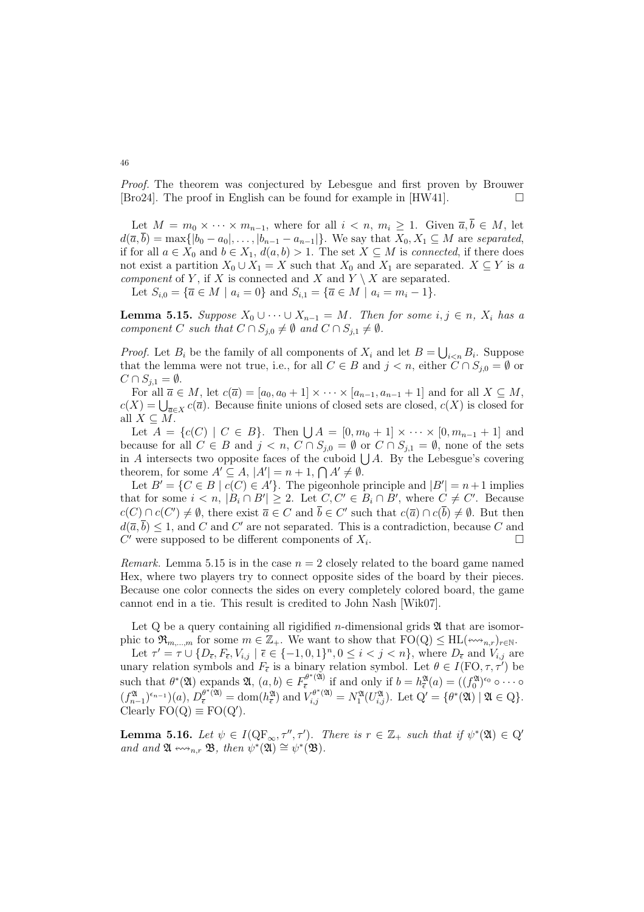Proof. The theorem was conjectured by Lebesgue and first proven by Brouwer [Bro24]. The proof in English can be found for example in [HW41].

Let  $M = m_0 \times \cdots \times m_{n-1}$ , where for all  $i < n, m_i \geq 1$ . Given  $\overline{a}, \overline{b} \in M$ , let  $d(\overline{a}, b) = \max\{|b_0 - a_0|, \ldots, |b_{n-1} - a_{n-1}|\}.$  We say that  $X_0, X_1 \subseteq M$  are separated, if for all  $a \in X_0$  and  $b \in X_1$ ,  $d(a, b) > 1$ . The set  $X \subseteq M$  is *connected*, if there does not exist a partition  $X_0 \cup X_1 = X$  such that  $X_0$  and  $X_1$  are separated.  $X \subseteq Y$  is a component of Y, if X is connected and X and  $Y \setminus X$  are separated.

Let  $S_{i,0} = {\overline{a} \in M \mid a_i = 0}$  and  $S_{i,1} = {\overline{a} \in M \mid a_i = m_i - 1}.$ 

**Lemma 5.15.** Suppose  $X_0 \cup \cdots \cup X_{n-1} = M$ . Then for some  $i, j \in n$ ,  $X_i$  has a component C such that  $C \cap S_{j,0} \neq \emptyset$  and  $C \cap S_{j,1} \neq \emptyset$ .

*Proof.* Let  $B_i$  be the family of all components of  $X_i$  and let  $B = \bigcup_{i \le n} B_i$ . Suppose that the lemma were not true, i.e., for all  $C \in B$  and  $j < n$ , either  $C \cap S_{j,0} = \emptyset$  or  $C \cap S_{j,1} = \emptyset.$ 

For all  $\overline{a} \in M$ , let  $c(\overline{a})=[a_0, a_0+1] \times \cdots \times [a_{n-1}, a_{n-1}+1]$  and for all  $X \subseteq M$ ,  $c(X) = \bigcup_{\overline{a} \in X} c(\overline{a})$ . Because finite unions of closed sets are closed,  $c(X)$  is closed for all  $X \subseteq M$ .

Let  $A = \{c(C) | C \in B\}$ . Then  $\bigcup A = [0, m_0 + 1] \times \cdots \times [0, m_{n-1} + 1]$  and because for all  $C \in B$  and  $j < n$ ,  $C \cap S_{j,0} = \emptyset$  or  $C \cap S_{j,1} = \emptyset$ , none of the sets in A intersects two opposite faces of the cuboid  $\bigcup A$ . By the Lebesgue's covering theorem, for some  $A' \subseteq A$ ,  $|A'| = n + 1$ ,  $\bigcap A' \neq \emptyset$ .

Let  $B' = \{C \in B \mid c(C) \in A'\}$ . The pigeonhole principle and  $|B'| = n+1$  implies that for some  $i < n$ ,  $|B_i \cap B'| \geq 2$ . Let  $C, C' \in B_i \cap B'$ , where  $C \neq C'$ . Because  $c(C) \cap c(C') \neq \emptyset$ , there exist  $\overline{a} \in C$  and  $\overline{b} \in C'$  such that  $c(\overline{a}) \cap c(\overline{b}) \neq \emptyset$ . But then  $d(\overline{a}, \overline{b}) \leq 1$ , and C and C' are not separated. This is a contradiction, because C and  $C'$  were supposed to be different components of  $X_i$ .

Remark. Lemma 5.15 is in the case  $n = 2$  closely related to the board game named Hex, where two players try to connect opposite sides of the board by their pieces. Because one color connects the sides on every completely colored board, the game cannot end in a tie. This result is credited to John Nash [Wik07].

Let Q be a query containing all rigidified n-dimensional grids  $\mathfrak{A}$  that are isomorphic to  $\mathfrak{R}_{m,\dots,m}$  for some  $m \in \mathbb{Z}_+$ . We want to show that  $\mathrm{FO}(Q) \leq \mathrm{HL}(\text{dim}_n)_{{r \in \mathbb{N}}}$ .

Let  $\tau' = \tau \cup \{D_{\overline{\epsilon}}, F_{\overline{\epsilon}}, V_{i,j} \mid \overline{\epsilon} \in \{-1,0,1\}^n, 0 \leq i < j < n\}$ , where  $D_{\overline{\epsilon}}$  and  $V_{i,j}$  are unary relation symbols and  $F_{\bar{\epsilon}}$  is a binary relation symbol. Let  $\theta \in I(\text{FO}, \tau, \tau')$  be such that  $\theta^*(\mathfrak{A})$  expands  $\mathfrak{A}, (a, b) \in F_{\overline{\epsilon}}^{\theta^*(\mathfrak{A})}$  if and only if  $b = h_{\overline{\epsilon}}^{\mathfrak{A}}(a) = ((f_0^{\mathfrak{A}})^{\epsilon_0} \circ \cdots \circ$  $(f_{n-1}^{2\mathfrak{l}})^{\epsilon_{n-1}}(a), D_{\overline{\epsilon}}^{\theta^*(\mathfrak{A})} = \text{dom}(h_{\overline{\epsilon}}^{\mathfrak{A}}) \text{ and } V_{i,j}^{\theta^*(\mathfrak{A})} = N_1^{\mathfrak{A}}(U_{i,j}^{\mathfrak{A}}).$  Let  $Q' = \{\theta^*(\mathfrak{A}) \mid \mathfrak{A} \in Q\}.$ Clearly  $FO(Q) \equiv FO(Q')$ .

**Lemma 5.16.** Let  $\psi \in I(\mathrm{QF}_{\infty}, \tau'', \tau')$ . There is  $r \in \mathbb{Z}_+$  such that if  $\psi^*(\mathfrak{A}) \in \mathrm{Q}'$ and and  $\mathfrak{A} \leftrightarrow_{n,r} \mathfrak{B}$ , then  $\psi^*(\mathfrak{A}) \cong \psi^*(\mathfrak{B})$ .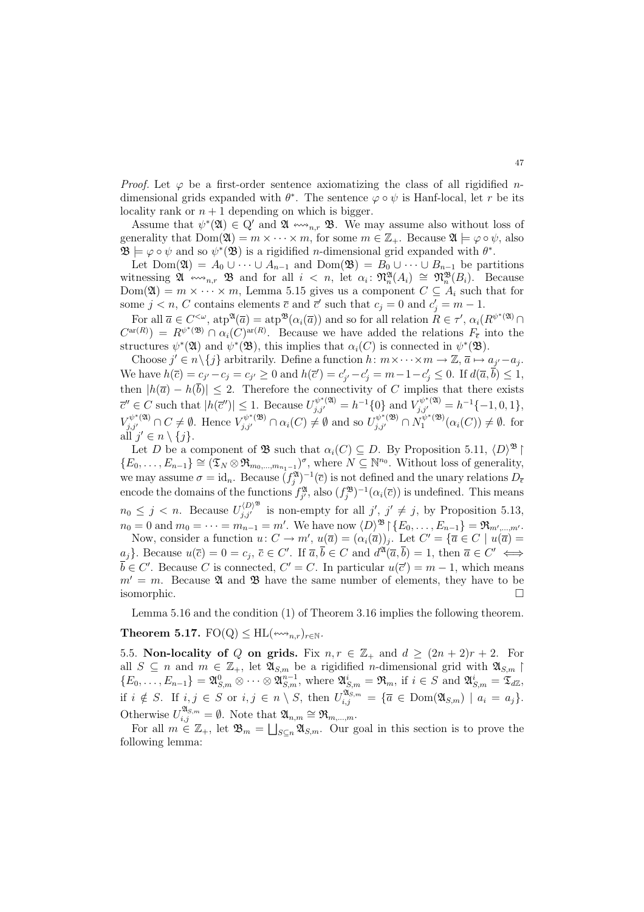*Proof.* Let  $\varphi$  be a first-order sentence axiomatizing the class of all rigidified ndimensional grids expanded with  $\theta^*$ . The sentence  $\varphi \circ \psi$  is Hanf-local, let r be its locality rank or  $n + 1$  depending on which is bigger.

Assume that  $\psi^*(\mathfrak{A}) \in Q'$  and  $\mathfrak{A} \leftrightarrow_{n,r} \mathfrak{B}$ . We may assume also without loss of generality that  $Dom(\mathfrak{A}) = m \times \cdots \times m$ , for some  $m \in \mathbb{Z}_+$ . Because  $\mathfrak{A} \models \varphi \circ \psi$ , also  $\mathfrak{B} \models \varphi \circ \psi$  and so  $\psi^*(\mathfrak{B})$  is a rigidified *n*-dimensional grid expanded with  $\theta^*$ .

Let  $Dom(\mathfrak{A}) = A_0 \cup \cdots \cup A_{n-1}$  and  $Dom(\mathfrak{B}) = B_0 \cup \cdots \cup B_{n-1}$  be partitions witnessing  $\mathfrak{A}$   $\longrightarrow_{n,r} \mathfrak{B}$  and for all  $i < n$ , let  $\alpha_i : \mathfrak{N}_n^{\mathfrak{A}}(A_i) \cong \mathfrak{N}_n^{\mathfrak{B}}(B_i)$ . Because  $Dom(\mathfrak{A}) = m \times \cdots \times m$ , Lemma 5.15 gives us a component  $C \subseteq A_i$  such that for some  $j < n$ , C contains elements  $\bar{c}$  and  $\bar{c}'$  such that  $c_j = 0$  and  $c'_j = m - 1$ .

For all  $\overline{a} \in C^{<\omega}$ ,  $\text{atp}^{\mathfrak{A}}(\overline{a}) = \text{atp}^{\mathfrak{B}}(\alpha_i(\overline{a}))$  and so for all relation  $R \in \tau'$ ,  $\alpha_i(R^{\psi^*(\mathfrak{A})})$  $C^{ar(R)}$  =  $R^{\psi^*(\mathfrak{B})} \cap \alpha_i(C)^{ar(R)}$ . Because we have added the relations  $F_{\bar{\epsilon}}$  into the structures  $\psi^*(\mathfrak{A})$  and  $\psi^*(\mathfrak{B})$ , this implies that  $\alpha_i(C)$  is connected in  $\psi^*(\mathfrak{B})$ .

Choose  $j' \in n \setminus \{j\}$  arbitrarily. Define a function  $h: m \times \cdots \times m \to \mathbb{Z}, \overline{a} \mapsto a_{j'}-a_j$ . We have  $h(\bar{c}) = c_{j'} - c_j = c_{j'} \ge 0$  and  $h(\bar{c}') = c'_{j'} - c'_{j} = m - 1 - c'_{j} \le 0$ . If  $d(\bar{a}, \bar{b}) \le 1$ , then  $|h(\overline{a}) - h(\overline{b})| \leq 2$ . Therefore the connectivity of C implies that there exists  $\overline{c}'' \in C$  such that  $|h(\overline{c}'')| \leq 1$ . Because  $U_{j,j'}^{\psi^*(\mathfrak{A})} = h^{-1}\{0\}$  and  $V_{j,j'}^{\psi^*(\mathfrak{A})} = h^{-1}\{-1,0,1\}$ ,  $V_{j,j'}^{\psi^*(\mathfrak{A})} \cap C \neq \emptyset$ . Hence  $V_{j,j'}^{\psi^*(\mathfrak{B})} \cap \alpha_i(C) \neq \emptyset$  and so  $U_{j,j'}^{\psi^*(\mathfrak{B})} \cap N_1^{\psi^*(\mathfrak{B})}(\alpha_i(C)) \neq \emptyset$ . for all  $j' \in n \setminus \{j\}$ .

Let D be a component of **B** such that  $\alpha_i(C) \subseteq D$ . By Proposition 5.11,  $\langle D \rangle^{\mathfrak{B}}$  ${E_0,\ldots,E_{n-1}} \cong (\mathfrak{T}_N \otimes \mathfrak{R}_{m_0,\ldots,m_{n_1-1}})^\sigma$ , where  $N \subseteq \mathbb{N}^{n_0}$ . Without loss of generality, we may assume  $\sigma = \text{id}_n$ . Because  $(f_j^{\mathfrak{A}})^{-1}(\overline{c})$  is not defined and the unary relations  $D_{\overline{\epsilon}}$ encode the domains of the functions  $f_{j'}^{\mathfrak{A}},$  also  $(f_j^{\mathfrak{B}})^{-1}(\alpha_i(\bar{c}))$  is undefined. This means  $n_0 \leq j \leq n$ . Because  $U_{j,j'}^{(D)}$  is non-empty for all  $j', j' \neq j$ , by Proposition 5.13,  $n_0 = 0$  and  $m_0 = \cdots = m_{n-1} = m'$ . We have now  $\langle D \rangle^{\mathfrak{B}} \upharpoonright \{E_0, \ldots, E_{n-1}\} = \mathfrak{R}_{m', \ldots, m'}$ .

Now, consider a function  $u: C \to m'$ ,  $u(\overline{a}) = (\alpha_i(\overline{a}))_j$ . Let  $C' = {\overline{a} \in C \mid u(\overline{a}) =$  $a_j$ . Because  $u(\overline{c})=0=c_j, \overline{c} \in C'$ . If  $\overline{a}, \overline{b} \in C$  and  $d^{\mathfrak{A}}(\overline{a}, \overline{b})=1$ , then  $\overline{a} \in C' \iff$  $\overline{b} \in C'$ . Because C is connected,  $C' = C$ . In particular  $u(\overline{c}') = m - 1$ , which means  $m' = m$ . Because **2** and **3** have the same number of elements, they have to be isomorphic.

Lemma 5.16 and the condition (1) of Theorem 3.16 implies the following theorem.

## **Theorem 5.17.** FO(Q)  $\leq H L(\text{m}n_r)_{r \in \mathbb{N}}$ .

5.5. **Non-locality of** Q **on grids.** Fix  $n, r \in \mathbb{Z}_+$  and  $d \geq (2n+2)r+2$ . For all  $S \subseteq n$  and  $m \in \mathbb{Z}_+$ , let  $\mathfrak{A}_{S,m}$  be a rigidified *n*-dimensional grid with  $\mathfrak{A}_{S,m}$  ${E_0, \ldots, E_{n-1}} = \mathfrak{A}^0_{S,m} \otimes \cdots \otimes \mathfrak{A}^{n-1}_{S,m}$ , where  $\mathfrak{A}^i_{S,m} = \mathfrak{R}_m$ , if  $i \in S$  and  $\mathfrak{A}^i_{S,m} = \mathfrak{T}_{d\mathbb{Z}}$ , if  $i \notin S$ . If  $i, j \in S$  or  $i, j \in n \setminus S$ , then  $U_{i,j}^{\mathfrak{A}_{S,m}} = {\overline{a} \in \text{Dom}(\mathfrak{A}_{S,m}) \mid a_i = a_j}.$ Otherwise  $U_{i,j}^{\mathfrak{A}_{S,m}} = \emptyset$ . Note that  $\mathfrak{A}_{n,m} \cong \mathfrak{R}_{m,\dots,m}$ .

For all  $m \in \mathbb{Z}_+$ , let  $\mathfrak{B}_m = \bigsqcup_{S \subseteq n} \mathfrak{A}_{S,m}$ . Our goal in this section is to prove the following lemma: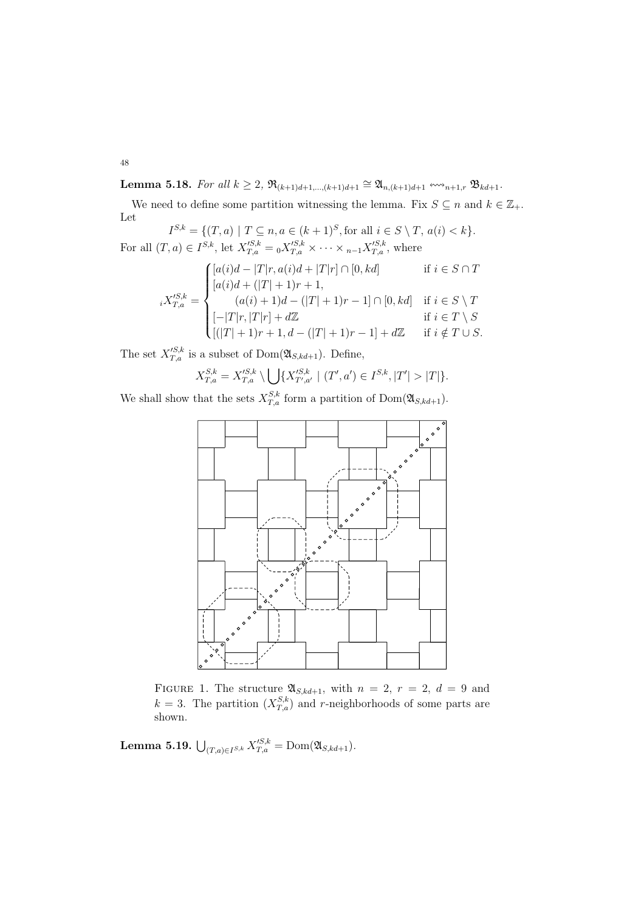**Lemma 5.18.** For all  $k \geq 2$ ,  $\Re_{(k+1)d+1,\dots,(k+1)d+1} \cong \mathfrak{A}_{n,(k+1)d+1} \leftarrow_{n+1,r} \mathfrak{B}_{kd+1}.$ 

We need to define some partition witnessing the lemma. Fix  $S \subseteq n$  and  $k \in \mathbb{Z}_+$ . Let

$$
I^{S,k} = \{ (T, a) \mid T \subseteq n, a \in (k+1)^S, \text{for all } i \in S \setminus T, a(i) < k \}.
$$
  
\nFor all  $(T, a) \in I^{S,k}$ , let  $X'^{S,k}_{T,a} = {}_0X'^{S,k}_{T,a} \times \cdots \times {}_{n-1}X'^{S,k}_{T,a}$ , where  
\n
$$
[a(i)d - |T|r, a(i)d + |T|r] \cap [0, kd] \quad \text{if } i \in S \cap T
$$
\n
$$
{}_iX'^{S,k}_{T,a} = \begin{cases} [a(i)d + (|T| + 1)r + 1, \\ (a(i) + 1)d - (|T| + 1)r - 1] \cap [0, kd] & \text{if } i \in S \setminus T \\ [-|T|r, |T|r] + d\mathbb{Z} & \text{if } i \in T \setminus S \\ [(|T| + 1)r + 1, d - (|T| + 1)r - 1] + d\mathbb{Z} & \text{if } i \notin T \cup S. \end{cases}
$$

The set  $X_{T,a}^{\prime S,k}$  is a subset of Dom $(\mathfrak{A}_{S,k,d+1})$ . Define,

$$
X_{T,a}^{S,k} = X_{T,a}^{\prime S,k} \setminus \bigcup \{ X_{T',a'}^{\prime S,k} \mid (T',a') \in I^{S,k}, |T'| > |T| \}.
$$

We shall show that the sets  $X_{T,a}^{S,k}$  form a partition of  $Dom(\mathfrak{A}_{S,kd+1})$ .



FIGURE 1. The structure  $\mathfrak{A}_{S, kd+1}$ , with  $n = 2, r = 2, d = 9$  and  $k = 3$ . The partition  $(X_{T,a}^{S,k})$  and r-neighborhoods of some parts are shown.

 $\textbf{Lemma 5.19.}~ \bigcup_{(T,a)\in I^{S,k}} X'^{S,k}_{T,a} = \text{Dom}(\mathfrak{A}_{S,kd+1}).$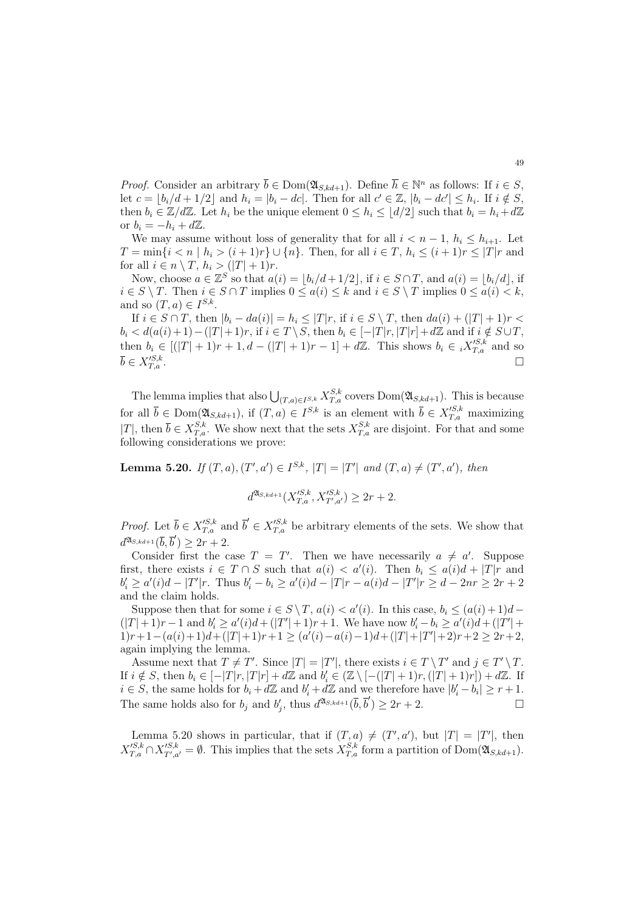*Proof.* Consider an arbitrary  $\bar{b} \in \text{Dom}(\mathfrak{A}_{S,kd+1})$ . Define  $\bar{h} \in \mathbb{N}^n$  as follows: If  $i \in S$ , let  $c = \lfloor b_i/d + 1/2 \rfloor$  and  $h_i = \lfloor b_i - dc \rfloor$ . Then for all  $c' \in \mathbb{Z}$ ,  $|b_i - dc'| \leq h_i$ . If  $i \notin S$ , then  $b_i \in \mathbb{Z}/d\mathbb{Z}$ . Let  $h_i$  be the unique element  $0 \leq h_i \leq \lfloor d/2 \rfloor$  such that  $b_i = h_i + d\mathbb{Z}$ or  $b_i = -h_i + d\mathbb{Z}$ .

We may assume without loss of generality that for all  $i < n - 1$ ,  $h_i \leq h_{i+1}$ . Let  $T = \min\{i \leq n \mid h_i > (i+1)r\} \cup \{n\}.$  Then, for all  $i \in T$ ,  $h_i \leq (i+1)r \leq |T|r$  and for all  $i \in n \setminus T$ ,  $h_i > (|T| + 1)r$ .

Now, choose  $a \in \mathbb{Z}^S$  so that  $a(i) = |b_i/d + 1/2|$ , if  $i \in S \cap T$ , and  $a(i) = |b_i/d|$ , if  $i \in S \setminus T$ . Then  $i \in S \cap T$  implies  $0 \leq a(i) \leq k$  and  $i \in S \setminus T$  implies  $0 \leq a(i) < k$ , and so  $(T, a) \in I^{S,k}$ .

If  $i \in S \cap T$ , then  $|b_i - da(i)| = h_i \leq |T|r$ , if  $i \in S \setminus T$ , then  $da(i) + (|T| + 1)r <$  $b_i < d(a(i)+1) - (|T|+1)r$ , if  $i \in T \setminus S$ , then  $b_i \in [-|T|r, |T|r] + d\mathbb{Z}$  and if  $i \notin S \cup T$ , then  $b_i \in [(|T|+1)r+1, d-(|T|+1)r-1] + d\mathbb{Z}$ . This shows  $b_i \in iX_{T,a}^{\prime S,k}$  and so  $\overline{b} \in X'^{S,k}_{T,a}$ .  $T_{,\alpha}$  .

The lemma implies that also  $\bigcup_{(T,a)\in I^{S,k}} X^{S,k}_{T,a}$  covers  $\text{Dom}(\mathfrak{A}_{S,kd+1})$ . This is because for all  $\bar{b} \in \text{Dom}(\mathfrak{A}_{S,kd+1})$ , if  $(T, a) \in I^{S,k}$  is an element with  $\bar{b} \in X'^{S,k}_{T,a}$  maximizing |T|, then  $\bar{b} \in X^{S,k}_{T,a}$ . We show next that the sets  $X^{S,k}_{T,a}$  are disjoint. For that and some following considerations we prove:

**Lemma 5.20.** If  $(T, a)$ ,  $(T', a') \in I^{S,k}$ ,  $|T| = |T'|$  and  $(T, a) \neq (T', a')$ , then

$$
d^{\mathfrak{A}_{S,kd+1}}(X'^{S,k}_{T,a}, X'^{S,k}_{T',a'}) \ge 2r+2.
$$

*Proof.* Let  $\overline{b} \in X'^{S,k}_{T,a}$  and  $\overline{b}' \in X'^{S,k}_{T,a}$  be arbitrary elements of the sets. We show that  $d^{\mathfrak{A}_{S,kd+1}}(\bar{b}, \bar{b}') \geq 2r+2.$ 

Consider first the case  $T = T'$ . Then we have necessarily  $a \neq a'$ . Suppose first, there exists  $i \in T \cap S$  such that  $a(i) < a'(i)$ . Then  $b_i \le a(i)d + |T|r$  and  $b'_i \ge a'(i)d - |T'|r$ . Thus  $b'_i - b_i \ge a'(i)d - |T|r - a(i)d - |T'|r \ge d - 2nr \ge 2r + 2$ and the claim holds.

Suppose then that for some  $i \in S \setminus T$ ,  $a(i) < a'(i)$ . In this case,  $b_i \leq (a(i) + 1)d$  $(|T|+1)r-1$  and  $b'_i \ge a'(i)d + (|T'|+1)r+1$ . We have now  $b'_i - b_i \ge a'(i)d + (|T'|+1)r+1$  $1)r+1-(a(i)+1)d+(|T|+1)r+1 \geq (a'(i)-a(i)-1)d+(|T|+|T'|+2)r+2 \geq 2r+2,$ again implying the lemma.

Assume next that  $T \neq T'$ . Since  $|T| = |T'|$ , there exists  $i \in T \setminus T'$  and  $j \in T' \setminus T$ . If  $i \notin S$ , then  $b_i \in [-|T|r, |T|r] + d\mathbb{Z}$  and  $b'_i \in (\mathbb{Z} \setminus [-(|T|+1)r, (|T|+1)r]) + d\mathbb{Z}$ . If  $i \in S$ , the same holds for  $b_i + d\mathbb{Z}$  and  $b'_i + d\mathbb{Z}$  and we therefore have  $|b'_i - b_i| \ge r + 1$ . The same holds also for  $b_j$  and  $b'_j$ , thus  $d^{\mathfrak{A}_{S,kd+1}}(\overline{b}, \overline{b}') \geq 2r + 2$ .

Lemma 5.20 shows in particular, that if  $(T, a) \neq (T', a')$ , but  $|T| = |T'|$ , then  $X_{T,a}^{\prime S,k} \cap X_{T',a'}^{\prime S,k} = \emptyset$ . This implies that the sets  $X_{T,a}^{S,k}$  form a partition of  $Dom(\mathfrak{A}_{S,kd+1})$ .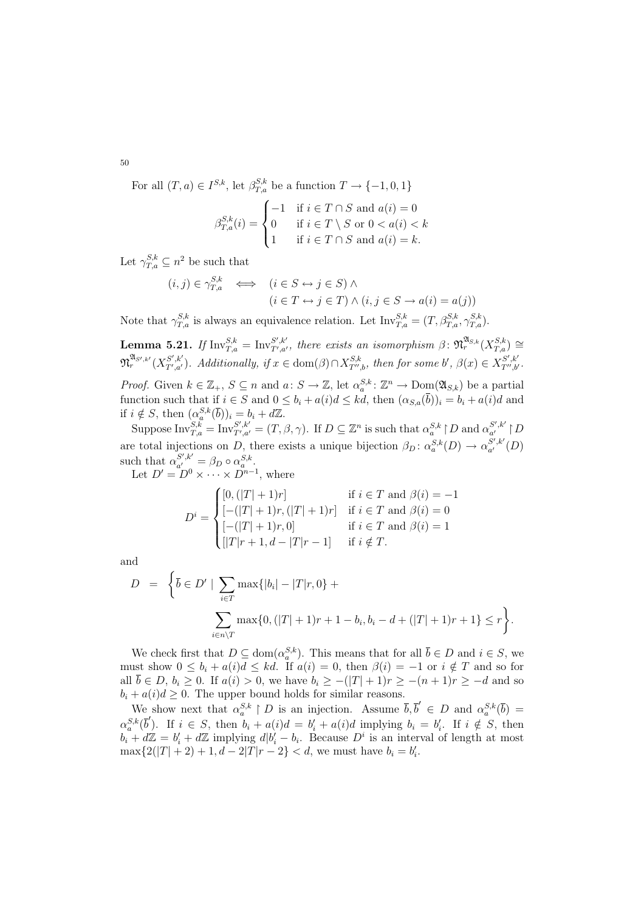For all  $(T, a) \in I^{S,k}$ , let  $\beta_{T,a}^{S,k}$  be a function  $T \to \{-1, 0, 1\}$ 

$$
\beta_{T,a}^{S,k}(i) = \begin{cases}\n-1 & \text{if } i \in T \cap S \text{ and } a(i) = 0 \\
0 & \text{if } i \in T \setminus S \text{ or } 0 < a(i) < k \\
1 & \text{if } i \in T \cap S \text{ and } a(i) = k.\n\end{cases}
$$

Let  $\gamma_{T,a}^{S,k} \subseteq n^2$  be such that

$$
(i,j) \in \gamma_{T,a}^{S,k} \iff (i \in S \leftrightarrow j \in S) \land (i \in T \leftrightarrow j \in T) \land (i,j \in S \rightarrow a(i) = a(j))
$$

Note that  $\gamma_{T,a}^{S,k}$  is always an equivalence relation. Let  $\text{Inv}_{T,a}^{S,k} = (T, \beta_{T,a}^{S,k}, \gamma_{T,a}^{S,k})$ .

**Lemma 5.21.** If  $\text{Inv}_{T,a}^{S,k} = \text{Inv}_{T',a'}^{S',k'}$ , there exists an isomorphism  $\beta \colon \mathfrak{N}_r^{\mathfrak{A}_{S,k}}(X_{T,a}^{S,k}) \cong$  $\mathfrak{N}_{r}^{\mathfrak{A}_{S',k'}}(X_{T',a'}^{S',k'})$ . Additionally, if  $x \in \text{dom}(\beta) \cap X_{T'',b}^{S,k}$ , then for some  $b', \beta(x) \in X_{T'',b'}^{S',k'}$ .

*Proof.* Given  $k \in \mathbb{Z}_+$ ,  $S \subseteq n$  and  $a: S \to \mathbb{Z}$ , let  $\alpha_a^{S,k}: \mathbb{Z}^n \to \text{Dom}(\mathfrak{A}_{S,k})$  be a partial function such that if  $i \in S$  and  $0 \leq b_i + a(i)d \leq kd$ , then  $(\alpha_{S,a}(\overline{b}))_i = b_i + a(i)d$  and if  $i \notin S$ , then  $(\alpha_a^{S,k}(\overline{b}))_i = b_i + d\mathbb{Z}$ .

Suppose  $\text{Inv}_{T,a}^{S,k} = \text{Inv}_{T',a'}^{S',k'} = (T,\beta,\gamma)$ . If  $D \subseteq \mathbb{Z}^n$  is such that  $\alpha_a^{S,k} \restriction D$  and  $\alpha_{a'}^{S',k'} \restriction D$ are total injections on D, there exists a unique bijection  $\beta_D: \alpha_a^{S,k}(D) \to \alpha_{a'}^{S',k'}(D)$ such that  $\alpha_{a'}^{S',k'} = \beta_D \circ \alpha_a^{S,k}$ .

Let  $D' = D^0 \times \cdots \times D^{n-1}$ , where

$$
D^{i} = \begin{cases} [0, (|T|+1)r] & \text{if } i \in T \text{ and } \beta(i) = -1 \\ [-(|T|+1)r, (|T|+1)r] & \text{if } i \in T \text{ and } \beta(i) = 0 \\ [-(|T|+1)r, 0] & \text{if } i \in T \text{ and } \beta(i) = 1 \\ [|T|r+1, d-|T|r-1] & \text{if } i \notin T. \end{cases}
$$

and

$$
D = \left\{ \overline{b} \in D' \mid \sum_{i \in T} \max\{|b_i| - |T|r, 0\} + \sum_{i \in n \setminus T} \max\{0, (|T| + 1)r + 1 - b_i, b_i - d + (|T| + 1)r + 1\} \le r \right\}.
$$

We check first that  $D \subseteq \text{dom}(\alpha_a^{S,k})$ . This means that for all  $\overline{b} \in D$  and  $i \in S$ , we must show  $0 \leq b_i + a(i)d \leq kd$ . If  $a(i) = 0$ , then  $\beta(i) = -1$  or  $i \notin T$  and so for all  $\overline{b} \in D$ ,  $b_i \geq 0$ . If  $a(i) > 0$ , we have  $b_i \geq -(|T|+1)r \geq -(n+1)r \geq -d$  and so  $b_i + a(i)d \geq 0$ . The upper bound holds for similar reasons.

We show next that  $\alpha_a^{S,k} \upharpoonright D$  is an injection. Assume  $\overline{b}, \overline{b}' \in D$  and  $\alpha_a^{S,k}(\overline{b}) =$  $\alpha_a^{S,k}(\overline{b}')$ . If  $i \in S$ , then  $b_i + a(i)d = b'_i + a(i)d$  implying  $b_i = b'_i$ . If  $i \notin S$ , then  $b_i + d\mathbb{Z} = b'_i + d\mathbb{Z}$  implying  $d|b'_i - b_i$ . Because  $D^i$  is an interval of length at most  $\max\{2(|T|+2)+1, d-2|T|r-2\} < d$ , we must have  $b_i = b'_i$ .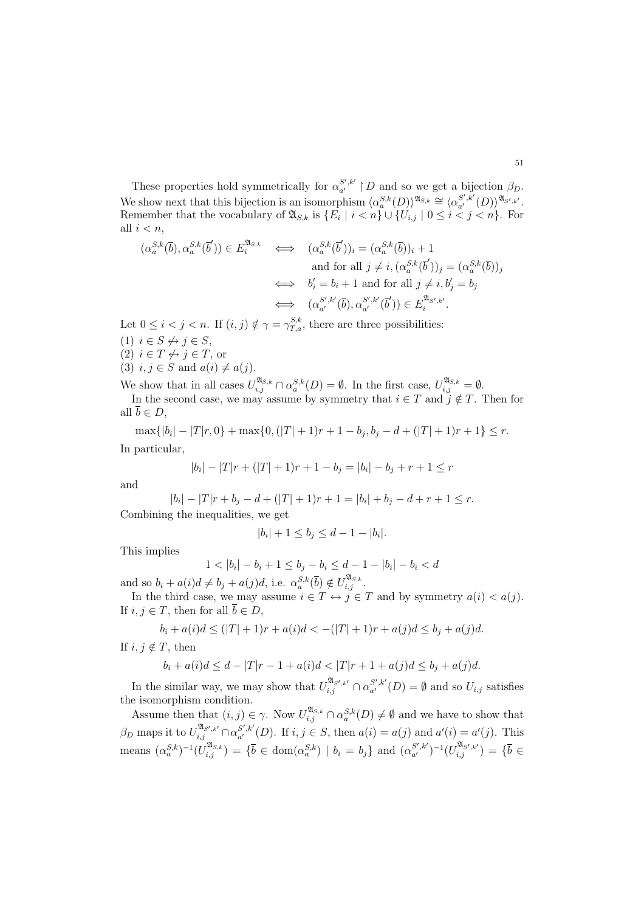51

These properties hold symmetrically for  $\alpha_{a'}^{S',k'} \upharpoonright D$  and so we get a bijection  $\beta_D$ . We show next that this bijection is an isomorphism  $\langle \alpha_a^{S,k}(D) \rangle^{\mathfrak{A}_{S,k}} \cong \langle \alpha_{a'}^{S',k'}(D) \rangle^{\mathfrak{A}_{S',k'}}$ . Remember that the vocabulary of  $\mathfrak{A}_{S,k}$  is  $\{E_i | i < n\} \cup \{U_{i,j} | 0 \leq i < j < n\}$ . For all  $i < n$ ,

$$
(\alpha_a^{S,k}(\overline{b}), \alpha_a^{S,k}(\overline{b}')) \in E_i^{\mathfrak{A}_{S,k}} \iff (\alpha_a^{S,k}(\overline{b}'))_i = (\alpha_a^{S,k}(\overline{b}))_i + 1
$$
  
and for all  $j \neq i, (\alpha_a^{S,k}(\overline{b}'))_j = (\alpha_a^{S,k}(\overline{b}))_j$   

$$
\iff b_i' = b_i + 1 \text{ and for all } j \neq i, b_j' = b_j
$$
  

$$
\iff (\alpha_{a'}^{S',k'}(\overline{b}), \alpha_{a'}^{S',k'}(\overline{b}')) \in E_i^{\mathfrak{A}_{S',k'}}.
$$

Let  $0 \leq i < j < n$ . If  $(i, j) \notin \gamma = \gamma_{T,a}^{S,k}$ , there are three possibilities:

- (1)  $i \in S \leftrightarrow i \in S$ ,
- $(2)$   $i \in T \nleftrightarrow j \in T$ , or
- (3)  $i, j \in S$  and  $a(i) \neq a(j)$ .

We show that in all cases  $U_{i,j}^{\mathfrak{A}_{S,k}} \cap \alpha_a^{S,k}(D) = \emptyset$ . In the first case,  $U_{i,j}^{\mathfrak{A}_{S,k}} = \emptyset$ .

In the second case, we may assume by symmetry that  $i \in T$  and  $j \notin T$ . Then for all  $\overline{b} \in D$ ,

$$
\max\{|b_i| - |T|r, 0\} + \max\{0, (|T| + 1)r + 1 - b_j, b_j - d + (|T| + 1)r + 1\} \le r.
$$

In particular,

$$
|b_i| - |T|r + (|T| + 1)r + 1 - b_j = |b_i| - b_j + r + 1 \le r
$$

and

$$
|b_i| - |T|r + b_j - d + (|T| + 1)r + 1 = |b_i| + b_j - d + r + 1 \le r.
$$

Combining the inequalities, we get

$$
|b_i| + 1 \le b_j \le d - 1 - |b_i|.
$$

This implies

$$
1 < |b_i| - b_i + 1 \le b_j - b_i \le d - 1 - |b_i| - b_i < d
$$

and so  $b_i + a(i)d \neq b_j + a(j)d$ , i.e.  $\alpha_a^{S,k}(\overline{b}) \notin U_{i,j}^{\mathfrak{A}_{S,k}}$ .

In the third case, we may assume  $i \in T \leftrightarrow j \in T$  and by symmetry  $a(i) < a(j)$ . If  $i, j \in T$ , then for all  $\overline{b} \in D$ ,

$$
b_i + a(i)d \le (|T| + 1)r + a(i)d < -(|T| + 1)r + a(j)d \le b_j + a(j)d.
$$

If  $i, j \notin T$ , then

$$
b_i+a(i)d\leq d-|T|r-1+a(i)d<|T|r+1+a(j)d\leq b_j+a(j)d.
$$

In the similar way, we may show that  $U_{i,j}^{\mathfrak{A}_{S',k'}} \cap \alpha_{a'}^{S',k'}(D) = \emptyset$  and so  $U_{i,j}$  satisfies the isomorphism condition.

Assume then that  $(i, j) \in \gamma$ . Now  $U_{i,j}^{\mathfrak{A}_{S,k}} \cap \alpha_a^{S,k}(D) \neq \emptyset$  and we have to show that  $\beta_D$  maps it to  $U^{a_{S',k'}}_{i,j} \cap \alpha^{S',k'}_{a'}(D)$ . If  $i, j \in S$ , then  $a(i) = a(j)$  and  $a'(i) = a'(j)$ . This means  $(\alpha_a^{S,k})^{-1}(U_{i,j}^{\mathfrak{A}_{S,k}}) = {\overline{b} \in \text{dom}(\alpha_a^{S,k}) \mid b_i = b_j \}$  and  $(\alpha_{a'}^{S',k'})^{-1}(U_{i,j}^{\mathfrak{A}_{S',k'}}) = {\overline{b} \in \text{dom}(\alpha_a^{S,k})}$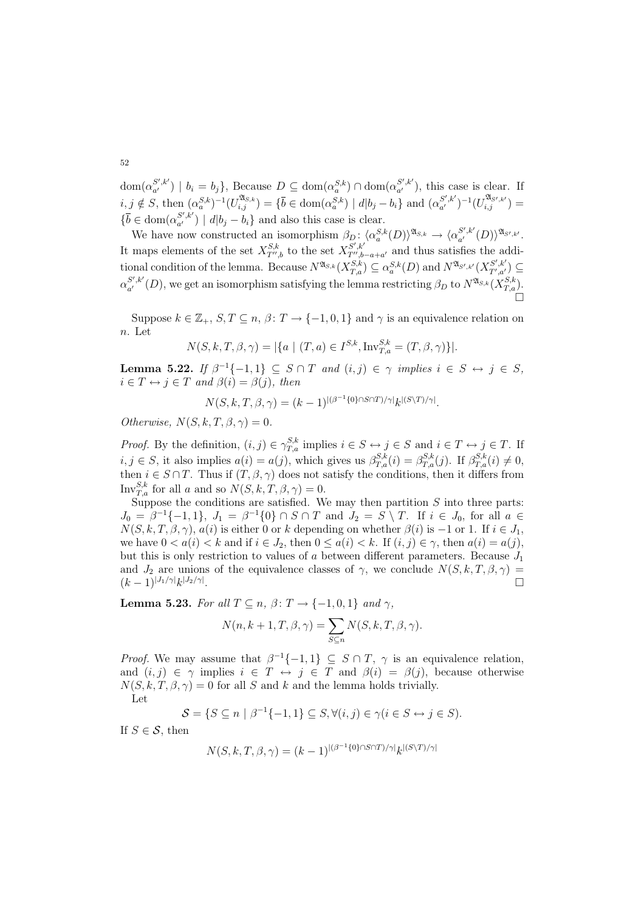$\text{dom}(\alpha_{a'}^{S',k'}) \mid b_i = b_j\},$  Because  $D \subseteq \text{dom}(\alpha_a^{S,k}) \cap \text{dom}(\alpha_{a'}^{S',k'})$ , this case is clear. If  $i, j \notin S$ , then  $(\alpha_a^{S,k})^{-1}(U_{i,j}^{2\mathcal{B}_{S,k}}) = {\bar{b} \in \text{dom}(\alpha_a^{S,k}) \mid d|b_j - b_i \}$  and  $(\alpha_{a'}^{S',k'})^{-1}(U_{i,j}^{2\mathcal{B}_{S',k'}})$  $\{\overline{b} \in \text{dom}(\alpha_{a'}^{S',k'}) \mid d|b_j - b_i\}$  and also this case is clear.

We have now constructed an isomorphism  $\beta_D: \langle \alpha_a^{S,k}(D) \rangle^{\mathfrak{A}_{S,k}} \to \langle \alpha_{a'}^{S',k'}(D) \rangle^{\mathfrak{A}_{S',k'}}$ . It maps elements of the set  $X^{S,k}_{T'',b}$  to the set  $X^{S',k'}_{T'',b-a+a'}$  and thus satisfies the additional condition of the lemma. Because  $N^{\mathfrak{A}_{S,k}}(X^{S,k}_{T,a}) \subseteq \alpha^{S,k}_a(D)$  and  $N^{\mathfrak{A}_{S',k'}}(X^{S',k'}_{T',a'}) \subseteq$  $\alpha_{a'}^{S',k'}(D)$ , we get an isomorphism satisfying the lemma restricting  $\beta_D$  to  $N^{\mathfrak{A}_{S,k}}(X^{S,k}_{T,a})$ .  $\Box$ 

Suppose  $k \in \mathbb{Z}_+$ ,  $S, T \subseteq n$ ,  $\beta: T \to \{-1, 0, 1\}$  and  $\gamma$  is an equivalence relation on n. Let

$$
N(S, k, T, \beta, \gamma) = |\{a \mid (T, a) \in I^{S,k}, Inv_{T,a}^{S,k} = (T, \beta, \gamma) \}|.
$$

**Lemma 5.22.** If  $\beta^{-1}\{-1,1\} \subseteq S \cap T$  and  $(i, j) \in \gamma$  implies  $i \in S \leftrightarrow j \in S$ ,  $i \in T \leftrightarrow j \in T$  and  $\beta(i) = \beta(j)$ , then

$$
N(S, k, T, \beta, \gamma) = (k - 1)^{[(\beta^{-1}\{0\} \cap S \cap T)/\gamma]} k^{|(S \setminus T)/\gamma|}.
$$

Otherwise,  $N(S, k, T, \beta, \gamma)=0$ .

*Proof.* By the definition,  $(i, j) \in \gamma_{T,a}^{S,k}$  implies  $i \in S \leftrightarrow j \in S$  and  $i \in T \leftrightarrow j \in T$ . If  $i, j \in S$ , it also implies  $a(i) = a(j)$ , which gives us  $\beta_{T,a}^{S,k}(i) = \beta_{T,a}^{S,k}(j)$ . If  $\beta_{T,a}^{S,k}(i) \neq 0$ , then  $i \in S \cap T$ . Thus if  $(T, \beta, \gamma)$  does not satisfy the conditions, then it differs from Inv $_{T,a}^{S,k}$  for all a and so  $N(S, k, T, \beta, \gamma) = 0$ .

Suppose the conditions are satisfied. We may then partition  $S$  into three parts:  $J_0 = \beta^{-1}\{-1,1\}, J_1 = \beta^{-1}\{0\} \cap S \cap T$  and  $J_2 = S \setminus T$ . If  $i \in J_0$ , for all  $a \in$  $N(S, k, T, \beta, \gamma)$ ,  $a(i)$  is either 0 or k depending on whether  $\beta(i)$  is  $-1$  or 1. If  $i \in J_1$ , we have  $0 < a(i) < k$  and if  $i \in J_2$ , then  $0 \le a(i) < k$ . If  $(i, j) \in \gamma$ , then  $a(i) = a(j)$ , but this is only restriction to values of a between different parameters. Because  $J_1$ and  $J_2$  are unions of the equivalence classes of  $\gamma$ , we conclude  $N(S, k, T, \beta, \gamma)$  $(k-1)^{|J_1/\gamma|}k^{|J_2/\gamma|}$ .

**Lemma 5.23.** For all  $T \subseteq n$ ,  $\beta: T \rightarrow \{-1, 0, 1\}$  and  $\gamma$ ,

$$
N(n, k+1, T, \beta, \gamma) = \sum_{S \subseteq n} N(S, k, T, \beta, \gamma).
$$

*Proof.* We may assume that  $\beta^{-1}\{-1,1\} \subseteq S \cap T$ ,  $\gamma$  is an equivalence relation, and  $(i, j) \in \gamma$  implies  $i \in T \leftrightarrow j \in T$  and  $\beta(i) = \beta(j)$ , because otherwise  $N(S, k, T, \beta, \gamma) = 0$  for all S and k and the lemma holds trivially.

Let

$$
\mathcal{S} = \{ S \subseteq n \mid \beta^{-1} \{-1, 1\} \subseteq S, \forall (i, j) \in \gamma (i \in S \leftrightarrow j \in S).
$$

If  $S \in \mathcal{S}$ , then

$$
N(S,k,T,\beta,\gamma)=(k-1)^{[(\beta^{-1}\{0\}\cap S\cap T)/\gamma]}k^{[(S\backslash T)/\gamma]}
$$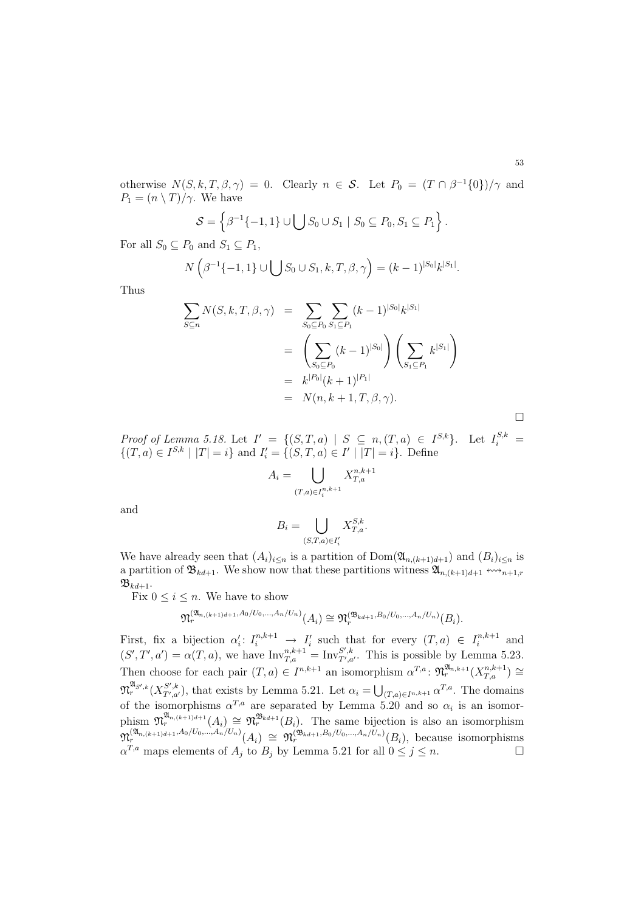otherwise  $N(S, k, T, \beta, \gamma) = 0$ . Clearly  $n \in S$ . Let  $P_0 = (T \cap \beta^{-1}{0})/\gamma$  and  $P_1 = (n \setminus T)/\gamma$ . We have

$$
\mathcal{S} = \left\{ \beta^{-1} \{-1, 1\} \cup \bigcup S_0 \cup S_1 \mid S_0 \subseteq P_0, S_1 \subseteq P_1 \right\}.
$$

For all  $S_0 \subseteq P_0$  and  $S_1 \subseteq P_1$ ,

$$
N\left(\beta^{-1}\{-1,1\}\cup\bigcup S_0\cup S_1,k,T,\beta,\gamma\right)=(k-1)^{|S_0|}k^{|S_1|}.
$$

Thus

$$
\sum_{S \subseteq n} N(S, k, T, \beta, \gamma) = \sum_{S_0 \subseteq P_0} \sum_{S_1 \subseteq P_1} (k-1)^{|S_0|} k^{|S_1|}
$$
  
= 
$$
\left( \sum_{S_0 \subseteq P_0} (k-1)^{|S_0|} \right) \left( \sum_{S_1 \subseteq P_1} k^{|S_1|} \right)
$$
  
= 
$$
k^{|P_0|}(k+1)^{|P_1|}
$$
  
= 
$$
N(n, k+1, T, \beta, \gamma).
$$

*Proof of Lemma 5.18.* Let  $I' = \{(S, T, a) | S \subseteq n, (T, a) \in I^{S,k}\}\$ . Let  $I_i^{S,k} =$  $\{(T,a) \in I^{S,k} \mid |T|=i\}$  and  $I'_i = \{(S,T,a) \in I' \mid |T|=i\}$ . Define

$$
A_i = \bigcup_{(T,a)\in I_i^{n,k+1}} X_{T,a}^{n,k+1}
$$

and

$$
B_i = \bigcup_{(S,T,a)\in I'_i} X_{T,a}^{S,k}.
$$

We have already seen that  $(A_i)_{i\leq n}$  is a partition of  $Dom(\mathfrak{A}_{n,(k+1)d+1})$  and  $(B_i)_{i\leq n}$  is a partition of  $\mathfrak{B}_{kd+1}$ . We show now that these partitions witness  $\mathfrak{A}_{n,(k+1)d+1} \leftrightarrow_{n+1,r}$  $\mathfrak{B}_{kd+1}.$ 

Fix  $0 \leq i \leq n$ . We have to show

$$
\mathfrak{N}_r^{(\mathfrak{A}_{n,(k+1)d+1},A_0/U_0,\ldots,A_n/U_n)}(A_i) \cong \mathfrak{N}_r^{(\mathfrak{B}_{kd+1},B_0/U_0,\ldots,A_n/U_n)}(B_i).
$$

First, fix a bijection  $\alpha'_i: I_i^{n,k+1} \to I'_i$  such that for every  $(T, a) \in I_i^{n,k+1}$  and  $(S', T', a') = \alpha(T, a)$ , we have  $\text{Inv}_{T,a}^{n,k+1} = \text{Inv}_{T',a'}^{S',k}$ . This is possible by Lemma 5.23. Then choose for each pair  $(T, a) \in I^{n,k+1}$  an isomorphism  $\alpha^{T,a} \colon \mathfrak{N}_r^{2\mathfrak{l}_{n,k+1}}(X_{T,a}^{n,k+1}) \cong$  $\mathfrak{N}_{r}^{\mathfrak{A}_{S',k}}(X_{T',a'}^{S',k})$ , that exists by Lemma 5.21. Let  $\alpha_i = \bigcup_{(T,a)\in I^{n,k+1}} \alpha^{T,a}$ . The domains of the isomorphisms  $\alpha^{T,a}$  are separated by Lemma 5.20 and so  $\alpha_i$  is an isomorphism  $\mathfrak{N}_r^{\mathfrak{A}_{n,(k+1)d+1}}(A_i) \cong \mathfrak{N}_r^{\mathfrak{B}_{kd+1}}(B_i)$ . The same bijection is also an isomorphism  $\mathfrak{N}_{r}^{(\mathfrak{A}_{n,(k+1)d+1},A_0/U_0,...,A_n/U_n)}(A_i) \cong \mathfrak{N}_{r}^{(\mathfrak{B}_{kd+1},B_0/U_0,...,A_n/U_n)}(B_i)$ , because isomorphisms  $\alpha^{T,a}$  maps elements of  $A_j$  to  $B_j$  by Lemma 5.21 for all  $0 \leq j \leq n$ .

 $\Box$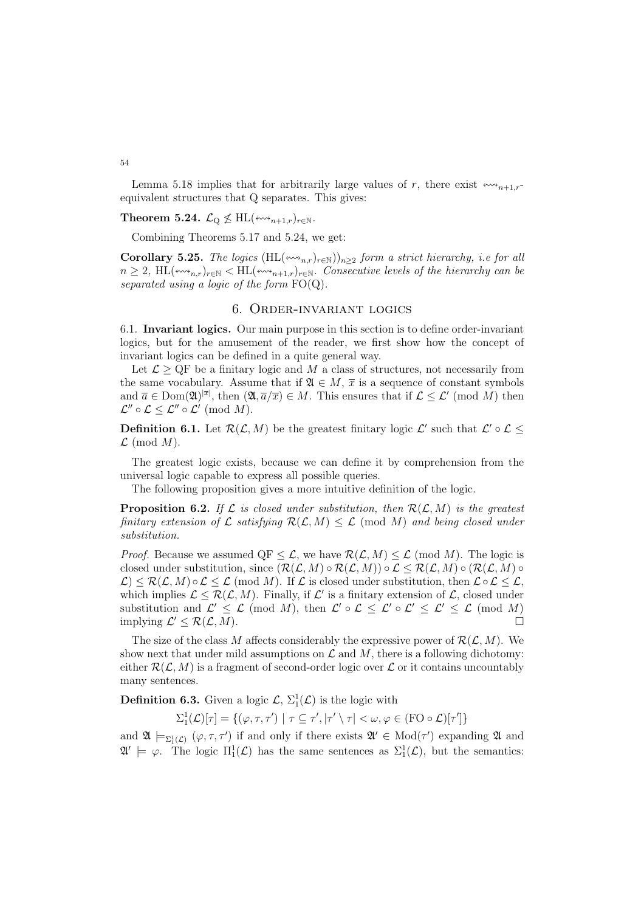Lemma 5.18 implies that for arbitrarily large values of r, there exist  $\longleftrightarrow_{n+1,r-1}$ equivalent structures that Q separates. This gives:

**Theorem 5.24.**  $\mathcal{L}_{Q} \not\leq \text{HL}(\text{max}_{n+1,r})_{r \in \mathbb{N}}$ .

Combining Theorems 5.17 and 5.24, we get:

**Corollary 5.25.** The logics  $(HL(\rightsquigarrow_{n,r})_{r\in\mathbb{N}}))_{n\geq2}$  form a strict hierarchy, i.e for all  $n \geq 2$ , HL( $\{\cdots n_r\}_{r \in \mathbb{N}}$  < HL( $\{\cdots n_{n+1,r}\}_{r \in \mathbb{N}}$ . Consecutive levels of the hierarchy can be separated using a logic of the form  $FO(Q)$ .

### 6. Order-invariant logics

6.1. **Invariant logics.** Our main purpose in this section is to define order-invariant logics, but for the amusement of the reader, we first show how the concept of invariant logics can be defined in a quite general way.

Let  $\mathcal{L} > QF$  be a finitary logic and M a class of structures, not necessarily from the same vocabulary. Assume that if  $\mathfrak{A} \in M$ ,  $\bar{x}$  is a sequence of constant symbols and  $\overline{a} \in \text{Dom}(\mathfrak{A})^{|\overline{x}|}$ , then  $(\mathfrak{A}, \overline{a}/\overline{x}) \in M$ . This ensures that if  $\mathcal{L} \leq \mathcal{L}'$  (mod M) then  $\mathcal{L}''\circ \mathcal{L}\leq \mathcal{L}''\circ \mathcal{L}' \pmod{M}.$ 

**Definition 6.1.** Let  $\mathcal{R}(\mathcal{L}, M)$  be the greatest finitary logic  $\mathcal{L}'$  such that  $\mathcal{L}' \circ \mathcal{L} \leq$  $\mathcal{L}$  (mod M).

The greatest logic exists, because we can define it by comprehension from the universal logic capable to express all possible queries.

The following proposition gives a more intuitive definition of the logic.

**Proposition 6.2.** If  $\mathcal{L}$  is closed under substitution, then  $\mathcal{R}(\mathcal{L}, M)$  is the greatest finitary extension of L satisfying  $\mathcal{R}(\mathcal{L}, M) \leq \mathcal{L}$  (mod M) and being closed under substitution.

*Proof.* Because we assumed  $QF \leq \mathcal{L}$ , we have  $\mathcal{R}(\mathcal{L}, M) \leq \mathcal{L}$  (mod M). The logic is closed under substitution, since  $(\mathcal{R}(\mathcal{L}, M) \circ \mathcal{R}(\mathcal{L}, M)) \circ \mathcal{L} \leq \mathcal{R}(\mathcal{L}, M) \circ (\mathcal{R}(\mathcal{L}, M) \circ \mathcal{L})$  $\mathcal{L}$ )  $\leq \mathcal{R}(\mathcal{L}, M) \circ \mathcal{L} \leq \mathcal{L}$  (mod M). If  $\mathcal{L}$  is closed under substitution, then  $\mathcal{L} \circ \mathcal{L} \leq \mathcal{L}$ , which implies  $\mathcal{L} \leq \mathcal{R}(\mathcal{L}, M)$ . Finally, if  $\mathcal{L}'$  is a finitary extension of  $\mathcal{L}$ , closed under substitution and  $\mathcal{L}' \leq \mathcal{L} \pmod{M}$ , then  $\mathcal{L}' \circ \mathcal{L} \leq \mathcal{L}' \circ \mathcal{L}' \leq \mathcal{L} \leq \mathcal{L} \pmod{M}$ implying  $\mathcal{L}' \leq \mathcal{R}(\mathcal{L}, M)$ .

The size of the class M affects considerably the expressive power of  $\mathcal{R}(\mathcal{L}, M)$ . We show next that under mild assumptions on  $\mathcal L$  and  $M$ , there is a following dichotomy: either  $\mathcal{R}(\mathcal{L}, M)$  is a fragment of second-order logic over  $\mathcal L$  or it contains uncountably many sentences.

**Definition 6.3.** Given a logic  $\mathcal{L}$ ,  $\Sigma_1^1(\mathcal{L})$  is the logic with

 $\Sigma_1^1(\mathcal{L})[\tau] = \{(\varphi, \tau, \tau') \mid \tau \subseteq \tau', |\tau' \setminus \tau| < \omega, \varphi \in (\text{FO} \circ \mathcal{L})[\tau']\}$ 

and  $\mathfrak{A} \models_{\Sigma_1^1(\mathcal{L})} (\varphi, \tau, \tau')$  if and only if there exists  $\mathfrak{A}' \in Mod(\tau')$  expanding  $\mathfrak{A}$  and  $\mathfrak{A}' \models \varphi$ . The logic  $\Pi_1^1(\mathcal{L})$  has the same sentences as  $\Sigma_1^1(\mathcal{L})$ , but the semantics: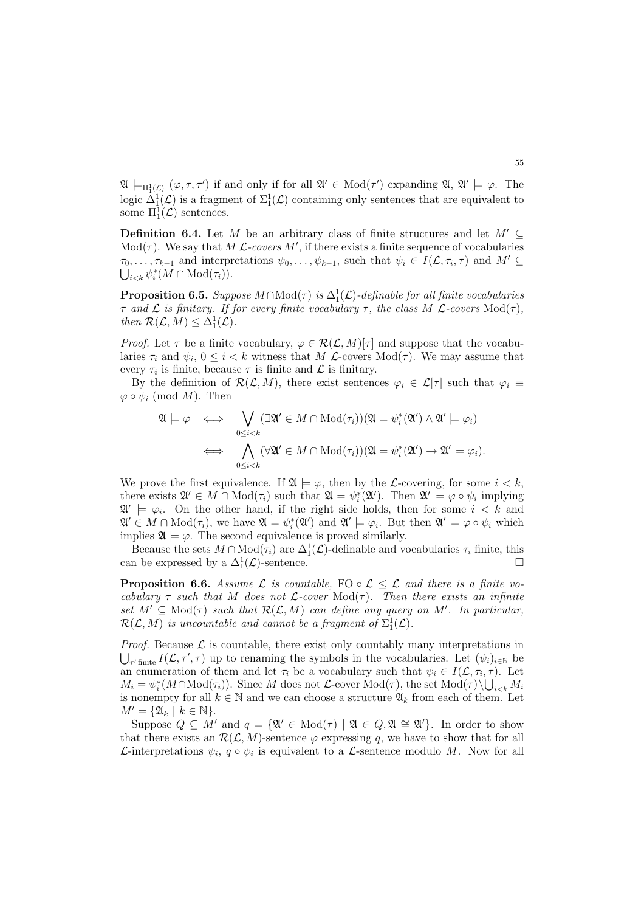$\mathfrak{A} \models_{\Pi_1^1(\mathcal{L})} (\varphi, \tau, \tau')$  if and only if for all  $\mathfrak{A}' \in Mod(\tau')$  expanding  $\mathfrak{A}, \mathfrak{A}' \models \varphi$ . The logic  $\Delta_1^1(\mathcal{L})$  is a fragment of  $\Sigma_1^1(\mathcal{L})$  containing only sentences that are equivalent to some  $\Pi_1^1(\mathcal{L})$  sentences.

**Definition 6.4.** Let M be an arbitrary class of finite structures and let  $M' \subseteq$  $Mod(7)$ . We say that M  $\mathcal{L}\text{-} covers M'$ , if there exists a finite sequence of vocabularies  $\tau_0,\ldots,\tau_{k-1}$  and interpretations  $\psi_0,\ldots,\psi_{k-1}$ , such that  $\psi_i \in I(\mathcal{L},\tau_i,\tau)$  and  $M' \subseteq$  $\bigcup_{i < k} \psi_i^*(M \cap \text{Mod}(\tau_i)).$ 

**Proposition 6.5.** Suppose  $M \cap Mod(\tau)$  is  $\Delta_1^1(\mathcal{L})$ -definable for all finite vocabularies  $\tau$  and  $\mathcal L$  is finitary. If for every finite vocabulary  $\tau$ , the class M  $\mathcal L$ -covers  $Mod(\tau)$ , then  $\mathcal{R}(\mathcal{L}, M) \leq \Delta_1^1(\mathcal{L}).$ 

*Proof.* Let  $\tau$  be a finite vocabulary,  $\varphi \in \mathcal{R}(\mathcal{L}, M)[\tau]$  and suppose that the vocabularies  $\tau_i$  and  $\psi_i$ ,  $0 \leq i < k$  witness that M  $\mathcal{L}$ -covers Mod( $\tau$ ). We may assume that every  $\tau_i$  is finite, because  $\tau$  is finite and  $\mathcal L$  is finitary.

By the definition of  $\mathcal{R}(\mathcal{L}, M)$ , there exist sentences  $\varphi_i \in \mathcal{L}[\tau]$  such that  $\varphi_i \equiv$  $\varphi \circ \psi_i \pmod{M}$ . Then

$$
\mathfrak{A} \models \varphi \iff \bigvee_{0 \leq i < k} (\exists \mathfrak{A}' \in M \cap \mathrm{Mod}(\tau_i))(\mathfrak{A} = \psi_i^*(\mathfrak{A}') \land \mathfrak{A}' \models \varphi_i)
$$
\n
$$
\iff \bigwedge_{0 \leq i < k} (\forall \mathfrak{A}' \in M \cap \mathrm{Mod}(\tau_i))(\mathfrak{A} = \psi_i^*(\mathfrak{A}') \to \mathfrak{A}' \models \varphi_i).
$$

We prove the first equivalence. If  $\mathfrak{A} \models \varphi$ , then by the *L*-covering, for some  $i < k$ , there exists  $\mathfrak{A}' \in M \cap \text{Mod}(\tau_i)$  such that  $\mathfrak{A} = \psi_i^*(\mathfrak{A}')$ . Then  $\mathfrak{A}' \models \varphi \circ \psi_i$  implying  $\mathfrak{A}' \models \varphi_i$ . On the other hand, if the right side holds, then for some  $i < k$  and  $\mathfrak{A}' \in M \cap \text{Mod}(\tau_i)$ , we have  $\mathfrak{A} = \psi_i^*(\mathfrak{A}')$  and  $\mathfrak{A}' \models \varphi_i$ . But then  $\mathfrak{A}' \models \varphi \circ \psi_i$  which implies  $\mathfrak{A} \models \varphi$ . The second equivalence is proved similarly.

Because the sets  $M \cap Mod(\tau_i)$  are  $\Delta_1^1(\mathcal{L})$ -definable and vocabularies  $\tau_i$  finite, this can be expressed by a  $\Delta_1^1(\mathcal{L})$ -sentence.

**Proposition 6.6.** Assume  $\mathcal{L}$  is countable, FO  $\circ \mathcal{L} \leq \mathcal{L}$  and there is a finite vocabulary  $\tau$  such that M does not  $\mathcal{L}$ -cover Mod( $\tau$ ). Then there exists an infinite set  $M' \subseteq Mod(\tau)$  such that  $\mathcal{R}(\mathcal{L}, M)$  can define any query on M'. In particular,  $\mathcal{R}(\mathcal{L},M)$  is uncountable and cannot be a fragment of  $\Sigma_1^1(\mathcal{L})$ .

*Proof.* Because  $\mathcal{L}$  is countable, there exist only countably many interpretations in  $\bigcup_{\tau' \text{finite}} I(L, \tau', \tau)$  up to renaming the symbols in the vocabularies. Let  $(\psi_i)_{i \in \mathbb{N}}$  be an enumeration of them and let  $\tau_i$  be a vocabulary such that  $\psi_i \in I(\mathcal{L}, \tau_i, \tau)$ . Let  $M_i = \psi_i^*(M \cap \text{Mod}(\tau_i))$ . Since M does not  $\mathcal{L}$ -cover  $\text{Mod}(\tau)$ , the set  $\text{Mod}(\tau) \setminus \bigcup_{i \leq k} M_i$ is nonempty for all  $k \in \mathbb{N}$  and we can choose a structure  $\mathfrak{A}_k$  from each of them. Let  $M' = \{ \mathfrak{A}_k \mid k \in \mathbb{N} \}.$ 

Suppose  $Q \subseteq M'$  and  $q = {\mathfrak{A}' \in Mod(\tau) \mid \mathfrak{A} \in Q, \mathfrak{A} \cong \mathfrak{A}'}$ . In order to show that there exists an  $\mathcal{R}(\mathcal{L}, M)$ -sentence  $\varphi$  expressing q, we have to show that for all L-interpretations  $\psi_i$ ,  $q \circ \psi_i$  is equivalent to a L-sentence modulo M. Now for all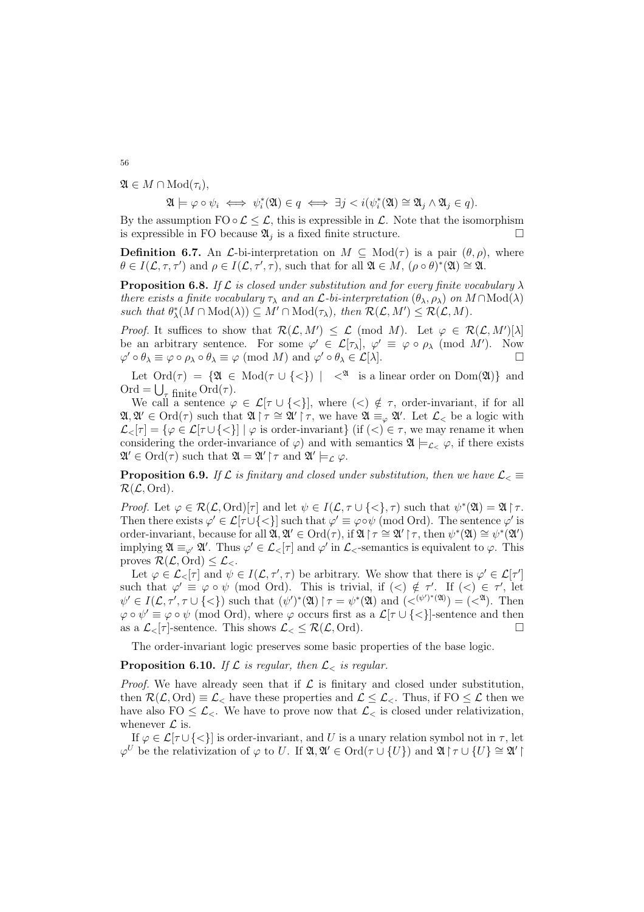$\mathfrak{A} \in M \cap \text{Mod}(\tau_i),$ 

$$
\mathfrak{A}\models \varphi\circ\psi_i\iff \psi_i^*(\mathfrak{A})\in q\iff \exists j
$$

By the assumption  $FO \circ \mathcal{L} \leq \mathcal{L}$ , this is expressible in  $\mathcal{L}$ . Note that the isomorphism is expressible in FO because  $\mathfrak{A}_i$  is a fixed finite structure.

**Definition 6.7.** An L-bi-interpretation on  $M \subseteq Mod(\tau)$  is a pair  $(\theta, \rho)$ , where  $\theta \in I(\mathcal{L}, \tau, \tau')$  and  $\rho \in I(\mathcal{L}, \tau', \tau)$ , such that for all  $\mathfrak{A} \in M$ ,  $(\rho \circ \theta)^*(\mathfrak{A}) \cong \mathfrak{A}$ .

**Proposition 6.8.** If  $\mathcal{L}$  is closed under substitution and for every finite vocabulary  $\lambda$ there exists a finite vocabulary  $\tau_{\lambda}$  and an  $\mathcal{L}\text{-}bi\text{-}interpretation (\theta_{\lambda}, \rho_{\lambda})$  on  $M \cap \text{Mod}(\lambda)$ such that  $\theta^*_{\lambda}(M \cap \text{Mod}(\lambda)) \subseteq M' \cap \text{Mod}(\tau_{\lambda}),$  then  $\mathcal{R}(\mathcal{L}, M') \leq \mathcal{R}(\mathcal{L}, M)$ .

*Proof.* It suffices to show that  $\mathcal{R}(\mathcal{L}, M') \leq \mathcal{L}$  (mod M). Let  $\varphi \in \mathcal{R}(\mathcal{L}, M')[\lambda]$ be an arbitrary sentence. For some  $\varphi' \in \mathcal{L}[\tau_{\lambda}], \varphi' \equiv \varphi \circ \rho_{\lambda} \pmod{M'}$ . Now  $\varphi' \circ \theta_{\lambda} \equiv \varphi \circ \rho_{\lambda} \circ \theta_{\lambda} \equiv \varphi \pmod{M}$  and  $\varphi' \circ \theta_{\lambda} \in \mathcal{L}[\lambda]$ .

Let  $\text{Ord}(\tau) = \{ \mathfrak{A} \in \text{Mod}(\tau \cup \{<\}) \mid <^{\mathfrak{A}} \text{ is a linear order on } \text{Dom}(\mathfrak{A}) \}$  and  $\text{Ord}=\bigcup_{\tau}$  finite  $\text{Ord}(\tau)$ .

We call a sentence  $\varphi \in \mathcal{L}[\tau \cup \{<\}]$ , where  $(<) \notin \tau$ , order-invariant, if for all  $\mathfrak{A}, \mathfrak{A}' \in \text{Ord}(\tau)$  such that  $\mathfrak{A} \restriction \tau \cong \mathfrak{A}' \restriction \tau$ , we have  $\mathfrak{A} \equiv_{\varphi} \mathfrak{A}'$ . Let  $\mathcal{L}_{<}$  be a logic with  $\mathcal{L}_{\leq}[\tau] = {\varphi \in \mathcal{L}[\tau \cup \{<\}] | \varphi \text{ is order-invariant}}$  (if  $(<) \in \tau$ , we may rename it when considering the order-invariance of  $\varphi$ ) and with semantics  $\mathfrak{A}\models_{\mathcal{L}<\varphi}$ , if there exists  $\mathfrak{A}' \in \text{Ord}(\tau)$  such that  $\mathfrak{A} = \mathfrak{A}' \upharpoonright \tau$  and  $\mathfrak{A}' \models_{\mathcal{L}} \varphi$ .

**Proposition 6.9.** If  $\mathcal{L}$  is finitary and closed under substitution, then we have  $\mathcal{L}_{\leq} \equiv$  $\mathcal{R}(\mathcal{L}, \text{Ord}).$ 

*Proof.* Let  $\varphi \in \mathcal{R}(\mathcal{L}, \text{Ord})[\tau]$  and let  $\psi \in I(\mathcal{L}, \tau \cup \{<\}, \tau)$  such that  $\psi^*(\mathfrak{A}) = \mathfrak{A} \upharpoonright \tau$ . Then there exists  $\varphi' \in \mathcal{L}[\tau \cup \{\leq\}]$  such that  $\varphi' \equiv \varphi \circ \psi \pmod{0}$ . The sentence  $\varphi'$  is order-invariant, because for all  $\mathfrak{A}, \mathfrak{A}' \in \mathrm{Ord}(\tau)$ , if  $\mathfrak{A}\!\restriction\!\tau \cong \mathfrak{A}' \!\restriction\!\tau$ , then  $\psi^*(\mathfrak{A}) \cong \psi^*(\mathfrak{A}')$ implying  $\mathfrak{A} \equiv_{\varphi'} \mathfrak{A}'$ . Thus  $\varphi' \in \mathcal{L}_{\leq}[\tau]$  and  $\varphi'$  in  $\mathcal{L}_{\leq}$ -semantics is equivalent to  $\varphi$ . This proves  $\mathcal{R}(\mathcal{L}, \text{Ord}) \leq \mathcal{L}_{\leq}$ .

Let  $\varphi \in \mathcal{L}_{\leq}[\tau]$  and  $\psi \in I(\mathcal{L}, \tau', \tau)$  be arbitrary. We show that there is  $\varphi' \in \mathcal{L}[\tau']$ such that  $\varphi' \equiv \varphi \circ \psi$  (mod Ord). This is trivial, if  $(\langle \rangle \notin \tau'$ . If  $(\langle \rangle \in \tau'$ , let  $\psi' \in I(\mathcal{L}, \tau', \tau \cup \{<\})$  such that  $(\psi')^*(\mathfrak{A}) \upharpoonright \tau = \psi^*(\mathfrak{A})$  and  $(\langle \psi' \rangle^*(\mathfrak{A})) = (\langle \mathfrak{A} \rangle)$ . Then  $\varphi \circ \psi' \equiv \varphi \circ \psi \pmod{\mathrm{Ord}}$ , where  $\varphi$  occurs first as a  $\mathcal{L}[\tau \cup \{\leq\}]$ -sentence and then as a  $\mathcal{L}_{\leq}[\tau]$ -sentence. This shows  $\mathcal{L}_{\leq} \leq \mathcal{R}(\mathcal{L}, \text{Ord})$ .

The order-invariant logic preserves some basic properties of the base logic.

**Proposition 6.10.** If  $\mathcal L$  is regular, then  $\mathcal L_{\leq}$  is regular.

*Proof.* We have already seen that if  $\mathcal L$  is finitary and closed under substitution, then  $\mathcal{R}(\mathcal{L}, \text{Ord}) \equiv \mathcal{L}_\le$  have these properties and  $\mathcal{L} \leq \mathcal{L}_\leq$ . Thus, if  $\text{FO} \leq \mathcal{L}$  then we have also FO  $\leq \mathcal{L}_{\leq}$ . We have to prove now that  $\mathcal{L}_{\leq}$  is closed under relativization, whenever  $\mathcal L$  is.

If  $\varphi \in \mathcal{L}[\tau \cup \{\langle \rangle\}]$  is order-invariant, and U is a unary relation symbol not in  $\tau$ , let  $\varphi^U$  be the relativization of  $\varphi$  to U. If  $\mathfrak{A}, \mathfrak{A}' \in \text{Ord}(\tau \cup \{U\})$  and  $\mathfrak{A} \upharpoonright \tau \cup \{U\} \cong \mathfrak{A}' \upharpoonright$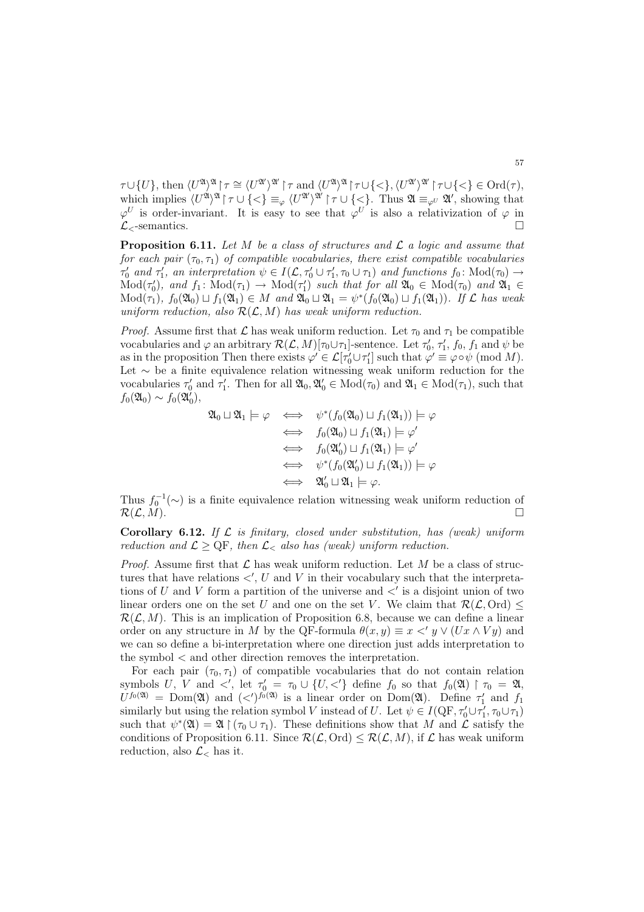$\tau \cup \{U\}$ , then  $\langle U^{\mathfrak{A}} \rangle^{\mathfrak{A}} \restriction \tau \cong \langle U^{\mathfrak{A} \prime} \rangle^{\mathfrak{A} \prime} \restriction \tau$  and  $\langle U^{\mathfrak{A}} \rangle^{\mathfrak{A}} \restriction \tau \cup \{<\}, \langle U^{\mathfrak{A} \prime} \rangle^{\mathfrak{A} \prime} \restriction \tau \cup \{<\} \in \text{Ord}(\tau)$ , which implies  $\langle U^{\mathfrak{A}} \rangle^{\mathfrak{A}} \restriction \tau \cup \{ \langle \} \equiv_{\varphi} \langle U^{\mathfrak{A}'} \rangle^{\mathfrak{A}'} \restriction \tau \cup \{ \langle \rangle \}$ . Thus  $\mathfrak{A} \equiv_{\varphi} V \mathfrak{A}'$ , showing that  $\varphi^U$  is order-invariant. It is easy to see that  $\varphi^U$  is also a relativization of  $\varphi$  in  $\mathcal{L}_{\leq}$ -semantics.

**Proposition 6.11.** Let M be a class of structures and  $\mathcal{L}$  a logic and assume that for each pair  $(\tau_0, \tau_1)$  of compatible vocabularies, there exist compatible vocabularies  $\tau_0'$  and  $\tau_1'$ , an interpretation  $\psi \in I(\mathcal{L}, \tau_0' \cup \tau_1', \tau_0 \cup \tau_1)$  and functions  $f_0 \colon \text{Mod}(\tau_0) \to$  $Mod(\tau_0')$ , and  $f_1: Mod(\tau_1) \to Mod(\tau_1')$  such that for all  $\mathfrak{A}_0 \in Mod(\tau_0)$  and  $\mathfrak{A}_1 \in$  $\text{Mod}(\tau_1)$ ,  $f_0(\mathfrak{A}_0) \sqcup f_1(\mathfrak{A}_1) \in M$  and  $\mathfrak{A}_0 \sqcup \mathfrak{A}_1 = \psi^*(f_0(\mathfrak{A}_0) \sqcup f_1(\mathfrak{A}_1))$ . If  $\mathcal L$  has weak uniform reduction, also  $\mathcal{R}(\mathcal{L}, M)$  has weak uniform reduction.

*Proof.* Assume first that L has weak uniform reduction. Let  $\tau_0$  and  $\tau_1$  be compatible vocabularies and  $\varphi$  an arbitrary  $\mathcal{R}(\mathcal{L}, M)[\tau_0 \cup \tau_1]$ -sentence. Let  $\tau'_0$ ,  $\tau'_1$ ,  $f_0$ ,  $f_1$  and  $\psi$  be as in the proposition Then there exists  $\varphi' \in \mathcal{L}[\tau_0' \cup \tau_1']$  such that  $\varphi' \equiv \varphi \circ \psi \pmod{M}$ . Let ∼ be a finite equivalence relation witnessing weak uniform reduction for the vocabularies  $\tau_0'$  and  $\tau_1'$ . Then for all  $\mathfrak{A}_0, \mathfrak{A}_0' \in Mod(\tau_0)$  and  $\mathfrak{A}_1 \in Mod(\tau_1)$ , such that  $f_0(\mathfrak{A}_0) \sim f_0(\mathfrak{A}_0'),$ 

$$
\mathfrak{A}_0 \sqcup \mathfrak{A}_1 \models \varphi \iff \psi^*(f_0(\mathfrak{A}_0) \sqcup f_1(\mathfrak{A}_1)) \models \varphi
$$
  
\n
$$
\iff f_0(\mathfrak{A}_0) \sqcup f_1(\mathfrak{A}_1) \models \varphi'
$$
  
\n
$$
\iff f_0(\mathfrak{A}_0') \sqcup f_1(\mathfrak{A}_1) \models \varphi'
$$
  
\n
$$
\iff \psi^*(f_0(\mathfrak{A}_0') \sqcup f_1(\mathfrak{A}_1)) \models \varphi
$$
  
\n
$$
\iff \mathfrak{A}_0' \sqcup \mathfrak{A}_1 \models \varphi.
$$

Thus  $f_0^{-1}(\sim)$  is a finite equivalence relation witnessing weak uniform reduction of  $\mathcal{R}(\mathcal{L}, M)$ .

**Corollary 6.12.** If  $\mathcal L$  is finitary, closed under substitution, has (weak) uniform reduction and  $\mathcal{L} \geq QF$ , then  $\mathcal{L}_{\leq}$  also has (weak) uniform reduction.

*Proof.* Assume first that  $\mathcal L$  has weak uniform reduction. Let M be a class of structures that have relations  $\langle U, U \rangle$  and V in their vocabulary such that the interpretations of U and V form a partition of the universe and  $\langle$  is a disjoint union of two linear orders one on the set U and one on the set V. We claim that  $\mathcal{R}(\mathcal{L}, \text{Ord}) \leq$  $\mathcal{R}(\mathcal{L}, M)$ . This is an implication of Proposition 6.8, because we can define a linear order on any structure in M by the QF-formula  $\theta(x, y) \equiv x \langle y \vee (Ux \wedge Vy) \rangle$  and we can so define a bi-interpretation where one direction just adds interpretation to the symbol < and other direction removes the interpretation.

For each pair  $(\tau_0, \tau_1)$  of compatible vocabularies that do not contain relation symbols U, V and  $\langle$ , let  $\tau'_0 = \tau_0 \cup \{U, \langle\cdot\rangle\}$  define  $f_0$  so that  $f_0(\mathfrak{A}) \restriction \tau_0 = \mathfrak{A}$ ,  $U^{f_0(\mathfrak{A})} = \text{Dom}(\mathfrak{A})$  and  $(<')^{f_0(\mathfrak{A})}$  is a linear order on Dom( $\mathfrak{A}$ ). Define  $\tau'_1$  and  $f_1$ similarly but using the relation symbol V instead of U. Let  $\psi \in I(\mathbb{Q}F, \tau_0' \cup \tau_1', \tau_0 \cup \tau_1)$ such that  $\psi^*(\mathfrak{A}) = \mathfrak{A} \upharpoonright (\tau_0 \cup \tau_1)$ . These definitions show that M and L satisfy the conditions of Proposition 6.11. Since  $\mathcal{R}(\mathcal{L}, \text{Ord}) \leq \mathcal{R}(\mathcal{L}, M)$ , if  $\mathcal L$  has weak uniform reduction, also  $\mathcal{L}_{\leq}$  has it.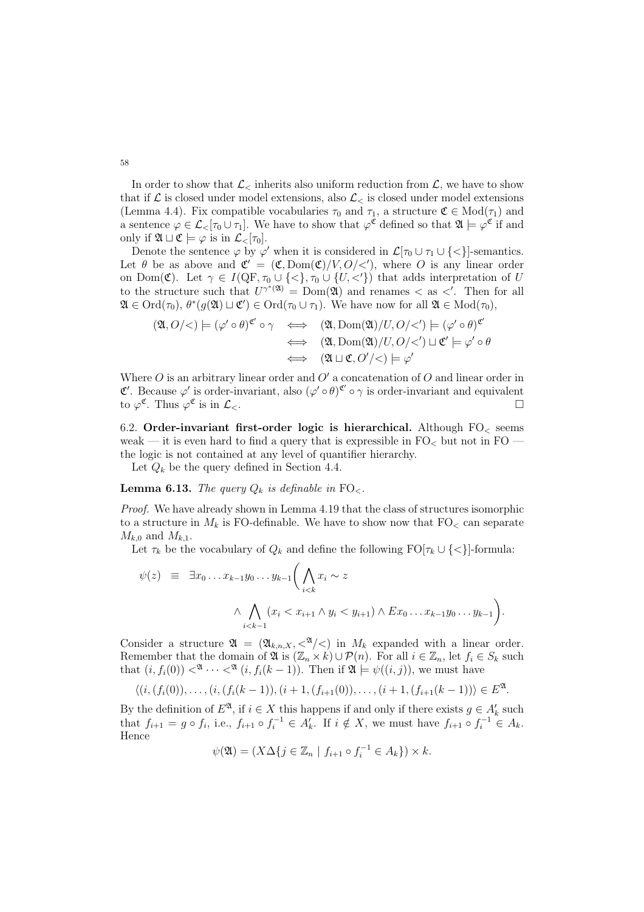In order to show that  $\mathcal{L}_{\leq}$  inherits also uniform reduction from  $\mathcal{L}$ , we have to show that if  $\mathcal L$  is closed under model extensions, also  $\mathcal L_{\leq}$  is closed under model extensions (Lemma 4.4). Fix compatible vocabularies  $\tau_0$  and  $\tau_1$ , a structure  $\mathfrak{C} \in Mod(\tau_1)$  and a sentence  $\varphi \in \mathcal{L}_{< 1}[\tau_0 \cup \tau_1]$ . We have to show that  $\varphi^{\mathfrak{C}}$  defined so that  $\mathfrak{A} \models \varphi^{\mathfrak{C}}$  if and only if  $\mathfrak{A} \sqcup \mathfrak{C} \models \varphi$  is in  $\mathcal{L}_{\leq}[\tau_0]$ .

Denote the sentence  $\varphi$  by  $\varphi'$  when it is considered in  $\mathcal{L}[\tau_0 \cup \tau_1 \cup \{\langle\}\]$ -semantics. Let  $\theta$  be as above and  $\mathfrak{C}' = (\mathfrak{C}, \text{Dom}(\mathfrak{C})/V, O/\langle V \rangle)$ , where O is any linear order on Dom( $\mathfrak{C}$ ). Let  $\gamma \in I(\mathrm{QF}, \tau_0 \cup \{<\}, \tau_0 \cup \{U, <'\})$  that adds interpretation of U to the structure such that  $U^{\gamma^*(\mathfrak{A})} = \text{Dom}(\mathfrak{A})$  and renames  $\langle$  as  $\langle \cdot \rangle$ . Then for all  $\mathfrak{A} \in \text{Ord}(\tau_0), \ \theta^*(g(\mathfrak{A}) \sqcup \mathfrak{C}') \in \text{Ord}(\tau_0 \cup \tau_1)$ . We have now for all  $\mathfrak{A} \in \text{Mod}(\tau_0)$ ,

$$
(\mathfrak{A}, O/\langle) \models (\varphi' \circ \theta)^{\mathfrak{C}'} \circ \gamma \iff (\mathfrak{A}, \text{Dom}(\mathfrak{A})/U, O/\langle') \models (\varphi' \circ \theta)^{\mathfrak{C}'}
$$
  

$$
\iff (\mathfrak{A}, \text{Dom}(\mathfrak{A})/U, O/\langle') \sqcup \mathfrak{C}' \models \varphi' \circ \theta
$$
  

$$
\iff (\mathfrak{A} \sqcup \mathfrak{C}, O'/\langle) \models \varphi'
$$

Where  $O$  is an arbitrary linear order and  $O'$  a concatenation of  $O$  and linear order in  $\mathfrak{C}'$ . Because  $\varphi'$  is order-invariant, also  $(\varphi' \circ \theta)^{\mathfrak{C}'} \circ \gamma$  is order-invariant and equivalent to  $\varphi^{\mathfrak{C}}$ . Thus  $\varphi^{\mathfrak{C}}$  is in  $\mathcal{L}_{\leq}$ .

6.2. **Order-invariant first-order logic is hierarchical.** Although FO<sup>&</sup>lt; seems weak — it is even hard to find a query that is expressible in  $FO<sub>z</sub>$  but not in FO the logic is not contained at any level of quantifier hierarchy.

Let  $Q_k$  be the query defined in Section 4.4.

#### **Lemma 6.13.** The query  $Q_k$  is definable in FO<sub> $\leq$ </sub>.

Proof. We have already shown in Lemma 4.19 that the class of structures isomorphic to a structure in  $M_k$  is FO-definable. We have to show now that  $FO<sub>lt</sub>$  can separate  $M_{k,0}$  and  $M_{k,1}$ .

Let  $\tau_k$  be the vocabulary of  $Q_k$  and define the following FO[ $\tau_k \cup \{ \leq \}$ ]-formula:

$$
\psi(z) \equiv \exists x_0 \dots x_{k-1} y_0 \dots y_{k-1} \Biggl( \bigwedge_{i < k} x_i \sim z
$$
\n
$$
\wedge \bigwedge_{i < k-1} (x_i < x_{i+1} \wedge y_i < y_{i+1}) \wedge Ex_0 \dots x_{k-1} y_0 \dots y_{k-1} \Biggr).
$$

Consider a structure  $\mathfrak{A} = (\mathfrak{A}_{k,n,X}, \langle \mathfrak{A}/\langle \rangle)$  in  $M_k$  expanded with a linear order. Remember that the domain of  $\mathfrak{A}$  is  $(\mathbb{Z}_n \times k) \cup \mathcal{P}(n)$ . For all  $i \in \mathbb{Z}_n$ , let  $f_i \in S_k$  such that  $(i, f_i(0)) <^{\mathfrak{A}} \cdots <^{\mathfrak{A}} (i, f_i(k-1))$ . Then if  $\mathfrak{A} \models \psi((i, j))$ , we must have

$$
\langle (i,(f_i(0)),\ldots,(i,(f_i(k-1)),(i+1,(f_{i+1}(0)),\ldots,(i+1,(f_{i+1}(k-1)))\rangle \in E^{\mathfrak{A}}.
$$

By the definition of  $E^{\mathfrak{A}}$ , if  $i \in X$  this happens if and only if there exists  $g \in A'_{k}$  such that  $f_{i+1} = g \circ f_i$ , i.e.,  $f_{i+1} \circ f_i^{-1} \in A'_k$ . If  $i \notin X$ , we must have  $f_{i+1} \circ f_i^{-1} \in A_k$ . Hence

$$
\psi(\mathfrak{A}) = (X \Delta \{ j \in \mathbb{Z}_n \mid f_{i+1} \circ f_i^{-1} \in A_k \}) \times k.
$$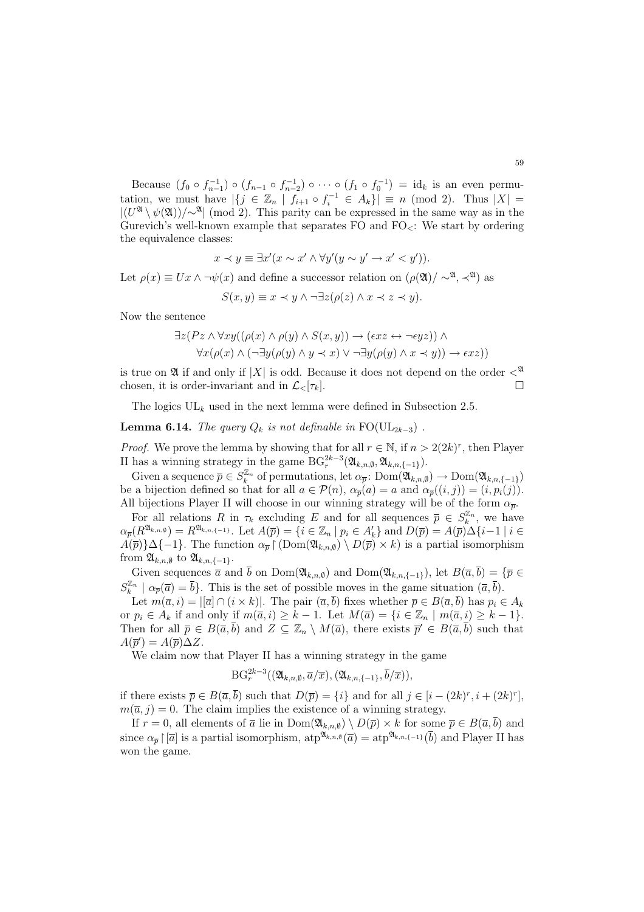Because  $(f_0 \circ f_{n-1}^{-1}) \circ (f_{n-1} \circ f_{n-2}^{-1}) \circ \cdots \circ (f_1 \circ f_0^{-1}) = id_k$  is an even permutation, we must have  $|\{j \in \mathbb{Z}_n \mid f_{i+1} \circ f_i^{-1} \in A_k\}| \equiv n \pmod{2}$ . Thus  $|X| =$  $|(U^{\mathfrak{A}} \setminus \psi(\mathfrak{A}))/\sim^{\mathfrak{A}}$  (mod 2). This parity can be expressed in the same way as in the Gurevich's well-known example that separates  $FO$  and  $FO<sub>lt</sub>$ : We start by ordering the equivalence classes:

$$
x \prec y \equiv \exists x' (x \sim x' \land \forall y' (y \sim y' \rightarrow x' < y')).
$$

Let  $\rho(x) \equiv Ux \wedge \neg \psi(x)$  and define a successor relation on  $(\rho(\mathfrak{A})/\sim^{\mathfrak{A}}, \prec^{\mathfrak{A}})$  as

$$
S(x, y) \equiv x \prec y \land \neg \exists z (\rho(z) \land x \prec z \prec y).
$$

Now the sentence

$$
\exists z (Pz \land \forall xy ((\rho(x) \land \rho(y) \land S(x, y)) \rightarrow (\epsilon x z \leftrightarrow \neg \epsilon y z)) \land \forall x (\rho(x) \land (\neg \exists y (\rho(y) \land y \prec x) \lor \neg \exists y (\rho(y) \land x \prec y)) \rightarrow \epsilon x z))
$$

is true on  $\mathfrak A$  if and only if  $|X|$  is odd. Because it does not depend on the order  $\langle \mathfrak A$ chosen, it is order-invariant and in  $\mathcal{L}_{\leq}[\tau_k]$ .

The logics  $UL_k$  used in the next lemma were defined in Subsection 2.5.

**Lemma 6.14.** The query  $Q_k$  is not definable in  $FO(\text{UL}_{2k-3})$ .

*Proof.* We prove the lemma by showing that for all  $r \in \mathbb{N}$ , if  $n > 2(2k)^r$ , then Player II has a winning strategy in the game  $\text{BG}_r^{2k-3}(\mathfrak{A}_{k,n,\emptyset}, \mathfrak{A}_{k,n,\{-1\}}).$ 

Given a sequence  $\overline{p} \in S_k^{\mathbb{Z}_n}$  of permutations, let  $\alpha_{\overline{p}} \colon \text{Dom}(\mathfrak{A}_{k,n,\emptyset}) \to \text{Dom}(\mathfrak{A}_{k,n,\{-1\}})$ be a bijection defined so that for all  $a \in \mathcal{P}(n)$ ,  $\alpha_{\overline{p}}(a) = a$  and  $\alpha_{\overline{p}}((i,j)) = (i, p_i(j))$ . All bijections Player II will choose in our winning strategy will be of the form  $\alpha_{\bar{p}}$ .

For all relations R in  $\tau_k$  excluding E and for all sequences  $\bar{p} \in S_k^{\mathbb{Z}_n}$ , we have  $\alpha_{\overline{p}}(R^{\mathfrak{A}_{k,n,\emptyset}}) = R^{\mathfrak{A}_{k,n,\{-1\}}}$ . Let  $A(\overline{p}) = \{i \in \mathbb{Z}_n \mid p_i \in A'_k\}$  and  $D(\overline{p}) = A(\overline{p})\Delta\{i-1 \mid i \in \mathbb{Z}_n\}$  $A(\bar{p})\Delta\{-1\}.$  The function  $\alpha_{\bar{p}} \restriction (\text{Dom}(\mathfrak{A}_{k,n,\emptyset}) \setminus D(\bar{p}) \times k)$  is a partial isomorphism from  $\mathfrak{A}_{k,n,\emptyset}$  to  $\mathfrak{A}_{k,n,\{-1\}}$ .

Given sequences  $\overline{a}$  and  $\overline{b}$  on  $Dom(\mathfrak{A}_{k,n,\emptyset})$  and  $Dom(\mathfrak{A}_{k,n,\{-1\}})$ , let  $B(\overline{a}, \overline{b}) = {\overline{p} \in \mathbb{R}^n}$  $S_k^{\mathbb{Z}_n} \mid \alpha_{\overline{p}}(\overline{a}) = \overline{b}$ . This is the set of possible moves in the game situation  $(\overline{a}, \overline{b})$ .

Let  $m(\overline{a}, i) = |[\overline{a}] \cap (i \times k)|$ . The pair  $(\overline{a}, \overline{b})$  fixes whether  $\overline{p} \in B(\overline{a}, \overline{b})$  has  $p_i \in A_k$ or  $p_i \in A_k$  if and only if  $m(\overline{a}, i) \geq k - 1$ . Let  $M(\overline{a}) = \{i \in \mathbb{Z}_n \mid m(\overline{a}, i) \geq k - 1\}$ . Then for all  $\overline{p} \in B(\overline{a}, \overline{b})$  and  $Z \subseteq \mathbb{Z}_n \setminus M(\overline{a})$ , there exists  $\overline{p}' \in B(\overline{a}, \overline{b})$  such that  $A(\overline{p}') = A(\overline{p})\Delta Z.$ 

We claim now that Player II has a winning strategy in the game

$$
\text{BG}^{2k-3}_r\big((\mathfrak{A}_{k,n,\emptyset},\overline{a}/\overline{x}),(\mathfrak{A}_{k,n,\{-1\}},\overline{b}/\overline{x})\big),
$$

if there exists  $\overline{p} \in B(\overline{a}, \overline{b})$  such that  $D(\overline{p}) = \{i\}$  and for all  $j \in [i - (2k)^r, i + (2k)^r]$ ,  $m(\overline{a}, j) = 0$ . The claim implies the existence of a winning strategy.

If  $r = 0$ , all elements of  $\overline{a}$  lie in  $Dom(\mathfrak{A}_{k,n,\emptyset}) \setminus D(\overline{p}) \times k$  for some  $\overline{p} \in B(\overline{a},b)$  and since  $\alpha_{\overline{p}} \upharpoonright [\overline{a}]$  is a partial isomorphism,  $\text{atp}^{\mathfrak{A}_{k,n,\emptyset}}(\overline{a}) = \text{atp}^{\mathfrak{A}_{k,n,\{-1\}}}(\overline{b})$  and Player II has won the game.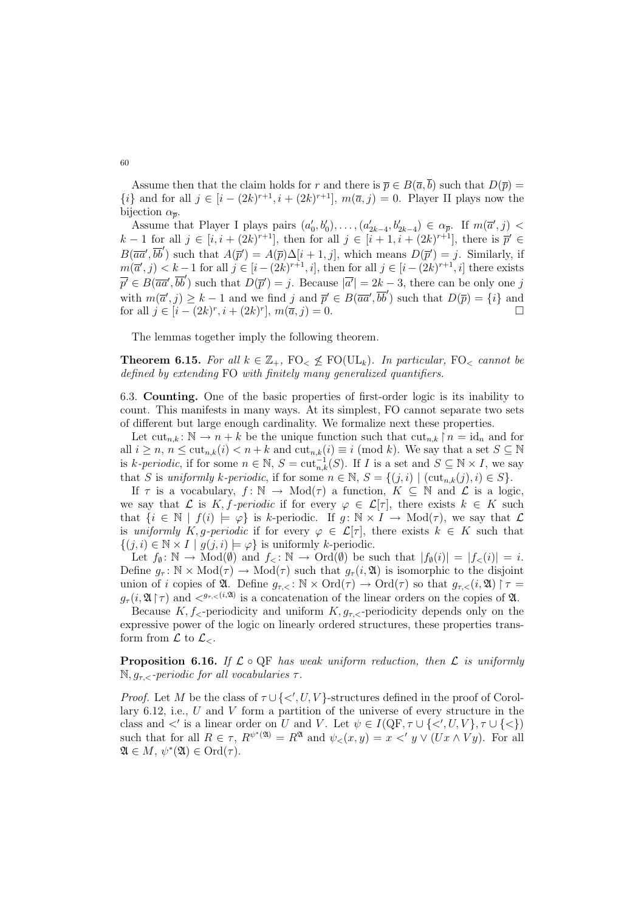Assume then that the claim holds for r and there is  $\overline{p} \in B(\overline{a}, \overline{b})$  such that  $D(\overline{p}) =$  ${i}$  and for all  $j \in [i - (2k)^{r+1}, i + (2k)^{r+1}], m(\overline{a}, j) = 0$ . Player II plays now the bijection  $\alpha_{\overline{p}}$ .

Assume that Player I plays pairs  $(a'_0, b'_0), \ldots, (a'_{2k-4}, b'_{2k-4}) \in \alpha_{\overline{p}}$ . If  $m(\overline{a}', j)$  $k-1$  for all  $j \in [i, i + (2k)^{r+1}]$ , then for all  $j \in [i+1, i + (2k)^{r+1}]$ , there is  $\bar{p}' \in$  $B(\overline{aa}', \overline{bb}')$  such that  $A(\overline{p}') = A(\overline{p})\Delta[i+1,j]$ , which means  $D(\overline{p}') = j$ . Similarly, if  $m(\bar{a}',j) < k-1$  for all  $j \in [i-(2k)^{r+1},i]$ , then for all  $j \in [i-(2k)^{r+1},i]$  there exists  $\overline{p'} \in B(\overline{aa'}, \overline{bb'})$  such that  $D(\overline{p'}) = j$ . Because  $|\overline{a'}| = 2k - 3$ , there can be only one j with  $m(\overline{a}', j) \geq k - 1$  and we find j and  $\overline{p}' \in B(\overline{aa}', \overline{bb}')$  such that  $D(\overline{p}) = \{i\}$  and for all  $j \in [i - (2k)^r, i + (2k)^r], m(\overline{a}, j) = 0.$ 

The lemmas together imply the following theorem.

**Theorem 6.15.** For all  $k \in \mathbb{Z}_+$ , FO<sub><</sub>  $\nleq$  FO(UL<sub>k</sub>). In particular, FO<sub><</sub> cannot be defined by extending FO with finitely many generalized quantifiers.

6.3. **Counting.** One of the basic properties of first-order logic is its inability to count. This manifests in many ways. At its simplest, FO cannot separate two sets of different but large enough cardinality. We formalize next these properties.

Let  $\text{cut}_{n,k} : \mathbb{N} \to n+k$  be the unique function such that  $\text{cut}_{n,k} \upharpoonright n = \text{id}_n$  and for all  $i \geq n$ ,  $n \leq \text{cut}_{n,k}(i) < n+k$  and  $\text{cut}_{n,k}(i) \equiv i \pmod{k}$ . We say that a set  $S \subseteq \mathbb{N}$ is k-periodic, if for some  $n \in \mathbb{N}$ ,  $S = \text{cut}_{n,k}^{-1}(S)$ . If I is a set and  $S \subseteq \mathbb{N} \times I$ , we say that S is uniformly k-periodic, if for some  $n \in \mathbb{N}$ ,  $S = \{(j,i) \mid (\text{cut}_{n,k}(j), i) \in S\}$ .

If  $\tau$  is a vocabulary,  $f: \mathbb{N} \to \text{Mod}(\tau)$  a function,  $K \subseteq \mathbb{N}$  and  $\mathcal{L}$  is a logic, we say that L is K, f-periodic if for every  $\varphi \in \mathcal{L}[\tau]$ , there exists  $k \in K$  such that  $\{i \in \mathbb{N} \mid f(i) \models \varphi\}$  is k-periodic. If  $q: \mathbb{N} \times I \to \text{Mod}(\tau)$ , we say that  $\mathcal{L}$ is uniformly K, g-periodic if for every  $\varphi \in \mathcal{L}[\tau]$ , there exists  $k \in K$  such that  $\{(j, i) \in \mathbb{N} \times I \mid q(j, i) \models \varphi\}$  is uniformly k-periodic.

Let  $f_{\emptyset} : \mathbb{N} \to \text{Mod}(\emptyset)$  and  $f_{\leq} : \mathbb{N} \to \text{Ord}(\emptyset)$  be such that  $|f_{\emptyset}(i)| = |f_{\leq}(i)| = i$ . Define  $g_{\tau} : \mathbb{N} \times \text{Mod}(\tau) \to \text{Mod}(\tau)$  such that  $g_{\tau}(i, \mathfrak{A})$  is isomorphic to the disjoint union of i copies of  $\mathfrak{A}$ . Define  $g_{\tau, \langle} : \mathbb{N} \times \mathrm{Ord}(\tau) \to \mathrm{Ord}(\tau)$  so that  $g_{\tau, \langle} (i, \mathfrak{A}) \upharpoonright \tau =$  $g_{\tau}(i,\mathfrak{A}\upharpoonright\tau)$  and  $\langle g_{\tau,\leq}(i,\mathfrak{A})\rangle$  is a concatenation of the linear orders on the copies of  $\mathfrak{A}$ .

Because K,  $f_{\leq}$ -periodicity and uniform  $K, g_{\tau, \leq}$ -periodicity depends only on the expressive power of the logic on linearly ordered structures, these properties transform from  $\mathcal L$  to  $\mathcal L_{< \cdot}$ .

**Proposition 6.16.** If  $\mathcal{L} \circ QF$  has weak uniform reduction, then  $\mathcal{L}$  is uniformly  $\mathbb{N}, g_{\tau, \langle}$ -periodic for all vocabularies  $\tau$ .

*Proof.* Let M be the class of  $\tau \cup \{ \langle V, V \rangle \}$ -structures defined in the proof of Corollary 6.12, i.e., U and V form a partition of the universe of every structure in the class and  $\langle$  is a linear order on U and V. Let  $\psi \in I(\mathbb{QF}, \tau \cup \{\langle U, V \}, \tau \cup \{\langle \rangle\})$ such that for all  $R \in \tau$ ,  $R^{\psi^*(\mathfrak{A})} = R^{\mathfrak{A}}$  and  $\psi_<(x,y) = x <' y \vee (Ux \wedge Vy)$ . For all  $\mathfrak{A} \in M$ ,  $\psi^*(\mathfrak{A}) \in \mathrm{Ord}(\tau)$ .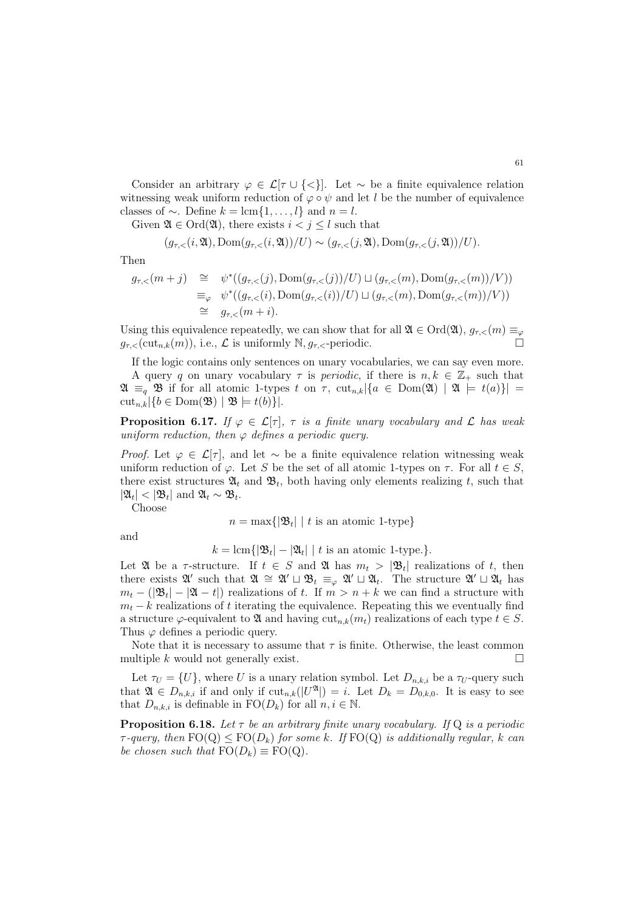Consider an arbitrary  $\varphi \in \mathcal{L}[\tau \cup \{\langle\}\]$ . Let ~ be a finite equivalence relation

witnessing weak uniform reduction of  $\varphi \circ \psi$  and let l be the number of equivalence classes of  $\sim$ . Define  $k = \text{lcm}\{1,\ldots,l\}$  and  $n = l$ .

Given  $\mathfrak{A} \in \text{Ord}(\mathfrak{A})$ , there exists  $i < j \leq l$  such that

$$
(g_{\tau,<}(i,\mathfrak{A}),\text{Dom}(g_{\tau,<}(i,\mathfrak{A}))/U) \sim (g_{\tau,<}(j,\mathfrak{A}),\text{Dom}(g_{\tau,<}(j,\mathfrak{A}))/U).
$$

Then

$$
g_{\tau,<}(m+j) \cong \psi^*((g_{\tau,<}(j),\text{Dom}(g_{\tau,<}(j))/U) \sqcup (g_{\tau,<}(m),\text{Dom}(g_{\tau,<}(m))/V))
$$
  

$$
\equiv_{\varphi} \psi^*((g_{\tau,<}(i),\text{Dom}(g_{\tau,<}(i))/U) \sqcup (g_{\tau,<}(m),\text{Dom}(g_{\tau,<}(m))/V))
$$
  

$$
\cong g_{\tau,<}(m+i).
$$

Using this equivalence repeatedly, we can show that for all  $\mathfrak{A} \in \text{Ord}(\mathfrak{A}), g_{\tau,<}(m) \equiv_{\varphi}$  $g_{\tau,<}(\text{cut}_{n,k}(m)),$  i.e.,  $\mathcal L$  is uniformly  $\mathbb N, g_{\tau,<}$ -periodic.

If the logic contains only sentences on unary vocabularies, we can say even more. A query q on unary vocabulary  $\tau$  is *periodic*, if there is  $n, k \in \mathbb{Z}_+$  such that  $\mathfrak{A} \equiv_q \mathfrak{B}$  if for all atomic 1-types t on  $\tau$ ,  $\text{cut}_{n,k}|\{a \in \text{Dom}(\mathfrak{A}) \mid \mathfrak{A} \models t(a)\}|$  $\text{cut}_{n,k}|\{b \in \text{Dom}(\mathfrak{B}) \mid \mathfrak{B} \models t(b)\}|.$ 

**Proposition 6.17.** If  $\varphi \in \mathcal{L}[\tau]$ ,  $\tau$  is a finite unary vocabulary and  $\mathcal{L}$  has weak uniform reduction, then  $\varphi$  defines a periodic query.

*Proof.* Let  $\varphi \in \mathcal{L}[\tau]$ , and let ∼ be a finite equivalence relation witnessing weak uniform reduction of  $\varphi$ . Let S be the set of all atomic 1-types on  $\tau$ . For all  $t \in S$ , there exist structures  $\mathfrak{A}_t$  and  $\mathfrak{B}_t$ , both having only elements realizing t, such that  $|\mathfrak{A}_t| < |\mathfrak{B}_t|$  and  $\mathfrak{A}_t \sim \mathfrak{B}_t$ .

Choose

$$
n = \max\{|\mathfrak{B}_t| \mid t \text{ is an atomic 1-type}\}\
$$

and

 $k = \text{lcm}\{|\mathfrak{B}_t| - |\mathfrak{A}_t| \mid t \text{ is an atomic 1-type.}\}.$ 

Let  $\mathfrak A$  be a  $\tau$ -structure. If  $t \in S$  and  $\mathfrak A$  has  $m_t > |\mathfrak B_t|$  realizations of t, then there exists  $\mathfrak{A}'$  such that  $\mathfrak{A} \cong \mathfrak{A}' \sqcup \mathfrak{B}_t \equiv_{\varphi} \mathfrak{A}' \sqcup \mathfrak{A}_t$ . The structure  $\mathfrak{A}' \sqcup \mathfrak{A}_t$  has  $m_t - (|\mathfrak{B}_t| - |\mathfrak{A} - t|)$  realizations of t. If  $m > n + k$  we can find a structure with  $m_t - k$  realizations of t iterating the equivalence. Repeating this we eventually find a structure  $\varphi$ -equivalent to  $\mathfrak A$  and having  $\text{cut}_{n,k}(m_t)$  realizations of each type  $t \in S$ . Thus  $\varphi$  defines a periodic query.

Note that it is necessary to assume that  $\tau$  is finite. Otherwise, the least common multiple k would not generally exist.

Let  $\tau_U = \{U\}$ , where U is a unary relation symbol. Let  $D_{n,k,i}$  be a  $\tau_U$ -query such that  $\mathfrak{A} \in D_{n,k,i}$  if and only if  $\text{cut}_{n,k}(|U^{\mathfrak{A}}|) = i$ . Let  $D_k = D_{0,k,0}$ . It is easy to see that  $D_{n,k,i}$  is definable in  $FO(D_k)$  for all  $n, i \in \mathbb{N}$ .

**Proposition 6.18.** Let  $\tau$  be an arbitrary finite unary vocabulary. If Q is a periodic  $\tau$ -query, then  $FO(Q) \le FO(D_k)$  for some k. If  $FO(Q)$  is additionally regular, k can be chosen such that  $FO(D_k) \equiv FO(Q)$ .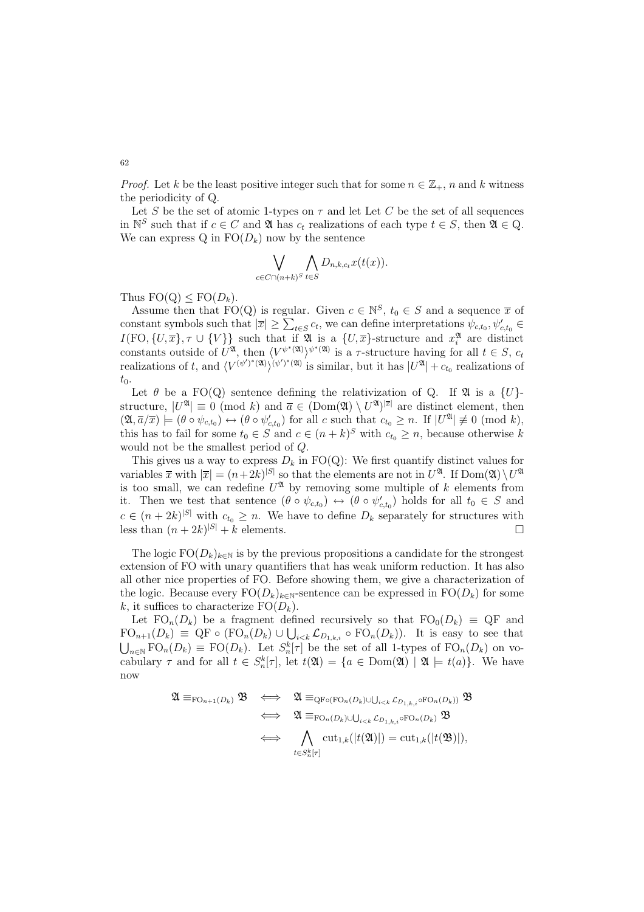*Proof.* Let k be the least positive integer such that for some  $n \in \mathbb{Z}_+$ , n and k witness the periodicity of Q.

Let S be the set of atomic 1-types on  $\tau$  and let Let C be the set of all sequences in  $\mathbb{N}^S$  such that if  $c \in C$  and  $\mathfrak{A}$  has  $c_t$  realizations of each type  $t \in S$ , then  $\mathfrak{A} \in \mathcal{Q}$ . We can express Q in  $FO(D_k)$  now by the sentence

$$
\bigvee_{c \in C \cap (n+k)^S} \bigwedge_{t \in S} D_{n,k,c_t} x(t(x)).
$$

Thus  $FO(Q) \leq FO(D_k)$ .

Assume then that FO(Q) is regular. Given  $c \in \mathbb{N}^S$ ,  $t_0 \in S$  and a sequence  $\overline{x}$  of constant symbols such that  $|\overline{x}| \geq \sum_{t \in S} c_t$ , we can define interpretations  $\psi_{c,t_0}, \psi'_{c,t_0} \in$  $I(\text{FO}, \{U, \overline{x}\}, \tau \cup \{V\})$  such that if  $\mathfrak{A}$  is a  $\{U, \overline{x}\}$ -structure and  $x_i^{\mathfrak{A}}$  are distinct constants outside of  $U^{\mathfrak{A}},$  then  $\langle V^{\psi^*(\mathfrak{A})} \rangle^{\psi^*(\mathfrak{A})}$  is a  $\tau$ -structure having for all  $t \in S$ ,  $c_t$ realizations of t, and  $\langle V^{(\psi')^*(\mathfrak{A})} \rangle^{(\psi')^*(\mathfrak{A})}$  is similar, but it has  $|U^{\mathfrak{A}}| + c_{t_0}$  realizations of  $t_0$ .

Let  $\theta$  be a FO(Q) sentence defining the relativization of Q. If  $\mathfrak A$  is a  $\{U\}$ structure,  $|U^{\mathfrak{A}}| \equiv 0 \pmod{k}$  and  $\overline{a} \in (Dom(\mathfrak{A}) \setminus U^{\mathfrak{A}})^{|\overline{x}|}$  are distinct element, then  $(\mathfrak{A}, \overline{a}/\overline{x}) \models (\theta \circ \psi_{c,t_0}) \leftrightarrow (\theta \circ \psi_{c,t_0}')$  for all c such that  $c_{t_0} \geq n$ . If  $|U^{\mathfrak{A}}| \not\equiv 0 \pmod{k}$ , this has to fail for some  $t_0 \in S$  and  $c \in (n+k)^S$  with  $c_{t_0} \geq n$ , because otherwise k would not be the smallest period of Q.

This gives us a way to express  $D_k$  in FO(Q): We first quantify distinct values for variables  $\overline{x}$  with  $|\overline{x}| = (n+2k)^{|S|}$  so that the elements are not in  $U^{\mathfrak{A}}$ . If  $\text{Dom}(\mathfrak{A}) \setminus U^{\mathfrak{A}}$ is too small, we can redefine  $U^{\mathfrak{A}}$  by removing some multiple of k elements from it. Then we test that sentence  $(\theta \circ \psi_{c,t_0}) \leftrightarrow (\theta \circ \psi'_{c,t_0})$  holds for all  $t_0 \in S$  and  $c \in (n + 2k)^{|S|}$  with  $c_{t_0} \geq n$ . We have to define  $D_k$  separately for structures with less than  $(n+2k)^{|S|}+k$  elements.

The logic  $\text{FO}(D_k)_{k\in\mathbb{N}}$  is by the previous propositions a candidate for the strongest extension of FO with unary quantifiers that has weak uniform reduction. It has also all other nice properties of FO. Before showing them, we give a characterization of the logic. Because every  $\text{FO}(D_k)_{k\in\mathbb{N}}$ -sentence can be expressed in  $\text{FO}(D_k)$  for some k, it suffices to characterize  $\mathrm{FO}(D_k)$ .

Let  $\mathrm{FO}_n(D_k)$  be a fragment defined recursively so that  $\mathrm{FO}_0(D_k) \equiv \mathrm{QF}$  and  $FO_{n+1}(D_k) \equiv \mathbb{Q}F \circ (FO_n(D_k) \cup \bigcup_{i \leq k} \mathcal{L}_{D_{1,k,i}} \circ FO_n(D_k)).$  It is easy to see that  $\bigcup_{n\in\mathbb{N}}\text{FO}_n(D_k)\equiv\text{FO}(D_k)$ . Let  $S_n^k[\tau]$  be the set of all 1-types of  $\text{FO}_n(D_k)$  on vocabulary  $\tau$  and for all  $t \in S_n^k[\tau]$ , let  $t(\mathfrak{A}) = \{a \in \text{Dom}(\mathfrak{A}) \mid \mathfrak{A} \models t(a)\}.$  We have now

$$
\begin{array}{rcl}\mathfrak{A} \equiv_{\mathrm{FO}_{n+1}(D_k)} \mathfrak{B} & \Longleftrightarrow & \mathfrak{A} \equiv_{\mathrm{QFo}(\mathrm{FO}_n(D_k) \cup \bigcup_{i < k} \mathcal{L}_{D_{1,k,i} \circ \mathrm{FO}_n(D_k))} \mathfrak{B} \\ & \Longleftrightarrow & \mathfrak{A} \equiv_{\mathrm{FO}_n(D_k) \cup \bigcup_{i < k} \mathcal{L}_{D_{1,k,i} \circ \mathrm{FO}_n(D_k)} \mathfrak{B} \\ & \Longleftrightarrow & \bigwedge_{t \in S_n^k[\tau]} \mathrm{cut}_{1,k}(|t(\mathfrak{A})|) = \mathrm{cut}_{1,k}(|t(\mathfrak{B})|),\end{array}
$$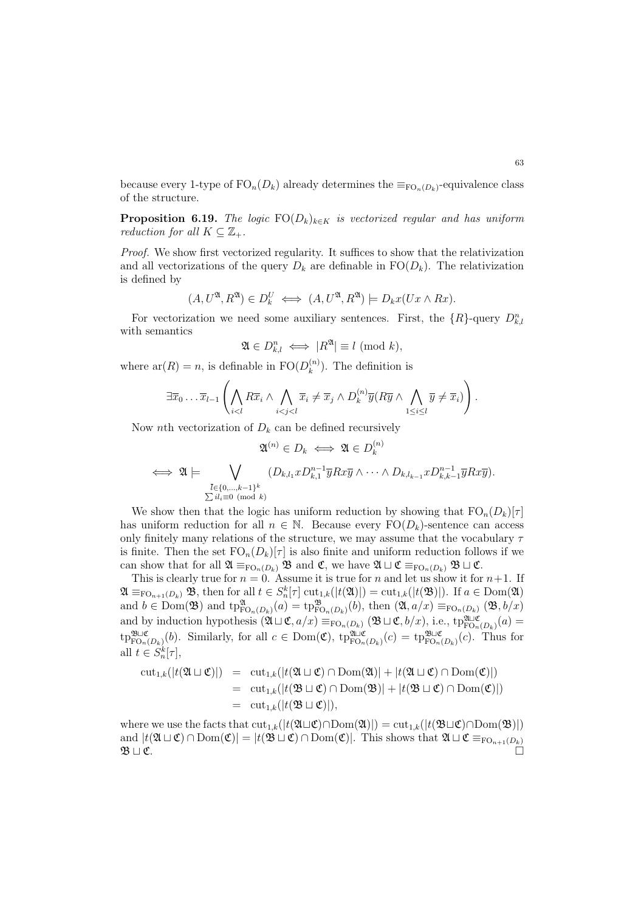because every 1-type of  $\text{FO}_n(D_k)$  already determines the  $\equiv_{\text{FO}_n(D_k)}$ -equivalence class of the structure.

**Proposition 6.19.** The logic  $FO(D_k)_{k\in K}$  is vectorized regular and has uniform reduction for all  $K \subseteq \mathbb{Z}_+$ .

Proof. We show first vectorized regularity. It suffices to show that the relativization and all vectorizations of the query  $D_k$  are definable in  $\mathrm{FO}(D_k)$ . The relativization is defined by

$$
(A, U^{\mathfrak{A}}, R^{\mathfrak{A}}) \in D_k^U \iff (A, U^{\mathfrak{A}}, R^{\mathfrak{A}}) \models D_k x (Ux \land Rx).
$$

For vectorization we need some auxiliary sentences. First, the  $\{R\}$ -query  $D_{k,l}^n$ with semantics

$$
\mathfrak{A} \in D_{k,l}^n \iff |R^{\mathfrak{A}}| \equiv l \pmod{k},
$$

where  $ar(R) = n$ , is definable in  $FO(D_k^{(n)})$ . The definition is

$$
\exists \overline{x}_0 \dots \overline{x}_{l-1} \left( \bigwedge_{i < l} R\overline{x}_i \land \bigwedge_{i < j < l} \overline{x}_i \neq \overline{x}_j \land D_k^{(n)} \overline{y}(R\overline{y} \land \bigwedge_{1 \leq i \leq l} \overline{y} \neq \overline{x}_i) \right)
$$

Now nth vectorization of  $D_k$  can be defined recursively

$$
\mathfrak{A}^{(n)} \in D_k \iff \mathfrak{A} \in D_k^{(n)}
$$
  
\n
$$
\iff \mathfrak{A} \models \bigvee_{\substack{\overline{l} \in \{0, \ldots, k-1\}^k \\ \sum i_l \equiv 0 \pmod{k}}} (D_{k,l_1} x D_{k,1}^{n-1} \overline{y} R x \overline{y} \wedge \cdots \wedge D_{k,l_{k-1}} x D_{k,k-1}^{n-1} \overline{y} R x \overline{y}).
$$

We show then that the logic has uniform reduction by showing that  $FO_n(D_k)[\tau]$ has uniform reduction for all  $n \in \mathbb{N}$ . Because every  $\text{FO}(D_k)$ -sentence can access only finitely many relations of the structure, we may assume that the vocabulary  $\tau$ is finite. Then the set  $FO_n(D_k)[\tau]$  is also finite and uniform reduction follows if we can show that for all  $\mathfrak{A} \equiv_{\mathrm{FO}_n(D_k)} \mathfrak{B}$  and  $\mathfrak{C}$ , we have  $\mathfrak{A} \sqcup \mathfrak{C} \equiv_{\mathrm{FO}_n(D_k)} \mathfrak{B} \sqcup \mathfrak{C}$ .

This is clearly true for  $n = 0$ . Assume it is true for n and let us show it for  $n+1$ . If  $\mathfrak{A} \equiv_{\text{FO}_{n+1}(D_k)} \mathfrak{B}$ , then for all  $t \in S_n^k[\tau]$  cut<sub>1,k</sub>( $|t(\mathfrak{A})|$ ) = cut<sub>1,k</sub>( $|t(\mathfrak{B})|$ ). If  $a \in \text{Dom}(\mathfrak{A})$ and  $b \in \text{Dom}(\mathfrak{B})$  and  $\text{tp}_{\text{FO}_n(D_k)}^{\mathfrak{A}}(a) = \text{tp}_{\text{FO}_n(D_k)}^{\mathfrak{B}}(b)$ , then  $(\mathfrak{A}, a/x) \equiv_{\text{FO}_n(D_k)} (\mathfrak{B}, b/x)$ and by induction hypothesis  $(\mathfrak{A} \sqcup \mathfrak{C}, a/x) \equiv_{\text{FO}_n(D_k)} (\mathfrak{B} \sqcup \mathfrak{C}, b/x)$ , i.e.,  $\text{tp}_{\text{FO}_n(D_k)}^{\mathfrak{A} \sqcup \mathfrak{C}}(a)$  $tp_{\text{FO}_n(D_k)}^{\mathfrak{B} \sqcup \mathfrak{C}}(b)$ . Similarly, for all  $c \in \text{Dom}(\mathfrak{C}), tp_{\text{FO}_n(D_k)}^{\mathfrak{A} \sqcup \mathfrak{C}}(c) = tp_{\text{FO}_n(D_k)}^{\mathfrak{B} \sqcup \mathfrak{C}}(c)$ . Thus for all  $t \in S_n^k[\tau],$ 

$$
\mathrm{cut}_{1,k}(|t(\mathfrak{A}\sqcup\mathfrak{C})|) = \mathrm{cut}_{1,k}(|t(\mathfrak{A}\sqcup\mathfrak{C})\cap\mathrm{Dom}(\mathfrak{A})| + |t(\mathfrak{A}\sqcup\mathfrak{C})\cap\mathrm{Dom}(\mathfrak{C})|)
$$
  
\n
$$
= \mathrm{cut}_{1,k}(|t(\mathfrak{B}\sqcup\mathfrak{C})\cap\mathrm{Dom}(\mathfrak{B})| + |t(\mathfrak{B}\sqcup\mathfrak{C})\cap\mathrm{Dom}(\mathfrak{C})|)
$$
  
\n
$$
= \mathrm{cut}_{1,k}(|t(\mathfrak{B}\sqcup\mathfrak{C})|),
$$

where we use the facts that  $\text{cut}_{1,k}(|t(\mathfrak{A}\sqcup\mathfrak{C})\cap \text{Dom}(\mathfrak{A})|) = \text{cut}_{1,k}(|t(\mathfrak{B}\sqcup\mathfrak{C})\cap \text{Dom}(\mathfrak{B})|)$ and  $|t(\mathfrak{A} \sqcup \mathfrak{C}) \cap \text{Dom}(\mathfrak{C})| = |t(\mathfrak{B} \sqcup \mathfrak{C}) \cap \text{Dom}(\mathfrak{C})|$ . This shows that  $\mathfrak{A} \sqcup \mathfrak{C} \equiv_{\text{FO}_{n+1}(D_k)} \Box$  $\mathfrak{B} \sqcup \mathfrak{C}$ .

.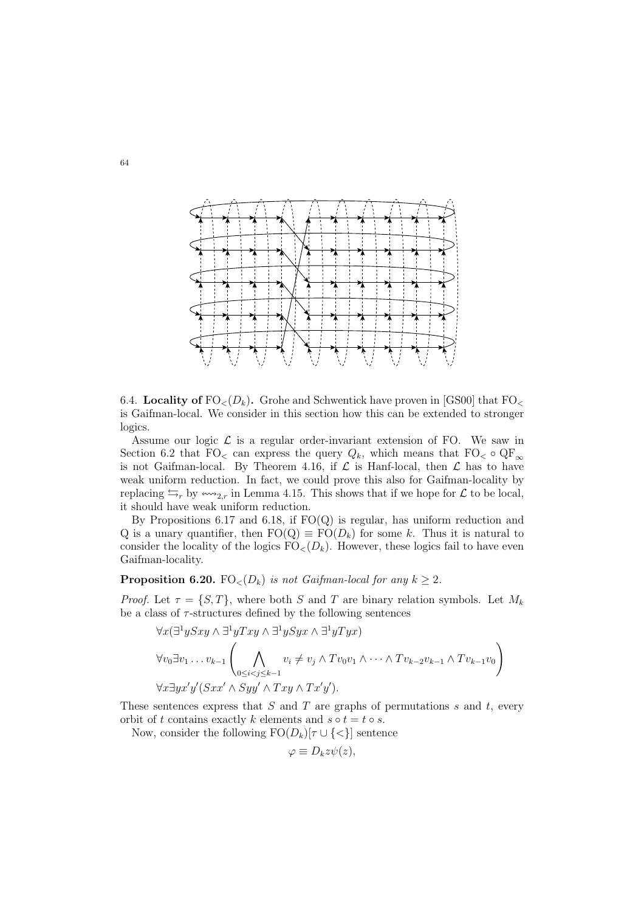

6.4. **Locality of**  $\text{FO}_{\leq}(D_k)$ . Grohe and Schwentick have proven in [GS00] that  $\text{FO}_{\leq}$ is Gaifman-local. We consider in this section how this can be extended to stronger logics.

Assume our logic  $\mathcal L$  is a regular order-invariant extension of FO. We saw in Section 6.2 that FO<sub><</sub> can express the query  $Q_k$ , which means that FO<sub><</sub>  $\circ$  QF<sub>∞</sub> is not Gaifman-local. By Theorem 4.16, if  $\mathcal L$  is Hanf-local, then  $\mathcal L$  has to have weak uniform reduction. In fact, we could prove this also for Gaifman-locality by replacing  $\leftrightarrows_r$  by  $\leftrightsquigarrow_{2r}$  in Lemma 4.15. This shows that if we hope for  $\mathcal L$  to be local, it should have weak uniform reduction.

By Propositions 6.17 and 6.18, if  $FO(Q)$  is regular, has uniform reduction and Q is a unary quantifier, then  $FO(Q) \equiv FO(D_k)$  for some k. Thus it is natural to consider the locality of the logics  $\mathrm{FO}_{\leq}(D_k)$ . However, these logics fail to have even Gaifman-locality.

#### **Proposition 6.20.** FO<sub> $<$ </sub>( $D_k$ ) is not Gaifman-local for any  $k \geq 2$ .

*Proof.* Let  $\tau = \{S, T\}$ , where both S and T are binary relation symbols. Let  $M_k$ be a class of  $\tau$ -structures defined by the following sentences

$$
\forall x (\exists^1 y Sxy \land \exists^1 y Txy \land \exists^1 y Syx \land \exists^1 y Tyx)
$$
  

$$
\forall v_0 \exists v_1 \dots v_{k-1} \left( \bigwedge_{0 \le i < j \le k-1} v_i \ne v_j \land Tv_0v_1 \land \dots \land Tv_{k-2}v_{k-1} \land Tv_{k-1}v_0 \right)
$$
  

$$
\forall x \exists y x' y' (Sxx' \land Syy' \land Txy \land Tx'y').
$$

These sentences express that  $S$  and  $T$  are graphs of permutations  $s$  and  $t$ , every orbit of t contains exactly k elements and  $s \circ t = t \circ s$ .

Now, consider the following  $\text{FO}(D_k)[\tau \cup \{<\}]$  sentence

$$
\varphi \equiv D_k z \psi(z),
$$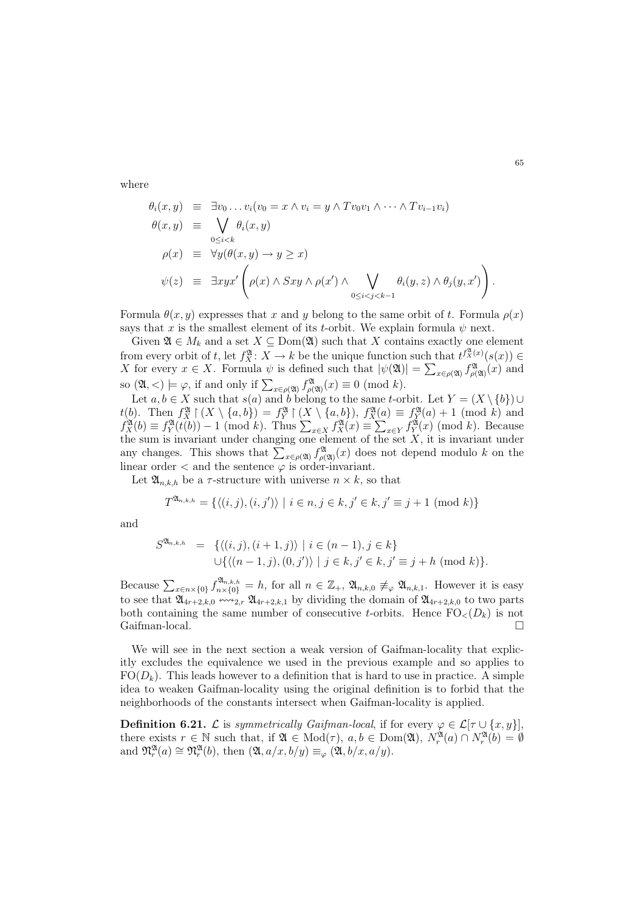where

$$
\begin{aligned}\n\theta_i(x, y) &\equiv \exists v_0 \dots v_i (v_0 = x \land v_i = y \land Tv_0 v_1 \land \dots \land Tv_{i-1} v_i) \\
\theta(x, y) &\equiv \bigvee_{0 \le i < k} \theta_i(x, y) \\
\rho(x) &\equiv \forall y (\theta(x, y) \to y \ge x) \\
\psi(z) &\equiv \exists x y x' \left( \rho(x) \land Sxy \land \rho(x') \land \bigvee_{0 \le i < j < k-1} \theta_i(y, z) \land \theta_j(y, x') \right).\n\end{aligned}
$$

Formula  $\theta(x, y)$  expresses that x and y belong to the same orbit of t. Formula  $\rho(x)$ says that x is the smallest element of its t-orbit. We explain formula  $\psi$  next.

Given  $\mathfrak{A} \in M_k$  and a set  $X \subseteq \text{Dom}(\mathfrak{A})$  such that X contains exactly one element from every orbit of t, let  $f_X^{\mathfrak{A}}$ :  $X \to k$  be the unique function such that  $t^{f_X^{\mathfrak{A}}(x)}(s(x)) \in$ X for every  $x \in X$ . Formula  $\psi$  is defined such that  $|\psi(\mathfrak{A})| = \sum_{x \in \rho(\mathfrak{A})} f^{\mathfrak{A}}_{\rho(\mathfrak{A})}(x)$  and so  $(\mathfrak{A}, \lt) \models \varphi$ , if and only if  $\sum_{x \in \rho(\mathfrak{A})} f^{\mathfrak{A}}_{\rho(\mathfrak{A})}(x) \equiv 0 \pmod{k}$ .

Let  $a, b \in X$  such that  $s(a)$  and b belong to the same t-orbit. Let  $Y = (X \setminus \{b\}) \cup$  $t(b)$ . Then  $f_X^{\mathfrak{A}} \upharpoonright (X \setminus \{a, b\}) = f_Y^{\mathfrak{A}} \upharpoonright (X \setminus \{a, b\}), f_X^{\mathfrak{A}}(a) \equiv f_Y^{\mathfrak{A}}(a) + 1 \pmod{k}$  and  $f_X^{\mathfrak{A}}(b) \equiv f_Y^{\mathfrak{A}}(t(b)) - 1 \pmod{k}$ . Thus  $\sum_{x \in X} f_X^{\mathfrak{A}}(x) \equiv \sum_{x \in Y} f_Y^{\mathfrak{A}}(x) \pmod{k}$ . Because the sum is invariant under changing one element of the set  $X$ , it is invariant under any changes. This shows that  $\sum_{x \in \rho(\mathfrak{A})} f_{\rho(\mathfrak{A})}^{\mathfrak{A}}(x)$  does not depend modulo k on the linear order  $\lt$  and the sentence  $\varphi$  is order-invariant.

Let  $\mathfrak{A}_{n,k,h}$  be a  $\tau$ -structure with universe  $n \times k$ , so that

$$
T^{\mathfrak{A}_{n,k,h}} = \{ \langle (i,j), (i,j') \rangle \mid i \in n, j \in k, j' \in k, j' \equiv j+1 \pmod{k} \}
$$

and

$$
S^{2l_{n,k,h}} = \{ \langle (i,j), (i+1,j) \rangle \mid i \in (n-1), j \in k \} \cup \{ \langle (n-1,j), (0,j') \rangle \mid j \in k, j' \in k, j' \equiv j+h \pmod{k} \}.
$$

Because  $\sum_{x\in n\times\{0\}} f^{x_{n,k,h}}_{n\times\{0\}} = h$ , for all  $n \in \mathbb{Z}_+$ ,  $\mathfrak{A}_{n,k,0} \not\equiv_{\varphi} \mathfrak{A}_{n,k,1}$ . However it is easy to see that  $\mathfrak{A}_{4r+2,k,0}$   $\longleftrightarrow_{2,r} \mathfrak{A}_{4r+2,k,1}$  by dividing the domain of  $\mathfrak{A}_{4r+2,k,0}$  to two parts both containing the same number of consecutive t-orbits. Hence  $\mathrm{FO}_{\leq}(D_k)$  is not Gaifman-local.

We will see in the next section a weak version of Gaifman-locality that explicitly excludes the equivalence we used in the previous example and so applies to  $FO(D_k)$ . This leads however to a definition that is hard to use in practice. A simple idea to weaken Gaifman-locality using the original definition is to forbid that the neighborhoods of the constants intersect when Gaifman-locality is applied.

**Definition 6.21.**  $\mathcal{L}$  is symmetrically Gaifman-local, if for every  $\varphi \in \mathcal{L}[\tau \cup \{x, y\}],$ there exists  $r \in \mathbb{N}$  such that, if  $\mathfrak{A} \in \text{Mod}(\tau)$ ,  $a, b \in \text{Dom}(\mathfrak{A})$ ,  $N_r^{\mathfrak{A}}(a) \cap N_r^{\mathfrak{A}}(b) = \emptyset$ and  $\mathfrak{N}_r^{\mathfrak{A}}(a) \cong \mathfrak{N}_r^{\mathfrak{A}}(b)$ , then  $(\mathfrak{A}, a/x, b/y) \equiv_{\varphi} (\mathfrak{A}, b/x, a/y)$ .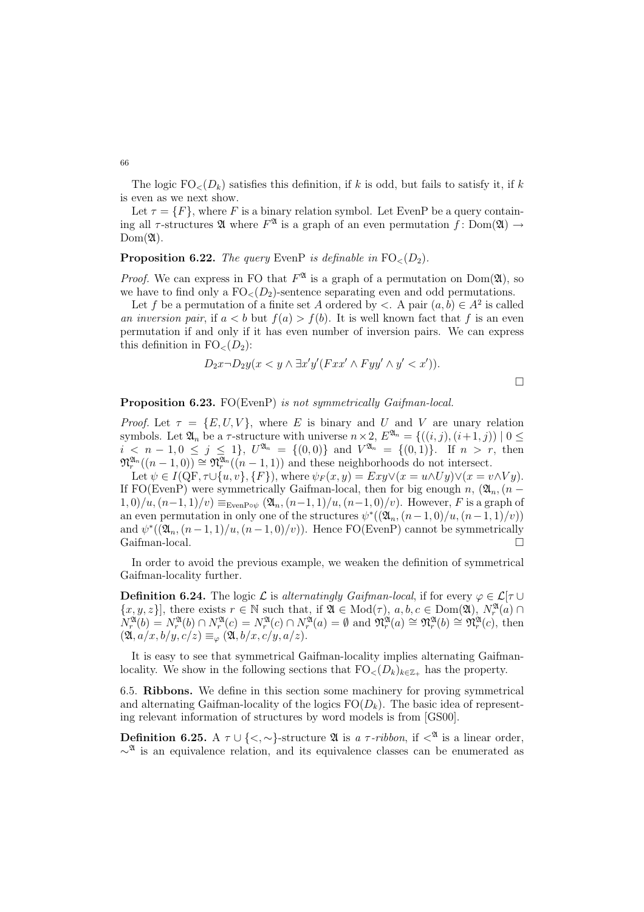The logic  $FO_{\leq}(D_k)$  satisfies this definition, if k is odd, but fails to satisfy it, if k is even as we next show.

Let  $\tau = \{F\}$ , where F is a binary relation symbol. Let EvenP be a query containing all  $\tau$ -structures  $\mathfrak A$  where  $F^{\mathfrak A}$  is a graph of an even permutation  $f: Dom(\mathfrak A) \to$  $Dom(\mathfrak{A}).$ 

**Proposition 6.22.** The query EvenP is definable in  $FO<sub>2</sub>(D<sub>2</sub>)$ .

*Proof.* We can express in FO that  $F^{\mathfrak{A}}$  is a graph of a permutation on Dom( $\mathfrak{A}$ ), so we have to find only a  $FO(2)$ -sentence separating even and odd permutations.

Let f be a permutation of a finite set A ordered by  $\lt$ . A pair  $(a, b) \in A^2$  is called an inversion pair, if  $a < b$  but  $f(a) > f(b)$ . It is well known fact that f is an even permutation if and only if it has even number of inversion pairs. We can express this definition in  $\mathrm{FO}_{\leq}(D_2)$ :

$$
D_2x \neg D_2y(x < y \land \exists x'y'(Fx x' \land Fyy' \land y' < x')).
$$

**Proposition 6.23.** FO(EvenP) is not symmetrically Gaifman-local.

*Proof.* Let  $\tau = \{E, U, V\}$ , where E is binary and U and V are unary relation symbols. Let  $\mathfrak{A}_n$  be a  $\tau$ -structure with universe  $n \times 2$ ,  $E^{\mathfrak{A}_n} = \{((i,j),(i+1,j)) \mid 0 \leq$  $i \leq n - 1, 0 \leq j \leq 1$ ,  $U^{2l_n} = \{(0, 0)\}\$ and  $V^{2l_n} = \{(0, 1)\}\$ . If  $n > r$ , then  $\mathfrak{N}_r^{\mathfrak{A}_n}((n-1,0)) \cong \mathfrak{N}_r^{\overline{\mathfrak{A}}_n}((n-1,1))$  and these neighborhoods do not intersect.

Let  $\psi \in I(\mathbb{Q}F, \tau \cup \{u, v\}, \{F\})$ , where  $\psi_F(x, y) = Exy \vee (x = u \wedge Uy) \vee (x = v \wedge Vy)$ . If FO(EvenP) were symmetrically Gaifman-local, then for big enough n,  $(\mathfrak{A}_n,(n 1, 0)/u$ ,  $(n-1, 1)/v$ )  $\equiv_{\text{EvenPow}} (2\mathcal{U}_n, (n-1, 1)/u, (n-1, 0)/v)$ . However, F is a graph of an even permutation in only one of the structures  $\psi^*((\mathfrak{A}_n,(n-1,0)/u,(n-1,1)/v))$ and  $\psi^*(\mathfrak{A}_n,(n-1,1)/u,(n-1,0)/v)$ . Hence FO(EvenP) cannot be symmetrically Gaifman-local.

In order to avoid the previous example, we weaken the definition of symmetrical Gaifman-locality further.

**Definition 6.24.** The logic  $\mathcal{L}$  is alternatingly Gaifman-local, if for every  $\varphi \in \mathcal{L}[\tau \cup$  ${x, y, z}$ , there exists  $r \in \mathbb{N}$  such that, if  $\mathfrak{A} \in Mod(r)$ ,  $a, b, c \in Dom(\mathfrak{A})$ ,  $N_r^{\mathfrak{A}}(a) \cap$  $N_r^{\mathfrak{A}}(b) = N_r^{\mathfrak{A}}(b) \cap N_r^{\mathfrak{A}}(c) = N_r^{\mathfrak{A}}(c) \cap N_r^{\mathfrak{A}}(a) = \emptyset$  and  $\mathfrak{N}_r^{\mathfrak{A}}(a) \cong \mathfrak{N}_r^{\mathfrak{A}}(b) \cong \mathfrak{N}_r^{\mathfrak{A}}(c)$ , then  $(\mathfrak{A}, a/x, b/y, c/z) \equiv_{\varphi} (\mathfrak{A}, b/x, c/y, a/z).$ 

It is easy to see that symmetrical Gaifman-locality implies alternating Gaifmanlocality. We show in the following sections that  $\mathrm{FO}_{\leq}(D_k)_{k\in\mathbb{Z}_+}$  has the property.

6.5. **Ribbons.** We define in this section some machinery for proving symmetrical and alternating Gaifman-locality of the logics  $FO(D_k)$ . The basic idea of representing relevant information of structures by word models is from [GS00].

**Definition 6.25.** A  $\tau \cup \{<,\sim\}$ -structure  $\mathfrak{A}$  is a  $\tau$ -ribbon, if  $\langle\mathfrak{A}^{\mathfrak{A}}\rangle$  is a linear order,  $\sim^{\mathfrak{A}}$  is an equivalence relation, and its equivalence classes can be enumerated as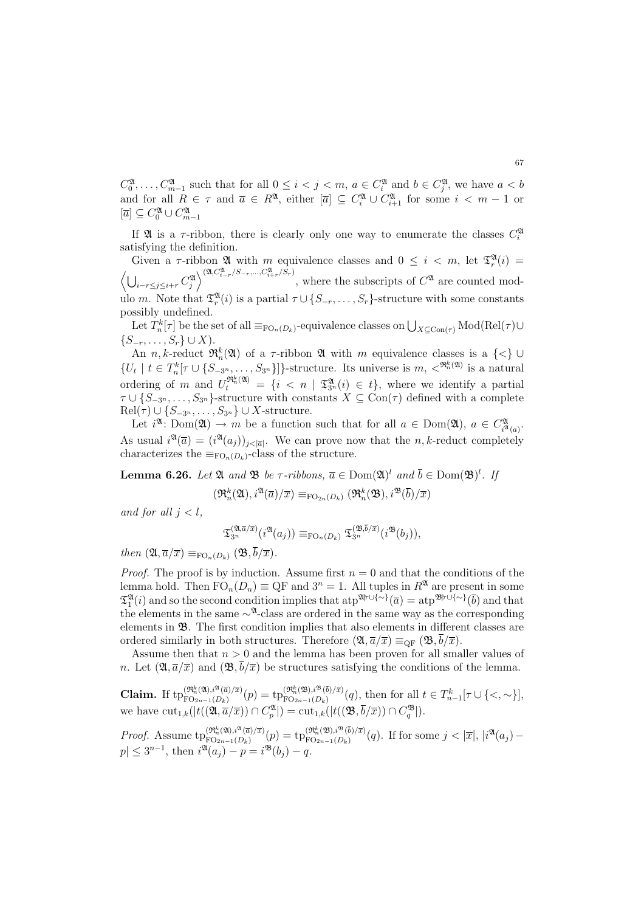$C_0^{\mathfrak{A}}, \ldots, C_{m-1}^{\mathfrak{A}}$  such that for all  $0 \leq i < j < m$ ,  $a \in C_i^{\mathfrak{A}}$  and  $b \in C_j^{\mathfrak{A}}$ , we have  $a < b$ and for all  $R \in \tau$  and  $\overline{a} \in R^{\mathfrak{A}}$ , either  $[\overline{a}] \subseteq C_{i}^{\mathfrak{A}} \cup C_{i+1}^{\mathfrak{A}}$  for some  $i < m - 1$  or  $[\overline{a}] \subseteq C_0^{\mathfrak{A}} \cup C_{m-1}^{\mathfrak{A}}$ 

If  $\mathfrak A$  is a  $\tau$ -ribbon, there is clearly only one way to enumerate the classes  $C_i^{\mathfrak A}$ satisfying the definition.

Given a  $\tau$ -ribbon  $\mathfrak{A}$  with  $m$  equivalence classes and  $0 \leq i \leq m$ , let  $\mathfrak{I}^{\mathfrak{A}}_{r}(i) =$  $\left\langle \bigcup_{i-r \leq j \leq i+r} C_j^{\mathfrak{A}} \right\rangle^{(\mathfrak{A}, C_{i-r}^{\mathfrak{A}}/S_{-r}, \ldots, C_{i+r}^{\mathfrak{A}}/S_r)},$  where the subscripts of  $C^{\mathfrak{A}}$  are counted modulo m. Note that  $\mathfrak{T}_{r}^{\mathfrak{A}}(i)$  is a partial  $\tau \cup \{S_{-r},\ldots,S_{r}\}$ -structure with some constants possibly undefined.

Let  $T_n^k[\tau]$  be the set of all  $\equiv_{\text{FO}_n(D_k)}$ -equivalence classes on  $\bigcup_{X \subseteq \text{Con}(\tau)} \text{Mod}(\text{Rel}(\tau) \cup$  $\{S_{-r},\ldots,S_r\} \cup X$ ).

An  $n, k$ -reduct  $\mathfrak{R}_n^k(\mathfrak{A})$  of a  $\tau$ -ribbon  $\mathfrak{A}$  with m equivalence classes is a  $\{\leq\}$   $\cup$  $\{U_t \mid t \in T_n^k[\tau \cup \{S_{-3^n},\ldots,S_{3^n}\}]\}\text{-structure.}$  Its universe is  $m, \langle \mathcal{R}_n^k(\mathfrak{A}) \rangle$  is a natural ordering of m and  $U_t^{\mathfrak{R}_n^k(\mathfrak{A})} = \{i \leq n \mid \mathfrak{T}_{3^n}^{\mathfrak{A}}(i) \in t\}$ , where we identify a partial  $\tau \cup \{S_{-3^n},\ldots,S_{3^n}\}\text{-structure with constants }X \subseteq \text{Con}(\tau)$  defined with a complete  $Rel(\tau) \cup \{S_{-3^n}, \ldots, S_{3^n}\} \cup X$ -structure.

Let  $i^{\mathfrak{A}}\colon \mathrm{Dom}(\mathfrak{A}) \to m$  be a function such that for all  $a \in \mathrm{Dom}(\mathfrak{A}), a \in C_{i^{\mathfrak{A}}(a)}^{\mathfrak{A}}$ . As usual  $i^{\mathfrak{A}}(\overline{a})=(i^{\mathfrak{A}}(a_j))_{j<|\overline{a}|}$ . We can prove now that the n, k-reduct completely characterizes the  $\equiv_{\text{FO}_n(D_k)}$ -class of the structure.

**Lemma 6.26.** Let  $\mathfrak A$  and  $\mathfrak B$  be  $\tau$ -ribbons,  $\overline{a} \in \text{Dom}(\mathfrak A)^l$  and  $\overline{b} \in \text{Dom}(\mathfrak B)^l$ . If

$$
(\mathfrak{R}_n^k(\mathfrak{A}), i^{\mathfrak{A}}(\overline{a})/\overline{x}) \equiv_{\mathrm{FO}_{2n}(D_k)} (\mathfrak{R}_n^k(\mathfrak{B}), i^{\mathfrak{B}}(\overline{b})/\overline{x})
$$

and for all  $j < l$ ,

$$
\mathfrak{T}_{3^n}^{(\mathfrak{A},\overline{a}/\overline{x})}(i^{\mathfrak{A}}(a_j)) \equiv_{\mathrm{FO}_n(D_k)} \mathfrak{T}_{3^n}^{(\mathfrak{B},\overline{b}/\overline{x})}(i^{\mathfrak{B}}(b_j)),
$$

then  $(\mathfrak{A}, \overline{a}/\overline{x}) \equiv_{\mathrm{FO}_n(D_k)} (\mathfrak{B}, \overline{b}/\overline{x}).$ 

*Proof.* The proof is by induction. Assume first  $n = 0$  and that the conditions of the lemma hold. Then  $\text{FO}_n(D_n) \equiv \text{QF}$  and  $3^n = 1$ . All tuples in  $\mathbb{R}^{\mathfrak{A}}$  are present in some  $\mathfrak{T}_1^{\mathfrak{A}}(i)$  and so the second condition implies that  $\text{atp}^{\mathfrak{A}\nuparrow\cup\{\sim\}}(\overline{a}) = \text{atp}^{\mathfrak{B}\nuparrow\cup\{\sim\}}(\overline{b})$  and that the elements in the same  $\sim^{\mathfrak{A}}$ -class are ordered in the same way as the corresponding elements in  $\mathfrak{B}$ . The first condition implies that also elements in different classes are ordered similarly in both structures. Therefore  $(\mathfrak{A}, \overline{a}/\overline{x}) \equiv_{\text{OF}} (\mathfrak{B}, b/\overline{x})$ .

Assume then that  $n > 0$  and the lemma has been proven for all smaller values of n. Let  $(\mathfrak{A}, \overline{a}/\overline{x})$  and  $(\mathfrak{B}, \overline{b}/\overline{x})$  be structures satisfying the conditions of the lemma.

**Claim.** If  $\text{tp}_{\text{FO}_{2n-1}(D_k)}^{\mathfrak{R}_n^k(\mathfrak{A}),i^{\mathfrak{A}}(\overline{a})/\overline{x}}(p) = \text{tp}_{\text{FO}_{2n-1}(D_k)}^{\mathfrak{R}_n^k(\mathfrak{B}),i^{\mathfrak{B}}(\overline{b})/\overline{x}}(q)$ , then for all  $t \in T_{n-1}^k[\tau \cup \{<,\sim\}],$ we have  $\text{cut}_{1,k}(|t((\mathfrak{A},\overline{a}/\overline{x})) \cap C_p^{\mathfrak{A}}|) = \text{cut}_{1,k}(|t((\mathfrak{B},\overline{b}/\overline{x})) \cap C_q^{\mathfrak{B}}|).$ 

*Proof.* Assume  $tp_{FQ_{2n-1}(D_k)}^{(\mathfrak{R}_n^k(\mathfrak{A}),i^{\mathfrak{A}}(\overline{\alpha})/\overline{x})}(p) = tp_{FQ_{2n-1}(D_k)}^{(\mathfrak{R}_n^k(\mathfrak{B}),i^{\mathfrak{B}}(\overline{b})/\overline{x})}(q)$ . If for some  $j < |\overline{x}|, |i^{\mathfrak{A}}(a_j) |p| \leq 3^{n-1}$ , then  $i^{\mathfrak{A}}(a_j) - p = i^{\mathfrak{B}}(b_j) - q$ .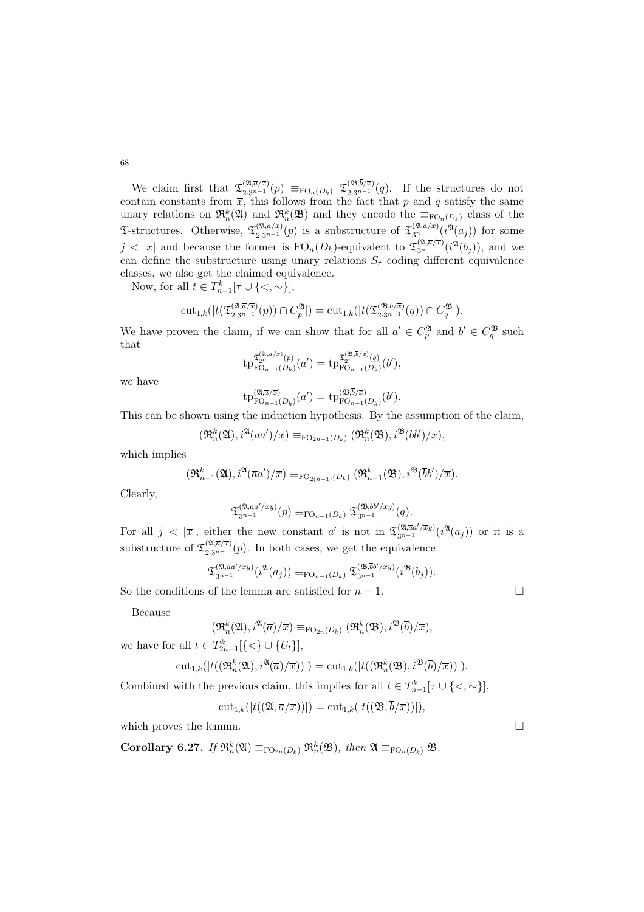68

We claim first that  $\mathfrak{T}^{(2,\bar{a}/\bar{x})}_{2\cdot 3^{n-1}}(p) \equiv_{\text{FO}_n(D_k)} \mathfrak{T}^{(2,\bar{b}/\bar{x})}_{2\cdot 3^{n-1}}(q)$ . If the structures do not contain constants from  $\bar{x}$ , this follows from the fact that p and q satisfy the same unary relations on  $\mathfrak{R}_n^k(\mathfrak{A})$  and  $\mathfrak{R}_n^k(\mathfrak{B})$  and they encode the  $\equiv_{\mathrm{FO}_n(D_k)}$  class of the **T-structures.** Otherwise,  $\mathfrak{T}_{2\cdot 3^{n-1}}^{(\mathfrak{A},\overline{\alpha}/\overline{x})}(p)$  is a substructure of  $\mathfrak{T}_{3^n}^{(\mathfrak{A},\overline{\alpha}/\overline{x})}(i^{\mathfrak{A}}(a_j))$  for some  $j < |\overline{x}|$  and because the former is  $\text{FO}_n(D_k)$ -equivalent to  $\mathfrak{T}_{3^n}^{(\mathfrak{A},\overline{x})}(i^{\mathfrak{A}}(b_j))$ , and we can define the substructure using unary relations  $S_r$  coding different equivalence classes, we also get the claimed equivalence.

Now, for all  $t \in T_{n-1}^k[\tau \cup \{<,\sim\}]$ ,

$$
\mathrm{cut}_{1,k}(|t(\mathfrak{T}_{2\cdot 3^{n-1}}^{(2\mathfrak{A},\overline{a}/\overline{x})}(p))\cap C_p^{\mathfrak{A}}|)=\mathrm{cut}_{1,k}(|t(\mathfrak{T}_{2\cdot 3^{n-1}}^{(2\mathfrak{A},\overline{b}/\overline{x})}(q))\cap C_q^{\mathfrak{B}}|).
$$

We have proven the claim, if we can show that for all  $a' \in C_p^{\mathfrak{A}}$  and  $b' \in C_q^{\mathfrak{B}}$  such that

$$
\text{tp}_{\text{FO}_{n-1}(D_k)}^{\mathfrak{T}_{2n}^{(\mathfrak{A},\overline{a}/\overline{x})}(p)}(a') = \text{tp}_{\text{FO}_{n-1}(D_k)}^{\mathfrak{T}_{2n}^{(\mathfrak{B},\overline{b}/\overline{x})}(q)}(b'),
$$

we have

$$
\text{tp}_{\text{FO}_{n-1}(D_k)}^{(\mathfrak{A},\bar{a}/\bar{x})}(a') = \text{tp}_{\text{FO}_{n-1}(D_k)}^{(\mathfrak{B},\bar{b}/\bar{x})}(b').
$$

This can be shown using the induction hypothesis. By the assumption of the claim,

$$
(\mathfrak{R}_{n}^{k}(\mathfrak{A}),i^{\mathfrak{A}}(\overline{a}a')/\overline{x}) \equiv_{\mathrm{FO}_{2n-1}(D_{k})} (\mathfrak{R}_{n}^{k}(\mathfrak{B}),i^{\mathfrak{B}}(\overline{b}b')/\overline{x}),
$$

which implies

$$
(\mathfrak{R}_{n-1}^k(\mathfrak{A}),i^{\mathfrak{A}}(\overline{a}a')/\overline{x}) \equiv_{\mathrm{FO}_{2(n-1)}(D_k)} (\mathfrak{R}_{n-1}^k(\mathfrak{B}),i^{\mathfrak{B}}(\overline{b}b')/\overline{x}).
$$

Clearly,

$$
\mathfrak{T}_{3^{n-1}}^{(\mathfrak{A},\overline{a}a'/\overline{x}y)}(p) \equiv_{\mathrm{FO}_{n-1}(D_k)} \mathfrak{T}_{3^{n-1}}^{(\mathfrak{B},\overline{b}b'/\overline{x}y)}(q).
$$

For all  $j < |\overline{x}|$ , either the new constant a' is not in  $\mathfrak{S}_{3^{n-1}}^{(3,\overline{a}a'/\overline{x}y)}(i^{3}(a_j))$  or it is a substructure of  $\mathfrak{T}_{2,3^{n-1}}^{(\mathfrak{A},\overline{\alpha}/\overline{x})}(p)$ . In both cases, we get the equivalence

$$
\mathfrak{T}_{3^{n-1}}^{(2\mathfrak{J},\overline{a}a'/\overline{x}y)}(i^{2\mathfrak{l}}(a_j)) \equiv_{\mathrm{FO}_{n-1}(D_k)} \mathfrak{T}_{3^{n-1}}^{(2\mathfrak{J},\overline{b}b'/\overline{x}y)}(i^{2\mathfrak{J}}(b_j)).
$$

So the conditions of the lemma are satisfied for  $n-1$ .

Because

$$
(\mathfrak{R}_{n}^{k}(\mathfrak{A}),i^{\mathfrak{A}}(\overline{a})/\overline{x}) \equiv_{\mathrm{FO}_{2n}(D_{k})} (\mathfrak{R}_{n}^{k}(\mathfrak{B}),i^{\mathfrak{B}}(\overline{b})/\overline{x}),
$$

we have for all  $t \in T_{2n-1}^k[\{\langle \} \cup \{U_t\}],$ 

$$
\mathrm{cut}_{1,k}(|t((\mathfrak{R}_n^k(\mathfrak{A}),i^{\mathfrak{A}}(\overline{a})/\overline{x}))|)=\mathrm{cut}_{1,k}(|t((\mathfrak{R}_n^k(\mathfrak{B}),i^{\mathfrak{B}}(\overline{b})/\overline{x}))|).
$$

Combined with the previous claim, this implies for all  $t \in T_{n-1}^k[\tau \cup \{<,\sim\}]$ ,

$$
{\rm cut}_{1,k}(|t((\mathfrak{A},\overline{a}/\overline{x}))|)={\rm cut}_{1,k}(|t((\mathfrak{B},\overline{b}/\overline{x}))|),
$$

which proves the lemma.  $\Box$ 

**Corollary 6.27.** If  $\mathfrak{R}_n^k(\mathfrak{A}) \equiv_{\mathrm{FO}_{2n}(D_k)} \mathfrak{R}_n^k(\mathfrak{B})$ , then  $\mathfrak{A} \equiv_{\mathrm{FO}_n(D_k)} \mathfrak{B}$ .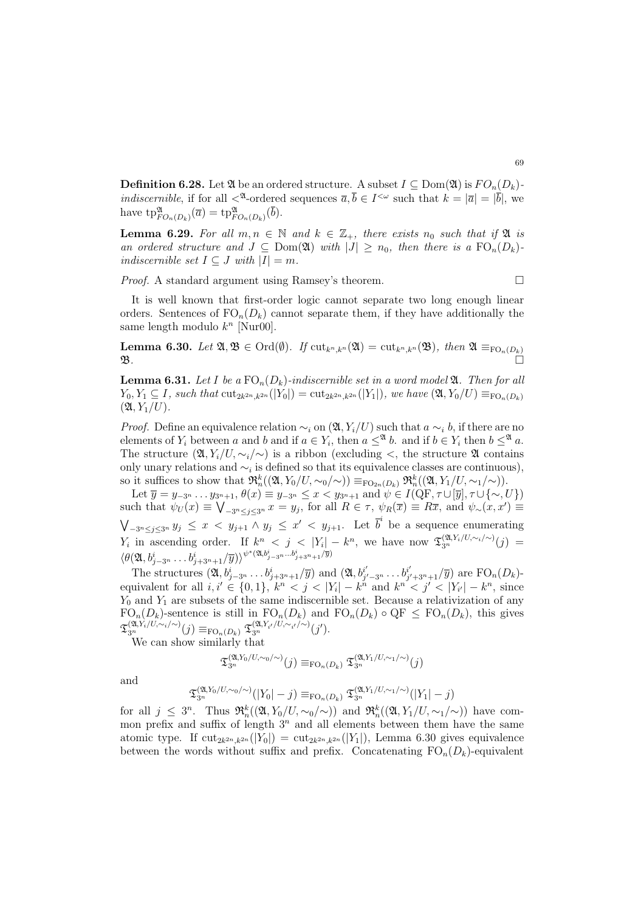**Definition 6.28.** Let  $\mathfrak{A}$  be an ordered structure. A subset  $I \subseteq \text{Dom}(\mathfrak{A})$  is  $FO_n(D_k)$ *indiscernible*, if for all  $\langle \mathcal{A}^{\mathcal{A}}$ -ordered sequences  $\overline{a}, \overline{b} \in I^{\langle \omega \rangle}$  such that  $k = |\overline{a}| = |\overline{b}|$ , we have  $\text{tp}_{FO_n(D_k)}^{\mathfrak{A}}(\overline{a}) = \text{tp}_{FO_n(D_k)}^{\mathfrak{A}}(\overline{b}).$ 

**Lemma 6.29.** For all  $m, n \in \mathbb{N}$  and  $k \in \mathbb{Z}_+$ , there exists  $n_0$  such that if  $\mathfrak{A}$  is an ordered structure and  $J \subseteq Dom(\mathfrak{A})$  with  $|J| \geq n_0$ , then there is a  $FO_n(D_k)$ indiscernible set  $I \subseteq J$  with  $|I| = m$ .

*Proof.* A standard argument using Ramsey's theorem.  $\square$ 

It is well known that first-order logic cannot separate two long enough linear orders. Sentences of  $\mathrm{FO}_n(D_k)$  cannot separate them, if they have additionally the same length modulo  $k^n$  [Nur00].

**Lemma 6.30.** Let  $\mathfrak{A}, \mathfrak{B} \in \text{Ord}(\emptyset)$ . If  $\text{cut}_{k^n,k^n}(\mathfrak{A}) = \text{cut}_{k^n,k^n}(\mathfrak{B})$ , then  $\mathfrak{A} \equiv_{\text{FO}_n(D_k)}$  $\mathfrak{B}.$ 

**Lemma 6.31.** Let I be a  $\text{FO}_n(D_k)$ -indiscernible set in a word model **21**. Then for all  $Y_0, Y_1 \subseteq I$ , such that  $\mathrm{cut}_{2k^{2n},k^{2n}}(|Y_0|) = \mathrm{cut}_{2k^{2n},k^{2n}}(|Y_1|)$ , we have  $(\mathfrak{A}, Y_0/U) \equiv_{\mathrm{FO}_n(D_k)}$  $(\mathfrak{A}, Y_1/U)$ .

*Proof.* Define an equivalence relation  $\sim_i$  on  $(\mathfrak{A}, Y_i/U)$  such that  $a \sim_i b$ , if there are no elements of  $Y_i$  between a and b and if  $a \in Y_i$ , then  $a \leq^{\mathfrak{A}} b$ . and if  $b \in Y_i$  then  $b \leq^{\mathfrak{A}} a$ . The structure  $(\mathfrak{A}, Y_i/U, \sim_i/\sim)$  is a ribbon (excluding  $\lt$ , the structure  $\mathfrak A$  contains only unary relations and  $\sim_i$  is defined so that its equivalence classes are continuous), so it suffices to show that  $\mathfrak{R}_n^k((\mathfrak{A}, Y_0/U, \sim_0/\sim)) \equiv_{\mathrm{FO}_{2n}(D_k)} \mathfrak{R}_n^k((\mathfrak{A}, Y_1/U, \sim_1/\sim)).$ 

Let  $\overline{y} = y_{-3^n} \dots y_{3^n+1}, \theta(x) \equiv y_{-3^n} \leq x < y_{3^n+1}$  and  $\psi \in I(\mathbb{Q}F, \tau \cup [\overline{y}], \tau \cup \{\sim, U\})$ such that  $\psi_U(x) \equiv \bigvee_{-3^n \leq j \leq 3^n} x = y_j$ , for all  $R \in \tau$ ,  $\psi_R(\overline{x}) \equiv R\overline{x}$ , and  $\psi_\sim(x, x') \equiv$  $\bigvee_{-3^n \leq j \leq 3^n} y_j \leq x \langle y_{j+1} \wedge y_j \leq x' \langle y_{j+1} \rangle$ . Let  $\overline{b}^i$  be a sequence enumerating  $Y_i$  in ascending order. If  $k^n < j < |Y_i| - k^n$ , we have now  $\mathfrak{T}_{3^n}^{(\mathfrak{A}, Y_i/U, \sim_i/\sim)}(j) =$  $\langle \theta(\mathfrak{A}, b^{i}_{j-3^{n}} \dots b^{i}_{j+3^{n}+1}/\overline{y}) \rangle^{\psi^{*}(\mathfrak{A}, b^{i}_{j-3^{n}} \dots b^{i}_{j+3^{n}+1}/\overline{y})}$ 

The structures  $(\mathfrak{A}, b^i_{j-3^n} \dots b^i_{j+3^n+1}/\overline{y})$  and  $(\mathfrak{A}, b^{i'}_{j'-3^n} \dots b^{i'}_{j'+3^n+1}/\overline{y})$  are  $\text{FO}_n(D_k)$ equivalent for all  $i, i' \in \{0, 1\}, k^n < j < |Y_i| - k^n$  and  $k^n < j' < |Y_{i'}| - k^n$ , since  $Y_0$  and  $Y_1$  are subsets of the same indiscernible set. Because a relativization of any  $FO_n(D_k)$ -sentence is still in  $FO_n(D_k)$  and  $FO_n(D_k) \circ QF \leq FO_n(D_k)$ , this gives  $\mathfrak{T}^{(\mathfrak{A}, Y_i/U, \sim_i/\sim)}_{3^n}(j) \equiv_{\mathrm{FO}_n(D_k)} \mathfrak{T}^{(\mathfrak{A}, Y_{i'}/U, \sim_{i'}/\sim)}_{3^n}(j').$ 

We can show similarly that

$$
\mathfrak{T}_{3^n}^{(2\mathfrak{l}, Y_0/U, \sim_0/\sim)}(j) \equiv_{\mathrm{FO}_n(D_k)} \mathfrak{T}_{3^n}^{(2\mathfrak{l}, Y_1/U, \sim_1/\sim)}(j)
$$

and

$$
\mathfrak{T}_{3^n}^{(\mathfrak{A}, Y_0/U, \sim_0/\sim)}(|Y_0|-j) \equiv_{\mathrm{FO}_n(D_k)} \mathfrak{T}_{3^n}^{(\mathfrak{A}, Y_1/U, \sim_1/\sim)}(|Y_1|-j)
$$

for all  $j \leq 3^n$ . Thus  $\mathfrak{R}_n^k((\mathfrak{A}, Y_0/U, \sim_0/\sim))$  and  $\mathfrak{R}_n^k((\mathfrak{A}, Y_1/U, \sim_1/\sim))$  have common prefix and suffix of length  $3<sup>n</sup>$  and all elements between them have the same atomic type. If  $\text{cut}_{2k^{2n},k^{2n}}(|Y_0|) = \text{cut}_{2k^{2n},k^{2n}}(|Y_1|)$ , Lemma 6.30 gives equivalence between the words without suffix and prefix. Concatenating  $FO_n(D_k)$ -equivalent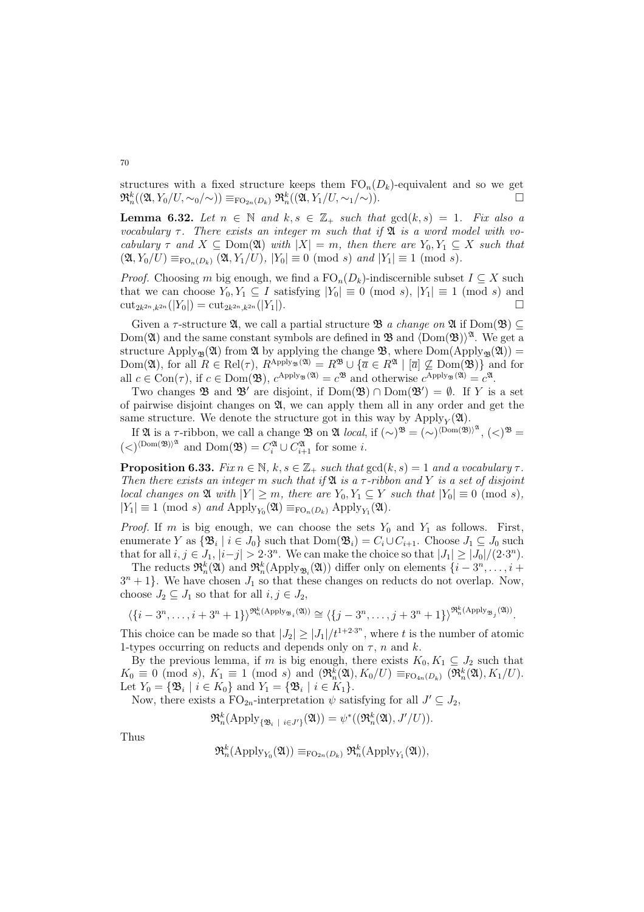structures with a fixed structure keeps them  $FO_n(D_k)$ -equivalent and so we get  $\mathfrak{R}_n^k((\mathfrak{A},Y_0/U,\sim_0/\sim)) \equiv_{\mathrm{FO}_{2n}(D_k)} \mathfrak{R}_n^k((\mathfrak{A},Y_1/U,\sim_1/\sim)).$ 

**Lemma 6.32.** Let  $n \in \mathbb{N}$  and  $k, s \in \mathbb{Z}_+$  such that  $gcd(k, s) = 1$ . Fix also a vocabulary  $\tau$ . There exists an integer m such that if  $\mathfrak{A}$  is a word model with vocabulary  $\tau$  and  $X \subseteq \text{Dom}(\mathfrak{A})$  with  $|X| = m$ , then there are  $Y_0, Y_1 \subseteq X$  such that  $(\mathfrak{A}, Y_0/U) \equiv_{\text{FO}_n(D_k)} (\mathfrak{A}, Y_1/U), |Y_0| \equiv 0 \pmod{s}$  and  $|Y_1| \equiv 1 \pmod{s}$ .

*Proof.* Choosing m big enough, we find a  $FO_n(D_k)$ -indiscernible subset  $I \subseteq X$  such that we can choose  $Y_0, Y_1 \subseteq I$  satisfying  $|Y_0| \equiv 0 \pmod{s}$ ,  $|Y_1| \equiv 1 \pmod{s}$  and  $\text{cut}_{2k^{2n},k^{2n}}([Y_0]) = \text{cut}_{2k^{2n},k^{2n}}([Y_1]).$ 

Given a  $\tau$ -structure  $\mathfrak{A}$ , we call a partial structure  $\mathfrak{B}$  a change on  $\mathfrak{A}$  if  $\text{Dom}(\mathfrak{B}) \subset$ Dom(20) and the same constant symbols are defined in  $\mathfrak{B}$  and  $\langle \text{Dom}(\mathfrak{B}) \rangle^{\mathfrak{A}}$ . We get a structure Apply<sub>B</sub>(2) from 2 by applying the change  $\mathfrak{B}$ , where  $Dom(Apply_{\mathfrak{B}}(2)) =$  $Dom(\mathfrak{A})$ , for all  $R \in Rel(\tau)$ ,  $R^{Apply_{\mathfrak{B}}(\mathfrak{A})} = R^{\mathfrak{B}} \cup {\overline{a} \in R^{\mathfrak{A}} \mid [\overline{a}] \not\subseteq Dom(\mathfrak{B})}$  and for all  $c \in \text{Con}(\tau)$ , if  $c \in \text{Dom}(\mathfrak{B})$ ,  $c^{\text{Apply}_{\mathfrak{B}}(\mathfrak{A})} = c^{\mathfrak{B}}$  and otherwise  $c^{\text{Apply}_{\mathfrak{B}}(\mathfrak{A})} = c^{\mathfrak{A}}$ .

Two changes **B** and **B**' are disjoint, if  $Dom(\mathfrak{B}) \cap Dom(\mathfrak{B}') = \emptyset$ . If Y is a set of pairwise disjoint changes on  $\mathfrak{A}$ , we can apply them all in any order and get the same structure. We denote the structure got in this way by  $\mathrm{Apply}_Y(\mathfrak{A})$ .

If  $\mathfrak A$  is a  $\tau$ -ribbon, we call a change  $\mathfrak B$  on  $\mathfrak A$  local, if  $(\sim)^{\mathfrak B} = (\sim)^{\langle \text{Dom}(\mathfrak B)\rangle^{\mathfrak A}}$ ,  $(<)^\mathfrak B =$  $(<)_{(Dom(\mathfrak{B}))^{\mathfrak{A}}}$  and  $Dom(\mathfrak{B}) = C_i^{\mathfrak{A}} \cup C_{i+1}^{\mathfrak{A}}$  for some *i*.

**Proposition 6.33.** Fix  $n \in \mathbb{N}$ ,  $k, s \in \mathbb{Z}_+$  such that  $gcd(k, s) = 1$  and a vocabulary  $\tau$ . Then there exists an integer m such that if  $\mathfrak A$  is a  $\tau$ -ribbon and Y is a set of disjoint local changes on  $\mathfrak{A}$  with  $|Y| \geq m$ , there are  $Y_0, Y_1 \subseteq Y$  such that  $|Y_0| \equiv 0 \pmod{s}$ ,  $|Y_1| \equiv 1 \pmod{s}$  and  $\text{Apply}_{Y_0}(\mathfrak{A}) \equiv_{\text{FO}_n(D_k)} \text{Apply}_{Y_1}(\mathfrak{A})$ .

*Proof.* If m is big enough, we can choose the sets  $Y_0$  and  $Y_1$  as follows. First, enumerate Y as  $\{\mathfrak{B}_i \mid i \in J_0\}$  such that  $Dom(\mathfrak{B}_i) = C_i \cup C_{i+1}$ . Choose  $J_1 \subseteq J_0$  such that for all  $i, j \in J_1, |i-j| > 2 \cdot 3^n$ . We can make the choice so that  $|J_1| \geq |J_0|/(2 \cdot 3^n)$ .

The reducts  $\mathfrak{R}_n^k(\mathfrak{A})$  and  $\mathfrak{R}_n^k(\mathrm{Apply}_{\mathfrak{B}_i}(\mathfrak{A}))$  differ only on elements  $\{i-3^n,\ldots,i+3^n\}$  $3<sup>n</sup> + 1$ . We have chosen  $J_1$  so that these changes on reducts do not overlap. Now, choose  $J_2 \subseteq J_1$  so that for all  $i, j \in J_2$ ,

$$
\langle \{i-3^n,\ldots,i+3^n+1\} \rangle^{\mathfrak{R}_n^k(\mathrm{Apply}_{\mathfrak{B}_i}(\mathfrak{A}))} \cong \langle \{j-3^n,\ldots,j+3^n+1\} \rangle^{\mathfrak{R}_n^k(\mathrm{Apply}_{\mathfrak{B}_j}(\mathfrak{A}))}.
$$

This choice can be made so that  $|J_2| \geq |J_1|/t^{1+2\cdot3^n}$ , where t is the number of atomic 1-types occurring on reducts and depends only on  $\tau$ , n and k.

By the previous lemma, if m is big enough, there exists  $K_0, K_1 \subseteq J_2$  such that  $K_0 \equiv 0 \pmod{s}, K_1 \equiv 1 \pmod{s}$  and  $(\mathfrak{R}_n^k(\mathfrak{A}), K_0/U) \equiv_{\text{FO}_{4n}(D_k)} (\mathfrak{R}_n^k(\mathfrak{A}), K_1/U)$ . Let  $Y_0 = {\mathfrak{B}_i \mid i \in K_0}$  and  $Y_1 = {\mathfrak{B}_i \mid i \in K_1}.$ 

Now, there exists a FO<sub>2n</sub>-interpretation  $\psi$  satisfying for all  $J' \subseteq J_2$ ,

$$
\mathfrak{R}_{n}^{k}(\mathrm{Apply}_{\{\mathfrak{B}_{i}\ |\ i\in J'\}}(\mathfrak{A}))=\psi^{*}((\mathfrak{R}_{n}^{k}(\mathfrak{A}),J'/U)).
$$

Thus

$$
\mathfrak{R}_{n}^{k}(\mathrm{Apply}_{Y_{0}}(\mathfrak{A})) \equiv_{\mathrm{FO}_{2n}(D_{k})} \mathfrak{R}_{n}^{k}(\mathrm{Apply}_{Y_{1}}(\mathfrak{A})),
$$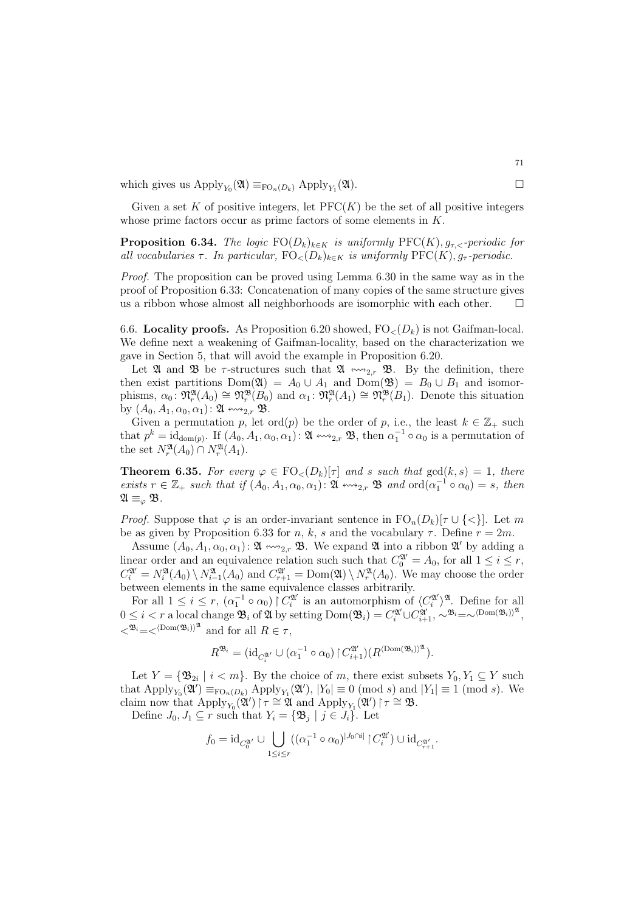which gives us  $\mathrm{Apply}_{Y_0}(\mathfrak{A}) \equiv_{\mathrm{FO}_n(D_k)} \mathrm{Apply}_{Y_1}(\mathfrak{A})$ .

Given a set  $K$  of positive integers, let  $\text{PFC}(K)$  be the set of all positive integers whose prime factors occur as prime factors of some elements in K.

**Proposition 6.34.** The logic  $FO(D_k)_{k \in K}$  is uniformly  $\text{PFC}(K)$ ,  $q_{\tau,s}$ -periodic for all vocabularies  $\tau$ . In particular,  $\mathrm{FO}_{\leq}(D_k)_{k\in K}$  is uniformly  $\mathrm{PFC}(K)$ ,  $g_{\tau}$ -periodic.

Proof. The proposition can be proved using Lemma 6.30 in the same way as in the proof of Proposition 6.33: Concatenation of many copies of the same structure gives us a ribbon whose almost all neighborhoods are isomorphic with each other.  $\Box$ 

6.6. **Locality proofs.** As Proposition 6.20 showed,  $\text{FO}_{\leq}(D_k)$  is not Gaifman-local. We define next a weakening of Gaifman-locality, based on the characterization we gave in Section 5, that will avoid the example in Proposition 6.20.

Let  $\mathfrak A$  and  $\mathfrak B$  be  $\tau$ -structures such that  $\mathfrak A \leftrightarrow_{2r} \mathfrak B$ . By the definition, there then exist partitions  $Dom(\mathfrak{A}) = A_0 \cup A_1$  and  $Dom(\mathfrak{B}) = B_0 \cup B_1$  and isomorphisms,  $\alpha_0$ :  $\mathfrak{N}_r^{\mathfrak{A}}(A_0) \cong \mathfrak{N}_r^{\mathfrak{B}}(B_0)$  and  $\alpha_1$ :  $\mathfrak{N}_r^{\mathfrak{A}}(A_1) \cong \mathfrak{N}_r^{\mathfrak{B}}(B_1)$ . Denote this situation by  $(A_0, A_1, \alpha_0, \alpha_1)$ :  $\mathfrak{A} \leftrightarrow_{2,r} \mathfrak{B}$ .

Given a permutation p, let ord(p) be the order of p, i.e., the least  $k \in \mathbb{Z}_+$  such that  $p^k = \mathrm{id}_{\mathrm{dom}(p)}$ . If  $(A_0, A_1, \alpha_0, \alpha_1)$ :  $\mathfrak{A} \longleftrightarrow_{2,r} \mathfrak{B}$ , then  $\alpha_1^{-1} \circ \alpha_0$  is a permutation of the set  $N_r^{\mathfrak{A}}(A_0) \cap N_r^{\mathfrak{A}}(A_1)$ .

**Theorem 6.35.** For every  $\varphi \in \mathrm{FO}_{\leq}(D_k)[\tau]$  and s such that  $\gcd(k, s) = 1$ , there exists  $r \in \mathbb{Z}_+$  such that if  $(A_0, A_1, \alpha_0, \alpha_1)$ :  $\mathfrak{A} \longleftrightarrow_{2,r} \mathfrak{B}$  and  $\text{ord}(\alpha_1^{-1} \circ \alpha_0) = s$ , then  $\mathfrak{A} \equiv_{\varphi} \mathfrak{B}$ .

*Proof.* Suppose that  $\varphi$  is an order-invariant sentence in  $\text{FO}_n(D_k)[\tau \cup \{\leq\}].$  Let m be as given by Proposition 6.33 for n, k, s and the vocabulary  $\tau$ . Define  $r = 2m$ .

Assume  $(A_0, A_1, \alpha_0, \alpha_1)$ :  $\mathfrak{A} \leftrightarrow_{2,r} \mathfrak{B}$ . We expand  $\mathfrak{A}$  into a ribbon  $\mathfrak{A}'$  by adding a linear order and an equivalence relation such such that  $C_0^{\mathfrak{A}'} = A_0$ , for all  $1 \leq i \leq r$ ,  $C_i^{\mathfrak{A}'} = N_i^{\mathfrak{A}}(A_0) \setminus N_{i-1}^{\mathfrak{A}}(A_0)$  and  $C_{r+1}^{\mathfrak{A}'} = \text{Dom}(\mathfrak{A}) \setminus N_r^{\mathfrak{A}}(A_0)$ . We may choose the order between elements in the same equivalence classes arbitrarily.

For all  $1 \leq i \leq r$ ,  $(\alpha_1^{-1} \circ \alpha_0) \restriction C_i^{2l'}$  is an automorphism of  $\langle C_i^{2l'} \rangle^{2l}$ . Define for all  $0 \leq i < r$  a local change  $\mathfrak{B}_i$  of  $\mathfrak A$  by setting  $\text{Dom}(\mathfrak{B}_i) = C_i^{\mathfrak{A}'} \cup C_{i+1}^{\mathfrak{A}'}, \sim^{\mathfrak{B}_i} = \sim^{\langle \text{Dom}(\mathfrak{B}_i) \rangle^{\mathfrak{A}}},$  $\langle \mathfrak{B}_i \rangle^{\mathfrak{A}}$  and for all  $R \in \tau$ ,

$$
R^{\mathfrak{B}_i} = (\mathrm{id}_{C_i^{\mathfrak{A}'}} \cup (\alpha_1^{-1} \circ \alpha_0) \restriction C_{i+1}^{\mathfrak{A}'})(R^{\langle \mathrm{Dom}(\mathfrak{B}_i) \rangle^{\mathfrak{A}}}).
$$

Let  $Y = {\mathfrak{B}_{2i} \mid i < m}$ . By the choice of m, there exist subsets  $Y_0, Y_1 \subseteq Y$  such that Apply<sub>Y<sub>0</sub></sub> $(\mathfrak{A}') \equiv_{\text{FO}_n(D_k)} \text{Apply}_{Y_1}(\mathfrak{A}'), |Y_0| \equiv 0 \pmod{s}$  and  $|Y_1| \equiv 1 \pmod{s}$ . We claim now that  $\mathrm{Apply}_{Y_0}(\mathfrak{A}') \upharpoonright \tau \cong \mathfrak{A}$  and  $\mathrm{Apply}_{Y_1}(\mathfrak{A}') \upharpoonright \tau \cong \mathfrak{B}$ .

Define  $J_0, J_1 \subseteq r$  such that  $Y_i = {\mathfrak{B}_j \mid j \in J_i}$ . Let

$$
f_0 = \mathrm{id}_{C_0^{\mathfrak{A}'}} \cup \bigcup_{1 \le i \le r} ((\alpha_1^{-1} \circ \alpha_0)^{|J_0 \cap i|} \restriction C_i^{\mathfrak{A}'} ) \cup \mathrm{id}_{C_{r+1}^{\mathfrak{A}'} }.
$$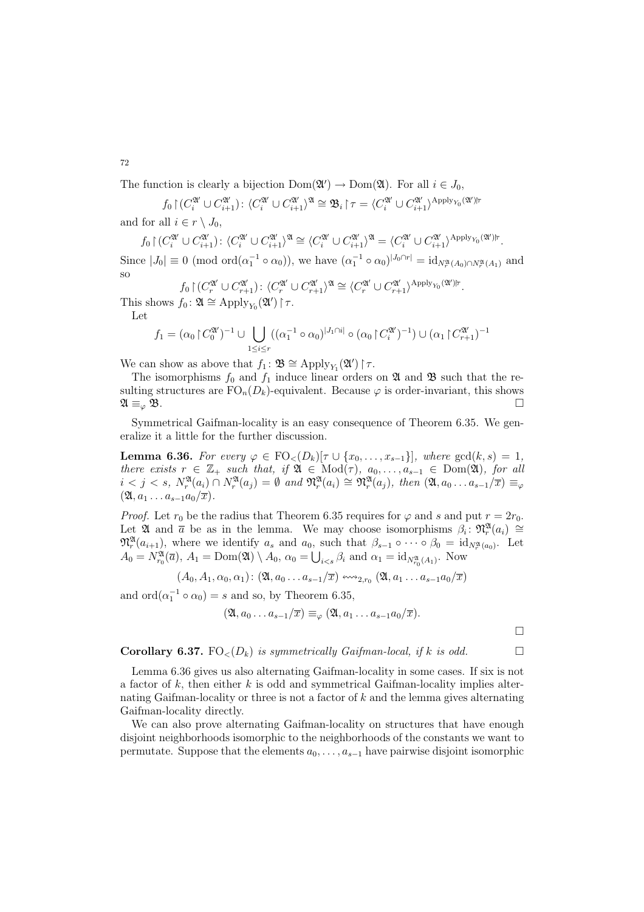The function is clearly a bijection  $Dom(\mathfrak{A}') \to Dom(\mathfrak{A})$ . For all  $i \in J_0$ ,

$$
f_0 \upharpoonright (C_i^{\mathfrak{A}'} \cup C_{i+1}^{\mathfrak{A}'}) \colon \langle C_i^{\mathfrak{A}'} \cup C_{i+1}^{\mathfrak{A}'} \rangle^{\mathfrak{A}} \cong \mathfrak{B}_i \upharpoonright \tau = \langle C_i^{\mathfrak{A}'} \cup C_{i+1}^{\mathfrak{A}'} \rangle^{\mathrm{Apply}} v_0^{(\mathfrak{A}')\upharpoonright \tau}
$$

and for all  $i \in r \setminus J_0$ ,

 $f_0 \restriction (C_i^{X'} \cup C_{i+1}^{X'}) : \langle C_i^{X'} \cup C_{i+1}^{X'} \rangle^{\mathfrak{A}} \cong \langle C_i^{X'} \cup C_{i+1}^{X'} \rangle^{\mathfrak{A}} = \langle C_i^{X'} \cup C_{i+1}^{X'} \rangle^{\mathrm{Apply}_{Y_0}(\mathfrak{A}') \restriction r}.$ Since  $|J_0| \equiv 0 \pmod{\text{ord}(\alpha_1^{-1} \circ \alpha_0)}$ , we have  $(\alpha_1^{-1} \circ \alpha_0)^{|J_0 \cap r|} = \text{id}_{N_r^{\mathfrak{A}}(A_0) \cap N_r^{\mathfrak{A}}(A_1)}$  and so

$$
f_0 \upharpoonright (C_r^{\mathfrak{A}'} \cup C_{r+1}^{\mathfrak{A}'}) : \langle C_r^{\mathfrak{A}'} \cup C_{r+1}^{\mathfrak{A}'} \rangle^{\mathfrak{A}} \cong \langle C_r^{\mathfrak{A}'} \cup C_{r+1}^{\mathfrak{A}'} \rangle^{\mathrm{Apply}_{Y_0}(\mathfrak{A}')\upharpoonright}.
$$
  
 $f \cdot \mathfrak{A} \cong \mathrm{Apply}_{Y_0}(\mathfrak{A}')\upharpoonright \tau$ 

This shows  $f_0: \mathfrak{A} \cong \mathrm{Apply}_{Y_0}(\mathfrak{A}') \upharpoonright \tau.$ 

Let

$$
f_1 = (\alpha_0 \upharpoonright C_0^{\mathfrak{A}'} )^{-1} \cup \bigcup_{1 \leq i \leq r} ((\alpha_1^{-1} \circ \alpha_0)^{|J_1 \cap i|} \circ (\alpha_0 \upharpoonright C_i^{\mathfrak{A}'} )^{-1}) \cup (\alpha_1 \upharpoonright C_{r+1}^{\mathfrak{A}'} )^{-1}
$$

We can show as above that  $f_1: \mathfrak{B} \cong \mathrm{Apply}_{Y_1}(\mathfrak{A}') \upharpoonright \tau$ .

The isomorphisms  $f_0$  and  $f_1$  induce linear orders on  $\mathfrak A$  and  $\mathfrak B$  such that the resulting structures are  $\text{FO}_n(D_k)$ -equivalent. Because  $\varphi$  is order-invariant, this shows  $\mathfrak{A} \equiv_{\varphi} \mathfrak{B}.$ 

Symmetrical Gaifman-locality is an easy consequence of Theorem 6.35. We generalize it a little for the further discussion.

**Lemma 6.36.** For every  $\varphi \in \mathrm{FO}_{\leq}(D_k)[\tau \cup \{x_0,\ldots,x_{s-1}\}],$  where  $\gcd(k,s)=1$ , there exists  $r \in \mathbb{Z}_+$  such that, if  $\mathfrak{A} \in \text{Mod}(\tau)$ ,  $a_0, \ldots, a_{s-1} \in \text{Dom}(\mathfrak{A})$ , for all  $i < j < s$ ,  $N_r^{\mathfrak{A}}(a_i) \cap N_r^{\mathfrak{A}}(a_j) = \emptyset$  and  $\mathfrak{N}_r^{\mathfrak{A}}(a_i) \cong \mathfrak{N}_r^{\mathfrak{A}}(a_j)$ , then  $(\mathfrak{A}, a_0 \dots a_{s-1}/\overline{x}) \equiv_{\varphi}$  $(\mathfrak{A}, a_1 \ldots a_{s-1} a_0/\overline{x}).$ 

*Proof.* Let  $r_0$  be the radius that Theorem 6.35 requires for  $\varphi$  and s and put  $r = 2r_0$ . Let  $\mathfrak{A}$  and  $\bar{a}$  be as in the lemma. We may choose isomorphisms  $\beta_i : \mathfrak{N}_r^{\mathfrak{A}}(a_i) \cong$  $\mathfrak{N}_r^{\mathfrak{A}}(a_{i+1}),$  where we identify  $a_s$  and  $a_0$ , such that  $\beta_{s-1} \circ \cdots \circ \beta_0 = \mathrm{id}_{N_r^{\mathfrak{A}}(a_0)}.$  Let  $A_0 = N_{r_0}^{\mathfrak{A}}(\overline{a}), A_1 = \text{Dom}(\mathfrak{A}) \setminus A_0, \alpha_0 = \bigcup_{i < s} \beta_i \text{ and } \alpha_1 = \text{id}_{N_{r_0}^{\mathfrak{A}}(A_1)}.$  Now

$$
(A_0, A_1, \alpha_0, \alpha_1) : (\mathfrak{A}, a_0 \dots a_{s-1}/\overline{x}) \leftrightarrow_{2, r_0} (\mathfrak{A}, a_1 \dots a_{s-1} a_0/\overline{x})
$$

and  $\text{ord}(\alpha_1^{-1} \circ \alpha_0) = s$  and so, by Theorem 6.35,

$$
(\mathfrak{A}, a_0 \ldots a_{s-1}/\overline{x}) \equiv_{\varphi} (\mathfrak{A}, a_1 \ldots a_{s-1} a_0/\overline{x}).
$$

 $\Box$ 

**Corollary 6.37.** FO<sub> $<$ </sub>( $D_k$ ) is symmetrically Gaifman-local, if k is odd.

Lemma 6.36 gives us also alternating Gaifman-locality in some cases. If six is not a factor of  $k$ , then either  $k$  is odd and symmetrical Gaifman-locality implies alternating Gaifman-locality or three is not a factor of  $k$  and the lemma gives alternating Gaifman-locality directly.

We can also prove alternating Gaifman-locality on structures that have enough disjoint neighborhoods isomorphic to the neighborhoods of the constants we want to permutate. Suppose that the elements  $a_0, \ldots, a_{s-1}$  have pairwise disjoint isomorphic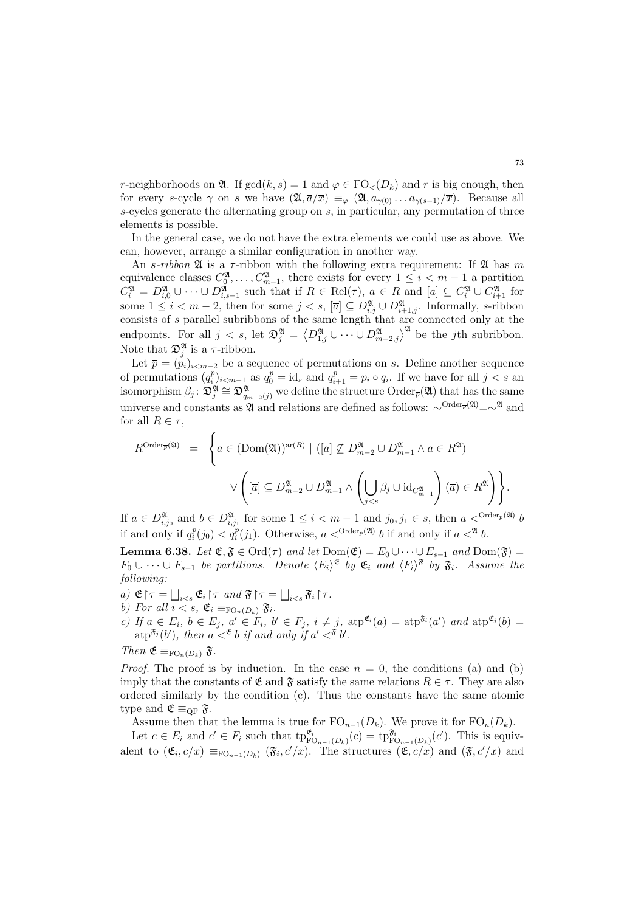r-neighborhoods on  $\mathfrak{A}$ . If  $gcd(k, s) = 1$  and  $\varphi \in FO_{\leq}(D_k)$  and r is big enough, then for every s-cycle  $\gamma$  on s we have  $(\mathfrak{A}, \overline{a}/\overline{x}) \equiv_{\varphi} (\mathfrak{A}, a_{\gamma(0)} \dots a_{\gamma(s-1)}/\overline{x})$ . Because all s-cycles generate the alternating group on s, in particular, any permutation of three elements is possible.

In the general case, we do not have the extra elements we could use as above. We can, however, arrange a similar configuration in another way.

An s-ribbon  $\mathfrak A$  is a  $\tau$ -ribbon with the following extra requirement: If  $\mathfrak A$  has m equivalence classes  $C_0^{\mathfrak{A}}, \ldots, C_{m-1}^{\mathfrak{A}},$  there exists for every  $1 \leq i < m-1$  a partition  $C_i^{\mathfrak{A}} = D_{i,0}^{\mathfrak{A}} \cup \cdots \cup D_{i,s-1}^{\mathfrak{A}}$  such that if  $R \in \text{Rel}(\tau)$ ,  $\overline{a} \in R$  and  $[\overline{a}] \subseteq C_i^{\mathfrak{A}} \cup C_{i+1}^{\mathfrak{A}}$  for some  $1 \leq i < m-2$ , then for some  $j < s$ ,  $[\overline{a}] \subseteq D_{i,j}^{\mathfrak{A}} \cup D_{i+1,j}^{\mathfrak{A}}$ . Informally, s-ribbon consists of s parallel subribbons of the same length that are connected only at the endpoints. For all  $j < s$ , let  $\mathfrak{D}_j^{\mathfrak{A}} = \langle D_{1,j}^{\mathfrak{A}} \cup \cdots \cup D_{m-2,j}^{\mathfrak{A}} \rangle^{\mathfrak{A}}$  be the *j*th subribbon. Note that  $\mathfrak{D}_j^{\mathfrak{A}}$  is a  $\tau$ -ribbon.

Let  $\bar{p} = (p_i)_{i \leq m-2}$  be a sequence of permutations on s. Define another sequence of permutations  $(q_i^{\overline{p}})_{i \leq m-1}$  as  $q_0^{\overline{p}} = id_s$  and  $q_{i+1}^{\overline{p}} = p_i \circ q_i$ . If we have for all  $j < s$  and isomorphism  $\beta_j: \mathfrak{D}_j^{\mathfrak{A}} \cong \mathfrak{D}_{q_{m-2}(j)}^{\mathfrak{A}}$  we define the structure  $\widehat{\mathrm{Order}_{\overline{p}}}(\mathfrak{A})$  that has the same universe and constants as  $\mathfrak A$  and relations are defined as follows:  $\sim^{\text{Order}_{\overline{p}}(\mathfrak A)} = \sim^{\mathfrak A}$  and for all  $R \in \tau$ ,

$$
R^{\text{Order}_{\overline{p}}(\mathfrak{A})} = \left\{ \overline{a} \in (\text{Dom}(\mathfrak{A}))^{\text{ar}(R)} \mid ([\overline{a}] \not\subseteq D_{m-2}^{\mathfrak{A}} \cup D_{m-1}^{\mathfrak{A}} \wedge \overline{a} \in R^{\mathfrak{A}}) \right\}
$$

$$
\vee \left( [\overline{a}] \subseteq D_{m-2}^{\mathfrak{A}} \cup D_{m-1}^{\mathfrak{A}} \wedge \left( \bigcup_{j < s} \beta_j \cup \text{id}_{C_{m-1}^{\mathfrak{A}}} \right) (\overline{a}) \in R^{\mathfrak{A}} \right) \right\}.
$$

If  $a \in D_{i,j_0}^{\mathfrak{A}}$  and  $b \in D_{i,j_1}^{\mathfrak{A}}$  for some  $1 \leq i < m-1$  and  $j_0, j_1 \in s$ , then  $a <^{\text{Order}_{\overline{p}}(\mathfrak{A})}$  b if and only if  $q_i^{\overline{p}}(j_0) < \tilde{q}_i^{\overline{p}}(j_1)$ . Otherwise,  $a <^{\text{Order}_{\overline{p}}(\mathfrak{A})} b$  if and only if  $a <^{\mathfrak{A}} b$ .

**Lemma 6.38.** Let  $\mathfrak{E}, \mathfrak{F} \in \text{Ord}(\tau)$  and let  $\text{Dom}(\mathfrak{E}) = E_0 \cup \cdots \cup E_{s-1}$  and  $\text{Dom}(\mathfrak{F}) =$  $F_0 \cup \cdots \cup F_{s-1}$  be partitions. Denote  $\langle E_i \rangle^{\mathfrak{E}}$  by  $\mathfrak{E}_i$  and  $\langle F_i \rangle^{\mathfrak{F}}$  by  $\mathfrak{F}_i$ . Assume the following:

- a)  $\mathfrak{E}\upharpoonright\tau=\bigsqcup_{i and  $\mathfrak{F}\upharpoonright\tau=\bigsqcup_{i.$$
- b) For all  $i < s$ ,  $\mathfrak{E}_i \equiv_{\text{FO}_n(D_k)} \mathfrak{F}_i$ .
- c) If  $a \in E_i$ ,  $b \in E_j$ ,  $a' \in F_i$ ,  $b' \in F_j$ ,  $i \neq j$ ,  $a \operatorname{tp}^{\mathfrak{E}_i}(a) = \operatorname{atp}^{\mathfrak{F}_i}(a')$  and  $\operatorname{atp}^{\mathfrak{E}_j}(b) =$  $\text{atp}^{\mathfrak{F}_{j}}(b'), \text{ then } a<^{\mathfrak{E}} b \text{ if and only if } a'<^{\mathfrak{F}} b'.$

Then 
$$
\mathfrak{E} \equiv_{\mathrm{FO}_n(D_k)} \mathfrak{F}
$$
.

*Proof.* The proof is by induction. In the case  $n = 0$ , the conditions (a) and (b) imply that the constants of  $\mathfrak E$  and  $\mathfrak F$  satisfy the same relations  $R \in \tau$ . They are also ordered similarly by the condition (c). Thus the constants have the same atomic type and  $\mathfrak{E} \equiv_{\mathbb{Q} F} \mathfrak{F}$ .

Assume then that the lemma is true for  $\mathrm{FO}_{n-1}(D_k)$ . We prove it for  $\mathrm{FO}_n(D_k)$ .

Let  $c \in E_i$  and  $c' \in F_i$  such that  $tp_{\text{FO}_{n-1}(D_k)}^{\mathfrak{E}_i}(c) = tp_{\text{FO}_{n-1}(D_k)}^{\mathfrak{F}_i}(c')$ . This is equivalent to  $(\mathfrak{E}_i, c/x) \equiv_{\mathrm{FO}_{n-1}(D_k)} (\mathfrak{F}_i, c'/x)$ . The structures  $(\mathfrak{E}, c/x)$  and  $(\mathfrak{F}, c'/x)$  and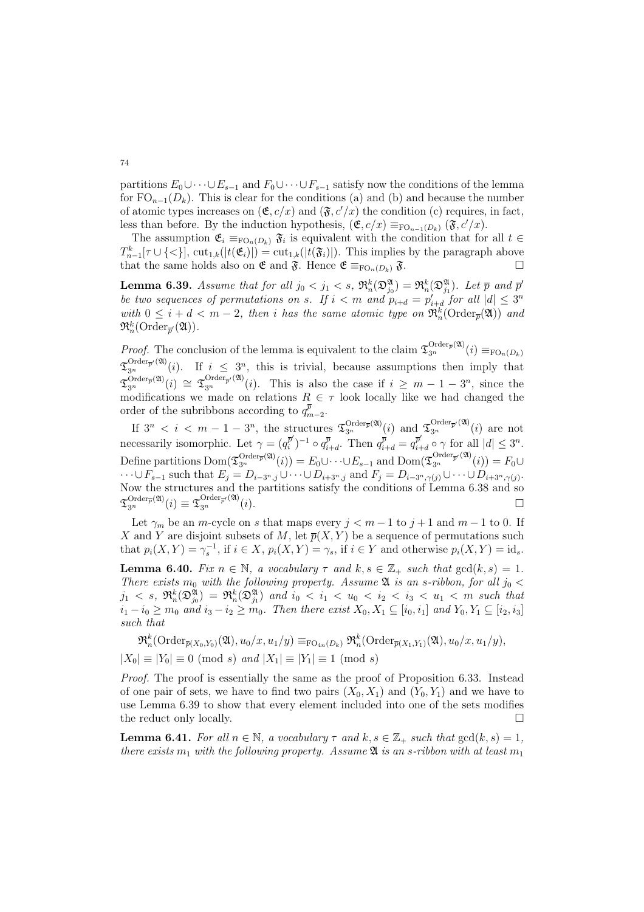partitions  $E_0 \cup \cdots \cup E_{s-1}$  and  $F_0 \cup \cdots \cup F_{s-1}$  satisfy now the conditions of the lemma for  $FO_{n-1}(D_k)$ . This is clear for the conditions (a) and (b) and because the number of atomic types increases on  $(\mathfrak{E}, c/x)$  and  $(\mathfrak{F}, c'/x)$  the condition (c) requires, in fact, less than before. By the induction hypothesis,  $(\mathfrak{E}, c/x) \equiv_{\text{FO}_{n-1}(D_k)} (\mathfrak{F}, c'/x)$ .

The assumption  $\mathfrak{E}_i \equiv_{\text{FO}_n(D_k)} \mathfrak{F}_i$  is equivalent with the condition that for all  $t \in$  $T_{n-1}^k[\tau \cup \{<\}], \text{cut}_{1,k}(|t(\mathfrak{E}_i)|) = \text{cut}_{1,k}(|t(\mathfrak{F}_i)|).$  This implies by the paragraph above that the same holds also on  $\mathfrak{E}$  and  $\mathfrak{F}$ . Hence  $\mathfrak{E} \equiv_{\text{FO}_n(D_k)} \mathfrak{F}$ .

**Lemma 6.39.** Assume that for all  $j_0 < j_1 < s$ ,  $\mathfrak{R}_n^k(\mathfrak{D}_{j_0}^{\mathfrak{A}}) = \mathfrak{R}_n^k(\mathfrak{D}_{j_1}^{\mathfrak{A}})$ . Let  $\overline{p}$  and  $\overline{p}'$ be two sequences of permutations on s. If  $i < m$  and  $p_{i+d} = p'_{i+d}$  for all  $|d| \leq 3^n$ with  $0 \leq i + d < m - 2$ , then i has the same atomic type on  $\mathfrak{R}_n^k(\text{Order}_{\overline{p}}(\mathfrak{A}))$  and  $\mathfrak{R}_n^k(\mathrm{Order}_{\overline{p}'}(\mathfrak{A})).$ 

*Proof.* The conclusion of the lemma is equivalent to the claim  $\mathfrak{I}_{3^n}^{\text{Order}_{\overline{p}}(\mathfrak{A})}(i) \equiv_{\text{FO}_n(D_k)}$  $\mathfrak{S}_{3^n}^{\text{Order}_{\overline{p}'}(\mathfrak{A})}(i)$ . If  $i \leq 3^n$ , this is trivial, because assumptions then imply that  $\mathfrak{S}_{3^n}^{\text{Order}_{\overline{p}}(3)}(i) \cong \mathfrak{S}_{3^n}^{\text{Order}_{\overline{p}'}(3)}(i)$ . This is also the case if  $i \geq m-1-3^n$ , since the modifications we made on relations  $R \in \tau$  look locally like we had changed the order of the subribbons according to  $q_{m-2}^{\overline{p}}$ .

If  $3^n < i < m - 1 - 3^n$ , the structures  $\mathfrak{S}_{3^n}^{\text{Order}_{\overline{p}}(\mathfrak{A})}(i)$  and  $\mathfrak{S}_{3^n}^{\text{Order}_{\overline{p}'}(\mathfrak{A})}(i)$  are not necessarily isomorphic. Let  $\gamma = (q_i^{\overline{p}'})^{-1} \circ q_{i+d}^{\overline{p}}$ . Then  $q_{i+d}^{\overline{p}'} = q_{i+d}^{\overline{p}'} \circ \gamma$  for all  $|d| \leq 3^n$ . Define partitions  $\text{Dom}(\mathfrak{D}^{\text{Order}_{\overline{p}}(\mathfrak{A})}_{3^n}(i)) = E_0 \cup \cdots \cup E_{s-1}$  and  $\text{Dom}(\mathfrak{D}^{\text{Order}_{\overline{p}'}(\mathfrak{A})}_{3^n}(i)) = F_0 \cup$  $\cdots \cup F_{s-1}$  such that  $E_j = D_{i-3^n,j} \cup \cdots \cup D_{i+3^n,j}$  and  $F_j = D_{i-3^n,\gamma(j)} \cup \cdots \cup D_{i+3^n,\gamma(j)}$ . Now the structures and the partitions satisfy the conditions of Lemma 6.38 and so  $\mathfrak{T}^{\mathrm{Order}_{\overline{p}}(\mathfrak{A})}_{3^n}(i) \equiv \mathfrak{T}^{\mathrm{Order}_{\overline{p}'}(\mathfrak{A})}_{3^n}(i).$ 

Let  $\gamma_m$  be an m-cycle on s that maps every  $j < m - 1$  to  $j + 1$  and  $m - 1$  to 0. If X and Y are disjoint subsets of M, let  $\overline{p}(X, Y)$  be a sequence of permutations such that  $p_i(X, Y) = \gamma_s^{-1}$ , if  $i \in X$ ,  $p_i(X, Y) = \gamma_s$ , if  $i \in Y$  and otherwise  $p_i(X, Y) = id_s$ .

**Lemma 6.40.** Fix  $n \in \mathbb{N}$ , a vocabulary  $\tau$  and  $k, s \in \mathbb{Z}_+$  such that  $gcd(k, s) = 1$ . There exists  $m_0$  with the following property. Assume  $\mathfrak{A}$  is an s-ribbon, for all  $j_0 <$  $j_1 < s, \ \mathfrak{R}_n^k(\mathfrak{D}_{j_0}^{\mathfrak{A}}) = \mathfrak{R}_n^k(\mathfrak{D}_{j_1}^{\mathfrak{A}})$  and  $i_0 < i_1 < u_0 < i_2 < i_3 < u_1 < m$  such that  $i_1 - i_0 \geq m_0$  and  $i_3 - i_2 \geq m_0$ . Then there exist  $X_0, X_1 \subseteq [i_0, i_1]$  and  $Y_0, Y_1 \subseteq [i_2, i_3]$ such that

$$
\mathfrak{R}_n^k(\text{Order}_{\overline{p}(X_0,Y_0)}(\mathfrak{A}), u_0/x, u_1/y) \equiv_{\text{FO}_{4n}(D_k)} \mathfrak{R}_n^k(\text{Order}_{\overline{p}(X_1,Y_1)}(\mathfrak{A}), u_0/x, u_1/y),
$$
  

$$
|X_0| \equiv |Y_0| \equiv 0 \pmod{s} \text{ and } |X_1| \equiv |Y_1| \equiv 1 \pmod{s}
$$

Proof. The proof is essentially the same as the proof of Proposition 6.33. Instead of one pair of sets, we have to find two pairs  $(X_0, X_1)$  and  $(Y_0, Y_1)$  and we have to use Lemma 6.39 to show that every element included into one of the sets modifies the reduct only locally.  $\Box$ 

**Lemma 6.41.** For all  $n \in \mathbb{N}$ , a vocabulary  $\tau$  and  $k, s \in \mathbb{Z}_+$  such that  $gcd(k, s) = 1$ , there exists  $m_1$  with the following property. Assume  $\mathfrak{A}$  is an s-ribbon with at least  $m_1$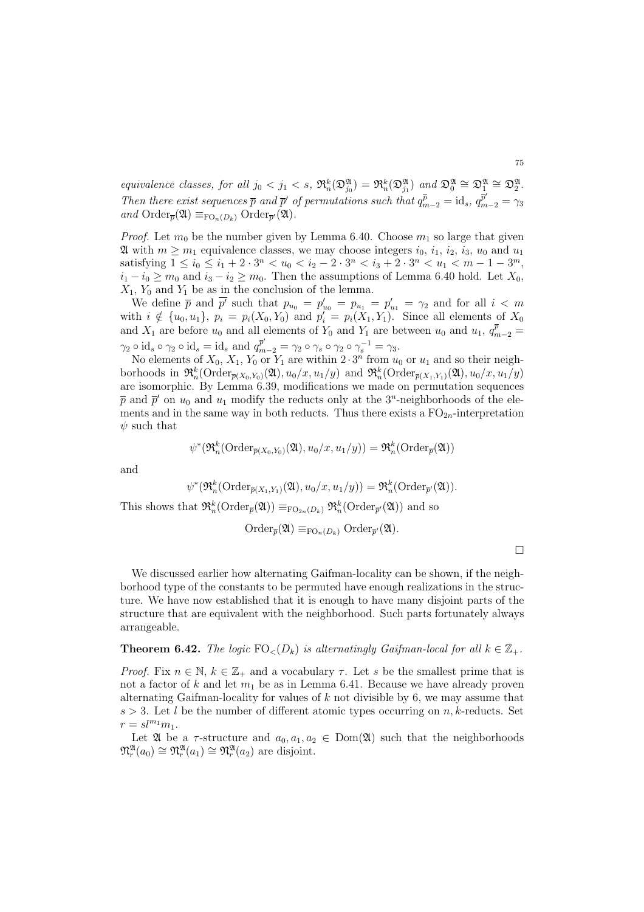equivalence classes, for all  $j_0 < j_1 < s$ ,  $\Re^k_n(\mathfrak{D}_{j_0}^{\mathfrak{A}}) = \Re^k_n(\mathfrak{D}_{j_1}^{\mathfrak{A}})$  and  $\mathfrak{D}_0^{\mathfrak{A}} \cong \mathfrak{D}_1^{\mathfrak{A}} \cong \mathfrak{D}_2^{\mathfrak{A}}$ . Then there exist sequences  $\bar{p}$  and  $\bar{p}'$  of permutations such that  $q_{m-2}^{\bar{p}} = id_s$ ,  $q_{m-2}^{\bar{p}'} = \gamma_3$ and  $\text{Order}_{\overline{p}}(\mathfrak{A}) \equiv_{\text{FO}_n(D_k)} \text{Order}_{\overline{p}'}(\mathfrak{A}).$ 

*Proof.* Let  $m_0$  be the number given by Lemma 6.40. Choose  $m_1$  so large that given **2** with  $m \geq m_1$  equivalence classes, we may choose integers  $i_0$ ,  $i_1$ ,  $i_2$ ,  $i_3$ ,  $u_0$  and  $u_1$ satisfying  $1 \le i_0 \le i_1 + 2 \cdot 3^n < u_0 < i_2 - 2 \cdot 3^n < i_3 + 2 \cdot 3^n < u_1 < m - 1 - 3^m$ ,  $i_1 - i_0 \geq m_0$  and  $i_3 - i_2 \geq m_0$ . Then the assumptions of Lemma 6.40 hold. Let  $X_0$ ,  $X_1, Y_0$  and  $Y_1$  be as in the conclusion of the lemma.

We define  $\bar{p}$  and  $\bar{p}'$  such that  $p_{u_0} = p'_{u_0} = p_{u_1} = p'_{u_1} = \gamma_2$  and for all  $i < m$ with  $i \notin \{u_0, u_1\}$ ,  $p_i = p_i(X_0, Y_0)$  and  $p'_i = p_i(X_1, Y_1)$ . Since all elements of  $X_0$ and  $X_1$  are before  $u_0$  and all elements of  $Y_0$  and  $Y_1$  are between  $u_0$  and  $u_1$ ,  $q_{m-2}^{\overline{p}} =$  $\gamma_2 \circ \mathrm{id}_s \circ \gamma_2 \circ \mathrm{id}_s = \mathrm{id}_s \text{ and } q_{m-2}^{\bar{p}'} = \gamma_2 \circ \gamma_s \circ \gamma_2 \circ \gamma_s^{-1} = \gamma_3.$ 

No elements of  $X_0, X_1, Y_0$  or  $Y_1$  are within  $2 \cdot 3^n$  from  $u_0$  or  $u_1$  and so their neighborhoods in  $\mathfrak{R}_n^k(\text{Order}_{\overline{p}(X_0,Y_0)}(\mathfrak{A}), u_0/x, u_1/y)$  and  $\mathfrak{R}_n^k(\text{Order}_{\overline{p}(X_1,Y_1)}(\mathfrak{A}), u_0/x, u_1/y)$ are isomorphic. By Lemma 6.39, modifications we made on permutation sequences  $\bar{p}$  and  $\bar{p}'$  on  $u_0$  and  $u_1$  modify the reducts only at the 3<sup>n</sup>-neighborhoods of the elements and in the same way in both reducts. Thus there exists a  $FO_{2n}$ -interpretation  $\psi$  such that

$$
\psi^*(\mathfrak{R}_n^k(\mathrm{Order}_{\overline{p}(X_0,Y_0)}(\mathfrak{A}),u_0/x,u_1/y))=\mathfrak{R}_n^k(\mathrm{Order}_{\overline{p}}(\mathfrak{A}))
$$

and

$$
\psi^*(\mathfrak{R}_n^k(\mathrm{Order}_{\overline{p}(X_1,Y_1)}(\mathfrak{A}),u_0/x,u_1/y))=\mathfrak{R}_n^k(\mathrm{Order}_{\overline{p}'}(\mathfrak{A})).
$$

This shows that  $\mathfrak{R}_{n}^{k}(\mathrm{Order}_{\overline{p}}(\mathfrak{A})) \equiv_{\mathrm{FO}_{2n}(D_k)} \mathfrak{R}_{n}^{k}(\mathrm{Order}_{\overline{p}'}(\mathfrak{A}))$  and so

$$
\mathrm{Order}_{\overline{p}}(\mathfrak{A}) \equiv_{\mathrm{FO}_n(D_k)} \mathrm{Order}_{\overline{p}'}(\mathfrak{A}).
$$

 $\Box$ 

We discussed earlier how alternating Gaifman-locality can be shown, if the neighborhood type of the constants to be permuted have enough realizations in the structure. We have now established that it is enough to have many disjoint parts of the structure that are equivalent with the neighborhood. Such parts fortunately always arrangeable.

## **Theorem 6.42.** The logic  $FO_{\leq}(D_k)$  is alternatingly Gaifman-local for all  $k \in \mathbb{Z}_+$ .

*Proof.* Fix  $n \in \mathbb{N}$ ,  $k \in \mathbb{Z}_+$  and a vocabulary  $\tau$ . Let s be the smallest prime that is not a factor of k and let  $m_1$  be as in Lemma 6.41. Because we have already proven alternating Gaifman-locality for values of  $k$  not divisible by 6, we may assume that  $s > 3$ . Let l be the number of different atomic types occurring on n, k-reducts. Set  $r = sl^{m_1}m_1.$ 

Let  $\mathfrak A$  be a  $\tau$ -structure and  $a_0, a_1, a_2 \in \text{Dom}(\mathfrak A)$  such that the neighborhoods  $\mathfrak{N}_r^{\mathfrak{A}}(a_0) \cong \mathfrak{N}_r^{\mathfrak{A}}(a_1) \cong \mathfrak{N}_r^{\mathfrak{A}}(a_2)$  are disjoint.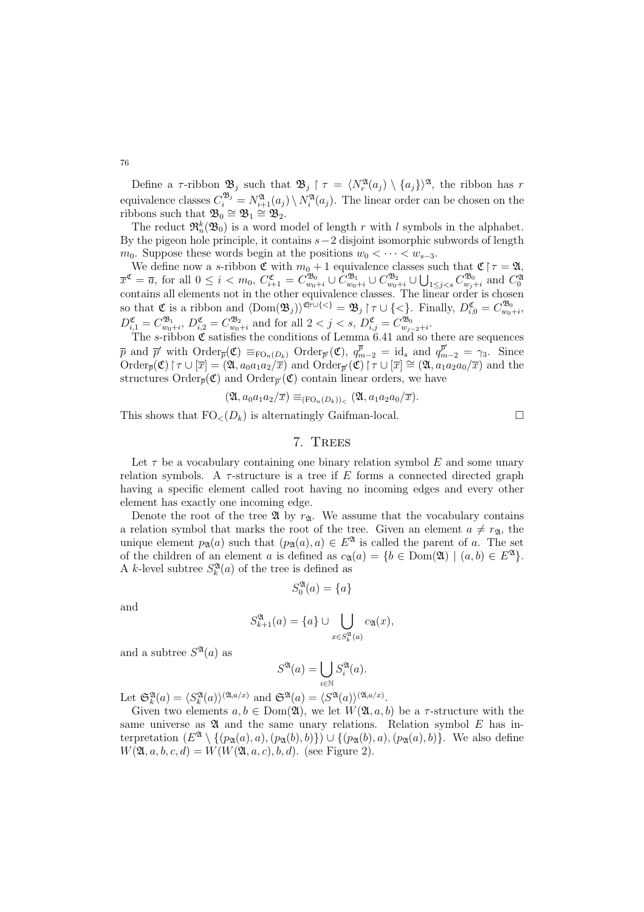Define a  $\tau$ -ribbon  $\mathfrak{B}_j$  such that  $\mathfrak{B}_j \restriction \tau = \langle N_r^{\mathfrak{A}}(a_j) \setminus \{a_j\} \rangle^{\mathfrak{A}}$ , the ribbon has r equivalence classes  $C_i^{\mathfrak{B}_j} = N_{i+1}^{\mathfrak{A}}(a_j) \setminus N_i^{\mathfrak{A}}(a_j)$ . The linear order can be chosen on the ribbons such that  $\mathfrak{B}_0 \cong \mathfrak{B}_1 \cong \mathfrak{B}_2$ .

The reduct  $\mathfrak{R}_n^k(\mathfrak{B}_0)$  is a word model of length r with l symbols in the alphabet. By the pigeon hole principle, it contains  $s-2$  disjoint isomorphic subwords of length  $m_0$ . Suppose these words begin at the positions  $w_0 < \cdots < w_{s-3}$ .

We define now a s-ribbon  $\mathfrak{C}$  with  $m_0 + 1$  equivalence classes such that  $\mathfrak{C} \upharpoonright \tau = \mathfrak{A}$ ,  $\overline{x}^{\mathfrak{C}} = \overline{a}$ , for all  $0 \leq i < m_0$ ,  $C_{i+1}^{\mathfrak{C}} = C_{w_0+i}^{\mathfrak{B}_0} \cup C_{w_0+i}^{\mathfrak{B}_1} \cup C_{w_0+i}^{\mathfrak{B}_0} \cup \bigcup_{1 \leq j < s} C_{w_j+i}^{\mathfrak{B}_0}$  and  $C_0^{\mathfrak{A}}$ contains all elements not in the other equivalence classes. The linear order is chosen so that  $\mathfrak{C}$  is a ribbon and  $\langle \text{Dom}(\mathfrak{B}_j)\rangle^{\mathfrak{E}_l^{\dagger}\cup\{\langle\}} = \mathfrak{B}_j \upharpoonright \tau \cup \{\langle\}$ . Finally,  $D_{i,0}^{\mathfrak{C}} = C_{w_0+i}^{\mathfrak{B}_0}$ ,  $D_{i,1}^{\mathfrak{C}} = C_{w_0+i}^{\mathfrak{B}_1}$ ,  $D_{i,2}^{\mathfrak{C}} = C_{w_0+i}^{\mathfrak{B}_2}$  and for all  $2 < j < s$ ,  $D_{i,j}^{\mathfrak{C}} = C_{w_{j-2}+i}^{\mathfrak{B}_0}$ .

The s-ribbon  $\mathfrak C$  satisfies the conditions of Lemma 6.41 and so there are sequences  $\bar{p}$  and  $\bar{p}'$  with  $\text{Order}_{\bar{p}}(\mathfrak{C}) \equiv_{\text{FO}_n(D_k)} \text{Order}_{\bar{p}'}(\mathfrak{C}), d_{m-2}^{\bar{p}} = \text{id}_s$  and  $q_{m-2}^{\bar{p}'} = \gamma_3$ . Since  $\text{Order}_{\overline{p}}(\mathfrak{C}) \upharpoonright \tau \cup [\overline{x}] = (\mathfrak{A}, a_0 a_1 a_2 / \overline{x})$  and  $\text{Order}_{\overline{p}'}(\mathfrak{C}) \upharpoonright \tau \cup [\overline{x}] \cong (\mathfrak{A}, a_1 a_2 a_0 / \overline{x})$  and the structures  $\text{Order}_{\overline{p}}(\mathfrak{C})$  and  $\text{Order}_{\overline{p}'}(\mathfrak{C})$  contain linear orders, we have

$$
(\mathfrak{A}, a_0 a_1 a_2/\overline{x}) \equiv_{(\text{FO}_n(D_k))_<} (\mathfrak{A}, a_1 a_2 a_0/\overline{x}).
$$

This shows that  $FO<sub>z</sub>(D_k)$  is alternatingly Gaifman-local.

## 7. Trees

Let  $\tau$  be a vocabulary containing one binary relation symbol E and some unary relation symbols. A  $\tau$ -structure is a tree if E forms a connected directed graph having a specific element called root having no incoming edges and every other element has exactly one incoming edge.

Denote the root of the tree  $\mathfrak{A}$  by  $r_{\mathfrak{A}}$ . We assume that the vocabulary contains a relation symbol that marks the root of the tree. Given an element  $a \neq r_{\mathfrak{A}}$ , the unique element  $p_{\mathfrak{A}}(a)$  such that  $(p_{\mathfrak{A}}(a), a) \in E^{\mathfrak{A}}$  is called the parent of a. The set of the children of an element a is defined as  $c_{\mathfrak{A}}(a) = \{b \in \text{Dom}(\mathfrak{A}) \mid (a, b) \in E^{\mathfrak{A}}\}.$ A k-level subtree  $S_k^{\mathfrak{A}}(a)$  of the tree is defined as

$$
S_0^{\mathfrak{A}}(a) = \{a\}
$$

and

$$
S_{k+1}^{\mathfrak{A}}(a) = \{a\} \cup \bigcup_{x \in S_k^{\mathfrak{A}}(a)} c_{\mathfrak{A}}(x),
$$

and a subtree  $S^{\mathfrak{A}}(a)$  as

$$
S^{\mathfrak{A}}(a) = \bigcup_{i \in \mathbb{N}} S^{\mathfrak{A}}_i(a).
$$

Let  $\mathfrak{S}_{k}^{\mathfrak{A}}(a) = \langle S_{k}^{\mathfrak{A}}(a) \rangle^{(\mathfrak{A},a/x)}$  and  $\mathfrak{S}^{\mathfrak{A}}(a) = \langle S^{\mathfrak{A}}(a) \rangle^{(\mathfrak{A},a/x)}$ .

Given two elements  $a, b \in Dom(\mathfrak{A}),$  we let  $W(\mathfrak{A}, a, b)$  be a  $\tau$ -structure with the same universe as  $\mathfrak A$  and the same unary relations. Relation symbol  $E$  has interpretation  $(E^{\mathfrak{A}} \setminus \{(p_{\mathfrak{A}}(a), a), (p_{\mathfrak{A}}(b), b)\}) \cup \{(p_{\mathfrak{A}}(b), a), (p_{\mathfrak{A}}(a), b)\}\)$ . We also define  $W(\mathfrak{A}, a, b, c, d) = W(W(\mathfrak{A}, a, c), b, d)$ . (see Figure 2).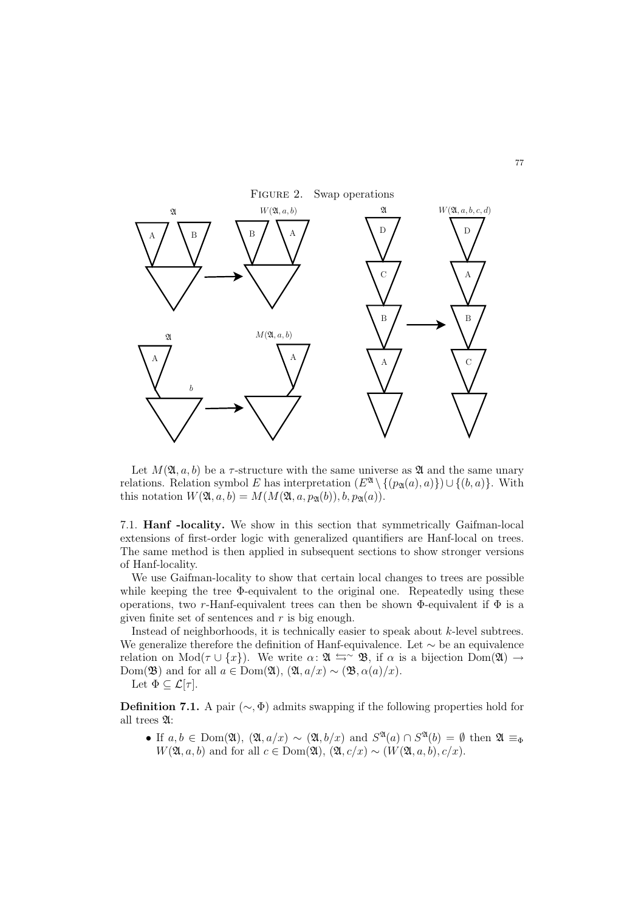

Let  $M(\mathfrak{A}, a, b)$  be a  $\tau$ -structure with the same universe as  $\mathfrak{A}$  and the same unary relations. Relation symbol E has interpretation  $(E^{2l} \setminus \{(p_{2l}(a), a)\}) \cup \{(b, a)\}\)$ . With this notation  $W(\mathfrak{A}, a, b) = M(M(\mathfrak{A}, a, p_{\mathfrak{A}}(b)), b, p_{\mathfrak{A}}(a)).$ 

7.1. **Hanf -locality.** We show in this section that symmetrically Gaifman-local extensions of first-order logic with generalized quantifiers are Hanf-local on trees. The same method is then applied in subsequent sections to show stronger versions of Hanf-locality.

We use Gaifman-locality to show that certain local changes to trees are possible while keeping the tree  $\Phi$ -equivalent to the original one. Repeatedly using these operations, two r-Hanf-equivalent trees can then be shown  $\Phi$ -equivalent if  $\Phi$  is a given finite set of sentences and  $r$  is big enough.

Instead of neighborhoods, it is technically easier to speak about k-level subtrees. We generalize therefore the definition of Hanf-equivalence. Let ∼ be an equivalence relation on Mod( $\tau \cup \{x\}$ ). We write  $\alpha: \mathfrak{A} \leftrightarrows \infty$ , if  $\alpha$  is a bijection Dom( $\mathfrak{A}$ )  $\rightarrow$ Dom( $\mathfrak{B}$ ) and for all  $a \in \text{Dom}(\mathfrak{A}), (\mathfrak{A}, a/x) \sim (\mathfrak{B}, \alpha(a)/x)$ .

Let  $\Phi \subseteq \mathcal{L}[\tau].$ 

**Definition 7.1.** A pair ( $\sim$ ,  $\Phi$ ) admits swapping if the following properties hold for all trees A:

• If  $a, b \in \text{Dom}(\mathfrak{A}), (\mathfrak{A}, a/x) \sim (\mathfrak{A}, b/x)$  and  $S^{\mathfrak{A}}(a) \cap S^{\mathfrak{A}}(b) = \emptyset$  then  $\mathfrak{A} \equiv_{\Phi}$  $W(\mathfrak{A}, a, b)$  and for all  $c \in Dom(\mathfrak{A}), (\mathfrak{A}, c/x) \sim (W(\mathfrak{A}, a, b), c/x).$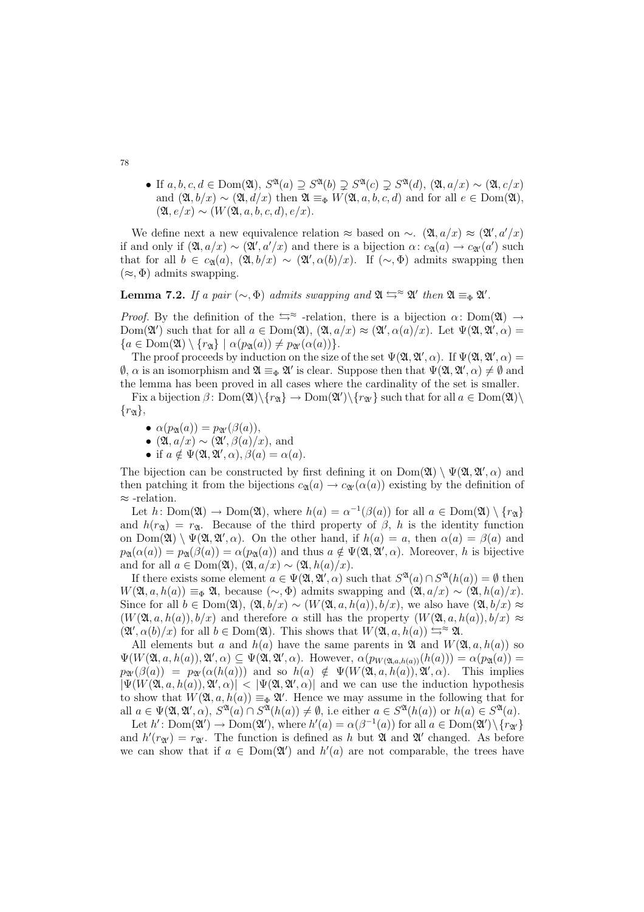• If  $a, b, c, d \in Dom(\mathfrak{A}), S^{\mathfrak{A}}(a) \supseteq S^{\mathfrak{A}}(b) \supsetneq S^{\mathfrak{A}}(c) \supsetneq S^{\mathfrak{A}}(d), (\mathfrak{A}, a/x) \sim (\mathfrak{A}, c/x)$ and  $(\mathfrak{A}, b/x) \sim (\mathfrak{A}, d/x)$  then  $\mathfrak{A} \equiv_{\Phi} W(\mathfrak{A}, a, b, c, d)$  and for all  $e \in \text{Dom}(\mathfrak{A}),$  $(\mathfrak{A}, e/x) \sim (W(\mathfrak{A}, a, b, c, d), e/x).$ 

We define next a new equivalence relation  $\approx$  based on  $\sim$ .  $(\mathfrak{A}, a/x) \approx (\mathfrak{A}', a'/x)$ if and only if  $(\mathfrak{A}, a/x) \sim (\mathfrak{A}', a'/x)$  and there is a bijection  $\alpha \colon c_{\mathfrak{A}}(a) \to c_{\mathfrak{A}'}(a')$  such that for all  $b \in c_{\mathfrak{A}}(a), (\mathfrak{A}, b/x) \sim (\mathfrak{A}', \alpha(b)/x)$ . If  $(\sim, \Phi)$  admits swapping then  $(\approx, \Phi)$  admits swapping.

**Lemma 7.2.** If a pair  $(\sim, \Phi)$  admits swapping and  $\mathfrak{A} \leftrightarrows \mathfrak{A}'$  then  $\mathfrak{A} \equiv_{\Phi} \mathfrak{A}'$ .

*Proof.* By the definition of the  $\Xi^{\approx}$  -relation, there is a bijection  $\alpha$ : Dom( $\mathfrak{A}$ )  $\rightarrow$  $Dom(\mathfrak{A}')$  such that for all  $a \in Dom(\mathfrak{A}), (\mathfrak{A}, a/x) \approx (\mathfrak{A}', \alpha(a)/x)$ . Let  $\Psi(\mathfrak{A}, \mathfrak{A}', \alpha) =$  ${a \in Dom(\mathfrak{A}) \setminus \{r_{\mathfrak{A}}\} \mid \alpha(p_{\mathfrak{A}}(a)) \neq p_{\mathfrak{A}'}(\alpha(a))\}.$ 

The proof proceeds by induction on the size of the set  $\Psi(\mathfrak{A}, \mathfrak{A}', \alpha)$ . If  $\Psi(\mathfrak{A}, \mathfrak{A}', \alpha) =$  $\emptyset$ ,  $\alpha$  is an isomorphism and  $\mathfrak{A} \equiv_{\Phi} \mathfrak{A}'$  is clear. Suppose then that  $\Psi(\mathfrak{A}, \mathfrak{A}', \alpha) \neq \emptyset$  and the lemma has been proved in all cases where the cardinality of the set is smaller.

Fix a bijection  $\beta$ : Dom $(\mathfrak{A}) \setminus \{r_{\mathfrak{A}}\} \to \text{Dom}(\mathfrak{A}') \setminus \{r_{\mathfrak{A}'}\}$  such that for all  $a \in \text{Dom}(\mathfrak{A}) \setminus \{r_{\mathfrak{A}'}\}$  $\{r_{\mathfrak{A}}\},\$ 

- $\alpha(p_{\mathfrak{A}}(a)) = p_{\mathfrak{A}'}(\beta(a)),$
- $(\mathfrak{A}, a/x) \sim (\mathfrak{A}', \beta(a)/x)$ , and
- if  $a \notin \Psi(\mathfrak{A}, \mathfrak{A}', \alpha)$ ,  $\beta(a) = \alpha(a)$ .

The bijection can be constructed by first defining it on  $Dom(\mathfrak{A}) \setminus \Psi(\mathfrak{A}, \mathfrak{A}', \alpha)$  and then patching it from the bijections  $c_{\mathfrak{A}}(a) \to c_{\mathfrak{A}'}(\alpha(a))$  existing by the definition of ≈ -relation.

Let h: Dom( $\mathfrak{A}$ ) → Dom( $\mathfrak{A}$ ), where  $h(a) = \alpha^{-1}(\beta(a))$  for all  $a \in \text{Dom}(\mathfrak{A}) \setminus \{r_{\mathfrak{A}}\}$ and  $h(r_3) = r_3$ . Because of the third property of  $\beta$ , h is the identity function on  $Dom(\mathfrak{A}) \setminus \Psi(\mathfrak{A}, \mathfrak{A}', \alpha)$ . On the other hand, if  $h(a) = a$ , then  $\alpha(a) = \beta(a)$  and  $p_{\mathfrak{A}}(\alpha(a)) = p_{\mathfrak{A}}(\beta(a)) = \alpha(p_{\mathfrak{A}}(a))$  and thus  $a \notin \Psi(\mathfrak{A}, \mathfrak{A}', \alpha)$ . Moreover, h is bijective and for all  $a \in \text{Dom}(\mathfrak{A}), (\mathfrak{A}, a/x) \sim (\mathfrak{A}, h(a)/x).$ 

If there exists some element  $a \in \Psi(\mathfrak{A}, \mathfrak{A}', \alpha)$  such that  $S^{\mathfrak{A}}(a) \cap S^{\mathfrak{A}}(h(a)) = \emptyset$  then  $W(\mathfrak{A}, a, h(a)) \equiv_{\Phi} \mathfrak{A}$ , because  $(\sim, \Phi)$  admits swapping and  $(\mathfrak{A}, a/x) \sim (\mathfrak{A}, h(a)/x)$ . Since for all  $b \in \text{Dom}(\mathfrak{A}), (\mathfrak{A}, b/x) \sim (W(\mathfrak{A}, a, h(a)), b/x),$  we also have  $(\mathfrak{A}, b/x) \approx$  $(W(\mathfrak{A}, a, h(a)), b/x)$  and therefore  $\alpha$  still has the property  $(W(\mathfrak{A}, a, h(a)), b/x) \approx$  $(\mathfrak{A}', \alpha(b)/x)$  for all  $b \in \text{Dom}(\mathfrak{A})$ . This shows that  $W(\mathfrak{A}, a, h(a)) \leftrightarrows^{\approx} \mathfrak{A}$ .

All elements but a and  $h(a)$  have the same parents in  $\mathfrak{A}$  and  $W(\mathfrak{A}, a, h(a))$  so  $\Psi(W(\mathfrak{A}, a, h(a)), \mathfrak{A}', \alpha) \subseteq \Psi(\mathfrak{A}, \mathfrak{A}', \alpha)$ . However,  $\alpha(p_{W(\mathfrak{A}, a, h(a))}(h(a))) = \alpha(p_{\mathfrak{A}}(a))$  $p_{\mathcal{X}}(\beta(a)) = p_{\mathcal{X}}(\alpha(h(a)))$  and so  $h(a) \notin \Psi(W(\mathfrak{A}, a, h(a)), \mathfrak{A}', \alpha)$ . This implies  $|\Psi(W(\mathfrak{A},a,h(a)),\mathfrak{A}',\alpha)| < |\Psi(\mathfrak{A},\mathfrak{A}',\alpha)|$  and we can use the induction hypothesis to show that  $W(\mathfrak{A}, a, h(a)) \equiv_{\Phi} \mathfrak{A}'$ . Hence we may assume in the following that for all  $a \in \Psi(\mathfrak{A}, \mathfrak{A}', \alpha)$ ,  $S^{\mathfrak{A}}(a) \cap S^{\mathfrak{A}}(h(a)) \neq \emptyset$ , i.e either  $a \in S^{\mathfrak{A}}(h(a))$  or  $h(a) \in S^{\mathfrak{A}}(a)$ .

Let  $h' \colon \text{Dom}(\mathfrak{A}') \to \text{Dom}(\mathfrak{A}'),$  where  $h'(a) = \alpha(\beta^{-1}(a))$  for all  $a \in \text{Dom}(\mathfrak{A}') \setminus \{r_{\mathfrak{A}'}\}\$ and  $h'(r_{\mathcal{X}}) = r_{\mathcal{X}}$ . The function is defined as h but  $\mathfrak A$  and  $\mathfrak A'$  changed. As before we can show that if  $a \in Dom(\mathfrak{A}')$  and  $h'(a)$  are not comparable, the trees have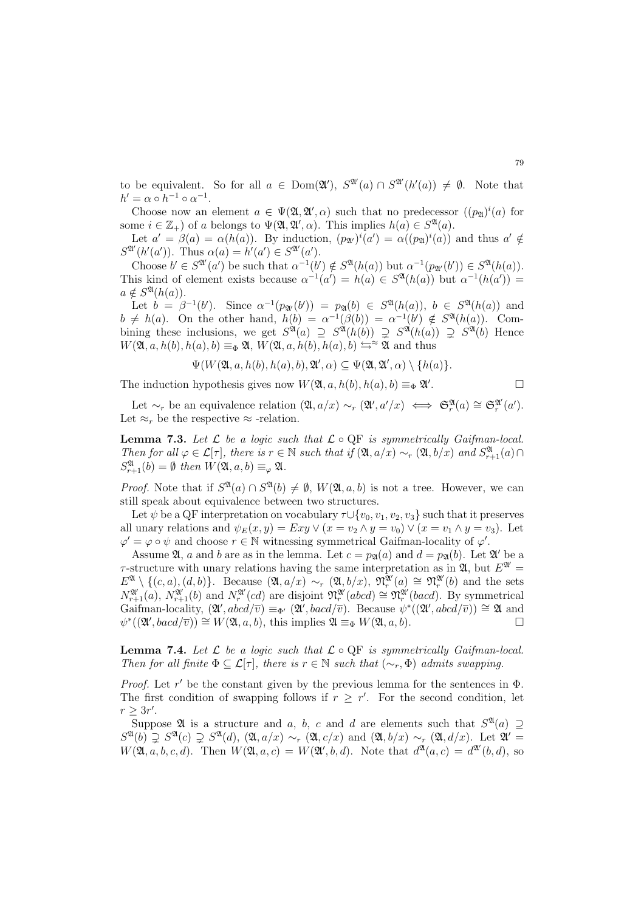to be equivalent. So for all  $a \in Dom(\mathfrak{A}'), S^{\mathfrak{A}'}(a) \cap S^{\mathfrak{A}'}(h'(a)) \neq \emptyset$ . Note that  $h' = \alpha \circ h^{-1} \circ \alpha^{-1}.$ 

Choose now an element  $a \in \Psi(\mathfrak{A}, \mathfrak{A}', \alpha)$  such that no predecessor  $((p_{\mathfrak{A}})^{i}(a)$  for some  $i \in \mathbb{Z}_+$ ) of a belongs to  $\Psi(\mathfrak{A}, \mathfrak{A}', \alpha)$ . This implies  $h(a) \in S^{\mathfrak{A}}(a)$ .

Let  $a' = \beta(a) = \alpha(h(a))$ . By induction,  $(p_{\mathcal{X}}^{\prime})^i(a') = \alpha((p_{\mathcal{X}}^{\prime})^i(a))$  and thus  $a' \notin$  $S^{\mathfrak{A}'}(h'(a'))$ . Thus  $\alpha(a) = h'(a') \in S^{\mathfrak{A}'}(a')$ .

Choose  $b' \in S^{\mathfrak{A}'}(a')$  be such that  $\alpha^{-1}(b') \notin S^{\mathfrak{A}}(h(a))$  but  $\alpha^{-1}(p_{\mathfrak{A}'}(b')) \in S^{\mathfrak{A}}(h(a))$ . This kind of element exists because  $\alpha^{-1}(a') = h(a) \in S^{\mathfrak{A}}(h(a))$  but  $\alpha^{-1}(h(a')) =$  $a \notin S^{\mathfrak{A}}(h(a)).$ 

Let  $b = \beta^{-1}(b')$ . Since  $\alpha^{-1}(p_{\mathfrak{A}'}(b')) = p_{\mathfrak{A}}(b) \in S^{\mathfrak{A}}(h(a)), b \in S^{\mathfrak{A}}(h(a))$  and  $b \neq h(a)$ . On the other hand,  $h(b) = \alpha^{-1}(\beta(b)) = \alpha^{-1}(b') \notin S^{\mathfrak{A}}(h(a))$ . Combining these inclusions, we get  $S^{\mathfrak{A}}(a) \supseteq S^{\mathfrak{A}}(h(b)) \supsetneq S^{\mathfrak{A}}(h(a)) \supsetneq S^{\mathfrak{A}}(b)$  Hence  $W(\mathfrak{A}, a, h(b), h(a), b) \equiv_{\Phi} \mathfrak{A}, W(\mathfrak{A}, a, h(b), h(a), b) \leftrightarrows^{\approx} \mathfrak{A}$  and thus

$$
\Psi(W(\mathfrak{A},a,h(b),h(a),b),\mathfrak{A}',\alpha) \subseteq \Psi(\mathfrak{A},\mathfrak{A}',\alpha) \setminus \{h(a)\}.
$$

The induction hypothesis gives now  $W(\mathfrak{A}, a, h(b), h(a), b) \equiv_{\Phi} \mathfrak{A}'$ . .

Let  $\sim_r$  be an equivalence relation  $(\mathfrak{A}, a/x) \sim_r (\mathfrak{A}', a'/x) \iff \mathfrak{S}_r^{\mathfrak{A}}(a) \cong \mathfrak{S}_r^{\mathfrak{A}'}(a')$ . Let  $\approx_r$  be the respective  $\approx$  -relation.

**Lemma 7.3.** Let  $\mathcal{L}$  be a logic such that  $\mathcal{L} \circ \mathcal{Q}F$  is symmetrically Gaifman-local. Then for all  $\varphi \in \mathcal{L}[\tau]$ , there is  $r \in \mathbb{N}$  such that if  $(\mathfrak{A}, a/x) \sim_r (\mathfrak{A}, b/x)$  and  $S^{\mathfrak{A}}_{r+1}(a) \cap$  $S_{r+1}^{\mathfrak{A}}(b) = \emptyset$  then  $W(\mathfrak{A}, a, b) \equiv_{\varphi} \mathfrak{A}.$ 

*Proof.* Note that if  $S^{\mathfrak{A}}(a) \cap S^{\mathfrak{A}}(b) \neq \emptyset$ ,  $W(\mathfrak{A}, a, b)$  is not a tree. However, we can still speak about equivalence between two structures.

Let  $\psi$  be a QF interpretation on vocabulary  $\tau \cup \{v_0, v_1, v_2, v_3\}$  such that it preserves all unary relations and  $\psi_E(x, y) = Exy \vee (x = v_2 \wedge y = v_0) \vee (x = v_1 \wedge y = v_3)$ . Let  $\varphi' = \varphi \circ \psi$  and choose  $r \in \mathbb{N}$  witnessing symmetrical Gaifman-locality of  $\varphi'$ .

Assume  $\mathfrak{A}$ , a and b are as in the lemma. Let  $c = p_{\mathfrak{A}}(a)$  and  $d = p_{\mathfrak{A}}(b)$ . Let  $\mathfrak{A}'$  be a  $\tau$ -structure with unary relations having the same interpretation as in  $\mathfrak{A}$ , but  $E^{\mathfrak{A}'}=$  $E^{\mathfrak{A}} \setminus \{(c, a), (d, b)\}.$  Because  $(\mathfrak{A}, a/x) \sim_r (\mathfrak{A}, b/x), \mathfrak{N}^{\mathfrak{A}'}_r(a) \cong \mathfrak{N}^{\mathfrak{A}'}_r(b)$  and the sets  $N_{r+1}^{\mathfrak{A}'}(a)$ ,  $N_{r+1}^{\mathfrak{A}'}(b)$  and  $N_r^{\mathfrak{A}'}(cd)$  are disjoint  $\mathfrak{N}_r^{\mathfrak{A}'}(abcd) \cong \mathfrak{N}_r^{\mathfrak{A}'}(bacd)$ . By symmetrical Gaifman-locality,  $(\mathfrak{A}',abcd/\overline{v}) \equiv_{\Phi'} (\mathfrak{A}',bacd/\overline{v})$ . Because  $\psi^*((\mathfrak{A}',abcd/\overline{v})) \cong \mathfrak{A}$  and  $\psi^*((\mathfrak{A}',\text{bacd}/\overline{v})) \cong W(\mathfrak{A},a,b),$  this implies  $\mathfrak{A} \equiv_{\Phi} W(\mathfrak{A},a,b).$ 

**Lemma 7.4.** Let  $\mathcal L$  be a logic such that  $\mathcal L \circ \mathrm{QF}$  is symmetrically Gaifman-local. Then for all finite  $\Phi \subseteq \mathcal{L}[\tau]$ , there is  $r \in \mathbb{N}$  such that  $(\sim_r, \Phi)$  admits swapping.

*Proof.* Let r' be the constant given by the previous lemma for the sentences in  $\Phi$ . The first condition of swapping follows if  $r \geq r'$ . For the second condition, let  $r \geq 3r'$ .

Suppose  $\mathfrak A$  is a structure and a, b, c and d are elements such that  $S^{\mathfrak A}(a) \supset$  $S^{\mathfrak{A}}(b) \supsetneq S^{\mathfrak{A}}(c) \supsetneq S^{\mathfrak{A}}(d)$ ,  $(\mathfrak{A}, a/x) \sim_r (\mathfrak{A}, c/x)$  and  $(\mathfrak{A}, b/x) \sim_r (\mathfrak{A}, d/x)$ . Let  $\mathfrak{A}' =$  $W(\mathfrak{A}, a, b, c, d)$ . Then  $W(\mathfrak{A}, a, c) = W(\mathfrak{A}', b, d)$ . Note that  $d^{\mathfrak{A}}(a, c) = d^{\mathfrak{A}'}(b, d)$ , so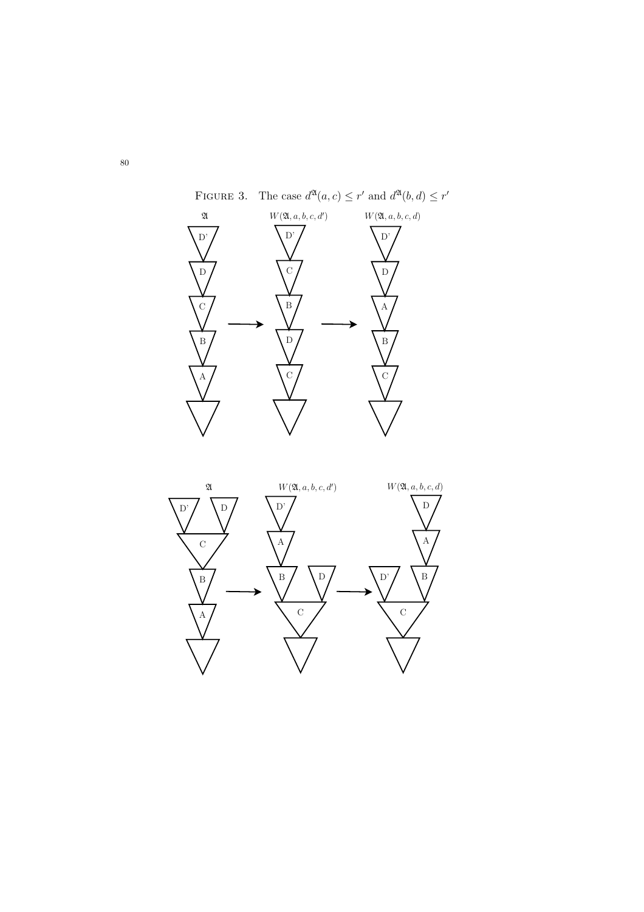

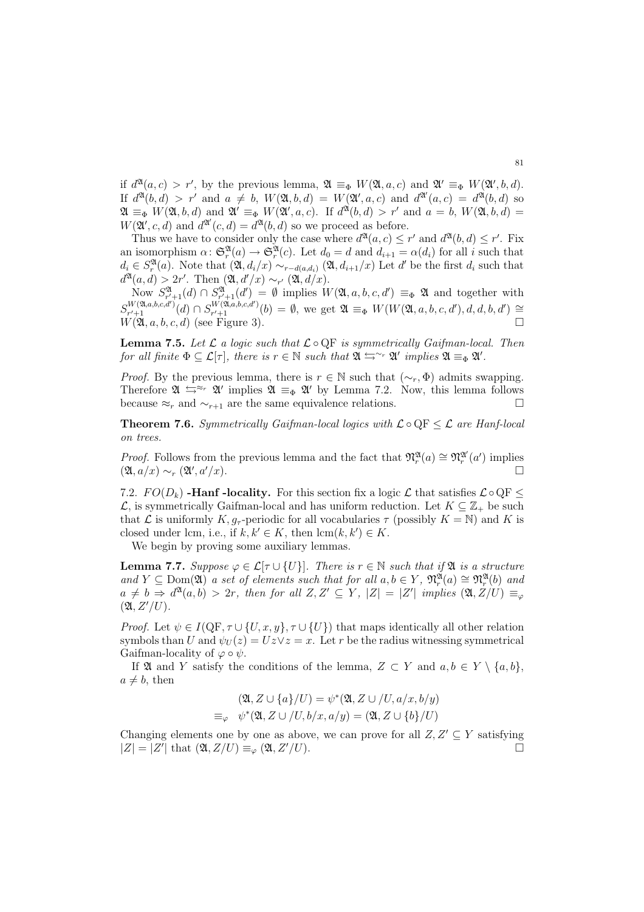if  $d^{\mathfrak{A}}(a,c) > r'$ , by the previous lemma,  $\mathfrak{A} \equiv_{\Phi} W(\mathfrak{A}, a, c)$  and  $\mathfrak{A}' \equiv_{\Phi} W(\mathfrak{A}', b, d)$ . If  $d^{\mathfrak{A}}(b,d) > r'$  and  $a \neq b$ ,  $W(\mathfrak{A},b,d) = W(\mathfrak{A}',a,c)$  and  $d^{\mathfrak{A}'}(a,c) = d^{\mathfrak{A}}(b,d)$  so  $\mathfrak{A} \equiv_{\Phi} W(\mathfrak{A},b,d)$  and  $\mathfrak{A}' \equiv_{\Phi} W(\mathfrak{A}',a,c)$ . If  $d^{\mathfrak{A}}(b,d) > r'$  and  $a = b$ ,  $W(\mathfrak{A},b,d) =$  $W(\mathfrak{A}', c, d)$  and  $d^{\mathfrak{A}'}(c, d) = d^{\mathfrak{A}}(b, d)$  so we proceed as before.

Thus we have to consider only the case where  $d^{\mathfrak{A}}(a, c) \leq r'$  and  $d^{\mathfrak{A}}(b, d) \leq r'$ . Fix an isomorphism  $\alpha \colon \mathfrak{S}_r^{\mathfrak{A}}(a) \to \mathfrak{S}_r^{\mathfrak{A}}(c)$ . Let  $d_0 = d$  and  $d_{i+1} = \alpha(d_i)$  for all i such that  $d_i \in S_r^{\mathfrak{A}}(a)$ . Note that  $(\mathfrak{A}, d_i/x) \sim_{r-d(a,d_i)} (\mathfrak{A}, d_{i+1}/x)$  Let d' be the first  $d_i$  such that  $d^{\mathfrak{A}}(a,d) > 2r'$ . Then  $(\mathfrak{A}, d'/x) \sim_{r'} (\mathfrak{A}, d/x)$ .

Now  $S^{\mathfrak{A}}_{r'+1}(d) \cap S^{\mathfrak{A}}_{r'+1}(d') = \emptyset$  implies  $W(\mathfrak{A}, a, b, c, d') \equiv_{\Phi} \mathfrak{A}$  and together with  $S_{r'+1}^{W({\mathfrak{A}},a,b,c,d')}$  $\mathbb{E}_{r'+1}^{W({\mathfrak{A}},a,b,c,d')}(d)\cap S^{W({\mathfrak{A}},a,b,c,d')}_{r'+1}$  $W(\mathfrak{A},a,b,c,d')(b) = \emptyset$ , we get  $\mathfrak{A} \equiv_{\Phi} W(W(\mathfrak{A},a,b,c,d'),d,d,b,d') \cong$  $W(\mathfrak{A}, a, b, c, d)$  (see Figure 3).

**Lemma 7.5.** Let  $\mathcal{L}$  a logic such that  $\mathcal{L} \circ \mathbb{Q}F$  is symmetrically Gaifman-local. Then for all finite  $\Phi \subseteq \mathcal{L}[\tau]$ , there is  $r \in \mathbb{N}$  such that  $\mathfrak{A} \leftrightarrows^{\sim_r} \mathfrak{A}'$  implies  $\mathfrak{A} \equiv_{\Phi} \mathfrak{A}'$ .

*Proof.* By the previous lemma, there is  $r \in \mathbb{N}$  such that  $(\sim_r, \Phi)$  admits swapping. Therefore  $\mathfrak{A} \subseteq \mathbb{R}^r$   $\mathfrak{A}'$  implies  $\mathfrak{A} \equiv_{\Phi} \mathfrak{A}'$  by Lemma 7.2. Now, this lemma follows because  $\approx_r$  and  $\sim_{r+1}$  are the same equivalence relations.

**Theorem 7.6.** Symmetrically Gaifman-local logics with  $\mathcal{L} \circ QF \leq \mathcal{L}$  are Hanf-local on trees.

*Proof.* Follows from the previous lemma and the fact that  $\mathfrak{N}_r^{\mathfrak{A}}(a) \cong \mathfrak{N}_r^{\mathfrak{A}'}(a')$  implies  $(\mathfrak{A}, a/x) \sim_r (\mathfrak{A}', a'$  $\Box(x)$ .

7.2.  $FO(D_k)$  **-Hanf -locality.** For this section fix a logic  $\mathcal{L}$  that satisfies  $\mathcal{L} \circ QF \leq$  $\mathcal{L}$ , is symmetrically Gaifman-local and has uniform reduction. Let  $K ⊆ \mathbb{Z}_+$  be such that  $\mathcal L$  is uniformly  $K, g_{\tau}$ -periodic for all vocabularies  $\tau$  (possibly  $K = \mathbb N$ ) and K is closed under lcm, i.e., if  $k, k' \in K$ , then  $lcm(k, k') \in K$ .

We begin by proving some auxiliary lemmas.

**Lemma 7.7.** Suppose  $\varphi \in \mathcal{L}[\tau \cup \{U\}]$ . There is  $r \in \mathbb{N}$  such that if  $\mathfrak{A}$  is a structure and  $Y \subseteq \text{Dom}(\mathfrak{A})$  a set of elements such that for all  $a, b \in Y$ ,  $\mathfrak{N}_r^{\mathfrak{A}}(a) \cong \mathfrak{N}_r^{\mathfrak{A}}(b)$  and  $a \neq b \Rightarrow d^{\mathfrak{A}}(a,b) > 2r$ , then for all  $Z, Z' \subseteq Y$ ,  $|Z| = |Z'|$  implies  $(\mathfrak{A}, Z/U) \equiv_{\varphi}$  $(\mathfrak{A}, Z'/U)$ .

*Proof.* Let  $\psi \in I(\mathrm{QF}, \tau \cup \{U, x, y\}, \tau \cup \{U\})$  that maps identically all other relation symbols than U and  $\psi_U(z) = Uz \vee z = x$ . Let r be the radius witnessing symmetrical Gaifman-locality of  $\varphi \circ \psi$ .

If  $\mathfrak A$  and Y satisfy the conditions of the lemma,  $Z \subset Y$  and  $a, b \in Y \setminus \{a, b\}$ ,  $a \neq b$ , then

$$
(\mathfrak{A}, Z \cup \{a\}/U) = \psi^*(\mathfrak{A}, Z \cup /U, a/x, b/y)
$$
  

$$
\equiv_{\varphi} \psi^*(\mathfrak{A}, Z \cup /U, b/x, a/y) = (\mathfrak{A}, Z \cup \{b\}/U)
$$

Changing elements one by one as above, we can prove for all  $Z, Z' \subseteq Y$  satisfying  $|Z| = |Z'|$  that  $(\mathfrak{A}, Z/U) \equiv_{\varphi} (\mathfrak{A}, Z')$  $/U$ ).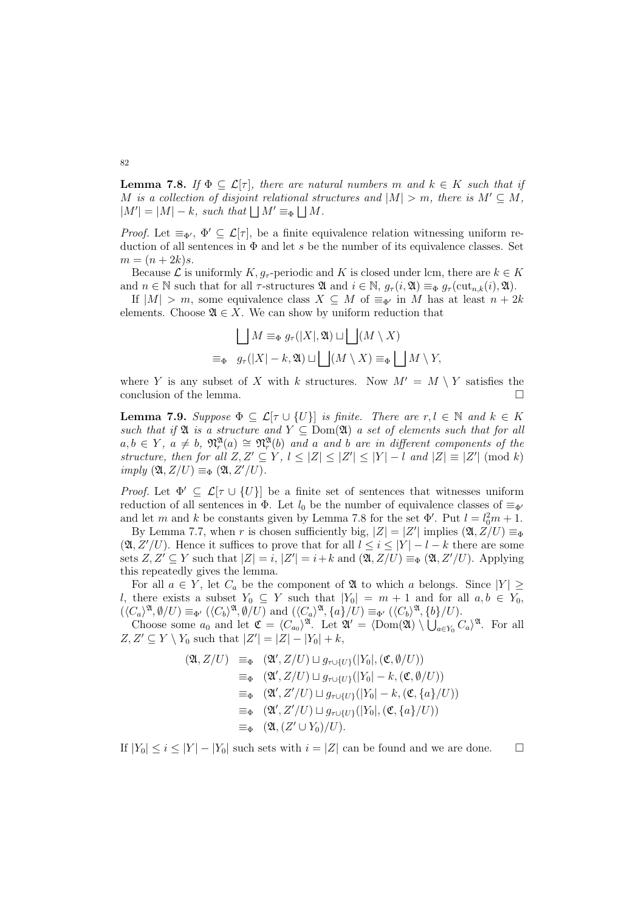**Lemma 7.8.** If  $\Phi \subseteq \mathcal{L}[\tau]$ , there are natural numbers m and  $k \in K$  such that if M is a collection of disjoint relational structures and  $|M| > m$ , there is  $M' \subseteq M$ ,  $|M'| = |M| - k$ , such that  $\Box M' \equiv_{\Phi} \Box M$ .

*Proof.* Let  $\equiv_{\Phi'}$ ,  $\Phi' \subseteq \mathcal{L}[\tau]$ , be a finite equivalence relation witnessing uniform reduction of all sentences in  $\Phi$  and let s be the number of its equivalence classes. Set  $m = (n+2k)s.$ 

Because L is uniformly K,  $q_{\tau}$ -periodic and K is closed under lcm, there are  $k \in K$ and  $n \in \mathbb{N}$  such that for all  $\tau$ -structures  $\mathfrak{A}$  and  $i \in \mathbb{N}$ ,  $g_{\tau}(i,\mathfrak{A}) \equiv_{\Phi} g_{\tau}(\text{cut}_{n,k}(i),\mathfrak{A})$ .

If  $|M| > m$ , some equivalence class  $X \subseteq M$  of  $\equiv_{\Phi'}$  in M has at least  $n + 2k$ elements. Choose  $\mathfrak{A} \in X$ . We can show by uniform reduction that

$$
\bigsqcup M \equiv_{\Phi} g_{\tau}(|X|, \mathfrak{A}) \sqcup \bigsqcup (M \setminus X)
$$

$$
\equiv_{\Phi} g_{\tau}(|X| - k, \mathfrak{A}) \sqcup \bigsqcup (M \setminus X) \equiv_{\Phi} \bigsqcup M \setminus Y,
$$

where Y is any subset of X with k structures. Now  $M' = M \setminus Y$  satisfies the conclusion of the lemma.  $\Box$ 

**Lemma 7.9.** Suppose  $\Phi \subseteq \mathcal{L}[\tau \cup \{U\}]$  is finite. There are  $r, l \in \mathbb{N}$  and  $k \in K$ such that if  $\mathfrak A$  is a structure and  $Y \subseteq \text{Dom}(\mathfrak A)$  a set of elements such that for all  $a, b \in Y$ ,  $a \neq b$ ,  $\mathfrak{N}_r^{\mathfrak{A}}(a) \cong \mathfrak{N}_r^{\mathfrak{A}}(b)$  and a and b are in different components of the structure, then for all  $Z, Z' \subseteq Y, l \leq |Z| \leq |Z'| \leq |Y| - l$  and  $|Z| \equiv |Z'| \pmod{k}$ imply  $(\mathfrak{A}, Z/U) \equiv_{\Phi} (\mathfrak{A}, Z'/U)$ .

*Proof.* Let  $\Phi' \subseteq \mathcal{L}[\tau \cup \{U\}]$  be a finite set of sentences that witnesses uniform reduction of all sentences in  $\Phi$ . Let  $l_0$  be the number of equivalence classes of  $\equiv_{\Phi}$ and let m and k be constants given by Lemma 7.8 for the set  $\Phi'$ . Put  $l = l_0^2m + 1$ .

By Lemma 7.7, when r is chosen sufficiently big,  $|Z| = |Z'|$  implies  $(\mathfrak{A}, Z/U) \equiv_{\Phi}$  $(\mathfrak{A}, Z'/U)$ . Hence it suffices to prove that for all  $l \leq i \leq |Y| - l - k$  there are some sets  $Z, Z' \subseteq Y$  such that  $|Z| = i$ ,  $|Z'| = i+k$  and  $(\mathfrak{A}, Z/U) \equiv_{\Phi} (\mathfrak{A}, Z'/U)$ . Applying this repeatedly gives the lemma.

For all  $a \in Y$ , let  $C_a$  be the component of  $\mathfrak A$  to which a belongs. Since  $|Y| \geq$ l, there exists a subset  $Y_0 \subseteq Y$  such that  $|Y_0| = m + 1$  and for all  $a, b \in Y_0$ ,  $(\langle C_a \rangle^{\mathfrak{A}}, \emptyset/U) \equiv_{\Phi'} (\langle C_b \rangle^{\mathfrak{A}}, \emptyset/U)$  and  $(\langle C_a \rangle^{\mathfrak{A}}, \{a\}/U) \equiv_{\Phi'} (\langle C_b \rangle^{\mathfrak{A}}, \{b\}/U)$ .

Choose some  $a_0$  and let  $\mathfrak{C} = \langle C_{a_0} \rangle^{\mathfrak{A}}$ . Let  $\mathfrak{A}' = \langle \text{Dom}(\mathfrak{A}) \setminus \bigcup_{a \in Y_0} C_a \rangle^{\mathfrak{A}}$ . For all  $Z, Z' \subseteq Y \setminus Y_0$  such that  $|Z'| = |Z| - |Y_0| + k$ ,

$$
\begin{array}{rcl}\n(\mathfrak{A}, Z/U) & \equiv_{\Phi} & (\mathfrak{A}', Z/U) \sqcup g_{\tau \cup \{U\}}(|Y_0|, (\mathfrak{C}, \emptyset/U)) \\
& \equiv_{\Phi} & (\mathfrak{A}', Z/U) \sqcup g_{\tau \cup \{U\}}(|Y_0| - k, (\mathfrak{C}, \emptyset/U)) \\
& \equiv_{\Phi} & (\mathfrak{A}', Z'/U) \sqcup g_{\tau \cup \{U\}}(|Y_0| - k, (\mathfrak{C}, \{a\}/U)) \\
& \equiv_{\Phi} & (\mathfrak{A}', Z'/U) \sqcup g_{\tau \cup \{U\}}(|Y_0|, (\mathfrak{C}, \{a\}/U)) \\
& \equiv_{\Phi} & (\mathfrak{A}, (Z' \cup Y_0)/U).\n\end{array}
$$

If  $|Y_0| \le i \le |Y| - |Y_0|$  such sets with  $i = |Z|$  can be found and we are done.  $\square$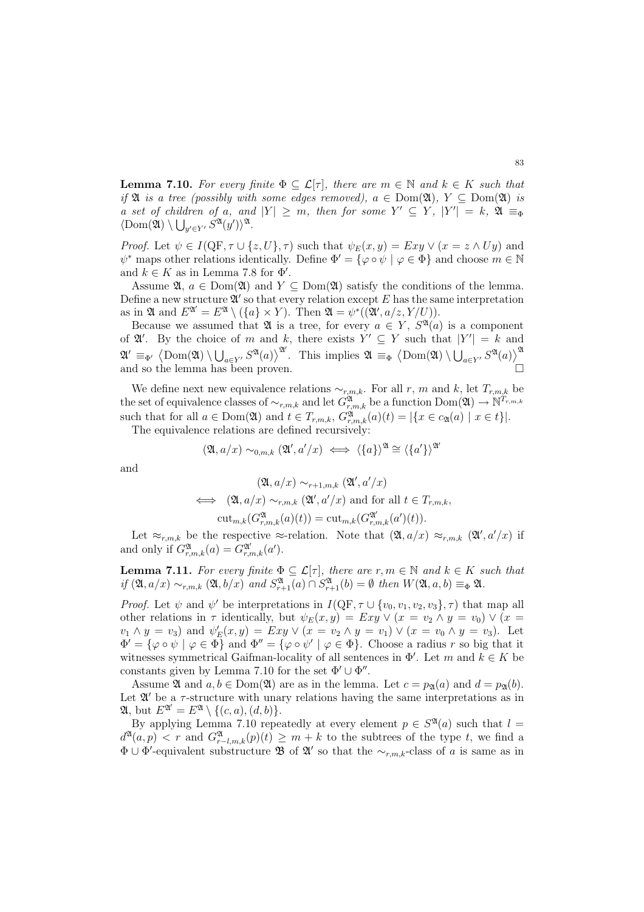**Lemma 7.10.** For every finite  $\Phi \subseteq \mathcal{L}[\tau]$ , there are  $m \in \mathbb{N}$  and  $k \in K$  such that if  $\mathfrak A$  is a tree (possibly with some edges removed),  $a \in \text{Dom}(\mathfrak A)$ ,  $Y \subseteq \text{Dom}(\mathfrak A)$  is a set of children of a, and  $|Y| \geq m$ , then for some  $Y' \subseteq Y$ ,  $|Y'| = k$ ,  $\mathfrak{A} \equiv_{\Phi}$  $\langle \text{Dom}(\mathfrak{A}) \setminus \bigcup_{y' \in Y'} S^{\mathfrak{A}}(y') \rangle^{\mathfrak{A}}.$ 

*Proof.* Let  $\psi \in I(\mathbb{QF}, \tau \cup \{z, U\}, \tau)$  such that  $\psi_E(x, y) = Exy \vee (x = z \wedge Uy)$  and  $\psi^*$  maps other relations identically. Define  $\Phi' = {\varphi \circ \psi \mid \varphi \in \Phi}$  and choose  $m \in \mathbb{N}$ and  $k \in K$  as in Lemma 7.8 for  $\Phi'$ .

Assume  $\mathfrak{A}, a \in \text{Dom}(\mathfrak{A})$  and  $Y \subseteq \text{Dom}(\mathfrak{A})$  satisfy the conditions of the lemma. Define a new structure  $\mathfrak{A}'$  so that every relation except E has the same interpretation as in  $\mathfrak{A}$  and  $E^{\mathfrak{A}'} = E^{\mathfrak{A}} \setminus (\{a\} \times Y)$ . Then  $\mathfrak{A} = \psi^*(\mathfrak{A}', a/z, Y/U)$ .

Because we assumed that  $\mathfrak A$  is a tree, for every  $a \in Y$ ,  $S^{\mathfrak A}(a)$  is a component of  $\mathfrak{A}'$ . By the choice of m and k, there exists  $Y' \subseteq Y$  such that  $|Y'| = k$  and  $\mathfrak{A}' \equiv_{\Phi'} \langle \text{Dom}(\mathfrak{A}) \setminus \bigcup_{a \in Y'} S^{\mathfrak{A}}(a) \rangle^{\mathfrak{A}'}$ . This implies  $\mathfrak{A} \equiv_{\Phi} \langle \text{Dom}(\mathfrak{A}) \setminus \bigcup_{a \in Y'} S^{\mathfrak{A}}(a) \rangle^{\mathfrak{A}}$ and so the lemma has been proven.

We define next new equivalence relations  $\sim_{r,m,k}$ . For all r, m and k, let  $T_{r,m,k}$  be the set of equivalence classes of  $\sim_{r,m,k}$  and let  $G^{\mathfrak{A}}_{r,m,k}$  be a function  $\text{Dom}(\mathfrak{A}) \to \mathbb{N}^{T_{r,m,k}}$ such that for all  $a \in \text{Dom}(\mathfrak{A})$  and  $t \in T_{r,m,k}$ ,  $G_{r,m,k}^{\mathfrak{A}}(a)(t) = |\{x \in c_{\mathfrak{A}}(a) \mid x \in t\}|$ .

The equivalence relations are defined recursively:

$$
(\mathfrak{A},a/x)\sim_{0,m,k}(\mathfrak{A}',a'/x)\iff \langle \{a\}\rangle^{\mathfrak{A}}\cong \langle \{a'\}\rangle^{\mathfrak{A}'}
$$

and

$$
(\mathfrak{A}, a/x) \sim_{r+1,m,k} (\mathfrak{A}', a'/x)
$$
  
\n
$$
\iff (\mathfrak{A}, a/x) \sim_{r,m,k} (\mathfrak{A}', a'/x) \text{ and for all } t \in T_{r,m,k},
$$
  
\n
$$
\text{cut}_{m,k}(G_{r,m,k}^{\mathfrak{A}}(a)(t)) = \text{cut}_{m,k}(G_{r,m,k}^{\mathfrak{A}'}(a')(t)).
$$

Let  $\approx_{r,m,k}$  be the respective  $\approx$ -relation. Note that  $(\mathfrak{A},a/x) \approx_{r,m,k} (\mathfrak{A}',a'/x)$  if and only if  $G_{r,m,k}^{\mathfrak{A}}(a) = G_{r,m,k}^{\mathfrak{A}'}(a')$ .

**Lemma 7.11.** For every finite  $\Phi \subseteq \mathcal{L}[\tau]$ , there are  $r, m \in \mathbb{N}$  and  $k \in K$  such that if  $(\mathfrak{A}, a/x) \sim_{r,m,k} (\mathfrak{A}, b/x)$  and  $S^{\mathfrak{A}}_{r+1}(a) \cap S^{\mathfrak{A}}_{r+1}(b) = \emptyset$  then  $W(\mathfrak{A}, a, b) \equiv_{\Phi} \mathfrak{A}$ .

*Proof.* Let  $\psi$  and  $\psi'$  be interpretations in  $I(QF, \tau \cup \{v_0, v_1, v_2, v_3\}, \tau)$  that map all other relations in  $\tau$  identically, but  $\psi_E(x, y) = Exy \vee (x = v_2 \wedge y = v_0) \vee (x = v_0)$  $v_1 \wedge y = v_3$ ) and  $\psi'_E(x, y) = Exy \vee (x = v_2 \wedge y = v_1) \vee (x = v_0 \wedge y = v_3)$ . Let  $\Phi' = {\varphi \circ \psi \mid \varphi \in \Phi}$  and  $\Phi'' = {\varphi \circ \psi' \mid \varphi \in \Phi}$ . Choose a radius r so big that it witnesses symmetrical Gaifman-locality of all sentences in  $\Phi'$ . Let m and  $k \in K$  be constants given by Lemma 7.10 for the set  $\Phi' \cup \Phi''$ .

Assume  $\mathfrak A$  and  $a, b \in \text{Dom}(\mathfrak A)$  are as in the lemma. Let  $c = p_{\mathfrak A}(a)$  and  $d = p_{\mathfrak A}(b)$ . Let  $\mathfrak{A}'$  be a  $\tau$ -structure with unary relations having the same interpretations as in  $\mathfrak{A}, \text{ but } E^{\mathfrak{A}'} = E^{\mathfrak{A}} \setminus \{(c, a), (d, b)\}.$ 

By applying Lemma 7.10 repeatedly at every element  $p \in S^{\mathfrak{A}}(a)$  such that  $l =$  $d^{\mathfrak{A}}(a,p) < r$  and  $G^{\mathfrak{A}}_{r-l,m,k}(p)(t) \geq m+k$  to the subtrees of the type t, we find a  $\Phi \cup \Phi'$ -equivalent substructure **B** of  $\mathfrak{A}'$  so that the  $\sim_{r,m,k}$ -class of a is same as in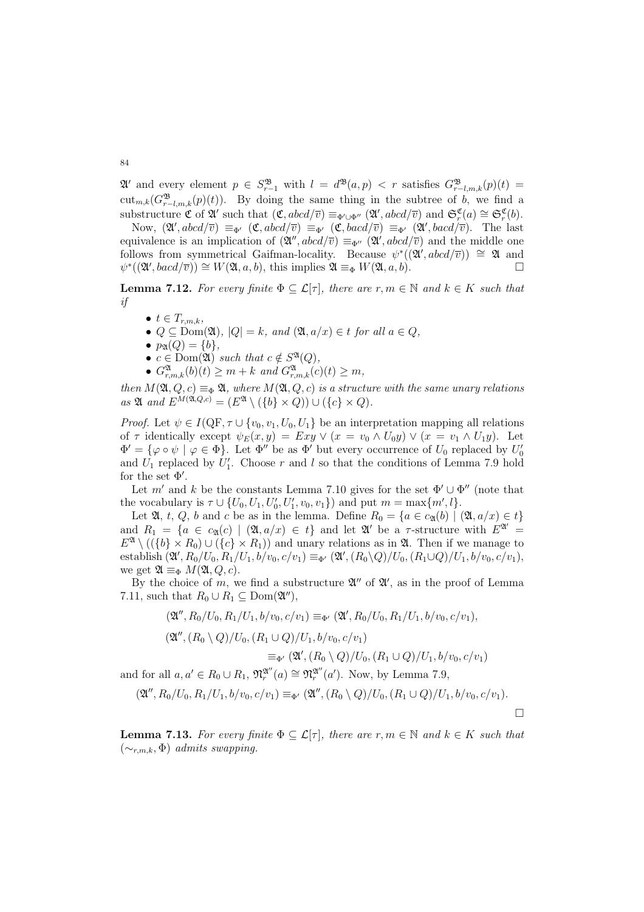84

 $\mathfrak{A}'$  and every element  $p \in S^{\mathfrak{B}}_{r-1}$  with  $l = d^{\mathfrak{B}}(a,p) < r$  satisfies  $G^{\mathfrak{B}}_{r-l,m,k}(p)(t) =$ cut<sub>m,k</sub>( $G_{r-l,m,k}^{\mathfrak{B}}(p)(t)$ ). By doing the same thing in the subtree of b, we find a substructure  $\mathfrak{C}$  of  $\mathfrak{A}'$  such that  $(\mathfrak{C}, abcd/\overline{v}) \equiv_{\Phi' \cup \Phi''} (\mathfrak{A}', abcd/\overline{v})$  and  $\mathfrak{S}^{\mathfrak{C}}_r(a) \cong \mathfrak{S}^{\mathfrak{C}}_r(b)$ .

Now,  $(\mathfrak{A}',abcd/\overline{v}) \equiv_{\Phi'} (\mathfrak{C},abcd/\overline{v}) \equiv_{\Phi'} (\mathfrak{C},bacd/\overline{v}) \equiv_{\Phi'} (\mathfrak{A}',bacd/\overline{v})$ . The last equivalence is an implication of  $(\mathfrak{A}'',abcd/\overline{v}) \equiv_{\Phi''} (\mathfrak{A}',abcd/\overline{v})$  and the middle one follows from symmetrical Gaifman-locality. Because  $\psi^*((\mathfrak{A}',abcd/\overline{v})) \cong \mathfrak{A}$  and  $\psi^*((\mathfrak{A}',\text{bacd}/\overline{v})) \cong W(\mathfrak{A},a,b),$  this implies  $\mathfrak{A} \equiv_{\Phi} W(\mathfrak{A},a,b).$ 

**Lemma 7.12.** For every finite  $\Phi \subseteq \mathcal{L}[\tau]$ , there are  $r, m \in \mathbb{N}$  and  $k \in K$  such that if

- $t \in T_{r,m,k}$ ,
- $Q \subseteq \text{Dom}(\mathfrak{A}), |Q| = k$ , and  $(\mathfrak{A}, a/x) \in t$  for all  $a \in Q$ ,
- $p_{\mathfrak{A}}(Q) = \{b\},\,$
- $c \in Dom(\mathfrak{A})$  such that  $c \notin S^{\mathfrak{A}}(Q)$ ,
- $G_{r,m,k}^{\mathfrak{A}}(b)(t) \geq m+k$  and  $G_{r,m,k}^{\mathfrak{A}}(c)(t) \geq m$ ,

then  $M(\mathfrak{A}, Q, c) \equiv_{\Phi} \mathfrak{A}$ , where  $M(\mathfrak{A}, Q, c)$  is a structure with the same unary relations as  $\mathfrak{A}$  and  $E^{M(\mathfrak{A},Q,c)} = (E^{\mathfrak{A}} \setminus (\{b\} \times Q)) \cup (\{c\} \times Q).$ 

*Proof.* Let  $\psi \in I(\mathbb{Q}F, \tau \cup \{v_0, v_1, U_0, U_1\})$  be an interpretation mapping all relations of  $\tau$  identically except  $\psi_E(x, y) = Exy \vee (x = v_0 \wedge U_0 y) \vee (x = v_1 \wedge U_1 y)$ . Let  $\Phi' = {\varphi \circ \psi \mid \varphi \in \Phi}$ . Let  $\Phi''$  be as  $\Phi'$  but every occurrence of  $U_0$  replaced by  $U'_0$ and  $U_1$  replaced by  $U_1'$ . Choose r and l so that the conditions of Lemma 7.9 hold for the set  $\Phi'$ .

Let m' and k be the constants Lemma 7.10 gives for the set  $\Phi' \cup \Phi''$  (note that the vocabulary is  $\tau \cup \{U_0, U_1, U'_0, U'_1, v_0, v_1\}$  and put  $m = \max\{m', l\}.$ 

Let  $\mathfrak{A}, t, Q, b$  and c be as in the lemma. Define  $R_0 = \{a \in c_{\mathfrak{A}}(b) \mid (\mathfrak{A}, a/x) \in t\}$ and  $R_1 = \{a \in c_{\mathfrak{A}}(c) \mid (\mathfrak{A}, a/x) \in t\}$  and let  $\mathfrak{A}'$  be a  $\tau$ -structure with  $E^{\mathfrak{A}'} =$  $E^{\mathfrak{A}} \setminus ((\{b\} \times R_0) \cup (\{c\} \times R_1))$  and unary relations as in  $\mathfrak{A}$ . Then if we manage to establish  $(\mathfrak{A}', R_0/U_0, R_1/U_1, b/v_0, c/v_1) \equiv_{\Phi'} (\mathfrak{A}', (R_0 \backslash Q)/U_0, (R_1 \cup Q)/U_1, b/v_0, c/v_1),$ we get  $\mathfrak{A} \equiv_{\Phi} M(\mathfrak{A}, Q, c)$ .

By the choice of m, we find a substructure  $\mathfrak{A}''$  of  $\mathfrak{A}'$ , as in the proof of Lemma 7.11, such that  $R_0 \cup R_1 \subseteq \text{Dom}(\mathfrak{A}'')$ ,

$$
(\mathfrak{A}'', R_0/U_0, R_1/U_1, b/v_0, c/v_1) \equiv_{\Phi'} (\mathfrak{A}', R_0/U_0, R_1/U_1, b/v_0, c/v_1),
$$
  

$$
(\mathfrak{A}'', (R_0 \setminus Q)/U_0, (R_1 \cup Q)/U_1, b/v_0, c/v_1)
$$
  

$$
\equiv_{\Phi'} (\mathfrak{A}', (R_0 \setminus Q)/U_0, (R_1 \cup Q)/U_1, b/v_0, c/v_1)
$$

and for all  $a, a' \in R_0 \cup R_1$ ,  $\mathfrak{N}_r^{\mathfrak{A}''}(a) \cong \mathfrak{N}_r^{\mathfrak{A}''}(a')$ . Now, by Lemma 7.9,

$$
(\mathfrak{A}'', R_0/U_0, R_1/U_1, b/v_0, c/v_1) \equiv_{\Phi'} (\mathfrak{A}'', (R_0 \setminus Q)/U_0, (R_1 \cup Q)/U_1, b/v_0, c/v_1).
$$

**Lemma 7.13.** For every finite  $\Phi \subseteq \mathcal{L}[\tau]$ , there are  $r, m \in \mathbb{N}$  and  $k \in K$  such that  $(\sim_{r,m,k}, \Phi)$  admits swapping.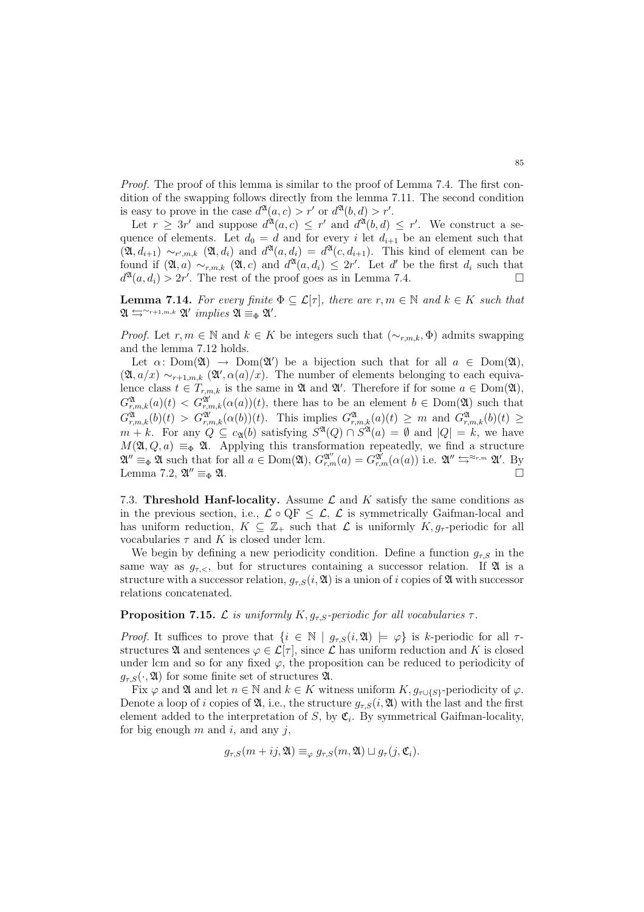Proof. The proof of this lemma is similar to the proof of Lemma 7.4. The first condition of the swapping follows directly from the lemma 7.11. The second condition is easy to prove in the case  $d^{\mathfrak{A}}(a,c) > r'$  or  $d^{\mathfrak{A}}(b,d) > r'$ .

Let  $r \geq 3r'$  and suppose  $d^{\mathfrak{A}}(a,c) \leq r'$  and  $d^{\mathfrak{A}}(b,d) \leq r'$ . We construct a sequence of elements. Let  $d_0 = d$  and for every i let  $d_{i+1}$  be an element such that  $(\mathfrak{A}, d_{i+1}) \sim_{r',m,k} (\mathfrak{A}, d_i)$  and  $d^{\mathfrak{A}}(a, d_i) = d^{\mathfrak{A}}(c, d_{i+1})$ . This kind of element can be found if  $(\mathfrak{A},a) \sim_{r,m,k} (\mathfrak{A},c)$  and  $d^{\mathfrak{A}}(a,d_i) \leq 2r'$ . Let d' be the first  $d_i$  such that  $d^{\mathfrak{A}}(a, d_i) > 2r'$ . The rest of the proof goes as in Lemma 7.4.

**Lemma 7.14.** For every finite  $\Phi \subseteq \mathcal{L}[\tau]$ , there are  $r, m \in \mathbb{N}$  and  $k \in K$  such that  $\mathfrak{A} \leftrightarrows^{\sim_{r+1,m,k}} \mathfrak{A}'$  implies  $\mathfrak{A} \equiv_{\Phi} \mathfrak{A}'.$ 

*Proof.* Let  $r, m \in \mathbb{N}$  and  $k \in K$  be integers such that  $(\sim_{r,m,k}, \Phi)$  admits swapping and the lemma 7.12 holds.

Let  $\alpha: Dom(\mathfrak{A}) \rightarrow Dom(\mathfrak{A}')$  be a bijection such that for all  $a \in Dom(\mathfrak{A})$ ,  $(\mathfrak{A}, a/x) \sim_{r+1,m,k} (\mathfrak{A}', \alpha(a)/x)$ . The number of elements belonging to each equivalence class  $t \in T_{r,m,k}$  is the same in  $\mathfrak{A}$  and  $\mathfrak{A}'$ . Therefore if for some  $a \in Dom(\mathfrak{A})$ ,  $G_{r,m,k}^{\mathfrak{A}}(a)(t) < G_{r,m,k}^{\mathfrak{A}'}(\alpha(a))(t)$ , there has to be an element  $b \in \text{Dom}(\mathfrak{A})$  such that  $G_{r,m,k}^{\mathfrak{A}}(b)(t) > G_{r,m,k}^{\mathfrak{A}}(\alpha(b))(t)$ . This implies  $G_{r,m,k}^{\mathfrak{A}}(a)(t) \geq m$  and  $G_{r,m,k}^{\mathfrak{A}}(b)(t) \geq$  $m + k$ . For any  $Q \subseteq c_{\mathfrak{A}}(b)$  satisfying  $S^{\mathfrak{A}}(Q) \cap S^{\mathfrak{A}}(a) = \emptyset$  and  $|Q| = k$ , we have  $M(\mathfrak{A}, Q, a) \equiv_{\Phi} \mathfrak{A}$ . Applying this transformation repeatedly, we find a structure  $\mathfrak{A}'' \equiv_{\Phi} \mathfrak{A}$  such that for all  $a \in \text{Dom}(\mathfrak{A}), G^{ \mathfrak{A}''}_{r,m}(a) = G^{ \mathfrak{A}'}_{r,m}(\alpha(a))$  i.e.  $\mathfrak{A}'' \leftrightarrows^{\approx_{r,m}} \mathfrak{A}'.$  By Lemma 7.2,  $\mathfrak{A}'' \equiv_{\Phi} \mathfrak{A}$ .

7.3. **Threshold Hanf-locality.** Assume  $\mathcal{L}$  and  $K$  satisfy the same conditions as in the previous section, i.e.,  $\mathcal{L} \circ \mathcal{Q} F \leq \mathcal{L}$ ,  $\mathcal{L}$  is symmetrically Gaifman-local and has uniform reduction,  $K \subseteq \mathbb{Z}_+$  such that  $\mathcal L$  is uniformly  $K, g_\tau$ -periodic for all vocabularies  $\tau$  and K is closed under lcm.

We begin by defining a new periodicity condition. Define a function  $q_{\tau, S}$  in the same way as  $g_{\tau,<}$ , but for structures containing a successor relation. If  $\mathfrak{A}$  is a structure with a successor relation,  $g_{\tau,S}(i,\mathfrak{A})$  is a union of i copies of  $\mathfrak A$  with successor relations concatenated.

## **Proposition 7.15.** L is uniformly  $K, g_{\tau,S}$ -periodic for all vocabularies  $\tau$ .

*Proof.* It suffices to prove that  $\{i \in \mathbb{N} \mid g_{\tau,S}(i,\mathfrak{A}) \models \varphi\}$  is k-periodic for all  $\tau$ structures  $\mathfrak{A}$  and sentences  $\varphi \in \mathcal{L}[\tau]$ , since  $\mathcal L$  has uniform reduction and K is closed under lcm and so for any fixed  $\varphi$ , the proposition can be reduced to periodicity of  $g_{\tau,S}(\cdot,\mathfrak{A})$  for some finite set of structures  $\mathfrak{A}$ .

Fix  $\varphi$  and  $\mathfrak A$  and let  $n \in \mathbb N$  and  $k \in K$  witness uniform  $K, g_{\tau \cup \{S\}}$ -periodicity of  $\varphi$ . Denote a loop of i copies of  $\mathfrak{A}$ , i.e., the structure  $g_{\tau,S}(i,\mathfrak{A})$  with the last and the first element added to the interpretation of S, by  $\mathfrak{C}_i$ . By symmetrical Gaifman-locality, for big enough  $m$  and  $i$ , and any  $j$ ,

$$
g_{\tau,S}(m+ij,\mathfrak{A})\equiv_{\varphi} g_{\tau,S}(m,\mathfrak{A})\sqcup g_{\tau}(j,\mathfrak{C}_i).
$$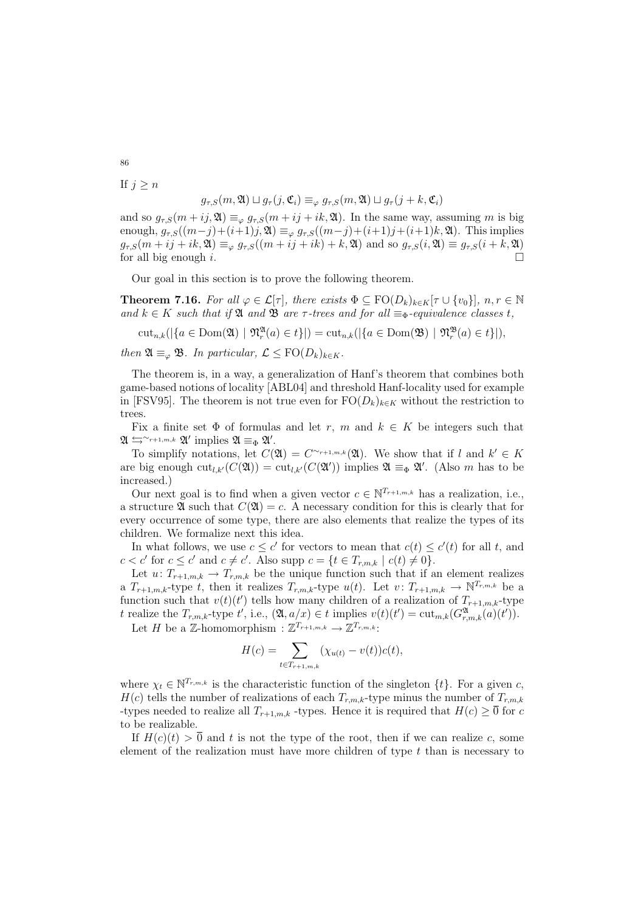If  $j \geq n$ 

$$
g_{\tau,S}(m,\mathfrak{A}) \sqcup g_{\tau}(j,\mathfrak{C}_i) \equiv_{\varphi} g_{\tau,S}(m,\mathfrak{A}) \sqcup g_{\tau}(j+k,\mathfrak{C}_i)
$$

and so  $g_{\tau,S}(m+ij,\mathfrak{A}) \equiv_{\varphi} g_{\tau,S}(m+ij+ik,\mathfrak{A})$ . In the same way, assuming m is big enough,  $g_{\tau,S}((m-j)+(i+1)j,\mathfrak{A}) \equiv_{\varphi} g_{\tau,S}((m-j)+(i+1)j+(i+1)k,\mathfrak{A})$ . This implies  $g_{\tau,S}(m+ij+ik,\mathfrak{A}) \equiv_{\varphi} g_{\tau,S}((m+ij+ik)+k,\mathfrak{A})$  and so  $g_{\tau,S}(i,\mathfrak{A}) \equiv g_{\tau,S}(i+k,\mathfrak{A})$ for all big enough i.

Our goal in this section is to prove the following theorem.

**Theorem 7.16.** For all  $\varphi \in \mathcal{L}[\tau]$ , there exists  $\Phi \subseteq \text{FO}(D_k)_{k \in K}[\tau \cup \{v_0\}]$ ,  $n, r \in \mathbb{N}$ and  $k \in K$  such that if  $\mathfrak A$  and  $\mathfrak B$  are  $\tau$ -trees and for all  $\equiv_{\Phi}$ -equivalence classes t,

$$
\mathrm{cut}_{n,k}(\left|\left\{a \in \mathrm{Dom}(\mathfrak{A}) \mid \mathfrak{N}_r^{\mathfrak{A}}(a) \in t\right\}\right|) = \mathrm{cut}_{n,k}(\left|\left\{a \in \mathrm{Dom}(\mathfrak{B}) \mid \mathfrak{N}_r^{\mathfrak{B}}(a) \in t\right\}\right|),
$$

then  $\mathfrak{A} \equiv_{\varphi} \mathfrak{B}$ . In particular,  $\mathcal{L} \leq \text{FO}(D_k)_{k \in K}$ .

The theorem is, in a way, a generalization of Hanf's theorem that combines both game-based notions of locality [ABL04] and threshold Hanf-locality used for example in [FSV95]. The theorem is not true even for  $\text{FO}(D_k)_{k\in K}$  without the restriction to trees.

Fix a finite set  $\Phi$  of formulas and let r, m and  $k \in K$  be integers such that  $\mathfrak{A} \leftrightarrows^{\sim_{r+1,m,k}} \mathfrak{A}'$  implies  $\mathfrak{A} \equiv_{\Phi} \mathfrak{A}'.$ 

To simplify notations, let  $C(\mathfrak{A}) = C^{\sim_{r+1,m,k}}(\mathfrak{A})$ . We show that if l and  $k' \in K$ are big enough  $\text{cut}_{l,k'}(C(\mathfrak{A})) = \text{cut}_{l,k'}(C(\mathfrak{A}'))$  implies  $\mathfrak{A} \equiv_{\Phi} \mathfrak{A}'$ . (Also m has to be increased.)

Our next goal is to find when a given vector  $c \in \mathbb{N}^{T_{r+1,m,k}}$  has a realization, i.e., a structure  $\mathfrak A$  such that  $C(\mathfrak A)=c$ . A necessary condition for this is clearly that for every occurrence of some type, there are also elements that realize the types of its children. We formalize next this idea.

In what follows, we use  $c \leq c'$  for vectors to mean that  $c(t) \leq c'(t)$  for all t, and  $c < c'$  for  $c \leq c'$  and  $c \neq c'$ . Also supp  $c = \{t \in T_{r,m,k} \mid c(t) \neq 0\}.$ 

Let  $u: T_{r+1,m,k} \to T_{r,m,k}$  be the unique function such that if an element realizes a  $T_{r+1,m,k}$ -type t, then it realizes  $T_{r,m,k}$ -type  $u(t)$ . Let  $v: T_{r+1,m,k} \to \mathbb{N}^{T_{r,m,k}}$  be a function such that  $v(t)(t')$  tells how many children of a realization of  $T_{r+1,m,k}$ -type t realize the  $T_{r,m,k}$ -type t', i.e.,  $(\mathfrak{A}, a/x) \in t$  implies  $v(t)(t') = \text{cut}_{m,k}(G_{r,m,k}^{\mathfrak{A}}(a)(t')).$ 

Let H be a Z-homomorphism :  $\mathbb{Z}^{T_{r+1,m,k}} \to \mathbb{Z}^{T_{r,m,k}}$ :

$$
H(c) = \sum_{t \in T_{r+1,m,k}} (\chi_{u(t)} - v(t))c(t),
$$

where  $\chi_t \in \mathbb{N}^{T_{r,m,k}}$  is the characteristic function of the singleton  $\{t\}$ . For a given c,  $H(c)$  tells the number of realizations of each  $T_{r,m,k}$ -type minus the number of  $T_{r,m,k}$ -types needed to realize all  $T_{r+1,m,k}$  -types. Hence it is required that  $H(c) \geq 0$  for c to be realizable.

If  $H(c)(t) > 0$  and t is not the type of the root, then if we can realize c, some element of the realization must have more children of type  $t$  than is necessary to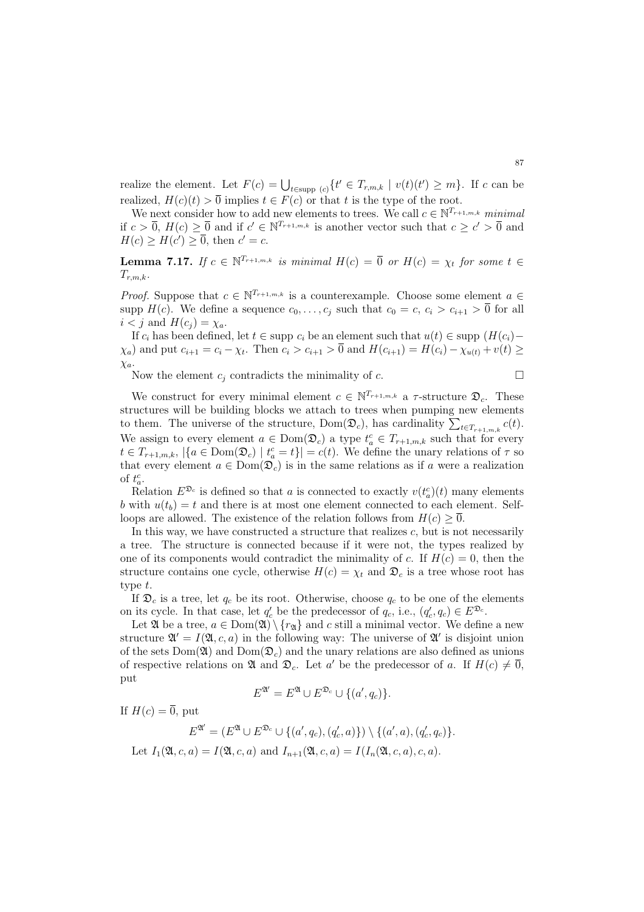realize the element. Let  $F(c) = \bigcup_{t \in \text{supp}(c)} \{t' \in T_{r,m,k} \mid v(t)(t') \geq m\}$ . If c can be realized,  $H(c)(t) > \overline{0}$  implies  $t \in F(c)$  or that t is the type of the root.

We next consider how to add new elements to trees. We call  $c \in \mathbb{N}^{T_{r+1,m,k}}$  minimal if  $c > \overline{0}$ ,  $H(c) > \overline{0}$  and if  $c' \in \mathbb{N}^{T_{r+1,m,k}}$  is another vector such that  $c > c' > \overline{0}$  and  $H(c) \geq H(c') \geq \overline{0}$ , then  $c' = c$ .

**Lemma 7.17.** If  $c \in \mathbb{N}^{T_{r+1,m,k}}$  is minimal  $H(c) = \overline{0}$  or  $H(c) = \chi_t$  for some  $t \in$  $T_{r,m,k}.$ 

*Proof.* Suppose that  $c \in \mathbb{N}^{T_{r+1,m,k}}$  is a counterexample. Choose some element  $a \in$ supp  $H(c)$ . We define a sequence  $c_0, \ldots, c_i$  such that  $c_0 = c, c_i > c_{i+1} > \overline{0}$  for all  $i < j$  and  $H(c_j) = \chi_a$ .

If  $c_i$  has been defined, let  $t \in \text{supp } c_i$  be an element such that  $u(t) \in \text{supp } (H(c_i) \chi_a$ ) and put  $c_{i+1} = c_i - \chi_t$ . Then  $c_i > c_{i+1} > \overline{0}$  and  $H(c_{i+1}) = H(c_i) - \chi_{u(t)} + v(t) \ge$  $\chi_a$ .

Now the element  $c_j$  contradicts the minimality of c.  $\Box$ 

We construct for every minimal element  $c \in \mathbb{N}^{T_{r+1,m,k}}$  a  $\tau$ -structure  $\mathfrak{D}_c$ . These structures will be building blocks we attach to trees when pumping new elements to them. The universe of the structure, Dom $(\mathfrak{D}_c)$ , has cardinality  $\sum_{t \in T_{r+1,m,k}} c(t)$ . We assign to every element  $a \in \text{Dom}(\mathfrak{D}_c)$  a type  $t_a^c \in T_{r+1,m,k}$  such that for every  $t \in T_{r+1,m,k}, |\{a \in \text{Dom}(\mathfrak{D}_c) \mid t_a^c = t\}| = c(t)$ . We define the unary relations of  $\tau$  so that every element  $a \in \text{Dom}(\mathfrak{D}_c)$  is in the same relations as if a were a realization of  $t_a^c$ .

Relation  $E^{\mathfrak{D}_c}$  is defined so that a is connected to exactly  $v(t_a^c)(t)$  many elements b with  $u(t_b) = t$  and there is at most one element connected to each element. Selfloops are allowed. The existence of the relation follows from  $H(c) \geq 0$ .

In this way, we have constructed a structure that realizes  $c$ , but is not necessarily a tree. The structure is connected because if it were not, the types realized by one of its components would contradict the minimality of c. If  $H(c) = 0$ , then the structure contains one cycle, otherwise  $H(c) = \chi_t$  and  $\mathfrak{D}_c$  is a tree whose root has type t.

If  $\mathfrak{D}_c$  is a tree, let  $q_c$  be its root. Otherwise, choose  $q_c$  to be one of the elements on its cycle. In that case, let  $q'_c$  be the predecessor of  $q_c$ , i.e.,  $(q'_c, q_c) \in E^{\mathfrak{D}_c}$ .

Let  $\mathfrak A$  be a tree,  $a \in \text{Dom}(\mathfrak A) \setminus \{r_{\mathfrak A}\}\$  and c still a minimal vector. We define a new structure  $\mathfrak{A}' = I(\mathfrak{A}, c, a)$  in the following way: The universe of  $\mathfrak{A}'$  is disjoint union of the sets  $Dom(\mathfrak{A})$  and  $Dom(\mathfrak{D}_c)$  and the unary relations are also defined as unions of respective relations on  $\mathfrak A$  and  $\mathfrak D_c$ . Let a' be the predecessor of a. If  $H(c) \neq 0$ , put

$$
E^{\mathfrak{A}'} = E^{\mathfrak{A}} \cup E^{\mathfrak{D}_c} \cup \{(a', q_c)\}.
$$

If  $H(c) = 0$ , put

$$
E^{\mathfrak{A}'} = (E^{\mathfrak{A}} \cup E^{\mathfrak{D}_c} \cup \{(a', q_c), (q_c', a)\}) \setminus \{(a', a), (q_c', q_c)\}.
$$

Let  $I_1(\mathfrak{A}, c, a) = I(\mathfrak{A}, c, a)$  and  $I_{n+1}(\mathfrak{A}, c, a) = I(I_n(\mathfrak{A}, c, a), c, a)$ .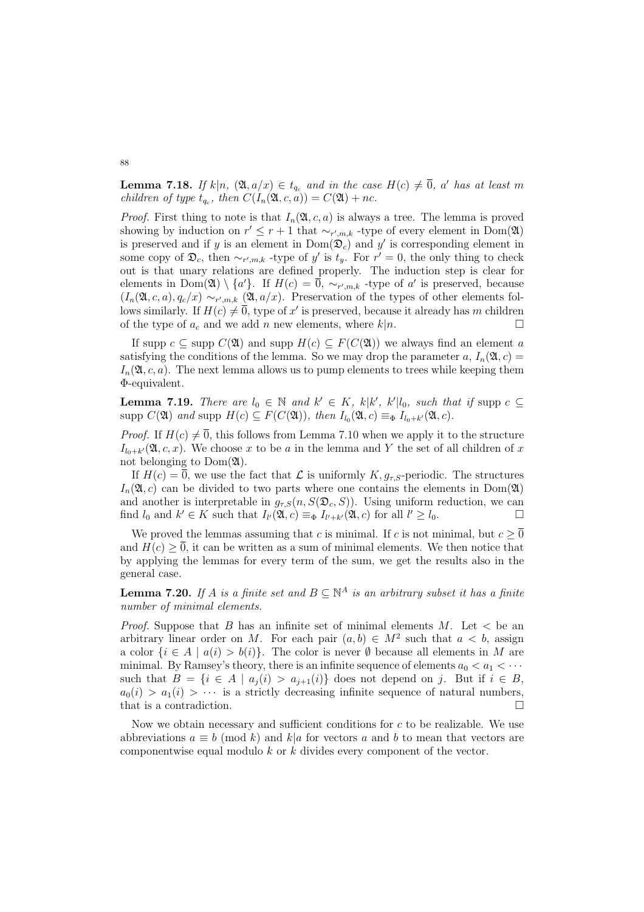**Lemma 7.18.** If k|n,  $(\mathfrak{A}, a/x) \in t_{q_c}$  and in the case  $H(c) \neq \overline{0}$ , a' has at least m children of type  $t_{q_c}$ , then  $C(I_n(\mathfrak{A}, c, a)) = C(\mathfrak{A}) + nc$ .

*Proof.* First thing to note is that  $I_n(\mathfrak{A}, c, a)$  is always a tree. The lemma is proved showing by induction on  $r' \leq r+1$  that  $\sim_{r',m,k}$  -type of every element in Dom(20) is preserved and if y is an element in  $Dom(\mathfrak{D}_c)$  and y' is corresponding element in some copy of  $\mathfrak{D}_c$ , then  $\sim_{r',m,k}$  -type of y' is  $t_y$ . For  $r' = 0$ , the only thing to check out is that unary relations are defined properly. The induction step is clear for elements in Dom(20) \  $\{a'\}$ . If  $H(c) = \overline{0}$ ,  $\sim_{r',m,k}$  -type of a' is preserved, because  $(I_n(\mathfrak{A}, c, a), q_c/x) \sim_{r',m,k} (\mathfrak{A}, a/x)$ . Preservation of the types of other elements follows similarly. If  $H(c) \neq \overline{0}$ , type of x' is preserved, because it already has m children of the type of  $a_c$  and we add n new elements, where  $k|n$ .

If supp  $c \subseteq \text{supp } C(\mathfrak{A})$  and supp  $H(c) \subseteq F(C(\mathfrak{A}))$  we always find an element a satisfying the conditions of the lemma. So we may drop the parameter a,  $I_n(\mathfrak{A}, c)$  =  $I_n(\mathfrak{A}, c, a)$ . The next lemma allows us to pump elements to trees while keeping them Φ-equivalent.

**Lemma 7.19.** There are  $l_0 \in \mathbb{N}$  and  $k' \in K$ ,  $k|k'$ ,  $k'|l_0$ , such that if supp  $c \subseteq$ supp  $C(\mathfrak{A})$  and supp  $H(c) \subseteq F(C(\mathfrak{A}))$ , then  $I_{l_0}(\mathfrak{A}, c) \equiv_{\Phi} I_{l_0+k'}(\mathfrak{A}, c)$ .

*Proof.* If  $H(c) \neq 0$ , this follows from Lemma 7.10 when we apply it to the structure  $I_{l_0+k'}(\mathfrak{A},c,x)$ . We choose x to be a in the lemma and Y the set of all children of x not belonging to  $Dom(\mathfrak{A})$ .

If  $H(c) = \overline{0}$ , we use the fact that  $\mathcal L$  is uniformly  $K, g_{\tau, S}$ -periodic. The structures  $I_n(\mathfrak{A}, c)$  can be divided to two parts where one contains the elements in Dom( $\mathfrak{A}$ ) and another is interpretable in  $g_{\tau,S}(n, S(\mathfrak{D}_{c}, S))$ . Using uniform reduction, we can find  $l_0$  and  $k' \in K$  such that  $I_{l'}(\mathfrak{A}, c) \equiv_{\Phi} I_{l'+k'}(\mathfrak{A}, c)$  for all  $l' \geq l_0$ .

We proved the lemmas assuming that c is minimal. If c is not minimal, but  $c > 0$ and  $H(c) \geq 0$ , it can be written as a sum of minimal elements. We then notice that by applying the lemmas for every term of the sum, we get the results also in the general case.

**Lemma 7.20.** If A is a finite set and  $B \subseteq \mathbb{N}^A$  is an arbitrary subset it has a finite number of minimal elements.

*Proof.* Suppose that B has an infinite set of minimal elements  $M$ . Let  $\lt$  be an arbitrary linear order on M. For each pair  $(a, b) \in M^2$  such that  $a < b$ , assign a color  $\{i \in A \mid a(i) > b(i)\}\$ . The color is never  $\emptyset$  because all elements in M are minimal. By Ramsey's theory, there is an infinite sequence of elements  $a_0 < a_1 < \cdots$ such that  $B = \{i \in A \mid a_i(i) > a_{i+1}(i)\}\$  does not depend on j. But if  $i \in B$ ,  $a_0(i) > a_1(i) > \cdots$  is a strictly decreasing infinite sequence of natural numbers, that is a contradiction.

Now we obtain necessary and sufficient conditions for  $c$  to be realizable. We use abbreviations  $a \equiv b \pmod{k}$  and  $k|a$  for vectors a and b to mean that vectors are componentwise equal modulo  $k$  or  $k$  divides every component of the vector.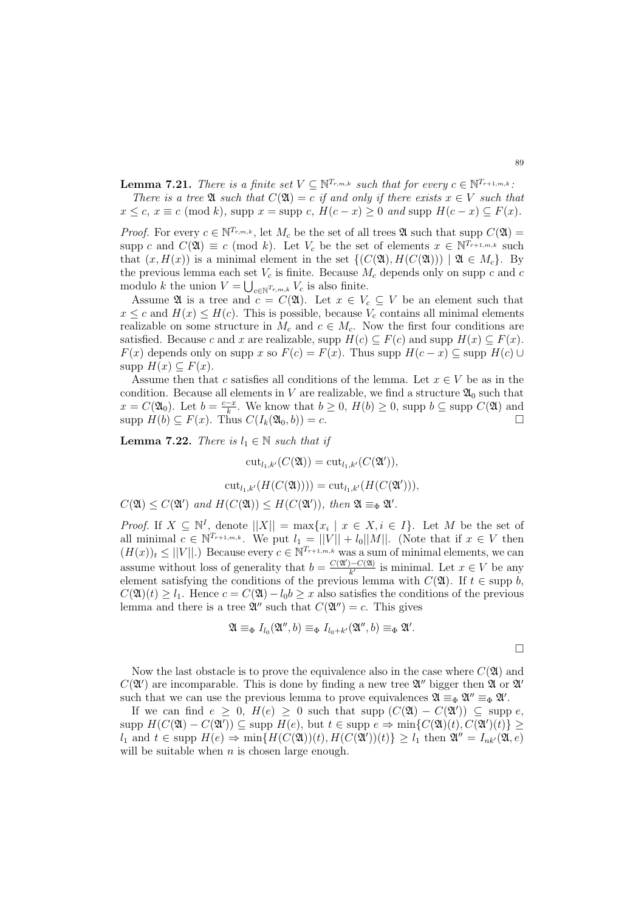**Lemma 7.21.** There is a finite set  $V \subseteq \mathbb{N}^{T_{r,m,k}}$  such that for every  $c \in \mathbb{N}^{T_{r+1,m,k}}$ .

There is a tree  $\mathfrak{A}$  such that  $C(\mathfrak{A})=c$  if and only if there exists  $x \in V$  such that  $x \leq c$ ,  $x \equiv c \pmod{k}$ , supp  $x = \text{supp } c$ ,  $H(c - x) \geq 0$  and supp  $H(c - x) \subseteq F(x)$ .

*Proof.* For every  $c \in \mathbb{N}^{T_{r,m,k}}$ , let  $M_c$  be the set of all trees  $\mathfrak A$  such that supp  $C(\mathfrak A)$  = supp c and  $C(\mathfrak{A}) \equiv c \pmod{k}$ . Let  $V_c$  be the set of elements  $x \in \mathbb{N}^{T_{r+1,m,k}}$  such that  $(x, H(x))$  is a minimal element in the set  $\{(C(\mathfrak{A}), H(C(\mathfrak{A}))) \mid \mathfrak{A} \in M_c\}$ . By the previous lemma each set  $V_c$  is finite. Because  $M_c$  depends only on supp c and c modulo k the union  $V = \bigcup_{c \in \mathbb{N}^{T_{r,m,k}}} V_c$  is also finite.

Assume  $\mathfrak A$  is a tree and  $c = C(\mathfrak A)$ . Let  $x \in V_c \subseteq V$  be an element such that  $x \leq c$  and  $H(x) \leq H(c)$ . This is possible, because  $V_c$  contains all minimal elements realizable on some structure in  $M_c$  and  $c \in M_c$ . Now the first four conditions are satisfied. Because c and x are realizable, supp  $H(c) \subseteq F(c)$  and supp  $H(x) \subseteq F(x)$ .  $F(x)$  depends only on supp x so  $F(c) = F(x)$ . Thus supp  $H(c-x) \subseteq$  supp  $H(c) \cup$ supp  $H(x) \subseteq F(x)$ .

Assume then that c satisfies all conditions of the lemma. Let  $x \in V$  be as in the condition. Because all elements in V are realizable, we find a structure  $\mathfrak{A}_0$  such that  $x = C(\mathfrak{A}_0)$ . Let  $b = \frac{c-x}{k}$ . We know that  $b \geq 0$ ,  $H(b) \geq 0$ , supp  $b \subseteq \text{supp } C(\mathfrak{A})$  and supp  $H(b) \subseteq F(x)$ . Thus  $C(I_k(\mathfrak{A}_0, b)) = c$ .

**Lemma 7.22.** There is  $l_1 \in \mathbb{N}$  such that if

$$
\operatorname{cut}_{l_1,k'}(C(\mathfrak{A})) = \operatorname{cut}_{l_1,k'}(C(\mathfrak{A}')),
$$
  

$$
\operatorname{cut}_{l_1,k'}(H(C(\mathfrak{A})))) = \operatorname{cut}_{l_1,k'}(H(C(\mathfrak{A}'))),
$$
  

$$
C(\mathfrak{A}) \le C(\mathfrak{A}') \text{ and } H(C(\mathfrak{A})) \le H(C(\mathfrak{A}')), \text{ then } \mathfrak{A} \equiv_{\Phi} \mathfrak{A}'.
$$

*Proof.* If  $X \subseteq \mathbb{N}^I$ , denote  $||X|| = \max\{x_i \mid x \in X, i \in I\}$ . Let M be the set of all minimal  $c \in \mathbb{N}^{T_{r+1,m,k}}$ . We put  $l_1 = ||V|| + l_0||M||$ . (Note that if  $x \in V$  then  $(H(x))_t \leq ||V||.$ ) Because every  $c \in \mathbb{N}^{T_{r+1,m,k}}$  was a sum of minimal elements, we can assume without loss of generality that  $b = \frac{C(\mathfrak{A}) - C(\mathfrak{A})}{\nu}$  $\frac{E(-C(2x))}{k'}$  is minimal. Let  $x \in V$  be any element satisfying the conditions of the previous lemma with  $C(\mathfrak{A})$ . If  $t \in \text{supp } b$ ,  $C(\mathfrak{A})$ (t) ≥ l<sub>1</sub>. Hence  $c = C(\mathfrak{A}) - l_0b \geq x$  also satisfies the conditions of the previous lemma and there is a tree  $\mathfrak{A}''$  such that  $C(\mathfrak{A}'') = c$ . This gives

$$
\mathfrak{A} \equiv_{\Phi} I_{l_0}(\mathfrak{A}'', b) \equiv_{\Phi} I_{l_0 + k'}(\mathfrak{A}'', b) \equiv_{\Phi} \mathfrak{A}'.
$$

Now the last obstacle is to prove the equivalence also in the case where  $C(\mathfrak{A})$  and  $C(\mathfrak{A}')$  are incomparable. This is done by finding a new tree  $\mathfrak{A}''$  bigger then  $\mathfrak{A}$  or  $\mathfrak{A}'$ such that we can use the previous lemma to prove equivalences  $\mathfrak{A} \equiv_{\Phi} \mathfrak{A}'' \equiv_{\Phi} \mathfrak{A}'$ .

If we can find  $e \geq 0$ ,  $H(e) \geq 0$  such that supp  $(C(\mathfrak{A}) - C(\mathfrak{A}')) \subseteq$  supp e, supp  $H(C(\mathfrak{A}) - C(\mathfrak{A}')) \subseteq \text{supp } H(e)$ , but  $t \in \text{supp } e \Rightarrow \min\{C(\mathfrak{A})(t), C(\mathfrak{A}')(t)\} \ge$  $l_1$  and  $t \in \text{supp } H(e) \Rightarrow \min\{H(C(\mathfrak{A}))(t), H(C(\mathfrak{A}'))(t)\} \ge l_1$  then  $\mathfrak{A}'' = I_{nk'}(\mathfrak{A}, e)$ will be suitable when  $n$  is chosen large enough.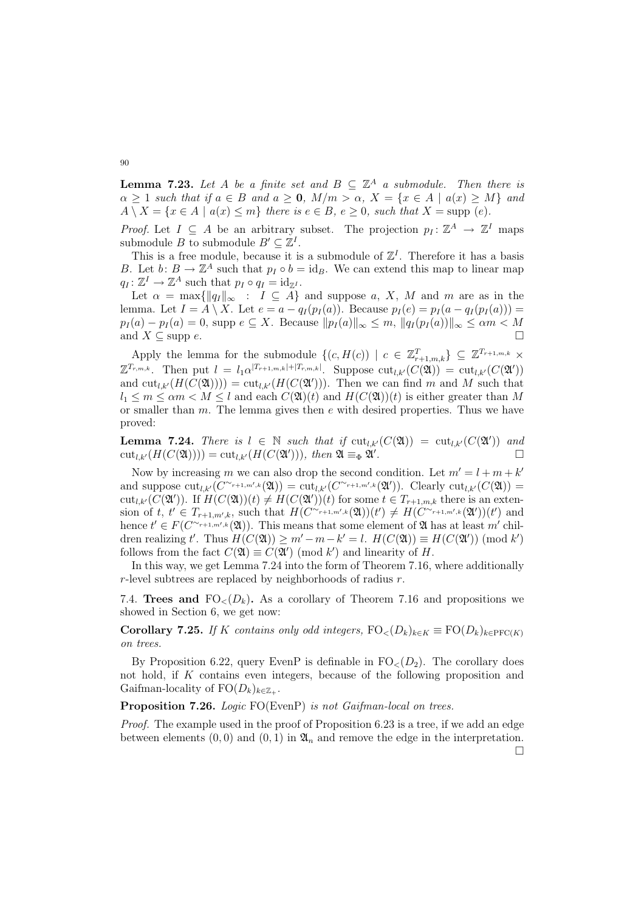**Lemma 7.23.** Let A be a finite set and  $B \subseteq \mathbb{Z}^A$  a submodule. Then there is  $\alpha \geq 1$  such that if  $a \in B$  and  $a \geq 0$ ,  $M/m > \alpha$ ,  $X = \{x \in A \mid a(x) \geq M\}$  and  $A \setminus X = \{x \in A \mid a(x) \leq m\}$  there is  $e \in B$ ,  $e \geq 0$ , such that  $X = \text{supp}(e)$ .

*Proof.* Let  $I \subseteq A$  be an arbitrary subset. The projection  $p_I : \mathbb{Z}^A \to \mathbb{Z}^I$  maps submodule B to submodule  $B' \subset \mathbb{Z}^I$ .

This is a free module, because it is a submodule of  $\mathbb{Z}^{I}$ . Therefore it has a basis B. Let  $b: B \to \mathbb{Z}^A$  such that  $p_I \circ b = id_B$ . We can extend this map to linear map  $q_I : \mathbb{Z}^I \to \mathbb{Z}^A$  such that  $p_I \circ q_I = id_{\mathbb{Z}^I}$ .

Let  $\alpha = \max\{\|q_I\|_{\infty} : I \subseteq A\}$  and suppose a, X, M and m are as in the lemma. Let  $I = A \setminus X$ . Let  $e = a - q_I(p_I(a))$ . Because  $p_I(e) = p_I(a - q_I(p_I(a)))$  $p_I(a) - p_I(a) = 0$ , supp  $e \subseteq X$ . Because  $||p_I(a)||_{\infty} \le m$ ,  $||q_I(p_I(a))||_{\infty} \le \alpha m < M$ and  $X \subseteq \text{supp } e$ .

Apply the lemma for the submodule  $\{(c, H(c)) \mid c \in \mathbb{Z}_{r+1,m,k}^T\} \subseteq \mathbb{Z}^{T_{r+1,m,k}} \times$  $\mathbb{Z}^{T_{r,m,k}}$ . Then put  $l = l_1 \alpha^{|T_{r+1,m,k}| + |T_{r,m,k}|}$ . Suppose  $\text{cut}_{l,k'}(C(\mathfrak{A})) = \text{cut}_{l,k'}(C(\mathfrak{A}'))$ and  $\text{cut}_{l,k'}(H(C(\mathfrak{A})))) = \text{cut}_{l,k'}(H(C(\mathfrak{A}')))$ . Then we can find m and M such that  $l_1 \leq m \leq \alpha m < M \leq l$  and each  $C(\mathfrak{A})(t)$  and  $H(C(\mathfrak{A}))(t)$  is either greater than M or smaller than  $m$ . The lemma gives then  $e$  with desired properties. Thus we have proved:

**Lemma 7.24.** There is  $l \in \mathbb{N}$  such that if  $\text{cut}_{l,k'}(C(\mathfrak{A})) = \text{cut}_{l,k'}(C(\mathfrak{A}'))$  and  $\text{cut}_{l,k'}(H(C(\mathfrak{A})))) = \text{cut}_{l,k'}(H(C(\mathfrak{A}'))), \text{ then } \mathfrak{A} \equiv_{\Phi} \mathfrak{A}'$ .

Now by increasing m we can also drop the second condition. Let  $m' = l + m + k'$ and suppose  $\text{cut}_{l,k'}(C^{\sim_{r+1,m',k}}(\mathfrak{A})) = \text{cut}_{l,k'}(C^{\sim_{r+1,m',k}}(\mathfrak{A}'))$ . Clearly  $\text{cut}_{l,k'}(C(\mathfrak{A})) =$ cut<sub>l,k'</sub>( $C(\mathfrak{A}')$ ). If  $H(C(\mathfrak{A}))(t) \neq H(C(\mathfrak{A}'))(t)$  for some  $t \in T_{r+1,m,k}$  there is an extension of  $t, t' \in T_{r+1,m',k}$ , such that  $H(C^{(r+1,m',k)}(\mathfrak{A}))(t') \neq H(C^{(r+1,m',k)}(\mathfrak{A}'))(t')$  and hence  $t' \in F(C^{r+1,m',k}(\mathfrak{A}))$ . This means that some element of  $\mathfrak A$  has at least m' children realizing t'. Thus  $H(C(\mathfrak{A})) \geq m'-m-k'=l$ .  $H(C(\mathfrak{A})) \equiv H(C(\mathfrak{A}')) \pmod{k'}$ follows from the fact  $C(\mathfrak{A}) \equiv C(\mathfrak{A}') \pmod{k'}$  and linearity of H.

In this way, we get Lemma 7.24 into the form of Theorem 7.16, where additionally r-level subtrees are replaced by neighborhoods of radius r.

7.4. **Trees and**  $FO<sub>(D<sub>k</sub>)</sub>$ . As a corollary of Theorem 7.16 and propositions we showed in Section 6, we get now:

**Corollary 7.25.** If K contains only odd integers,  $\text{FO}_{\leq}(D_k)_{k \in K} \equiv \text{FO}(D_k)_{k \in \text{PFC}(K)}$ on trees.

By Proposition 6.22, query EvenP is definable in  $FO<sub>(D<sub>2</sub>)</sub>$ . The corollary does not hold, if K contains even integers, because of the following proposition and Gaifman-locality of  $\text{FO}(D_k)_{k \in \mathbb{Z}_+}$ .

**Proposition 7.26.** Logic FO(EvenP) is not Gaifman-local on trees.

Proof. The example used in the proof of Proposition 6.23 is a tree, if we add an edge between elements  $(0, 0)$  and  $(0, 1)$  in  $\mathfrak{A}_n$  and remove the edge in the interpretation.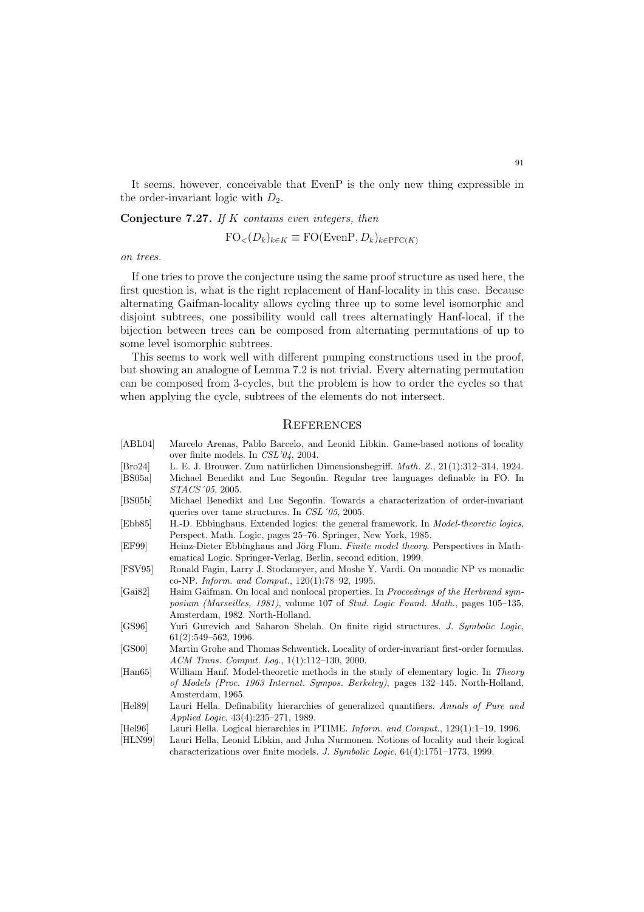It seems, however, conceivable that EvenP is the only new thing expressible in the order-invariant logic with  $D_2$ .

**Conjecture 7.27.** If K contains even integers, then

$$
FO_{<} (D_k)_{k \in K} \equiv FO(\text{EvenP}, D_k)_{k \in PFC(K)}
$$

on trees.

If one tries to prove the conjecture using the same proof structure as used here, the first question is, what is the right replacement of Hanf-locality in this case. Because alternating Gaifman-locality allows cycling three up to some level isomorphic and disjoint subtrees, one possibility would call trees alternatingly Hanf-local, if the bijection between trees can be composed from alternating permutations of up to some level isomorphic subtrees.

This seems to work well with different pumping constructions used in the proof, but showing an analogue of Lemma 7.2 is not trivial. Every alternating permutation can be composed from 3-cycles, but the problem is how to order the cycles so that when applying the cycle, subtrees of the elements do not intersect.

## **REFERENCES**

- [ABL04] Marcelo Arenas, Pablo Barcelo, and Leonid Libkin. Game-based notions of locality over finite models. In CSL'04, 2004.
- [Bro24] L. E. J. Brouwer. Zum natürlichen Dimensionsbegriff. *Math. Z.*, 21(1):312–314, 1924.
- [BS05a] Michael Benedikt and Luc Segoufin. Regular tree languages definable in FO. In STACS´05, 2005.
- [BS05b] Michael Benedikt and Luc Segoufin. Towards a characterization of order-invariant queries over tame structures. In CSL´05, 2005.
- [Ebb85] H.-D. Ebbinghaus. Extended logics: the general framework. In Model-theoretic logics, Perspect. Math. Logic, pages 25–76. Springer, New York, 1985.
- [EF99] Heinz-Dieter Ebbinghaus and Jörg Flum. Finite model theory. Perspectives in Mathematical Logic. Springer-Verlag, Berlin, second edition, 1999.
- [FSV95] Ronald Fagin, Larry J. Stockmeyer, and Moshe Y. Vardi. On monadic NP vs monadic co-NP. Inform. and Comput., 120(1):78–92, 1995.
- [Gai82] Haim Gaifman. On local and nonlocal properties. In Proceedings of the Herbrand symposium (Marseilles, 1981), volume 107 of Stud. Logic Found. Math., pages 105–135, Amsterdam, 1982. North-Holland.
- [GS96] Yuri Gurevich and Saharon Shelah. On finite rigid structures. J. Symbolic Logic, 61(2):549–562, 1996.
- [GS00] Martin Grohe and Thomas Schwentick. Locality of order-invariant first-order formulas. ACM Trans. Comput. Log., 1(1):112–130, 2000.
- [Han65] William Hanf. Model-theoretic methods in the study of elementary logic. In Theory of Models (Proc. 1963 Internat. Sympos. Berkeley), pages 132–145. North-Holland, Amsterdam, 1965.
- [Hel89] Lauri Hella. Definability hierarchies of generalized quantifiers. Annals of Pure and Applied Logic, 43(4):235–271, 1989.
- [Hel96] Lauri Hella. Logical hierarchies in PTIME. Inform. and Comput., 129(1):1–19, 1996.
- [HLN99] Lauri Hella, Leonid Libkin, and Juha Nurmonen. Notions of locality and their logical characterizations over finite models. J. Symbolic Logic, 64(4):1751–1773, 1999.